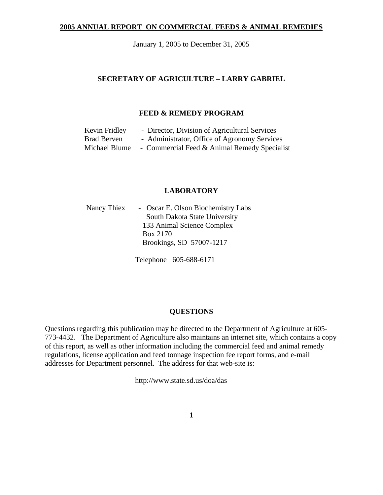### **2005 ANNUAL REPORT ON COMMERCIAL FEEDS & ANIMAL REMEDIES**

January 1, 2005 to December 31, 2005

### **SECRETARY OF AGRICULTURE – LARRY GABRIEL**

### **FEED & REMEDY PROGRAM**

| Kevin Fridley      | - Director, Division of Agricultural Services |
|--------------------|-----------------------------------------------|
| <b>Brad Berven</b> | - Administrator, Office of Agronomy Services  |
| Michael Blume      | - Commercial Feed & Animal Remedy Specialist  |

# **LABORATORY**

| Nancy Thiex | - Oscar E. Olson Biochemistry Labs |
|-------------|------------------------------------|
|             | South Dakota State University      |
|             | 133 Animal Science Complex         |
|             | Box 2170                           |
|             | Brookings, SD 57007-1217           |
|             |                                    |

Telephone 605-688-6171

### **QUESTIONS**

Questions regarding this publication may be directed to the Department of Agriculture at 605- 773-4432. The Department of Agriculture also maintains an internet site, which contains a copy of this report, as well as other information including the commercial feed and animal remedy regulations, license application and feed tonnage inspection fee report forms, and e-mail addresses for Department personnel. The address for that web-site is:

http://www.state.sd.us/doa/das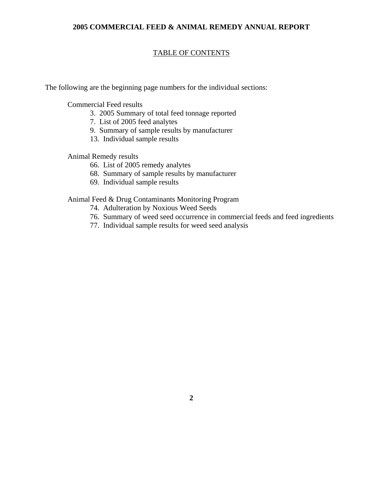### **2005 COMMERCIAL FEED & ANIMAL REMEDY ANNUAL REPORT**

# TABLE OF CONTENTS

The following are the beginning page numbers for the individual sections:

Commercial Feed results

- 3. 2005 Summary of total feed tonnage reported
- 7. List of 2005 feed analytes
- 9. Summary of sample results by manufacturer
- 13. Individual sample results

Animal Remedy results

- 66. List of 2005 remedy analytes
- 68. Summary of sample results by manufacturer
- 69. Individual sample results

Animal Feed & Drug Contaminants Monitoring Program

- 74. Adulteration by Noxious Weed Seeds
- 76. Summary of weed seed occurrence in commercial feeds and feed ingredients
- 77. Individual sample results for weed seed analysis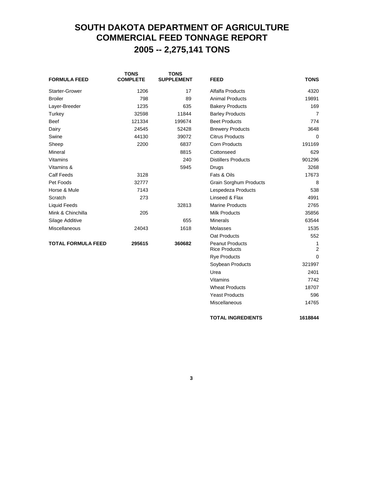# **SOUTH DAKOTA DEPARTMENT OF AGRICULTURE COMMERCIAL FEED TONNAGE REPORT 2005 -- 2,275,141 TONS**

| <b>FORMULA FEED</b>       | <b>TONS</b><br><b>COMPLETE</b> | <b>TONS</b><br><b>SUPPLEMENT</b> | <b>FEED</b>                                    | <b>TONS</b>         |
|---------------------------|--------------------------------|----------------------------------|------------------------------------------------|---------------------|
| <b>Starter-Grower</b>     | 1206                           | 17                               | Alfalfa Products                               | 4320                |
| <b>Broiler</b>            | 798                            | 89                               | <b>Animal Products</b>                         | 19891               |
| Layer-Breeder             | 1235                           | 635                              | <b>Bakery Products</b>                         | 169                 |
| Turkey                    | 32598                          | 11844                            | <b>Barley Products</b>                         | $\overline{7}$      |
| <b>Beef</b>               | 121334                         | 199674                           | <b>Beet Products</b>                           | 774                 |
| Dairy                     | 24545                          | 52428                            | <b>Brewery Products</b>                        | 3648                |
| Swine                     | 44130                          | 39072                            | <b>Citrus Products</b>                         | $\Omega$            |
| Sheep                     | 2200                           | 6837                             | <b>Corn Products</b>                           | 191169              |
| Mineral                   |                                | 8815                             | Cottonseed                                     | 629                 |
| Vitamins                  |                                | 240                              | <b>Distillers Products</b>                     | 901296              |
| Vitamins &                |                                | 5945                             | Drugs                                          | 3268                |
| <b>Calf Feeds</b>         | 3128                           |                                  | Fats & Oils                                    | 17673               |
| Pet Foods                 | 32777                          |                                  | <b>Grain Sorghum Products</b>                  | 8                   |
| Horse & Mule              | 7143                           |                                  | Lespedeza Products                             | 538                 |
| Scratch                   | 273                            |                                  | Linseed & Flax                                 | 4991                |
| <b>Liquid Feeds</b>       |                                | 32813                            | <b>Marine Products</b>                         | 2765                |
| Mink & Chinchilla         | 205                            |                                  | <b>Milk Products</b>                           | 35856               |
| Silage Additive           |                                | 655                              | Minerals                                       | 63544               |
| <b>Miscellaneous</b>      | 24043                          | 1618                             | Molasses                                       | 1535                |
|                           |                                |                                  | Oat Products                                   | 552                 |
| <b>TOTAL FORMULA FEED</b> | 295615                         | 360682                           | <b>Peanut Products</b><br><b>Rice Products</b> | 1<br>$\overline{2}$ |
|                           |                                |                                  | <b>Rye Products</b>                            | 0                   |

**3**

Soybean Products 321997 Urea 2401 Vitamins 7742 Wheat Products 18707 Yeast Products 596 Miscellaneous 14765

**TOTAL INGREDIENTS 1618844**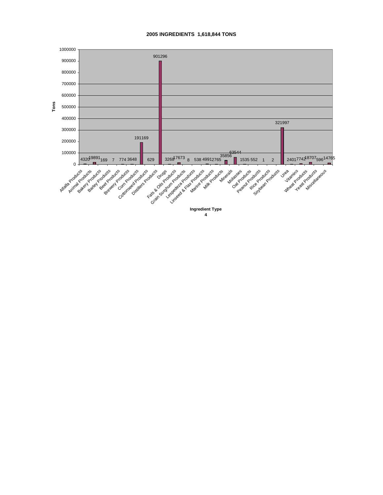#### **2005 INGREDIENTS 1,618,844 TONS**

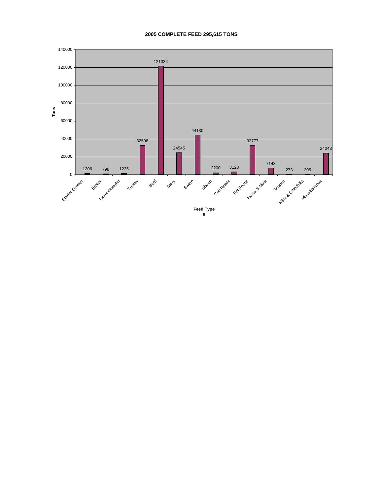#### **2005 COMPLETE FEED 295,615 TONS**

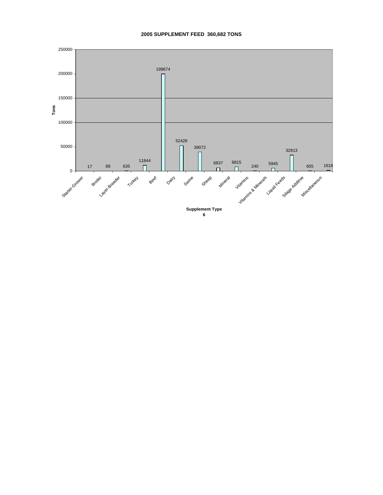### **2005 SUPPLEMENT FEED 360,682 TONS**

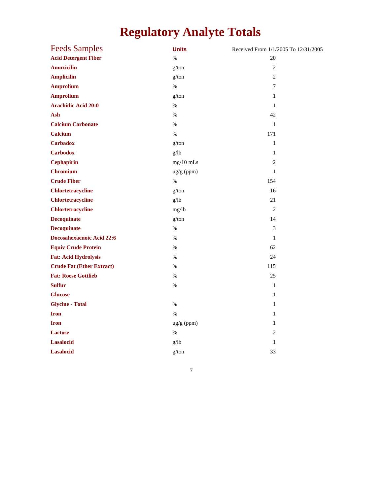# **Regulatory Analyte Totals**

| <b>Feeds Samples</b>             | <b>Units</b> | Received From 1/1/2005 To 12/31/2005 |
|----------------------------------|--------------|--------------------------------------|
| <b>Acid Detergent Fiber</b>      | $\%$         | 20                                   |
| <b>Amoxicilin</b>                | g/ton        | $\overline{c}$                       |
| <b>Amplicilin</b>                | g/ton        | $\overline{2}$                       |
| <b>Amprolium</b>                 | $\%$         | $\tau$                               |
| <b>Amprolium</b>                 | g/ton        | $\mathbf{1}$                         |
| <b>Arachidic Acid 20:0</b>       | $\%$         | $\mathbf{1}$                         |
| Ash                              | $\%$         | 42                                   |
| <b>Calcium Carbonate</b>         | $\%$         | $\mathbf{1}$                         |
| <b>Calcium</b>                   | $\%$         | 171                                  |
| <b>Carbadox</b>                  | g/ton        | $\mathbf{1}$                         |
| <b>Carbodox</b>                  | g/lb         | $\mathbf{1}$                         |
| <b>Cephapirin</b>                | $mg/10$ mLs  | $\overline{c}$                       |
| <b>Chromium</b>                  | ug/g (ppm)   | $\,1$                                |
| <b>Crude Fiber</b>               | $\%$         | 154                                  |
| <b>Chlortetracycline</b>         | g/ton        | 16                                   |
| <b>Chlortetracycline</b>         | g/lb         | 21                                   |
| <b>Chlortetracycline</b>         | mg/lb        | $\overline{2}$                       |
| <b>Decoquinate</b>               | g/ton        | 14                                   |
| <b>Decoquinate</b>               | $\%$         | 3                                    |
| Docosahexaenoic Acid 22:6        | $\%$         | $\mathbf{1}$                         |
| <b>Equiv Crude Protein</b>       | $\%$         | 62                                   |
| <b>Fat: Acid Hydrolysis</b>      | %            | 24                                   |
| <b>Crude Fat (Ether Extract)</b> | $\%$         | 115                                  |
| <b>Fat: Roese Gottlieb</b>       | %            | 25                                   |
| <b>Sulfur</b>                    | %            | $\mathbf{1}$                         |
| <b>Glucose</b>                   |              | $\mathbf{1}$                         |
| <b>Glycine - Total</b>           | $\%$         | $\mathbf{1}$                         |
| <b>Iron</b>                      | $\%$         | $\mathbf{1}$                         |
| <b>Iron</b>                      | ug/g (ppm)   | $\mathbf{1}$                         |
| <b>Lactose</b>                   | $\%$         | 2                                    |
| <b>Lasalocid</b>                 | g/lb         | $\mathbf{1}$                         |
| <b>Lasalocid</b>                 | g/ton        | 33                                   |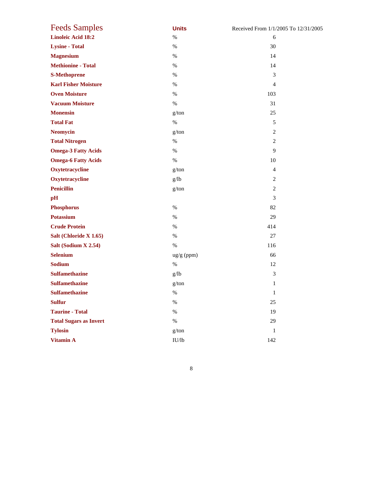| <b>Feeds Samples</b>          | <b>Units</b> | Received From 1/1/2005 To 12/31/2005 |
|-------------------------------|--------------|--------------------------------------|
| <b>Linoleic Acid 18:2</b>     | $\%$         | 6                                    |
| <b>Lysine - Total</b>         | $\%$         | 30                                   |
| <b>Magnesium</b>              | $\%$         | 14                                   |
| <b>Methionine - Total</b>     | $\%$         | 14                                   |
| <b>S-Methoprene</b>           | $\%$         | 3                                    |
| <b>Karl Fisher Moisture</b>   | $\%$         | $\overline{4}$                       |
| <b>Oven Moisture</b>          | $\%$         | 103                                  |
| <b>Vacuum Moisture</b>        | $\%$         | 31                                   |
| <b>Monensin</b>               | g/ton        | 25                                   |
| <b>Total Fat</b>              | $\%$         | 5                                    |
| <b>Neomycin</b>               | g/ton        | $\overline{c}$                       |
| <b>Total Nitrogen</b>         | $\%$         | 2                                    |
| <b>Omega-3 Fatty Acids</b>    | $\%$         | 9                                    |
| <b>Omega-6 Fatty Acids</b>    | $\%$         | 10                                   |
| Oxytetracycline               | g/ton        | $\overline{4}$                       |
| Oxytetracycline               | g/lb         | $\overline{c}$                       |
| <b>Penicillin</b>             | g/ton        | 2                                    |
| pH                            |              | 3                                    |
| <b>Phosphorus</b>             | $\%$         | 82                                   |
| <b>Potassium</b>              | $\%$         | 29                                   |
| <b>Crude Protein</b>          | $\%$         | 414                                  |
| Salt (Chloride X 1.65)        | $\%$         | 27                                   |
| Salt (Sodium X 2.54)          | $\%$         | 116                                  |
| <b>Selenium</b>               | ug/g (ppm)   | 66                                   |
| <b>Sodium</b>                 | $\%$         | 12                                   |
| <b>Sulfamethazine</b>         | g/lb         | 3                                    |
| <b>Sulfamethazine</b>         | g/ton        | $\mathbf{1}$                         |
| <b>Sulfamethazine</b>         | $\%$         | $\mathbf{1}$                         |
| <b>Sulfur</b>                 | $\%$         | 25                                   |
| <b>Taurine - Total</b>        | $\%$         | 19                                   |
| <b>Total Sugars as Invert</b> | %            | 29                                   |
| <b>Tylosin</b>                | g/ton        | $\mathbf{1}$                         |
| <b>Vitamin A</b>              | IU/lb        | 142                                  |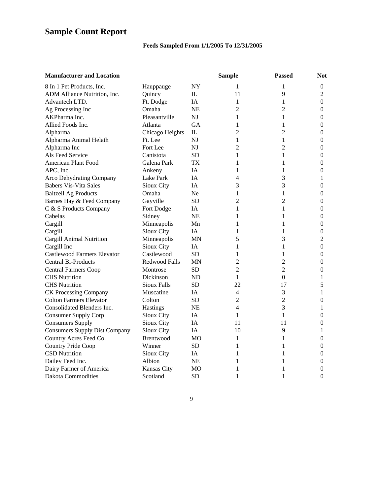# **Sample Count Report**

# **Feeds Sampled From 1/1/2005 To 12/31/2005**

| <b>Manufacturer and Location</b>     |                      |              | <b>Sample</b>  | <b>Passed</b>    | <b>Not</b>       |
|--------------------------------------|----------------------|--------------|----------------|------------------|------------------|
| 8 In 1 Pet Products, Inc.            | Hauppauge            | NY           | 1              | 1                | $\boldsymbol{0}$ |
| ADM Alliance Nutrition, Inc.         | Quincy               | $\mathbb{L}$ | 11             | 9                | $\overline{2}$   |
| Advantech LTD.                       | Ft. Dodge            | IA           | 1              | 1                | $\theta$         |
| Ag Processing Inc                    | Omaha                | <b>NE</b>    | 2              | $\overline{c}$   | 0                |
| AKPharma Inc.                        | Pleasantville        | NI           | 1              | 1                | $\boldsymbol{0}$ |
| Allied Foods Inc.                    | Atlanta              | <b>GA</b>    | 1              | 1                | $\boldsymbol{0}$ |
| Alpharma                             | Chicago Heights      | $\mathbf{L}$ | 2              | $\overline{2}$   | $\theta$         |
| Alpharma Animal Helath               | Ft. Lee              | NJ           | 1              | 1                | $\theta$         |
| Alpharma Inc                         | Fort Lee             | NJ           | 2              | $\overline{2}$   | $\boldsymbol{0}$ |
| Als Feed Service                     | Canistota            | <b>SD</b>    | 1              | 1                | $\overline{0}$   |
| <b>American Plant Food</b>           | Galena Park          | TX           | 1              | 1                | $\boldsymbol{0}$ |
| APC, Inc.                            | Ankeny               | IA           | 1              | 1                | $\boldsymbol{0}$ |
| Arco Dehydrating Company             | Lake Park            | IA           | 4              | 3                | 1                |
| <b>Babers Vis-Vita Sales</b>         | Sioux City           | <b>IA</b>    | 3              | 3                | $\theta$         |
| <b>Baltzell Ag Products</b>          | Omaha                | Ne.          | 1              | 1                | $\theta$         |
| Barnes Hay & Feed Company            | Gayville             | <b>SD</b>    | 2              | $\overline{2}$   | $\overline{0}$   |
| C & S Products Company               | Fort Dodge           | IA           | 1              | 1                | $\overline{0}$   |
| Cabelas                              | Sidney               | <b>NE</b>    | 1              | 1                | $\boldsymbol{0}$ |
| Cargill                              | Minneapolis          | Mn           | 1              | 1                | $\boldsymbol{0}$ |
| Cargill                              | Sioux City           | <b>IA</b>    | 1              | 1                | $\boldsymbol{0}$ |
| Cargill Animal Nutrition             | Minneapolis          | <b>MN</b>    | 5              | 3                | $\overline{2}$   |
| Cargill Inc                          | Sioux City           | IA.          | 1              | 1                | $\theta$         |
| <b>Castlewood Farmers Elevator</b>   | Castlewood           | <b>SD</b>    | 1              | 1                | $\boldsymbol{0}$ |
| <b>Central Bi-Products</b>           | <b>Redwood Falls</b> | MN           | 2              | $\overline{c}$   | $\overline{0}$   |
| <b>Central Farmers Coop</b>          | Montrose             | <b>SD</b>    | 2              | $\overline{2}$   | $\boldsymbol{0}$ |
| <b>CHS</b> Nutrition                 | Dickinson            | ND           | 1              | $\boldsymbol{0}$ | 1                |
| <b>CHS</b> Nutrition                 | Sioux Falls          | <b>SD</b>    | 22             | 17               | 5                |
| <b>CK Processing Company</b>         | Muscatine            | IA           | 4              | 3                | 1                |
| <b>Colton Farmers Elevator</b>       | Colton               | SD.          | $\overline{2}$ | $\overline{2}$   | $\theta$         |
| Consolidated Blenders Inc.           | <b>Hastings</b>      | <b>NE</b>    | 4              | 3                | 1                |
| <b>Consumer Supply Corp</b>          | Sioux City           | IA           | 1              | 1                | $\theta$         |
| <b>Consumers Supply</b>              | Sioux City           | IA           | 11             | 11               | $\theta$         |
| <b>Consumers Supply Dist Company</b> | Sioux City           | IA           | 10             | 9                | 1                |
| Country Acres Feed Co.               | Brentwood            | MO           | 1              | 1                | $\theta$         |
| Country Pride Coop                   | Winner               | <b>SD</b>    | 1              | 1                | $\boldsymbol{0}$ |
| <b>CSD Nutrition</b>                 | Sioux City           | IA.          | 1              | 1                | 0                |
| Dailey Feed Inc.                     | Albion               | <b>NE</b>    | 1              | 1                | $\theta$         |
| Dairy Farmer of America              | Kansas City          | МO           | 1              | 1                | 0                |
| <b>Dakota Commodities</b>            | Scotland             | <b>SD</b>    | 1              | 1                | $\theta$         |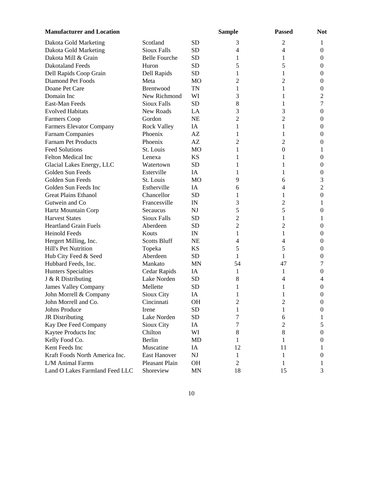| <b>Manufacturer and Location</b> |                       |                | <b>Sample</b>  | <b>Passed</b>            | <b>Not</b>       |
|----------------------------------|-----------------------|----------------|----------------|--------------------------|------------------|
| Dakota Gold Marketing            | Scotland              | <b>SD</b>      | 3              | $\overline{2}$           | 1                |
| Dakota Gold Marketing            | <b>Sioux Falls</b>    | <b>SD</b>      | $\overline{4}$ | $\overline{\mathcal{L}}$ | $\boldsymbol{0}$ |
| Dakota Mill & Grain              | <b>Belle Fourche</b>  | <b>SD</b>      | 1              | 1                        | $\boldsymbol{0}$ |
| <b>Dakotaland Feeds</b>          | Huron                 | <b>SD</b>      | 5              | 5                        | $\mathbf{0}$     |
| Dell Rapids Coop Grain           | Dell Rapids           | <b>SD</b>      | 1              | 1                        | $\boldsymbol{0}$ |
| Diamond Pet Foods                | Meta                  | M <sub>O</sub> | 2              | $\overline{c}$           | $\mathbf{0}$     |
| Doane Pet Care                   | Brentwood             | <b>TN</b>      | 1              | 1                        | $\boldsymbol{0}$ |
| Domain Inc                       | New Richmond          | WI             | 3              | 1                        | 2                |
| East-Man Feeds                   | <b>Sioux Falls</b>    | <b>SD</b>      | 8              | 1                        | 7                |
| <b>Evolved Habitats</b>          | New Roads             | LA             | 3              | 3                        | $\boldsymbol{0}$ |
| Farmers Coop                     | Gordon                | <b>NE</b>      | 2              | $\overline{2}$           | $\mathbf{0}$     |
| <b>Farmers Elevator Company</b>  | <b>Rock Valley</b>    | IA             | 1              | 1                        | 0                |
| <b>Farnam Companies</b>          | Phoenix               | AZ             | 1              | 1                        | 0                |
| Farnam Pet Products              | Phoenix               | AZ             | 2              | 2                        | $\theta$         |
| <b>Feed Solutions</b>            | St. Louis             | M <sub>O</sub> | 1              | $\mathbf{0}$             | 1                |
| Felton Medical Inc               | Lenexa                | <b>KS</b>      | 1              | 1                        | $\boldsymbol{0}$ |
| Glacial Lakes Energy, LLC        | Watertown             | <b>SD</b>      | 1              | 1                        | $\mathbf{0}$     |
| Golden Sun Feeds                 | Esterville            | IA             | 1              | 1                        | $\boldsymbol{0}$ |
| Golden Sun Feeds                 | St. Louis             | <b>MO</b>      | 9              | 6                        | 3                |
| Golden Sun Feeds Inc             | Estherville           | IA             | 6              | 4                        | $\overline{2}$   |
| <b>Great Plains Ethanol</b>      | Chancellor            | <b>SD</b>      | 1              | 1                        | $\boldsymbol{0}$ |
| Gutwein and Co                   | Francesville          | IN             | 3              | $\overline{c}$           | 1                |
| Hartz Mountain Corp              | Secaucus              | <b>NJ</b>      | 5              | 5                        | $\boldsymbol{0}$ |
| <b>Harvest States</b>            | <b>Sioux Falls</b>    | <b>SD</b>      | $\overline{c}$ | 1                        | 1                |
| <b>Heartland Grain Fuels</b>     | Aberdeen              | <b>SD</b>      | 2              | 2                        | $\mathbf{0}$     |
| <b>Heinold Feeds</b>             | Kouts                 | IN             | 1              | 1                        | $\mathbf{0}$     |
| Hergert Milling, Inc.            | <b>Scotts Bluff</b>   | <b>NE</b>      | 4              | 4                        | $\boldsymbol{0}$ |
| Hill's Pet Nutrition             | Topeka                | KS             | 5              | 5                        | $\mathbf{0}$     |
| Hub City Feed & Seed             | Aberdeen              | <b>SD</b>      | 1              | 1                        | $\boldsymbol{0}$ |
| Hubbard Feeds, Inc.              | Mankato               | <b>MN</b>      | 54             | 47                       | 7                |
| <b>Hunters Specialties</b>       | Cedar Rapids          | IA             | 1              | 1                        | $\boldsymbol{0}$ |
| J & R Distributing               | Lake Norden           | <b>SD</b>      | 8              | 4                        | 4                |
| <b>James Valley Company</b>      | Mellette              | <b>SD</b>      | 1              | 1                        | $\boldsymbol{0}$ |
| John Morrell & Company           | Sioux City            | IA             | 1              | 1                        | 0                |
| John Morrell and Co.             | Cincinnati            | OH             | 2              | 2                        | $\boldsymbol{0}$ |
| Johns Produce                    | Irene                 | <b>SD</b>      | $\mathbf{1}$   | $\mathbf{1}$             | $\boldsymbol{0}$ |
| <b>JR</b> Distributing           | Lake Norden           | SD             | 7              | 6                        | 1                |
| Kay Dee Feed Company             | Sioux City            | IA             | 7              | $\overline{c}$           | 5                |
| Kaytee Products Inc              | Chilton               | WI             | 8              | 8                        | 0                |
| Kelly Food Co.                   | Berlin                | MD             | 1              | 1                        | $\theta$         |
| Kent Feeds Inc                   | Muscatine             | IA             | 12             | 11                       | $\bf{l}$         |
| Kraft Foods North America Inc.   | <b>East Hanover</b>   | NJ             | 1              | 1                        | $\theta$         |
| L/M Animal Farms                 | <b>Pleasant Plain</b> | OH             | 2              | 1                        | 1                |
| Land O Lakes Farmland Feed LLC   | Shoreview             | <b>MN</b>      | 18             | 15                       | 3                |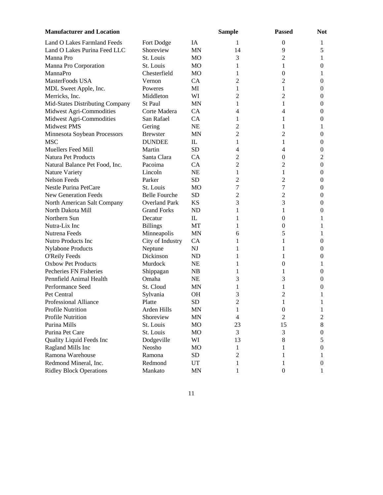| <b>Manufacturer and Location</b> |                      |              | <b>Sample</b> | <b>Passed</b>    | <b>Not</b>       |
|----------------------------------|----------------------|--------------|---------------|------------------|------------------|
| Land O Lakes Farmland Feeds      | Fort Dodge           | IA           | 1             | $\theta$         | 1                |
| Land O Lakes Purina Feed LLC     | Shoreview            | <b>MN</b>    | 14            | 9                | 5                |
| Manna Pro                        | St. Louis            | MO           | 3             | 2                | 1                |
| Manna Pro Corporation            | St. Louis            | <b>MO</b>    | 1             | 1                | $\boldsymbol{0}$ |
| MannaPro                         | Chesterfield         | MO           | 1             | $\boldsymbol{0}$ | 1                |
| MasterFoods USA                  | Vernon               | CA           | 2             | 2                | $\boldsymbol{0}$ |
| MDL Sweet Apple, Inc.            | Poweres              | MI           | 1             | 1                | $\boldsymbol{0}$ |
| Merricks, Inc.                   | Middleton            | WI           | 2             | $\overline{c}$   | $\boldsymbol{0}$ |
| Mid-States Distributing Company  | St Paul              | <b>MN</b>    | 1             | 1                | 0                |
| Midwest Agri-Commodities         | Corte Madera         | CA           | 4             | 4                | $\boldsymbol{0}$ |
| Midwest Agri-Commodities         | San Rafael           | CA           | 1             | 1                | $\mathbf{0}$     |
| Midwest PMS                      | Gering               | <b>NE</b>    | 2             | 1                | 1                |
| Minnesota Soybean Processors     | <b>Brewster</b>      | <b>MN</b>    | 2             | $\overline{c}$   | $\mathbf{0}$     |
| <b>MSC</b>                       | <b>DUNDEE</b>        | $\mathbb{L}$ | 1             | 1                | 0                |
| Muellers Feed Mill               | Martin               | <b>SD</b>    | 4             | 4                | 0                |
| Natura Pet Products              | Santa Clara          | CA           | 2             | $\theta$         | 2                |
| Natural Balance Pet Food, Inc.   | Pacoima              | <b>CA</b>    | 2             | 2                | $\mathbf{0}$     |
| Nature Variety                   | Lincoln              | <b>NE</b>    | 1             | 1                | $\mathbf{0}$     |
| <b>Nelson Feeds</b>              | Parker               | <b>SD</b>    | 2             | 2                | $\boldsymbol{0}$ |
| Nestle Purina PetCare            | St. Louis            | <b>MO</b>    | 7             | 7                | 0                |
| New Generation Feeds             | <b>Belle Fourche</b> | <b>SD</b>    | 2             | $\overline{c}$   | 0                |
| North American Salt Company      | <b>Overland Park</b> | <b>KS</b>    | 3             | 3                | 0                |
| North Dakota Mill                | <b>Grand Forks</b>   | <b>ND</b>    | 1             | 1                | 0                |
| Northern Sun                     | Decatur              | $\mathbb{L}$ | 1             | 0                | 1                |
| Nutra-Lix Inc                    | <b>Billings</b>      | MT           | 1             | $\boldsymbol{0}$ | 1                |
| Nutrena Feeds                    | Minneapolis          | <b>MN</b>    | 6             | 5                | 1                |
| Nutro Products Inc               | City of Industry     | <b>CA</b>    | 1             | 1                | $\theta$         |
| <b>Nylabone Products</b>         | Neptune              | NJ           | 1             | 1                | $\mathbf{0}$     |
| <b>O'Reily Feeds</b>             | Dickinson            | <b>ND</b>    | 1             | 1                | 0                |
| <b>Oxbow Pet Products</b>        | Murdock              | <b>NE</b>    | 1             | $\theta$         | 1                |
| Pecheries FN Fisheries           | Shippagan            | <b>NB</b>    | 1             | 1                | 0                |
| Pennfield Animal Health          | Omaha                | <b>NE</b>    | 3             | 3                | $\boldsymbol{0}$ |
| Performance Seed                 | St. Cloud            | <b>MN</b>    | 1             | 1                | 0                |
| Pet Central                      | Sylvania             | <b>OH</b>    | 3             | 2                | 1                |
| Professional Alliance            | Platte               | <b>SD</b>    | 2             | 1                | 1                |
| Profile Nutrition                | Arden Hills          | $\mbox{MN}$  | $\mathbf{1}$  | $\boldsymbol{0}$ | 1                |
| Profile Nutrition                | Shoreview            | MN           | 4             | 2                | 2                |
| Purina Mills                     | St. Louis            | MO           | 23            | 15               | $8\,$            |
| Purina Pet Care                  | St. Louis            | MO           | 3             | 3                | $\mathbf{0}$     |
| Quality Liquid Feeds Inc         | Dodgeville           | WI           | 13            | 8                | 5                |
| Ragland Mills Inc                | Neosho               | MO           | 1             | 1                | 0                |
| Ramona Warehouse                 | Ramona               | SD           | 2             | 1                |                  |
| Redmond Mineral, Inc.            | Redmond              | UT           | 1             | 1                | $\theta$         |
| <b>Ridley Block Operations</b>   | Mankato              | <b>MN</b>    | 1             | $\boldsymbol{0}$ | 1                |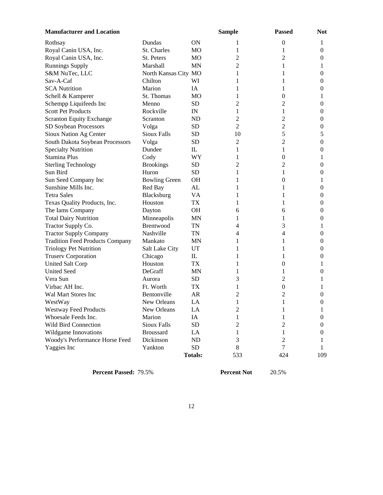| <b>Manufacturer and Location</b>       |                      |                | <b>Sample</b>  | <b>Passed</b>    | <b>Not</b>       |
|----------------------------------------|----------------------|----------------|----------------|------------------|------------------|
| Rothsay                                | Dundas               | ON             | 1              | $\boldsymbol{0}$ | 1                |
| Royal Canin USA, Inc.                  | St. Charles          | MO             | 1              | 1                | $\boldsymbol{0}$ |
| Royal Canin USA, Inc.                  | St. Peters           | M <sub>O</sub> | 2              | 2                | $\boldsymbol{0}$ |
| <b>Runnings Supply</b>                 | Marshall             | <b>MN</b>      | 2              | 1                | 1                |
| S&M NuTec, LLC                         | North Kansas City MO |                | 1              | 1                | $\boldsymbol{0}$ |
| Sav-A-Caf                              | Chilton              | WI             | 1              | 1                | $\boldsymbol{0}$ |
| <b>SCA Nutrition</b>                   | Marion               | IA             | 1              | 1                | $\boldsymbol{0}$ |
| Schell & Kamperer                      | St. Thomas           | <b>MO</b>      | 1              | $\boldsymbol{0}$ | 1                |
| Schempp Liquifeeds Inc                 | Menno                | <b>SD</b>      | 2              | 2                | $\boldsymbol{0}$ |
| <b>Scott Pet Products</b>              | Rockville            | IN             | 1              | 1                | $\boldsymbol{0}$ |
| <b>Scranton Equity Exchange</b>        | Scranton             | <b>ND</b>      | 2              | 2                | $\mathbf{0}$     |
| SD Soybean Processors                  | Volga                | <b>SD</b>      | $\overline{2}$ | $\overline{c}$   | $\mathbf{0}$     |
| Sioux Nation Ag Center                 | <b>Sioux Falls</b>   | SD             | 10             | 5                | 5                |
| South Dakota Soybean Processors        | Volga                | <b>SD</b>      | 2              | 2                | $\boldsymbol{0}$ |
| <b>Specialty Nutrition</b>             | Dundee               | $\mathbb{L}$   | 1              | 1                | $\mathbf{0}$     |
| Stamina Plus                           | Cody                 | WY             | 1              | $\boldsymbol{0}$ | 1                |
| <b>Sterling Technology</b>             | <b>Brookings</b>     | <b>SD</b>      | 2              | $\overline{c}$   | $\mathbf{0}$     |
| Sun Bird                               | Huron                | <b>SD</b>      | 1              | 1                | 0                |
| Sun Seed Company Inc                   | <b>Bowling Green</b> | <b>OH</b>      | 1              | $\theta$         | 1                |
| Sunshine Mills Inc.                    | Red Bay              | AL             | 1              | 1                | $\mathbf{0}$     |
| <b>Tetra Sales</b>                     | Blacksburg           | VA             | 1              | 1                | $\mathbf{0}$     |
| Texas Quality Products, Inc.           | Houston              | TX             | 1              | 1                | $\mathbf{0}$     |
| The Iams Company                       | Dayton               | <b>OH</b>      | 6              | 6                | $\boldsymbol{0}$ |
| <b>Total Dairy Nutrition</b>           | Minneapolis          | <b>MN</b>      | 1              | 1                | $\boldsymbol{0}$ |
| Tractor Supply Co.                     | Brentwood            | TN             | 4              | 3                | 1                |
| <b>Tractor Supply Company</b>          | Nashville            | TN             | 4              | 4                | $\overline{0}$   |
| <b>Tradition Feed Products Company</b> | Mankato              | <b>MN</b>      | 1              | 1                | $\boldsymbol{0}$ |
| <b>Triology Pet Nutrition</b>          | Salt Lake City       | UT             | 1              | 1                | $\boldsymbol{0}$ |
| <b>Truserv Corporation</b>             | Chicago              | $\mathbbm{L}$  | 1              | 1                | $\boldsymbol{0}$ |
| <b>United Salt Corp</b>                | Houston              | TX             | 1              | 0                | 1                |
| <b>United Seed</b>                     | DeGraff              | <b>MN</b>      | 1              | 1                | $\boldsymbol{0}$ |
| Vera Sun                               | Aurora               | <b>SD</b>      | 3              | 2                | 1                |
| Virbac AH Inc.                         | Ft. Worth            | <b>TX</b>      | 1              | $\boldsymbol{0}$ | 1                |
| Wal Mart Stores Inc                    | Bentonville          | AR             | 2              | 2                | $\mathbf{0}$     |
| WestWay                                | New Orleans          | LA             | 1              | 1                | $\boldsymbol{0}$ |
| <b>Westway Feed Products</b>           | New Orleans          | LA             | $\overline{c}$ | $\mathbf{1}$     | 1                |
| Whoesale Feeds Inc.                    | Marion               | IA             | 1              | 1                | $\mathbf{0}$     |
| Wild Bird Connection                   | <b>Sioux Falls</b>   | <b>SD</b>      | 2              | $\mathbf{2}$     | 0                |
| Wildgame Innovations                   | <b>Broussard</b>     | LA             | 1              | 1                | $\theta$         |
| Woody's Performance Horse Feed         | Dickinson            | <b>ND</b>      | 3              | $\overline{c}$   | T                |
| Yaggies Inc                            | Yankton              | <b>SD</b>      | $\,8\,$        | 7                | 1                |
|                                        |                      | <b>Totals:</b> | 533            | 424              | 109              |

**Percent Passed:** 79.5% **Percent Not** 20.5%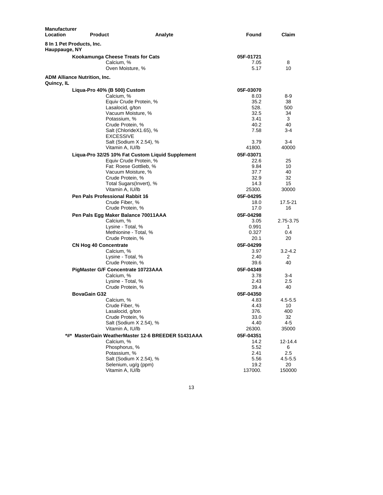| 8 In 1 Pet Products, Inc.<br>Hauppauge, NY<br>Kookamunga Cheese Treats for Cats<br>05F-01721<br>Calcium, %<br>7.05<br>8<br>5.17<br>10<br>Oven Moisture, %<br><b>ADM Alliance Nutrition, Inc.</b><br>Quincy, IL<br>Liqua-Pro 40% (B 500) Custom<br>05F-03070<br>Calcium, %<br>8.03<br>8-9<br>Equiv Crude Protein, %<br>35.2<br>38<br>528.<br>Lasalocid, g/ton<br>500<br>32.5<br>Vacuum Moisture, %<br>34<br>Potassium, %<br>3.41<br>3<br>40.2<br>Crude Protein, %<br>40<br>Salt (ChlorideX1.65), %<br>7.58<br>$3-4$<br>EXCESSIVE<br>Salt (Sodium X 2.54), %<br>3.79<br>3-4<br>Vitamin A, IU/lb<br>41800.<br>40000<br>05F-03071<br>Liqua-Pro 32/25 10% Fat Custom Liquid Supplement<br>Equiv Crude Protein, %<br>22.6<br>25<br>Fat: Roese Gottlieb, %<br>9.84<br>10<br>37.7<br>Vacuum Moisture, %<br>40<br>32.9<br>Crude Protein, %<br>32<br>14.3<br>Total Sugars(Invert), %<br>15<br>Vitamin A, IU/lb<br>25300.<br>30000<br>Pen Pals Professional Rabbit 16<br>05F-04295<br>Crude Fiber, %<br>18.0<br>Crude Protein, %<br>17.0<br>16<br>Pen Pals Egg Maker Balance 70011AAA<br>05F-04298<br>2.75-3.75<br>Calcium, %<br>3.05<br>Lysine - Total, %<br>1<br>0.991<br>Methionine - Total, %<br>0.327<br>0.4<br>Crude Protein, %<br>20.1<br>20<br>05F-04299<br><b>CN Hog 40 Concentrate</b><br>Calcium, %<br>3.97<br>$3.2 - 4.2$<br>Lysine - Total, %<br>2.40<br>2<br>Crude Protein, %<br>39.6<br>40<br>PigMaster G/F Concentrate 10723AAA<br>05F-04349<br>Calcium, %<br>3.78<br>3-4<br>Lysine - Total, %<br>2.43<br>2.5 | <b>Manufacturer</b><br>Location | <b>Product</b> | Analyte | Found | Claim       |
|--------------------------------------------------------------------------------------------------------------------------------------------------------------------------------------------------------------------------------------------------------------------------------------------------------------------------------------------------------------------------------------------------------------------------------------------------------------------------------------------------------------------------------------------------------------------------------------------------------------------------------------------------------------------------------------------------------------------------------------------------------------------------------------------------------------------------------------------------------------------------------------------------------------------------------------------------------------------------------------------------------------------------------------------------------------------------------------------------------------------------------------------------------------------------------------------------------------------------------------------------------------------------------------------------------------------------------------------------------------------------------------------------------------------------------------------------------------------------------------------------------------------|---------------------------------|----------------|---------|-------|-------------|
|                                                                                                                                                                                                                                                                                                                                                                                                                                                                                                                                                                                                                                                                                                                                                                                                                                                                                                                                                                                                                                                                                                                                                                                                                                                                                                                                                                                                                                                                                                                    |                                 |                |         |       |             |
|                                                                                                                                                                                                                                                                                                                                                                                                                                                                                                                                                                                                                                                                                                                                                                                                                                                                                                                                                                                                                                                                                                                                                                                                                                                                                                                                                                                                                                                                                                                    |                                 |                |         |       |             |
|                                                                                                                                                                                                                                                                                                                                                                                                                                                                                                                                                                                                                                                                                                                                                                                                                                                                                                                                                                                                                                                                                                                                                                                                                                                                                                                                                                                                                                                                                                                    |                                 |                |         |       |             |
|                                                                                                                                                                                                                                                                                                                                                                                                                                                                                                                                                                                                                                                                                                                                                                                                                                                                                                                                                                                                                                                                                                                                                                                                                                                                                                                                                                                                                                                                                                                    |                                 |                |         |       |             |
|                                                                                                                                                                                                                                                                                                                                                                                                                                                                                                                                                                                                                                                                                                                                                                                                                                                                                                                                                                                                                                                                                                                                                                                                                                                                                                                                                                                                                                                                                                                    |                                 |                |         |       |             |
|                                                                                                                                                                                                                                                                                                                                                                                                                                                                                                                                                                                                                                                                                                                                                                                                                                                                                                                                                                                                                                                                                                                                                                                                                                                                                                                                                                                                                                                                                                                    |                                 |                |         |       |             |
|                                                                                                                                                                                                                                                                                                                                                                                                                                                                                                                                                                                                                                                                                                                                                                                                                                                                                                                                                                                                                                                                                                                                                                                                                                                                                                                                                                                                                                                                                                                    |                                 |                |         |       |             |
|                                                                                                                                                                                                                                                                                                                                                                                                                                                                                                                                                                                                                                                                                                                                                                                                                                                                                                                                                                                                                                                                                                                                                                                                                                                                                                                                                                                                                                                                                                                    |                                 |                |         |       |             |
|                                                                                                                                                                                                                                                                                                                                                                                                                                                                                                                                                                                                                                                                                                                                                                                                                                                                                                                                                                                                                                                                                                                                                                                                                                                                                                                                                                                                                                                                                                                    |                                 |                |         |       |             |
|                                                                                                                                                                                                                                                                                                                                                                                                                                                                                                                                                                                                                                                                                                                                                                                                                                                                                                                                                                                                                                                                                                                                                                                                                                                                                                                                                                                                                                                                                                                    |                                 |                |         |       |             |
|                                                                                                                                                                                                                                                                                                                                                                                                                                                                                                                                                                                                                                                                                                                                                                                                                                                                                                                                                                                                                                                                                                                                                                                                                                                                                                                                                                                                                                                                                                                    |                                 |                |         |       |             |
|                                                                                                                                                                                                                                                                                                                                                                                                                                                                                                                                                                                                                                                                                                                                                                                                                                                                                                                                                                                                                                                                                                                                                                                                                                                                                                                                                                                                                                                                                                                    |                                 |                |         |       |             |
|                                                                                                                                                                                                                                                                                                                                                                                                                                                                                                                                                                                                                                                                                                                                                                                                                                                                                                                                                                                                                                                                                                                                                                                                                                                                                                                                                                                                                                                                                                                    |                                 |                |         |       |             |
|                                                                                                                                                                                                                                                                                                                                                                                                                                                                                                                                                                                                                                                                                                                                                                                                                                                                                                                                                                                                                                                                                                                                                                                                                                                                                                                                                                                                                                                                                                                    |                                 |                |         |       |             |
|                                                                                                                                                                                                                                                                                                                                                                                                                                                                                                                                                                                                                                                                                                                                                                                                                                                                                                                                                                                                                                                                                                                                                                                                                                                                                                                                                                                                                                                                                                                    |                                 |                |         |       |             |
|                                                                                                                                                                                                                                                                                                                                                                                                                                                                                                                                                                                                                                                                                                                                                                                                                                                                                                                                                                                                                                                                                                                                                                                                                                                                                                                                                                                                                                                                                                                    |                                 |                |         |       |             |
|                                                                                                                                                                                                                                                                                                                                                                                                                                                                                                                                                                                                                                                                                                                                                                                                                                                                                                                                                                                                                                                                                                                                                                                                                                                                                                                                                                                                                                                                                                                    |                                 |                |         |       |             |
|                                                                                                                                                                                                                                                                                                                                                                                                                                                                                                                                                                                                                                                                                                                                                                                                                                                                                                                                                                                                                                                                                                                                                                                                                                                                                                                                                                                                                                                                                                                    |                                 |                |         |       |             |
|                                                                                                                                                                                                                                                                                                                                                                                                                                                                                                                                                                                                                                                                                                                                                                                                                                                                                                                                                                                                                                                                                                                                                                                                                                                                                                                                                                                                                                                                                                                    |                                 |                |         |       |             |
|                                                                                                                                                                                                                                                                                                                                                                                                                                                                                                                                                                                                                                                                                                                                                                                                                                                                                                                                                                                                                                                                                                                                                                                                                                                                                                                                                                                                                                                                                                                    |                                 |                |         |       |             |
|                                                                                                                                                                                                                                                                                                                                                                                                                                                                                                                                                                                                                                                                                                                                                                                                                                                                                                                                                                                                                                                                                                                                                                                                                                                                                                                                                                                                                                                                                                                    |                                 |                |         |       |             |
|                                                                                                                                                                                                                                                                                                                                                                                                                                                                                                                                                                                                                                                                                                                                                                                                                                                                                                                                                                                                                                                                                                                                                                                                                                                                                                                                                                                                                                                                                                                    |                                 |                |         |       |             |
|                                                                                                                                                                                                                                                                                                                                                                                                                                                                                                                                                                                                                                                                                                                                                                                                                                                                                                                                                                                                                                                                                                                                                                                                                                                                                                                                                                                                                                                                                                                    |                                 |                |         |       |             |
|                                                                                                                                                                                                                                                                                                                                                                                                                                                                                                                                                                                                                                                                                                                                                                                                                                                                                                                                                                                                                                                                                                                                                                                                                                                                                                                                                                                                                                                                                                                    |                                 |                |         |       | 17.5-21     |
|                                                                                                                                                                                                                                                                                                                                                                                                                                                                                                                                                                                                                                                                                                                                                                                                                                                                                                                                                                                                                                                                                                                                                                                                                                                                                                                                                                                                                                                                                                                    |                                 |                |         |       |             |
|                                                                                                                                                                                                                                                                                                                                                                                                                                                                                                                                                                                                                                                                                                                                                                                                                                                                                                                                                                                                                                                                                                                                                                                                                                                                                                                                                                                                                                                                                                                    |                                 |                |         |       |             |
|                                                                                                                                                                                                                                                                                                                                                                                                                                                                                                                                                                                                                                                                                                                                                                                                                                                                                                                                                                                                                                                                                                                                                                                                                                                                                                                                                                                                                                                                                                                    |                                 |                |         |       |             |
|                                                                                                                                                                                                                                                                                                                                                                                                                                                                                                                                                                                                                                                                                                                                                                                                                                                                                                                                                                                                                                                                                                                                                                                                                                                                                                                                                                                                                                                                                                                    |                                 |                |         |       |             |
|                                                                                                                                                                                                                                                                                                                                                                                                                                                                                                                                                                                                                                                                                                                                                                                                                                                                                                                                                                                                                                                                                                                                                                                                                                                                                                                                                                                                                                                                                                                    |                                 |                |         |       |             |
|                                                                                                                                                                                                                                                                                                                                                                                                                                                                                                                                                                                                                                                                                                                                                                                                                                                                                                                                                                                                                                                                                                                                                                                                                                                                                                                                                                                                                                                                                                                    |                                 |                |         |       |             |
|                                                                                                                                                                                                                                                                                                                                                                                                                                                                                                                                                                                                                                                                                                                                                                                                                                                                                                                                                                                                                                                                                                                                                                                                                                                                                                                                                                                                                                                                                                                    |                                 |                |         |       |             |
|                                                                                                                                                                                                                                                                                                                                                                                                                                                                                                                                                                                                                                                                                                                                                                                                                                                                                                                                                                                                                                                                                                                                                                                                                                                                                                                                                                                                                                                                                                                    |                                 |                |         |       |             |
|                                                                                                                                                                                                                                                                                                                                                                                                                                                                                                                                                                                                                                                                                                                                                                                                                                                                                                                                                                                                                                                                                                                                                                                                                                                                                                                                                                                                                                                                                                                    |                                 |                |         |       |             |
|                                                                                                                                                                                                                                                                                                                                                                                                                                                                                                                                                                                                                                                                                                                                                                                                                                                                                                                                                                                                                                                                                                                                                                                                                                                                                                                                                                                                                                                                                                                    |                                 |                |         |       |             |
|                                                                                                                                                                                                                                                                                                                                                                                                                                                                                                                                                                                                                                                                                                                                                                                                                                                                                                                                                                                                                                                                                                                                                                                                                                                                                                                                                                                                                                                                                                                    |                                 |                |         |       |             |
|                                                                                                                                                                                                                                                                                                                                                                                                                                                                                                                                                                                                                                                                                                                                                                                                                                                                                                                                                                                                                                                                                                                                                                                                                                                                                                                                                                                                                                                                                                                    |                                 |                |         |       |             |
| Crude Protein, %<br>39.4<br>40                                                                                                                                                                                                                                                                                                                                                                                                                                                                                                                                                                                                                                                                                                                                                                                                                                                                                                                                                                                                                                                                                                                                                                                                                                                                                                                                                                                                                                                                                     |                                 |                |         |       |             |
| <b>BovaGain G32</b><br>05F-04350                                                                                                                                                                                                                                                                                                                                                                                                                                                                                                                                                                                                                                                                                                                                                                                                                                                                                                                                                                                                                                                                                                                                                                                                                                                                                                                                                                                                                                                                                   |                                 |                |         |       |             |
| 4.83<br>Calcium, %                                                                                                                                                                                                                                                                                                                                                                                                                                                                                                                                                                                                                                                                                                                                                                                                                                                                                                                                                                                                                                                                                                                                                                                                                                                                                                                                                                                                                                                                                                 |                                 |                |         |       | $4.5 - 5.5$ |
| Crude Fiber, %<br>4.43<br>10                                                                                                                                                                                                                                                                                                                                                                                                                                                                                                                                                                                                                                                                                                                                                                                                                                                                                                                                                                                                                                                                                                                                                                                                                                                                                                                                                                                                                                                                                       |                                 |                |         |       |             |
| Lasalocid, g/ton<br>400<br>376.                                                                                                                                                                                                                                                                                                                                                                                                                                                                                                                                                                                                                                                                                                                                                                                                                                                                                                                                                                                                                                                                                                                                                                                                                                                                                                                                                                                                                                                                                    |                                 |                |         |       |             |
| Crude Protein, %<br>33.0<br>32                                                                                                                                                                                                                                                                                                                                                                                                                                                                                                                                                                                                                                                                                                                                                                                                                                                                                                                                                                                                                                                                                                                                                                                                                                                                                                                                                                                                                                                                                     |                                 |                |         |       |             |
| Salt (Sodium X 2.54), %<br>4.40<br>$4 - 5$                                                                                                                                                                                                                                                                                                                                                                                                                                                                                                                                                                                                                                                                                                                                                                                                                                                                                                                                                                                                                                                                                                                                                                                                                                                                                                                                                                                                                                                                         |                                 |                |         |       |             |
| Vitamin A. IU/lb<br>26300.<br>35000                                                                                                                                                                                                                                                                                                                                                                                                                                                                                                                                                                                                                                                                                                                                                                                                                                                                                                                                                                                                                                                                                                                                                                                                                                                                                                                                                                                                                                                                                |                                 |                |         |       |             |
| *#* MasterGain WeatherMaster 12-6 BREEDER 51431AAA<br>05F-04351                                                                                                                                                                                                                                                                                                                                                                                                                                                                                                                                                                                                                                                                                                                                                                                                                                                                                                                                                                                                                                                                                                                                                                                                                                                                                                                                                                                                                                                    |                                 |                |         |       |             |
| Calcium, %<br>14.2                                                                                                                                                                                                                                                                                                                                                                                                                                                                                                                                                                                                                                                                                                                                                                                                                                                                                                                                                                                                                                                                                                                                                                                                                                                                                                                                                                                                                                                                                                 |                                 |                |         |       | 12-14.4     |
| Phosphorus, %<br>5.52<br>6                                                                                                                                                                                                                                                                                                                                                                                                                                                                                                                                                                                                                                                                                                                                                                                                                                                                                                                                                                                                                                                                                                                                                                                                                                                                                                                                                                                                                                                                                         |                                 |                |         |       |             |
| Potassium, %<br>2.5<br>2.41                                                                                                                                                                                                                                                                                                                                                                                                                                                                                                                                                                                                                                                                                                                                                                                                                                                                                                                                                                                                                                                                                                                                                                                                                                                                                                                                                                                                                                                                                        |                                 |                |         |       |             |
| Salt (Sodium X 2.54), %<br>5.56<br>Selenium, ug/g (ppm)<br>19.2<br>20                                                                                                                                                                                                                                                                                                                                                                                                                                                                                                                                                                                                                                                                                                                                                                                                                                                                                                                                                                                                                                                                                                                                                                                                                                                                                                                                                                                                                                              |                                 |                |         |       | $4.5 - 5.5$ |
| Vitamin A, IU/lb<br>137000.                                                                                                                                                                                                                                                                                                                                                                                                                                                                                                                                                                                                                                                                                                                                                                                                                                                                                                                                                                                                                                                                                                                                                                                                                                                                                                                                                                                                                                                                                        |                                 |                |         |       | 150000      |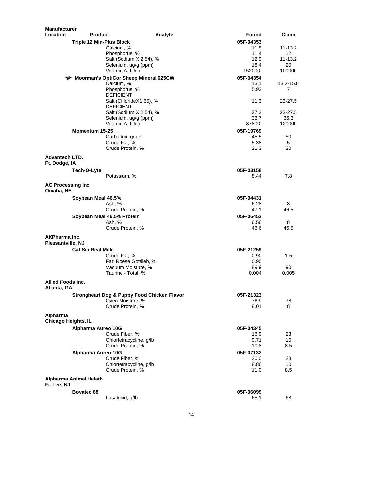| <b>Location</b><br>Found<br>Claim<br><b>Product</b><br>Analyte<br>05F-04353<br><b>Triple 12 Min-Plus Block</b><br>Calcium, %<br>11.5<br>11-13.2<br>Phosphorus, %<br>11.4<br>$12 \overline{ }$<br>Salt (Sodium X 2.54), %<br>12.9<br>11-13.2<br>Selenium, ug/g (ppm)<br>18.4<br>20<br>Vitamin A, IU/lb<br>152000.<br>100000<br>*#* Moorman's OptiCor Sheep Mineral 625CW<br>05F-04354<br>Calcium, %<br>13.1<br>13.2-15.8<br>Phosphorus, %<br>5.93<br>$\overline{7}$<br><b>DEFICIENT</b><br>11.3<br>Salt (ChlorideX1.65), %<br>23-27.5<br><b>DEFICIENT</b><br>Salt (Sodium X 2.54), %<br>27.2<br>23-27.5<br>33.7<br>36.3<br>Selenium, ug/g (ppm)<br>Vitamin A, IU/lb<br>87800.<br>120000<br>Momentum 15-25<br>05F-19769<br>Carbadox, g/ton<br>45.5<br>50<br>Crude Fat, %<br>5.38<br>5<br>Crude Protein, %<br>21.3<br>20<br><b>Advantech LTD.</b><br>Ft. Dodge, IA<br>Tech-O-Lyte<br>05F-03158<br>8.44<br>7.8<br>Potassium, %<br><b>AG Processing Inc</b><br>Omaha, NE<br>Soybean Meal 46.5%<br>05F-04431<br>8<br>Ash, %<br>6.28<br>Crude Protein, %<br>47.1<br>46.5<br>Soybean Meal 46.5% Protein<br>05F-06453<br>6.56<br>8<br>Ash, %<br>Crude Protein, %<br>46.6<br>46.5<br><b>AKPharma Inc.</b><br>Pleasantville, NJ<br>05F-21259<br><b>Cat Sip Real Milk</b><br>$1 - 5$<br>Crude Fat, %<br>0.90<br>Fat: Roese Gottlieb, %<br>0.90<br>Vacuum Moisture, %<br>90<br>89.9<br>Taurine - Total, %<br>0.004<br>0.005<br>Allied Foods Inc.<br>Atlanta, GA<br>05F-21323<br>Strongheart Dog & Puppy Food Chicken Flavor<br>78<br>Oven Moisture, %<br>76.9<br>Crude Protein, %<br>8.01<br>8<br>Alpharma<br><b>Chicago Heights, IL</b><br>Alpharma Aureo 10G<br>05F-04345<br>23<br>Crude Fiber, %<br>16.9<br>Chlortetracycline, g/lb<br>9.71<br>10<br>Crude Protein, %<br>10.8<br>8.5<br>05F-07132<br>Alpharma Aureo 10G<br>Crude Fiber, %<br>23<br>20.0<br>Chlortetracycline, g/lb<br>10<br>8.86<br>Crude Protein, %<br>11.0<br>8.5<br>Alpharma Animal Helath<br>Ft. Lee, NJ<br>Bovatec 68<br>05F-06099<br>Lasalocid, g/lb<br>65.1<br>68 | Manufacturer |  |  |  |
|--------------------------------------------------------------------------------------------------------------------------------------------------------------------------------------------------------------------------------------------------------------------------------------------------------------------------------------------------------------------------------------------------------------------------------------------------------------------------------------------------------------------------------------------------------------------------------------------------------------------------------------------------------------------------------------------------------------------------------------------------------------------------------------------------------------------------------------------------------------------------------------------------------------------------------------------------------------------------------------------------------------------------------------------------------------------------------------------------------------------------------------------------------------------------------------------------------------------------------------------------------------------------------------------------------------------------------------------------------------------------------------------------------------------------------------------------------------------------------------------------------------------------------------------------------------------------------------------------------------------------------------------------------------------------------------------------------------------------------------------------------------------------------------------------------------------------------------------------------------------------------------------------------------------------------------------------------------------------------------------------------------------------------|--------------|--|--|--|
|                                                                                                                                                                                                                                                                                                                                                                                                                                                                                                                                                                                                                                                                                                                                                                                                                                                                                                                                                                                                                                                                                                                                                                                                                                                                                                                                                                                                                                                                                                                                                                                                                                                                                                                                                                                                                                                                                                                                                                                                                                |              |  |  |  |
|                                                                                                                                                                                                                                                                                                                                                                                                                                                                                                                                                                                                                                                                                                                                                                                                                                                                                                                                                                                                                                                                                                                                                                                                                                                                                                                                                                                                                                                                                                                                                                                                                                                                                                                                                                                                                                                                                                                                                                                                                                |              |  |  |  |
|                                                                                                                                                                                                                                                                                                                                                                                                                                                                                                                                                                                                                                                                                                                                                                                                                                                                                                                                                                                                                                                                                                                                                                                                                                                                                                                                                                                                                                                                                                                                                                                                                                                                                                                                                                                                                                                                                                                                                                                                                                |              |  |  |  |
|                                                                                                                                                                                                                                                                                                                                                                                                                                                                                                                                                                                                                                                                                                                                                                                                                                                                                                                                                                                                                                                                                                                                                                                                                                                                                                                                                                                                                                                                                                                                                                                                                                                                                                                                                                                                                                                                                                                                                                                                                                |              |  |  |  |
|                                                                                                                                                                                                                                                                                                                                                                                                                                                                                                                                                                                                                                                                                                                                                                                                                                                                                                                                                                                                                                                                                                                                                                                                                                                                                                                                                                                                                                                                                                                                                                                                                                                                                                                                                                                                                                                                                                                                                                                                                                |              |  |  |  |
|                                                                                                                                                                                                                                                                                                                                                                                                                                                                                                                                                                                                                                                                                                                                                                                                                                                                                                                                                                                                                                                                                                                                                                                                                                                                                                                                                                                                                                                                                                                                                                                                                                                                                                                                                                                                                                                                                                                                                                                                                                |              |  |  |  |
|                                                                                                                                                                                                                                                                                                                                                                                                                                                                                                                                                                                                                                                                                                                                                                                                                                                                                                                                                                                                                                                                                                                                                                                                                                                                                                                                                                                                                                                                                                                                                                                                                                                                                                                                                                                                                                                                                                                                                                                                                                |              |  |  |  |
|                                                                                                                                                                                                                                                                                                                                                                                                                                                                                                                                                                                                                                                                                                                                                                                                                                                                                                                                                                                                                                                                                                                                                                                                                                                                                                                                                                                                                                                                                                                                                                                                                                                                                                                                                                                                                                                                                                                                                                                                                                |              |  |  |  |
|                                                                                                                                                                                                                                                                                                                                                                                                                                                                                                                                                                                                                                                                                                                                                                                                                                                                                                                                                                                                                                                                                                                                                                                                                                                                                                                                                                                                                                                                                                                                                                                                                                                                                                                                                                                                                                                                                                                                                                                                                                |              |  |  |  |
|                                                                                                                                                                                                                                                                                                                                                                                                                                                                                                                                                                                                                                                                                                                                                                                                                                                                                                                                                                                                                                                                                                                                                                                                                                                                                                                                                                                                                                                                                                                                                                                                                                                                                                                                                                                                                                                                                                                                                                                                                                |              |  |  |  |
|                                                                                                                                                                                                                                                                                                                                                                                                                                                                                                                                                                                                                                                                                                                                                                                                                                                                                                                                                                                                                                                                                                                                                                                                                                                                                                                                                                                                                                                                                                                                                                                                                                                                                                                                                                                                                                                                                                                                                                                                                                |              |  |  |  |
|                                                                                                                                                                                                                                                                                                                                                                                                                                                                                                                                                                                                                                                                                                                                                                                                                                                                                                                                                                                                                                                                                                                                                                                                                                                                                                                                                                                                                                                                                                                                                                                                                                                                                                                                                                                                                                                                                                                                                                                                                                |              |  |  |  |
|                                                                                                                                                                                                                                                                                                                                                                                                                                                                                                                                                                                                                                                                                                                                                                                                                                                                                                                                                                                                                                                                                                                                                                                                                                                                                                                                                                                                                                                                                                                                                                                                                                                                                                                                                                                                                                                                                                                                                                                                                                |              |  |  |  |
|                                                                                                                                                                                                                                                                                                                                                                                                                                                                                                                                                                                                                                                                                                                                                                                                                                                                                                                                                                                                                                                                                                                                                                                                                                                                                                                                                                                                                                                                                                                                                                                                                                                                                                                                                                                                                                                                                                                                                                                                                                |              |  |  |  |
|                                                                                                                                                                                                                                                                                                                                                                                                                                                                                                                                                                                                                                                                                                                                                                                                                                                                                                                                                                                                                                                                                                                                                                                                                                                                                                                                                                                                                                                                                                                                                                                                                                                                                                                                                                                                                                                                                                                                                                                                                                |              |  |  |  |
|                                                                                                                                                                                                                                                                                                                                                                                                                                                                                                                                                                                                                                                                                                                                                                                                                                                                                                                                                                                                                                                                                                                                                                                                                                                                                                                                                                                                                                                                                                                                                                                                                                                                                                                                                                                                                                                                                                                                                                                                                                |              |  |  |  |
|                                                                                                                                                                                                                                                                                                                                                                                                                                                                                                                                                                                                                                                                                                                                                                                                                                                                                                                                                                                                                                                                                                                                                                                                                                                                                                                                                                                                                                                                                                                                                                                                                                                                                                                                                                                                                                                                                                                                                                                                                                |              |  |  |  |
|                                                                                                                                                                                                                                                                                                                                                                                                                                                                                                                                                                                                                                                                                                                                                                                                                                                                                                                                                                                                                                                                                                                                                                                                                                                                                                                                                                                                                                                                                                                                                                                                                                                                                                                                                                                                                                                                                                                                                                                                                                |              |  |  |  |
|                                                                                                                                                                                                                                                                                                                                                                                                                                                                                                                                                                                                                                                                                                                                                                                                                                                                                                                                                                                                                                                                                                                                                                                                                                                                                                                                                                                                                                                                                                                                                                                                                                                                                                                                                                                                                                                                                                                                                                                                                                |              |  |  |  |
|                                                                                                                                                                                                                                                                                                                                                                                                                                                                                                                                                                                                                                                                                                                                                                                                                                                                                                                                                                                                                                                                                                                                                                                                                                                                                                                                                                                                                                                                                                                                                                                                                                                                                                                                                                                                                                                                                                                                                                                                                                |              |  |  |  |
|                                                                                                                                                                                                                                                                                                                                                                                                                                                                                                                                                                                                                                                                                                                                                                                                                                                                                                                                                                                                                                                                                                                                                                                                                                                                                                                                                                                                                                                                                                                                                                                                                                                                                                                                                                                                                                                                                                                                                                                                                                |              |  |  |  |
|                                                                                                                                                                                                                                                                                                                                                                                                                                                                                                                                                                                                                                                                                                                                                                                                                                                                                                                                                                                                                                                                                                                                                                                                                                                                                                                                                                                                                                                                                                                                                                                                                                                                                                                                                                                                                                                                                                                                                                                                                                |              |  |  |  |
|                                                                                                                                                                                                                                                                                                                                                                                                                                                                                                                                                                                                                                                                                                                                                                                                                                                                                                                                                                                                                                                                                                                                                                                                                                                                                                                                                                                                                                                                                                                                                                                                                                                                                                                                                                                                                                                                                                                                                                                                                                |              |  |  |  |
|                                                                                                                                                                                                                                                                                                                                                                                                                                                                                                                                                                                                                                                                                                                                                                                                                                                                                                                                                                                                                                                                                                                                                                                                                                                                                                                                                                                                                                                                                                                                                                                                                                                                                                                                                                                                                                                                                                                                                                                                                                |              |  |  |  |
|                                                                                                                                                                                                                                                                                                                                                                                                                                                                                                                                                                                                                                                                                                                                                                                                                                                                                                                                                                                                                                                                                                                                                                                                                                                                                                                                                                                                                                                                                                                                                                                                                                                                                                                                                                                                                                                                                                                                                                                                                                |              |  |  |  |
|                                                                                                                                                                                                                                                                                                                                                                                                                                                                                                                                                                                                                                                                                                                                                                                                                                                                                                                                                                                                                                                                                                                                                                                                                                                                                                                                                                                                                                                                                                                                                                                                                                                                                                                                                                                                                                                                                                                                                                                                                                |              |  |  |  |
|                                                                                                                                                                                                                                                                                                                                                                                                                                                                                                                                                                                                                                                                                                                                                                                                                                                                                                                                                                                                                                                                                                                                                                                                                                                                                                                                                                                                                                                                                                                                                                                                                                                                                                                                                                                                                                                                                                                                                                                                                                |              |  |  |  |
|                                                                                                                                                                                                                                                                                                                                                                                                                                                                                                                                                                                                                                                                                                                                                                                                                                                                                                                                                                                                                                                                                                                                                                                                                                                                                                                                                                                                                                                                                                                                                                                                                                                                                                                                                                                                                                                                                                                                                                                                                                |              |  |  |  |
|                                                                                                                                                                                                                                                                                                                                                                                                                                                                                                                                                                                                                                                                                                                                                                                                                                                                                                                                                                                                                                                                                                                                                                                                                                                                                                                                                                                                                                                                                                                                                                                                                                                                                                                                                                                                                                                                                                                                                                                                                                |              |  |  |  |
|                                                                                                                                                                                                                                                                                                                                                                                                                                                                                                                                                                                                                                                                                                                                                                                                                                                                                                                                                                                                                                                                                                                                                                                                                                                                                                                                                                                                                                                                                                                                                                                                                                                                                                                                                                                                                                                                                                                                                                                                                                |              |  |  |  |
|                                                                                                                                                                                                                                                                                                                                                                                                                                                                                                                                                                                                                                                                                                                                                                                                                                                                                                                                                                                                                                                                                                                                                                                                                                                                                                                                                                                                                                                                                                                                                                                                                                                                                                                                                                                                                                                                                                                                                                                                                                |              |  |  |  |
|                                                                                                                                                                                                                                                                                                                                                                                                                                                                                                                                                                                                                                                                                                                                                                                                                                                                                                                                                                                                                                                                                                                                                                                                                                                                                                                                                                                                                                                                                                                                                                                                                                                                                                                                                                                                                                                                                                                                                                                                                                |              |  |  |  |
|                                                                                                                                                                                                                                                                                                                                                                                                                                                                                                                                                                                                                                                                                                                                                                                                                                                                                                                                                                                                                                                                                                                                                                                                                                                                                                                                                                                                                                                                                                                                                                                                                                                                                                                                                                                                                                                                                                                                                                                                                                |              |  |  |  |
|                                                                                                                                                                                                                                                                                                                                                                                                                                                                                                                                                                                                                                                                                                                                                                                                                                                                                                                                                                                                                                                                                                                                                                                                                                                                                                                                                                                                                                                                                                                                                                                                                                                                                                                                                                                                                                                                                                                                                                                                                                |              |  |  |  |
|                                                                                                                                                                                                                                                                                                                                                                                                                                                                                                                                                                                                                                                                                                                                                                                                                                                                                                                                                                                                                                                                                                                                                                                                                                                                                                                                                                                                                                                                                                                                                                                                                                                                                                                                                                                                                                                                                                                                                                                                                                |              |  |  |  |
|                                                                                                                                                                                                                                                                                                                                                                                                                                                                                                                                                                                                                                                                                                                                                                                                                                                                                                                                                                                                                                                                                                                                                                                                                                                                                                                                                                                                                                                                                                                                                                                                                                                                                                                                                                                                                                                                                                                                                                                                                                |              |  |  |  |
|                                                                                                                                                                                                                                                                                                                                                                                                                                                                                                                                                                                                                                                                                                                                                                                                                                                                                                                                                                                                                                                                                                                                                                                                                                                                                                                                                                                                                                                                                                                                                                                                                                                                                                                                                                                                                                                                                                                                                                                                                                |              |  |  |  |
|                                                                                                                                                                                                                                                                                                                                                                                                                                                                                                                                                                                                                                                                                                                                                                                                                                                                                                                                                                                                                                                                                                                                                                                                                                                                                                                                                                                                                                                                                                                                                                                                                                                                                                                                                                                                                                                                                                                                                                                                                                |              |  |  |  |
|                                                                                                                                                                                                                                                                                                                                                                                                                                                                                                                                                                                                                                                                                                                                                                                                                                                                                                                                                                                                                                                                                                                                                                                                                                                                                                                                                                                                                                                                                                                                                                                                                                                                                                                                                                                                                                                                                                                                                                                                                                |              |  |  |  |
|                                                                                                                                                                                                                                                                                                                                                                                                                                                                                                                                                                                                                                                                                                                                                                                                                                                                                                                                                                                                                                                                                                                                                                                                                                                                                                                                                                                                                                                                                                                                                                                                                                                                                                                                                                                                                                                                                                                                                                                                                                |              |  |  |  |
|                                                                                                                                                                                                                                                                                                                                                                                                                                                                                                                                                                                                                                                                                                                                                                                                                                                                                                                                                                                                                                                                                                                                                                                                                                                                                                                                                                                                                                                                                                                                                                                                                                                                                                                                                                                                                                                                                                                                                                                                                                |              |  |  |  |
|                                                                                                                                                                                                                                                                                                                                                                                                                                                                                                                                                                                                                                                                                                                                                                                                                                                                                                                                                                                                                                                                                                                                                                                                                                                                                                                                                                                                                                                                                                                                                                                                                                                                                                                                                                                                                                                                                                                                                                                                                                |              |  |  |  |
|                                                                                                                                                                                                                                                                                                                                                                                                                                                                                                                                                                                                                                                                                                                                                                                                                                                                                                                                                                                                                                                                                                                                                                                                                                                                                                                                                                                                                                                                                                                                                                                                                                                                                                                                                                                                                                                                                                                                                                                                                                |              |  |  |  |
|                                                                                                                                                                                                                                                                                                                                                                                                                                                                                                                                                                                                                                                                                                                                                                                                                                                                                                                                                                                                                                                                                                                                                                                                                                                                                                                                                                                                                                                                                                                                                                                                                                                                                                                                                                                                                                                                                                                                                                                                                                |              |  |  |  |
|                                                                                                                                                                                                                                                                                                                                                                                                                                                                                                                                                                                                                                                                                                                                                                                                                                                                                                                                                                                                                                                                                                                                                                                                                                                                                                                                                                                                                                                                                                                                                                                                                                                                                                                                                                                                                                                                                                                                                                                                                                |              |  |  |  |
|                                                                                                                                                                                                                                                                                                                                                                                                                                                                                                                                                                                                                                                                                                                                                                                                                                                                                                                                                                                                                                                                                                                                                                                                                                                                                                                                                                                                                                                                                                                                                                                                                                                                                                                                                                                                                                                                                                                                                                                                                                |              |  |  |  |
|                                                                                                                                                                                                                                                                                                                                                                                                                                                                                                                                                                                                                                                                                                                                                                                                                                                                                                                                                                                                                                                                                                                                                                                                                                                                                                                                                                                                                                                                                                                                                                                                                                                                                                                                                                                                                                                                                                                                                                                                                                |              |  |  |  |
|                                                                                                                                                                                                                                                                                                                                                                                                                                                                                                                                                                                                                                                                                                                                                                                                                                                                                                                                                                                                                                                                                                                                                                                                                                                                                                                                                                                                                                                                                                                                                                                                                                                                                                                                                                                                                                                                                                                                                                                                                                |              |  |  |  |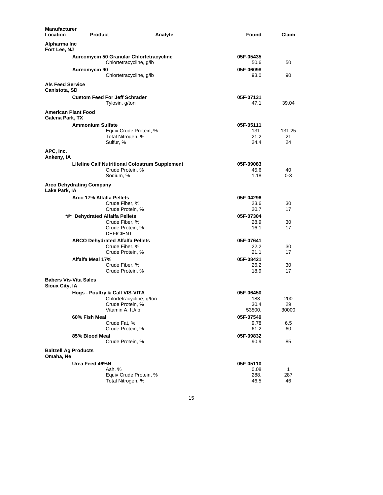| Manufacturer<br>Location                         | <b>Product</b>                                                      | Found<br>Analyte  | Claim   |
|--------------------------------------------------|---------------------------------------------------------------------|-------------------|---------|
| Alpharma Inc<br>Fort Lee, NJ                     |                                                                     |                   |         |
|                                                  | Aureomycin 50 Granular Chlortetracycline<br>Chlortetracycline, g/lb | 05F-05435<br>50.6 | 50      |
|                                                  | Aureomycin 90<br>Chlortetracycline, g/lb                            | 05F-06098<br>93.0 | 90      |
| <b>Als Feed Service</b><br>Canistota, SD         |                                                                     |                   |         |
|                                                  | <b>Custom Feed For Jeff Schrader</b>                                | 05F-07131         |         |
|                                                  | Tylosin, g/ton                                                      | 47.1              | 39.04   |
| <b>American Plant Food</b><br>Galena Park, TX    |                                                                     |                   |         |
|                                                  | <b>Ammonium Sulfate</b>                                             | 05F-05111         |         |
|                                                  | Equiv Crude Protein, %                                              | 131.              | 131.25  |
|                                                  | Total Nitrogen, %                                                   | 21.2              | 21      |
|                                                  | Sulfur, %                                                           | 24.4              | 24      |
| APC, Inc.<br>Ankeny, IA                          |                                                                     |                   |         |
|                                                  | <b>Lifeline Calf Nutritional Colostrum Supplement</b>               | 05F-09083         |         |
|                                                  | Crude Protein, %                                                    | 45.6              | 40      |
|                                                  | Sodium, %                                                           | 1.18              | $0 - 3$ |
| <b>Arco Dehydrating Company</b><br>Lake Park, IA |                                                                     |                   |         |
|                                                  | Arco 17% Alfalfa Pellets                                            | 05F-04296         |         |
|                                                  | Crude Fiber, %                                                      | 23.6              | 30      |
|                                                  | Crude Protein, %                                                    | 20.7              | 17      |
|                                                  | *#* Dehydrated Alfalfa Pellets                                      | 05F-07304         |         |
|                                                  | Crude Fiber, %                                                      | 28.9              | 30      |
|                                                  | Crude Protein, %<br><b>DEFICIENT</b>                                | 16.1              | 17      |
|                                                  | <b>ARCO Dehydrated Alfalfa Pellets</b>                              | 05F-07641         |         |
|                                                  | Crude Fiber, %                                                      | 22.2              | 30      |
|                                                  | Crude Protein, %                                                    | 21.1              | 17      |
|                                                  | Alfalfa Meal 17%                                                    | 05F-08421         |         |
|                                                  | Crude Fiber, %                                                      | 26.2              | 30      |
| <b>Babers Vis-Vita Sales</b>                     | Crude Protein, %                                                    | 18.9              | 17      |
| Sioux City, IA                                   |                                                                     |                   |         |
|                                                  | Hogs - Poultry & Calf VIS-VITA                                      | 05F-06450         |         |
|                                                  | Chlortetracycline, g/ton                                            | 183.              | 200     |
|                                                  | Crude Protein, %                                                    | 30.4              | 29      |
|                                                  | Vitamin A, IU/lb                                                    | 53500.            | 30000   |
|                                                  | 60% Fish Meal                                                       | 05F-07549         |         |
|                                                  | Crude Fat, %                                                        | 9.78              | 6.5     |
|                                                  | Crude Protein, %                                                    | 61.2              | 60      |
|                                                  | 85% Blood Meal                                                      | 05F-09832         |         |
|                                                  | Crude Protein, %                                                    | 90.9              | 85      |
| <b>Baltzell Ag Products</b><br>Omaha, Ne         |                                                                     |                   |         |
|                                                  | Urea Feed 46%N                                                      | 05F-05110         |         |
|                                                  | Ash, %                                                              | 0.08              | 1       |
|                                                  | Equiv Crude Protein, %                                              | 288.              | 287     |
|                                                  | Total Nitrogen, %                                                   | 46.5              | 46      |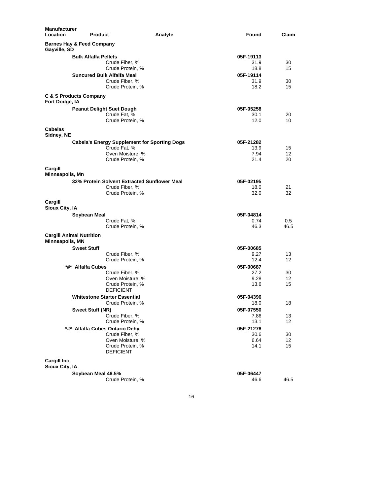| <b>Manufacturer</b><br>Location<br><b>Product</b>    | Analyte                                             | Found     | Claim |
|------------------------------------------------------|-----------------------------------------------------|-----------|-------|
| <b>Barnes Hay &amp; Feed Company</b><br>Gayville, SD |                                                     |           |       |
| <b>Bulk Alfalfa Pellets</b>                          |                                                     | 05F-19113 |       |
|                                                      | Crude Fiber, %                                      | 31.9      | 30    |
|                                                      | Crude Protein, %                                    | 18.8      | 15    |
|                                                      | <b>Suncured Bulk Alfalfa Meal</b>                   | 05F-19114 |       |
|                                                      | Crude Fiber, %                                      | 31.9      | 30    |
|                                                      | Crude Protein, %                                    | 18.2      | 15    |
| <b>C &amp; S Products Company</b><br>Fort Dodge, IA  |                                                     |           |       |
|                                                      | <b>Peanut Delight Suet Dough</b>                    | 05F-05258 |       |
|                                                      | Crude Fat, %                                        | 30.1      | 20    |
|                                                      | Crude Protein, %                                    | 12.0      | 10    |
| <b>Cabelas</b><br>Sidney, NE                         |                                                     |           |       |
|                                                      | <b>Cabela's Energy Supplement for Sporting Dogs</b> | 05F-21282 |       |
|                                                      | Crude Fat, %                                        | 13.9      | 15    |
|                                                      | Oven Moisture, %                                    | 7.94      | 12    |
|                                                      | Crude Protein, %                                    | 21.4      | 20    |
| Cargill<br>Minneapolis, Mn                           |                                                     |           |       |
|                                                      | 32% Protein Solvent Extracted Sunflower Meal        | 05F-02195 |       |
|                                                      | Crude Fiber, %                                      | 18.0      | 21    |
|                                                      | Crude Protein, %                                    | 32.0      | 32    |
| Cargill<br>Sioux City, IA                            |                                                     |           |       |
| Soybean Meal                                         |                                                     | 05F-04814 |       |
|                                                      | Crude Fat, %                                        | 0.74      | 0.5   |
|                                                      | Crude Protein, %                                    | 46.3      | 46.5  |
| <b>Cargill Animal Nutrition</b><br>Minneapolis, MN   |                                                     |           |       |
| <b>Sweet Stuff</b>                                   |                                                     | 05F-00685 |       |
|                                                      | Crude Fiber, %                                      | 9.27      | 13    |
|                                                      | Crude Protein, %                                    | 12.4      | 12    |
| *#* Alfalfa Cubes                                    |                                                     | 05F-00687 |       |
|                                                      | Crude Fiber, %                                      | 27.2      | 30    |
|                                                      | Oven Moisture, %                                    | 9.28      | 12    |
|                                                      | Crude Protein, %<br><b>DEFICIENT</b>                | 13.6      | 15    |
|                                                      | <b>Whitestone Starter Essential</b>                 | 05F-04396 |       |
|                                                      | Crude Protein, %                                    | 18.0      | 18    |
| <b>Sweet Stuff (NR)</b>                              |                                                     | 05F-07550 |       |
|                                                      | Crude Fiber, %                                      | 7.86      | 13    |
|                                                      | Crude Protein, %                                    | 13.1      | 12    |
|                                                      | *#* Alfalfa Cubes Ontario Dehy                      | 05F-21276 |       |
|                                                      | Crude Fiber, %                                      | 30.6      | 30    |
|                                                      | Oven Moisture, %<br>Crude Protein, %                | 6.64      | 12    |
|                                                      | <b>DEFICIENT</b>                                    | 14.1      | 15    |
| <b>Cargill Inc</b><br>Sioux City, IA                 |                                                     |           |       |
| Soybean Meal 46.5%                                   |                                                     | 05F-06447 |       |
|                                                      | Crude Protein, %                                    | 46.6      | 46.5  |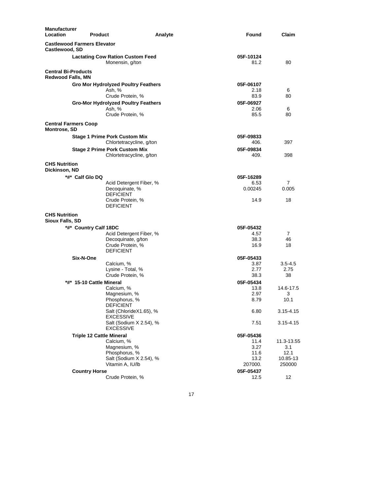| <b>Manufacturer</b><br>Location                        | <b>Product</b>                                             | Analyte                  | Found             | Claim          |
|--------------------------------------------------------|------------------------------------------------------------|--------------------------|-------------------|----------------|
| <b>Castlewood Farmers Elevator</b><br>Castlewood, SD   |                                                            |                          |                   |                |
|                                                        | <b>Lactating Cow Ration Custom Feed</b><br>Monensin, g/ton |                          | 05F-10124<br>81.2 | 80             |
| <b>Central Bi-Products</b><br><b>Redwood Falls, MN</b> |                                                            |                          |                   |                |
|                                                        | <b>Gro Mor Hydrolyzed Poultry Feathers</b>                 |                          | 05F-06107         |                |
|                                                        | Ash. %                                                     |                          | 2.18              | 6              |
|                                                        | Crude Protein, %                                           |                          | 83.9              | 80             |
|                                                        | <b>Gro-Mor Hydrolyzed Poultry Feathers</b>                 |                          | 05F-06927         |                |
|                                                        | Ash, %<br>Crude Protein, %                                 |                          | 2.06<br>85.5      | 6<br>80        |
|                                                        |                                                            |                          |                   |                |
| <b>Central Farmers Coop</b><br><b>Montrose, SD</b>     |                                                            |                          |                   |                |
|                                                        | <b>Stage 1 Prime Pork Custom Mix</b>                       |                          | 05F-09833         |                |
|                                                        |                                                            | Chlortetracycline, g/ton | 406.              | 397            |
|                                                        | <b>Stage 2 Prime Pork Custom Mix</b>                       |                          | 05F-09834         |                |
|                                                        |                                                            | Chlortetracycline, g/ton | 409.              | 398            |
| <b>CHS Nutrition</b><br>Dickinson, ND                  |                                                            |                          |                   |                |
| *#* Calf Glo DQ                                        |                                                            |                          | 05F-16289         |                |
|                                                        |                                                            | Acid Detergent Fiber, %  | 6.53              | 7              |
|                                                        | Decoquinate, %                                             |                          | 0.00245           | 0.005          |
|                                                        | <b>DEFICIENT</b><br>Crude Protein, %                       |                          | 14.9              | 18             |
|                                                        | <b>DEFICIENT</b>                                           |                          |                   |                |
| <b>CHS Nutrition</b>                                   |                                                            |                          |                   |                |
| <b>Sioux Falls, SD</b>                                 |                                                            |                          |                   |                |
|                                                        | *#* Country Calf 18DC                                      |                          | 05F-05432         |                |
|                                                        |                                                            | Acid Detergent Fiber, %  | 4.57              | $\overline{7}$ |
|                                                        | Decoquinate, g/ton                                         |                          | 38.3              | 46             |
|                                                        | Crude Protein, %                                           |                          | 16.9              | 18             |
|                                                        | <b>DEFICIENT</b>                                           |                          |                   |                |
| Six-N-One                                              | Calcium, %                                                 |                          | 05F-05433<br>3.87 | $3.5 - 4.5$    |
|                                                        | Lysine - Total, %                                          |                          | 2.77              | 2.75           |
|                                                        | Crude Protein, %                                           |                          | 38.3              | 38             |
|                                                        | *#* 15-10 Cattle Mineral                                   |                          | 05F-05434         |                |
|                                                        | Calcium, %                                                 |                          | 13.8              | 14.6-17.5      |
|                                                        | Magnesium, %                                               |                          | 2.97              | 3              |
|                                                        | Phosphorus, %                                              |                          | 8.79              | 10.1           |
|                                                        | DEFICIENT                                                  | Salt (ChlorideX1.65), %  | 6.80              |                |
|                                                        | <b>EXCESSIVE</b>                                           |                          |                   | 3.15-4.15      |
|                                                        | <b>EXCESSIVE</b>                                           | Salt (Sodium X 2.54), %  | 7.51              | 3.15-4.15      |
|                                                        | <b>Triple 12 Cattle Mineral</b>                            |                          | 05F-05436         |                |
|                                                        | Calcium, %                                                 |                          | 11.4              | 11.3-13.55     |
|                                                        | Magnesium, %                                               |                          | 3.27              | 3.1            |
|                                                        | Phosphorus, %                                              |                          | 11.6              | 12.1           |
|                                                        | Vitamin A, IU/lb                                           | Salt (Sodium X 2.54), %  | 13.2<br>207000.   | 10.85-13       |
|                                                        |                                                            |                          |                   | 250000         |
|                                                        | <b>Country Horse</b><br>Crude Protein, %                   |                          | 05F-05437<br>12.5 | 12             |
|                                                        |                                                            |                          |                   |                |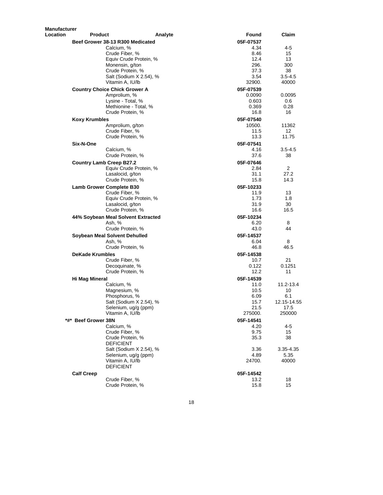| <b>Manufacturer</b> |                                      |                         |                   |                          |
|---------------------|--------------------------------------|-------------------------|-------------------|--------------------------|
| Location            | <b>Product</b>                       | Analyte                 | Found             | Claim                    |
|                     | Beef Grower 38-13 R300 Medicated     |                         | 05F-07537         |                          |
|                     | Calcium, %                           |                         | 4.34              | 4-5                      |
|                     | Crude Fiber, %                       |                         | 8.46              | 15                       |
|                     |                                      | Equiv Crude Protein, %  | 12.4              | 13                       |
|                     | Monensin, g/ton                      |                         | 296.              | 300                      |
|                     | Crude Protein, %                     |                         | 37.3              | 38                       |
|                     |                                      | Salt (Sodium X 2.54), % | 3.54              | $3.5 - 4.5$              |
|                     | Vitamin A, IU/lb                     |                         | 32900.            | 40000                    |
|                     | <b>Country Choice Chick Grower A</b> |                         | 05F-07539         |                          |
|                     | Amprolium, %                         |                         | 0.0090            | 0.0095                   |
|                     | Lysine - Total, %                    | Methionine - Total, %   | 0.603             | 0.6                      |
|                     | Crude Protein, %                     |                         | 0.369<br>16.8     | 0.28<br>16               |
|                     |                                      |                         |                   |                          |
|                     | <b>Koxy Krumbles</b>                 |                         | 05F-07540         |                          |
|                     | Amprolium, g/ton<br>Crude Fiber, %   |                         | 10500.<br>11.5    | 11362<br>12 <sup>°</sup> |
|                     | Crude Protein, %                     |                         | 13.3              | 11.75                    |
|                     | Six-N-One                            |                         | 05F-07541         |                          |
|                     | Calcium, %                           |                         | 4.16              | $3.5 - 4.5$              |
|                     | Crude Protein, %                     |                         | 37.6              | 38                       |
|                     |                                      |                         |                   |                          |
|                     | <b>Country Lamb Creep B27.2</b>      | Equiv Crude Protein, %  | 05F-07646<br>2.84 | 2                        |
|                     | Lasalocid, g/ton                     |                         | 31.1              | 27.2                     |
|                     | Crude Protein, %                     |                         | 15.8              | 14.3                     |
|                     | <b>Lamb Grower Complete B30</b>      |                         | 05F-10233         |                          |
|                     | Crude Fiber, %                       |                         | 11.9              | 13                       |
|                     |                                      | Equiv Crude Protein, %  | 1.73              | 1.8                      |
|                     | Lasalocid, g/ton                     |                         | 31.9              | 30                       |
|                     | Crude Protein, %                     |                         | 16.6              | 16.5                     |
|                     | 44% Soybean Meal Solvent Extracted   |                         | 05F-10234         |                          |
|                     | Ash, %                               |                         | 6.20              | 8                        |
|                     | Crude Protein, %                     |                         | 43.0              | 44                       |
|                     | Soybean Meal Solvent Dehulled        |                         | 05F-14537         |                          |
|                     | Ash, %                               |                         | 6.04              | 8                        |
|                     | Crude Protein, %                     |                         | 46.8              | 46.5                     |
|                     | <b>DeKade Krumbles</b>               |                         | 05F-14538         |                          |
|                     | Crude Fiber, %                       |                         | 10.7              | 21                       |
|                     | Decoquinate, %                       |                         | 0.122             | 0.1251                   |
|                     | Crude Protein, %                     |                         | 12.2              | 11                       |
|                     | <b>Hi Mag Mineral</b>                |                         | 05F-14539         |                          |
|                     | Calcium, %                           |                         | 11.0              | 11.2-13.4                |
|                     | Magnesium, %                         |                         | 10.5              | 10                       |
|                     | Phosphorus, %                        |                         | 6.09              | 6.1                      |
|                     |                                      | Salt (Sodium X 2.54), % | 15.7              | 12.15-14.55              |
|                     |                                      | Selenium, ug/g (ppm)    | 21.5              | 17.5                     |
|                     | Vitamin A, IU/lb                     |                         | 275000.           | 250000                   |
|                     | *#* Beef Grower 38N                  |                         | 05F-14541         |                          |
|                     | Calcium, %                           |                         | 4.20              | 4-5                      |
|                     | Crude Fiber, %                       |                         | 9.75              | 15                       |
|                     | Crude Protein, %                     |                         | 35.3              | 38                       |
|                     | <b>DEFICIENT</b>                     |                         |                   |                          |
|                     |                                      | Salt (Sodium X 2.54), % | 3.36              | 3.35-4.35                |
|                     |                                      | Selenium, ug/g (ppm)    | 4.89              | 5.35                     |
|                     | Vitamin A, IU/lb<br><b>DEFICIENT</b> |                         | 24700.            | 40000                    |
|                     |                                      |                         |                   |                          |
|                     | <b>Calf Creep</b>                    |                         | 05F-14542         |                          |
|                     | Crude Fiber, %                       |                         | 13.2              | 18                       |
|                     | Crude Protein, %                     |                         | 15.8              | 15                       |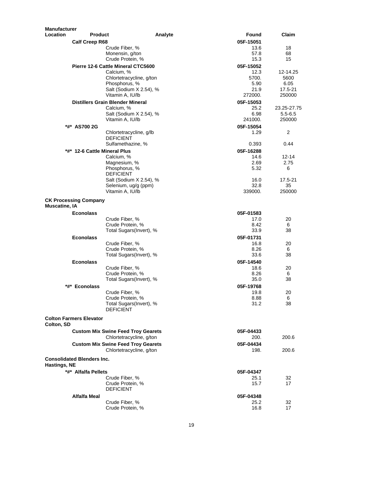| <b>Manufacturer</b>  |                                   |                                                                       |                   |              |
|----------------------|-----------------------------------|-----------------------------------------------------------------------|-------------------|--------------|
| Location             | <b>Product</b>                    |                                                                       | Analyte<br>Found  | Claim        |
|                      | <b>Calf Creep R68</b>             |                                                                       | 05F-15051         |              |
|                      |                                   | Crude Fiber, %                                                        | 13.6              | 18           |
|                      |                                   | Monensin, g/ton                                                       | 57.8              | 68           |
|                      |                                   | Crude Protein, %                                                      | 15.3              | 15           |
|                      |                                   | Pierre 12-6 Cattle Mineral CTC5600                                    | 05F-15052         |              |
|                      |                                   | Calcium, %                                                            | 12.3<br>5700.     | 12-14.25     |
|                      |                                   | Chlortetracycline, g/ton<br>Phosphorus, %                             | 5.90              | 5600<br>6.05 |
|                      |                                   | Salt (Sodium X 2.54), %                                               | 21.9              | 17.5-21      |
|                      |                                   | Vitamin A, IU/lb                                                      | 272000.           | 250000       |
|                      |                                   | <b>Distillers Grain Blender Mineral</b>                               | 05F-15053         |              |
|                      |                                   | Calcium, %                                                            | 25.2              | 23.25-27.75  |
|                      |                                   | Salt (Sodium X 2.54), %                                               | 6.98              | $5.5 - 6.5$  |
|                      |                                   | Vitamin A, IU/lb                                                      | 241000.           | 250000       |
|                      | *#* AS700 2G                      |                                                                       | 05F-15054         |              |
|                      |                                   | Chlortetracycline, g/lb                                               | 1.29              | 2            |
|                      |                                   | <b>DEFICIENT</b>                                                      |                   |              |
|                      |                                   | Sulfamethazine, %                                                     | 0.393             | 0.44         |
|                      | *#* 12-6 Cattle Mineral Plus      |                                                                       | 05F-16288         |              |
|                      |                                   | Calcium, %                                                            | 14.6              | 12-14        |
|                      |                                   | Magnesium, %                                                          | 2.69              | 2.75         |
|                      |                                   | Phosphorus, %<br><b>DEFICIENT</b>                                     | 5.32              | 6            |
|                      |                                   | Salt (Sodium X 2.54), %                                               | 16.0              | 17.5-21      |
|                      |                                   | Selenium, ug/g (ppm)                                                  | 32.8              | 35           |
|                      |                                   | Vitamin A, IU/lb                                                      | 339000.           | 250000       |
|                      | <b>CK Processing Company</b>      |                                                                       |                   |              |
| <b>Muscatine, IA</b> |                                   |                                                                       |                   |              |
|                      | <b>Econolass</b>                  |                                                                       | 05F-01583         |              |
|                      |                                   | Crude Fiber, %                                                        | 17.0              | 20           |
|                      |                                   | Crude Protein, %                                                      | 8.42              | 6            |
|                      |                                   | Total Sugars(Invert), %                                               | 33.9              | 38           |
|                      | <b>Econolass</b>                  |                                                                       | 05F-01731         |              |
|                      |                                   | Crude Fiber, %                                                        | 16.8              | 20           |
|                      |                                   | Crude Protein, %                                                      | 8.26              | 6            |
|                      |                                   | Total Sugars(Invert), %                                               | 33.6              | 38           |
|                      | <b>Econolass</b>                  |                                                                       | 05F-14540         |              |
|                      |                                   | Crude Fiber, %                                                        | 18.6              | 20           |
|                      |                                   | Crude Protein, %                                                      | 8.26              | 6            |
|                      |                                   | Total Sugars(Invert), %                                               | 35.0              | 38           |
|                      | *#* Econolass                     |                                                                       | 05F-19768         |              |
|                      |                                   | Crude Fiber, %                                                        | 19.8              | 20           |
|                      |                                   | Crude Protein, %                                                      | 8.88              | 6<br>38      |
|                      |                                   | Total Sugars(Invert), %<br><b>DEFICIENT</b>                           | 31.2              |              |
| Colton, SD           | <b>Colton Farmers Elevator</b>    |                                                                       |                   |              |
|                      |                                   |                                                                       |                   |              |
|                      |                                   | <b>Custom Mix Swine Feed Troy Gearets</b><br>Chlortetracycline, g/ton | 05F-04433<br>200. | 200.6        |
|                      |                                   | <b>Custom Mix Swine Feed Troy Gearets</b>                             | 05F-04434         |              |
|                      |                                   | Chlortetracycline, g/ton                                              | 198.              | 200.6        |
|                      |                                   |                                                                       |                   |              |
|                      | <b>Consolidated Blenders Inc.</b> |                                                                       |                   |              |
| Hastings, NE         |                                   |                                                                       |                   |              |
|                      | *#* Alfalfa Pellets               |                                                                       | 05F-04347         |              |
|                      |                                   | Crude Fiber, %                                                        | 25.1              | 32           |
|                      |                                   | Crude Protein, %<br><b>DEFICIENT</b>                                  | 15.7              | 17           |
|                      |                                   |                                                                       |                   |              |
|                      | Alfalfa Meal                      |                                                                       | 05F-04348         |              |
|                      |                                   | Crude Fiber, %<br>Crude Protein, %                                    | 25.2<br>16.8      | 32<br>17     |
|                      |                                   |                                                                       |                   |              |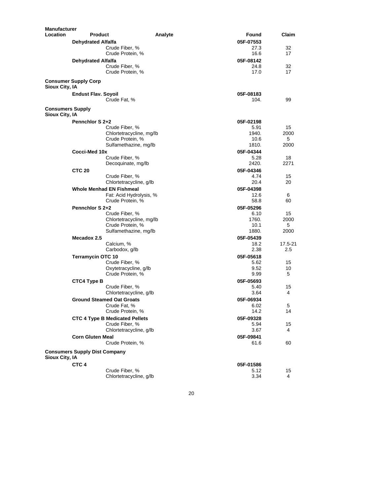| <b>Manufacturer</b>                       |                                      |                                           |         |                   |         |
|-------------------------------------------|--------------------------------------|-------------------------------------------|---------|-------------------|---------|
| <b>Location</b>                           | <b>Product</b>                       |                                           | Analyte | Found             | Claim   |
|                                           | <b>Dehydrated Alfalfa</b>            |                                           |         | 05F-07553         |         |
|                                           |                                      | Crude Fiber, %                            |         | 27.3              | 32      |
|                                           |                                      | Crude Protein, %                          |         | 16.6              | 17      |
|                                           | <b>Dehydrated Alfalfa</b>            |                                           |         | 05F-08142         |         |
|                                           |                                      | Crude Fiber, %                            |         | 24.8              | 32      |
|                                           |                                      | Crude Protein, %                          |         | 17.0              | 17      |
| Sioux City, IA                            | <b>Consumer Supply Corp</b>          |                                           |         |                   |         |
|                                           | <b>Endust Flav. Soyoil</b>           |                                           |         | 05F-08183         |         |
|                                           |                                      | Crude Fat. %                              |         | 104.              | 99      |
| <b>Consumers Supply</b><br>Sioux City, IA |                                      |                                           |         |                   |         |
|                                           | Pennchlor S 2+2                      |                                           |         | 05F-02198         |         |
|                                           |                                      | Crude Fiber, %                            |         | 5.91              | 15      |
|                                           |                                      | Chlortetracycline, mg/lb                  |         | 1940.             | 2000    |
|                                           |                                      | Crude Protein, %                          |         | 10.6              | 5       |
|                                           |                                      | Sulfamethazine, mg/lb                     |         | 1810.             | 2000    |
|                                           | Cocci-Med 10x                        |                                           |         | 05F-04344         |         |
|                                           |                                      | Crude Fiber, %                            |         | 5.28              | 18      |
|                                           |                                      | Decoquinate, mg/lb                        |         | 2420.             | 2271    |
|                                           | <b>CTC 20</b>                        |                                           |         | 05F-04346         |         |
|                                           |                                      | Crude Fiber, %                            |         | 4.74              | 15      |
|                                           |                                      | Chlortetracycline, g/lb                   |         | 20.4              | 20      |
|                                           |                                      | <b>Whole Menhad EN Fishmeal</b>           |         | 05F-04398         |         |
|                                           |                                      | Fat: Acid Hydrolysis, %                   |         | 12.6              | 6       |
|                                           |                                      | Crude Protein, %                          |         | 58.8              | 60      |
|                                           | Pennchlor S 2+2                      |                                           |         | 05F-05296         |         |
|                                           |                                      | Crude Fiber, %                            |         | 6.10              | 15      |
|                                           |                                      | Chlortetracycline, mg/lb                  |         | 1760.             | 2000    |
|                                           |                                      | Crude Protein, %                          |         | 10.1              | 5       |
|                                           |                                      | Sulfamethazine, mg/lb                     |         | 1880.             | 2000    |
|                                           | Mecadox 2.5                          |                                           |         | 05F-05439         |         |
|                                           |                                      | Calcium, %                                |         | 18.2              | 17.5-21 |
|                                           |                                      | Carbodox, g/lb                            |         | 2.38              | 2.5     |
|                                           | <b>Terramycin OTC 10</b>             |                                           |         | 05F-05618         |         |
|                                           |                                      | Crude Fiber, %                            |         | 5.62              | 15      |
|                                           |                                      | Oxytetracycline, g/lb<br>Crude Protein, % |         | 9.52<br>9.99      | 10<br>5 |
|                                           |                                      |                                           |         |                   |         |
|                                           | CTC4 Type B                          | Crude Fiber, %                            |         | 05F-05693<br>5.40 |         |
|                                           |                                      | Chlortetracycline, g/lb                   |         | 3.64              | 15<br>4 |
|                                           |                                      | <b>Ground Steamed Oat Groats</b>          |         | 05F-06934         |         |
|                                           |                                      | Crude Fat, %                              |         | 6.02              | 5       |
|                                           |                                      | Crude Protein, %                          |         | 14.2              | 14      |
|                                           |                                      | <b>CTC 4 Type B Medicated Pellets</b>     |         | 05F-09328         |         |
|                                           |                                      | Crude Fiber, %                            |         | 5.94              | 15      |
|                                           |                                      | Chlortetracycline, g/lb                   |         | 3.67              | 4       |
|                                           | <b>Corn Gluten Meal</b>              |                                           |         | 05F-09841         |         |
|                                           |                                      | Crude Protein, %                          |         | 61.6              | 60      |
|                                           | <b>Consumers Supply Dist Company</b> |                                           |         |                   |         |
| Sioux City, IA                            |                                      |                                           |         |                   |         |
|                                           | CTC <sub>4</sub>                     |                                           |         | 05F-01586         |         |
|                                           |                                      | Crude Fiber, %                            |         | 5.12              | 15      |
|                                           |                                      | Chlortetracycline, g/lb                   |         | 3.34              | 4       |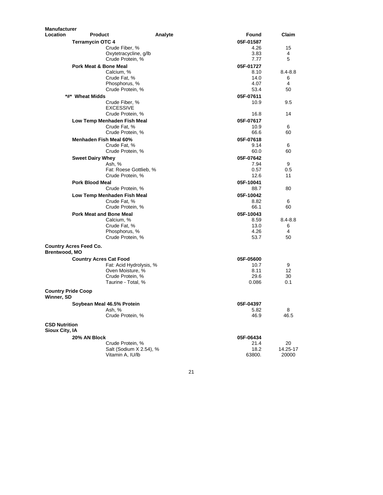| <b>Manufacturer</b>                     |                                            |         |              |              |
|-----------------------------------------|--------------------------------------------|---------|--------------|--------------|
| Location                                | <b>Product</b>                             | Analyte | Found        | Claim        |
|                                         | <b>Terramycin OTC 4</b>                    |         | 05F-01587    |              |
|                                         | Crude Fiber, %                             |         | 4.26         | 15           |
|                                         | Oxytetracycline, g/lb                      |         | 3.83         | 4            |
|                                         | Crude Protein, %                           |         | 7.77         | 5            |
|                                         | Pork Meat & Bone Meal                      |         | 05F-01727    |              |
|                                         | Calcium, %<br>Crude Fat, %                 |         | 8.10<br>14.0 | 8.4-8.8<br>6 |
|                                         | Phosphorus, %                              |         | 4.07         | 4            |
|                                         | Crude Protein, %                           |         | 53.4         | 50           |
|                                         | *#* Wheat Midds                            |         | 05F-07611    |              |
|                                         | Crude Fiber, %                             |         | 10.9         | 9.5          |
|                                         | <b>EXCESSIVE</b>                           |         |              |              |
|                                         | Crude Protein, %                           |         | 16.8         | 14           |
|                                         | Low Temp Menhaden Fish Meal                |         | 05F-07617    |              |
|                                         | Crude Fat, %                               |         | 10.9         | 6            |
|                                         | Crude Protein, %                           |         | 66.6         | 60           |
|                                         | Menhaden Fish Meal 60%                     |         | 05F-07618    |              |
|                                         | Crude Fat, %                               |         | 9.14         | 6            |
|                                         | Crude Protein, %                           |         | 60.0         | 60           |
|                                         | <b>Sweet Dairy Whey</b>                    |         | 05F-07642    |              |
|                                         | Ash. %                                     |         | 7.94<br>0.57 | 9            |
|                                         | Fat: Roese Gottlieb, %<br>Crude Protein, % |         | 12.6         | 0.5<br>11    |
|                                         | <b>Pork Blood Meal</b>                     |         | 05F-10041    |              |
|                                         | Crude Protein, %                           |         | 88.7         | 80           |
|                                         | Low Temp Menhaden Fish Meal                |         | 05F-10042    |              |
|                                         | Crude Fat, %                               |         | 8.82         | 6            |
|                                         | Crude Protein, %                           |         | 66.1         | 60           |
|                                         | <b>Pork Meat and Bone Meal</b>             |         | 05F-10043    |              |
|                                         | Calcium, %                                 |         | 8.59         | 8.4-8.8      |
|                                         | Crude Fat, %                               |         | 13.0         | 6            |
|                                         | Phosphorus, %                              |         | 4.26         | 4            |
|                                         | Crude Protein, %                           |         | 53.7         | 50           |
| Brentwood, MO                           | <b>Country Acres Feed Co.</b>              |         |              |              |
|                                         | <b>Country Acres Cat Food</b>              |         | 05F-05600    |              |
|                                         | Fat: Acid Hydrolysis, %                    |         | 10.7         | 9            |
|                                         | Oven Moisture, %                           |         | 8.11         | 12           |
|                                         | Crude Protein, %                           |         | 29.6         | 30           |
|                                         | Taurine - Total. %                         |         | 0.086        | 0.1          |
| <b>Country Pride Coop</b><br>Winner, SD |                                            |         |              |              |
|                                         | Soybean Meal 46.5% Protein                 |         | 05F-04397    |              |
|                                         | Ash, %                                     |         | 5.82         | 8            |
|                                         | Crude Protein, %                           |         | 46.9         | 46.5         |
| <b>CSD Nutrition</b><br>Sioux City, IA  |                                            |         |              |              |
|                                         | 20% AN Block                               |         | 05F-06434    |              |
|                                         | Crude Protein, %                           |         | 21.4         | 20           |
|                                         | Salt (Sodium X 2.54), %                    |         | 18.2         | 14.25-17     |
|                                         | Vitamin A, IU/lb                           |         | 63800.       | 20000        |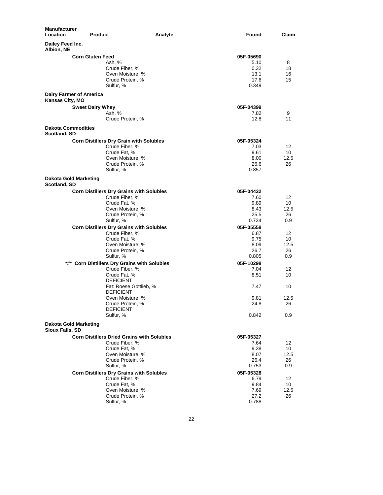| Dailey Feed Inc.<br>Albion, NE<br><b>Corn Gluten Feed</b><br>05F-05690<br>Ash, %<br>5.10<br>8<br>Crude Fiber, %<br>0.32<br>18<br>Oven Moisture, %<br>13.1<br>16<br>17.6<br>Crude Protein, %<br>15<br>Sulfur, %<br>0.349<br><b>Dairy Farmer of America</b><br>Kansas City, MO<br><b>Sweet Dairy Whey</b><br>05F-04399<br>Ash, %<br>7.82<br>9<br>Crude Protein, %<br>12.8<br>11<br><b>Dakota Commodities</b><br>Scotland, SD<br><b>Corn Distillers Dry Grain with Solubles</b><br>05F-05324<br>Crude Fiber, %<br>7.03<br>12<br>Crude Fat, %<br>9.61<br>10<br>Oven Moisture, %<br>8.00<br>12.5<br>Crude Protein, %<br>26.6<br>26<br>Sulfur, %<br>0.857<br><b>Dakota Gold Marketing</b><br>Scotland, SD<br><b>Corn Distillers Dry Grains with Solubles</b><br>05F-04432<br>Crude Fiber, %<br>7.60<br>12<br>Crude Fat, %<br>9.89<br>10<br>Oven Moisture, %<br>8.43<br>12.5<br>Crude Protein, %<br>25.5<br>26<br>Sulfur, %<br>0.734<br>0.9<br><b>Corn Distillers Dry Grains with Solubles</b><br>05F-05558<br>Crude Fiber, %<br>6.87<br>12<br>Crude Fat, %<br>9.75<br>10<br>Oven Moisture, %<br>8.09<br>12.5<br>Crude Protein, %<br>26.7<br>26<br>Sulfur, %<br>0.805<br>0.9<br>*#* Corn Distillers Dry Grains with Solubles<br>05F-10298<br>Crude Fiber, %<br>7.04<br>12<br>8.51<br>Crude Fat, %<br>10<br><b>DEFICIENT</b><br>Fat: Roese Gottlieb, %<br>7.47<br>10<br><b>DEFICIENT</b><br>Oven Moisture, %<br>9.81<br>12.5<br>Crude Protein, %<br>24.8<br>26<br><b>DEFICIENT</b><br>Sulfur, %<br>0.842<br>0.9<br>Dakota Gold Marketing<br>Sioux Falls, SD<br><b>Corn Distillers Dried Grains with Solubles</b><br>05F-05327<br>Crude Fiber, %<br>7.64<br>12<br>Crude Fat, %<br>9.38<br>10<br>Oven Moisture, %<br>8.07<br>12.5<br>Crude Protein, %<br>26.4<br>26<br>Sulfur, %<br>0.753<br>0.9<br><b>Corn Distillers Dry Grains with Solubles</b><br>05F-05328<br>Crude Fiber, %<br>6.79<br>12<br>Crude Fat, %<br>9.84<br>10<br>Oven Moisture, %<br>7.69<br>12.5<br>Crude Protein, %<br>27.2<br>26<br>Sulfur, %<br>0.788 | <b>Manufacturer</b><br>Location | <b>Product</b><br>Analyte | Found | Claim |
|------------------------------------------------------------------------------------------------------------------------------------------------------------------------------------------------------------------------------------------------------------------------------------------------------------------------------------------------------------------------------------------------------------------------------------------------------------------------------------------------------------------------------------------------------------------------------------------------------------------------------------------------------------------------------------------------------------------------------------------------------------------------------------------------------------------------------------------------------------------------------------------------------------------------------------------------------------------------------------------------------------------------------------------------------------------------------------------------------------------------------------------------------------------------------------------------------------------------------------------------------------------------------------------------------------------------------------------------------------------------------------------------------------------------------------------------------------------------------------------------------------------------------------------------------------------------------------------------------------------------------------------------------------------------------------------------------------------------------------------------------------------------------------------------------------------------------------------------------------------------------------------------------------------------------------------------------------------------------------------------------------------|---------------------------------|---------------------------|-------|-------|
|                                                                                                                                                                                                                                                                                                                                                                                                                                                                                                                                                                                                                                                                                                                                                                                                                                                                                                                                                                                                                                                                                                                                                                                                                                                                                                                                                                                                                                                                                                                                                                                                                                                                                                                                                                                                                                                                                                                                                                                                                  |                                 |                           |       |       |
|                                                                                                                                                                                                                                                                                                                                                                                                                                                                                                                                                                                                                                                                                                                                                                                                                                                                                                                                                                                                                                                                                                                                                                                                                                                                                                                                                                                                                                                                                                                                                                                                                                                                                                                                                                                                                                                                                                                                                                                                                  |                                 |                           |       |       |
|                                                                                                                                                                                                                                                                                                                                                                                                                                                                                                                                                                                                                                                                                                                                                                                                                                                                                                                                                                                                                                                                                                                                                                                                                                                                                                                                                                                                                                                                                                                                                                                                                                                                                                                                                                                                                                                                                                                                                                                                                  |                                 |                           |       |       |
|                                                                                                                                                                                                                                                                                                                                                                                                                                                                                                                                                                                                                                                                                                                                                                                                                                                                                                                                                                                                                                                                                                                                                                                                                                                                                                                                                                                                                                                                                                                                                                                                                                                                                                                                                                                                                                                                                                                                                                                                                  |                                 |                           |       |       |
|                                                                                                                                                                                                                                                                                                                                                                                                                                                                                                                                                                                                                                                                                                                                                                                                                                                                                                                                                                                                                                                                                                                                                                                                                                                                                                                                                                                                                                                                                                                                                                                                                                                                                                                                                                                                                                                                                                                                                                                                                  |                                 |                           |       |       |
|                                                                                                                                                                                                                                                                                                                                                                                                                                                                                                                                                                                                                                                                                                                                                                                                                                                                                                                                                                                                                                                                                                                                                                                                                                                                                                                                                                                                                                                                                                                                                                                                                                                                                                                                                                                                                                                                                                                                                                                                                  |                                 |                           |       |       |
|                                                                                                                                                                                                                                                                                                                                                                                                                                                                                                                                                                                                                                                                                                                                                                                                                                                                                                                                                                                                                                                                                                                                                                                                                                                                                                                                                                                                                                                                                                                                                                                                                                                                                                                                                                                                                                                                                                                                                                                                                  |                                 |                           |       |       |
|                                                                                                                                                                                                                                                                                                                                                                                                                                                                                                                                                                                                                                                                                                                                                                                                                                                                                                                                                                                                                                                                                                                                                                                                                                                                                                                                                                                                                                                                                                                                                                                                                                                                                                                                                                                                                                                                                                                                                                                                                  |                                 |                           |       |       |
|                                                                                                                                                                                                                                                                                                                                                                                                                                                                                                                                                                                                                                                                                                                                                                                                                                                                                                                                                                                                                                                                                                                                                                                                                                                                                                                                                                                                                                                                                                                                                                                                                                                                                                                                                                                                                                                                                                                                                                                                                  |                                 |                           |       |       |
|                                                                                                                                                                                                                                                                                                                                                                                                                                                                                                                                                                                                                                                                                                                                                                                                                                                                                                                                                                                                                                                                                                                                                                                                                                                                                                                                                                                                                                                                                                                                                                                                                                                                                                                                                                                                                                                                                                                                                                                                                  |                                 |                           |       |       |
|                                                                                                                                                                                                                                                                                                                                                                                                                                                                                                                                                                                                                                                                                                                                                                                                                                                                                                                                                                                                                                                                                                                                                                                                                                                                                                                                                                                                                                                                                                                                                                                                                                                                                                                                                                                                                                                                                                                                                                                                                  |                                 |                           |       |       |
|                                                                                                                                                                                                                                                                                                                                                                                                                                                                                                                                                                                                                                                                                                                                                                                                                                                                                                                                                                                                                                                                                                                                                                                                                                                                                                                                                                                                                                                                                                                                                                                                                                                                                                                                                                                                                                                                                                                                                                                                                  |                                 |                           |       |       |
|                                                                                                                                                                                                                                                                                                                                                                                                                                                                                                                                                                                                                                                                                                                                                                                                                                                                                                                                                                                                                                                                                                                                                                                                                                                                                                                                                                                                                                                                                                                                                                                                                                                                                                                                                                                                                                                                                                                                                                                                                  |                                 |                           |       |       |
|                                                                                                                                                                                                                                                                                                                                                                                                                                                                                                                                                                                                                                                                                                                                                                                                                                                                                                                                                                                                                                                                                                                                                                                                                                                                                                                                                                                                                                                                                                                                                                                                                                                                                                                                                                                                                                                                                                                                                                                                                  |                                 |                           |       |       |
|                                                                                                                                                                                                                                                                                                                                                                                                                                                                                                                                                                                                                                                                                                                                                                                                                                                                                                                                                                                                                                                                                                                                                                                                                                                                                                                                                                                                                                                                                                                                                                                                                                                                                                                                                                                                                                                                                                                                                                                                                  |                                 |                           |       |       |
|                                                                                                                                                                                                                                                                                                                                                                                                                                                                                                                                                                                                                                                                                                                                                                                                                                                                                                                                                                                                                                                                                                                                                                                                                                                                                                                                                                                                                                                                                                                                                                                                                                                                                                                                                                                                                                                                                                                                                                                                                  |                                 |                           |       |       |
|                                                                                                                                                                                                                                                                                                                                                                                                                                                                                                                                                                                                                                                                                                                                                                                                                                                                                                                                                                                                                                                                                                                                                                                                                                                                                                                                                                                                                                                                                                                                                                                                                                                                                                                                                                                                                                                                                                                                                                                                                  |                                 |                           |       |       |
|                                                                                                                                                                                                                                                                                                                                                                                                                                                                                                                                                                                                                                                                                                                                                                                                                                                                                                                                                                                                                                                                                                                                                                                                                                                                                                                                                                                                                                                                                                                                                                                                                                                                                                                                                                                                                                                                                                                                                                                                                  |                                 |                           |       |       |
|                                                                                                                                                                                                                                                                                                                                                                                                                                                                                                                                                                                                                                                                                                                                                                                                                                                                                                                                                                                                                                                                                                                                                                                                                                                                                                                                                                                                                                                                                                                                                                                                                                                                                                                                                                                                                                                                                                                                                                                                                  |                                 |                           |       |       |
|                                                                                                                                                                                                                                                                                                                                                                                                                                                                                                                                                                                                                                                                                                                                                                                                                                                                                                                                                                                                                                                                                                                                                                                                                                                                                                                                                                                                                                                                                                                                                                                                                                                                                                                                                                                                                                                                                                                                                                                                                  |                                 |                           |       |       |
|                                                                                                                                                                                                                                                                                                                                                                                                                                                                                                                                                                                                                                                                                                                                                                                                                                                                                                                                                                                                                                                                                                                                                                                                                                                                                                                                                                                                                                                                                                                                                                                                                                                                                                                                                                                                                                                                                                                                                                                                                  |                                 |                           |       |       |
|                                                                                                                                                                                                                                                                                                                                                                                                                                                                                                                                                                                                                                                                                                                                                                                                                                                                                                                                                                                                                                                                                                                                                                                                                                                                                                                                                                                                                                                                                                                                                                                                                                                                                                                                                                                                                                                                                                                                                                                                                  |                                 |                           |       |       |
|                                                                                                                                                                                                                                                                                                                                                                                                                                                                                                                                                                                                                                                                                                                                                                                                                                                                                                                                                                                                                                                                                                                                                                                                                                                                                                                                                                                                                                                                                                                                                                                                                                                                                                                                                                                                                                                                                                                                                                                                                  |                                 |                           |       |       |
|                                                                                                                                                                                                                                                                                                                                                                                                                                                                                                                                                                                                                                                                                                                                                                                                                                                                                                                                                                                                                                                                                                                                                                                                                                                                                                                                                                                                                                                                                                                                                                                                                                                                                                                                                                                                                                                                                                                                                                                                                  |                                 |                           |       |       |
|                                                                                                                                                                                                                                                                                                                                                                                                                                                                                                                                                                                                                                                                                                                                                                                                                                                                                                                                                                                                                                                                                                                                                                                                                                                                                                                                                                                                                                                                                                                                                                                                                                                                                                                                                                                                                                                                                                                                                                                                                  |                                 |                           |       |       |
|                                                                                                                                                                                                                                                                                                                                                                                                                                                                                                                                                                                                                                                                                                                                                                                                                                                                                                                                                                                                                                                                                                                                                                                                                                                                                                                                                                                                                                                                                                                                                                                                                                                                                                                                                                                                                                                                                                                                                                                                                  |                                 |                           |       |       |
|                                                                                                                                                                                                                                                                                                                                                                                                                                                                                                                                                                                                                                                                                                                                                                                                                                                                                                                                                                                                                                                                                                                                                                                                                                                                                                                                                                                                                                                                                                                                                                                                                                                                                                                                                                                                                                                                                                                                                                                                                  |                                 |                           |       |       |
|                                                                                                                                                                                                                                                                                                                                                                                                                                                                                                                                                                                                                                                                                                                                                                                                                                                                                                                                                                                                                                                                                                                                                                                                                                                                                                                                                                                                                                                                                                                                                                                                                                                                                                                                                                                                                                                                                                                                                                                                                  |                                 |                           |       |       |
|                                                                                                                                                                                                                                                                                                                                                                                                                                                                                                                                                                                                                                                                                                                                                                                                                                                                                                                                                                                                                                                                                                                                                                                                                                                                                                                                                                                                                                                                                                                                                                                                                                                                                                                                                                                                                                                                                                                                                                                                                  |                                 |                           |       |       |
|                                                                                                                                                                                                                                                                                                                                                                                                                                                                                                                                                                                                                                                                                                                                                                                                                                                                                                                                                                                                                                                                                                                                                                                                                                                                                                                                                                                                                                                                                                                                                                                                                                                                                                                                                                                                                                                                                                                                                                                                                  |                                 |                           |       |       |
|                                                                                                                                                                                                                                                                                                                                                                                                                                                                                                                                                                                                                                                                                                                                                                                                                                                                                                                                                                                                                                                                                                                                                                                                                                                                                                                                                                                                                                                                                                                                                                                                                                                                                                                                                                                                                                                                                                                                                                                                                  |                                 |                           |       |       |
|                                                                                                                                                                                                                                                                                                                                                                                                                                                                                                                                                                                                                                                                                                                                                                                                                                                                                                                                                                                                                                                                                                                                                                                                                                                                                                                                                                                                                                                                                                                                                                                                                                                                                                                                                                                                                                                                                                                                                                                                                  |                                 |                           |       |       |
|                                                                                                                                                                                                                                                                                                                                                                                                                                                                                                                                                                                                                                                                                                                                                                                                                                                                                                                                                                                                                                                                                                                                                                                                                                                                                                                                                                                                                                                                                                                                                                                                                                                                                                                                                                                                                                                                                                                                                                                                                  |                                 |                           |       |       |
|                                                                                                                                                                                                                                                                                                                                                                                                                                                                                                                                                                                                                                                                                                                                                                                                                                                                                                                                                                                                                                                                                                                                                                                                                                                                                                                                                                                                                                                                                                                                                                                                                                                                                                                                                                                                                                                                                                                                                                                                                  |                                 |                           |       |       |
|                                                                                                                                                                                                                                                                                                                                                                                                                                                                                                                                                                                                                                                                                                                                                                                                                                                                                                                                                                                                                                                                                                                                                                                                                                                                                                                                                                                                                                                                                                                                                                                                                                                                                                                                                                                                                                                                                                                                                                                                                  |                                 |                           |       |       |
|                                                                                                                                                                                                                                                                                                                                                                                                                                                                                                                                                                                                                                                                                                                                                                                                                                                                                                                                                                                                                                                                                                                                                                                                                                                                                                                                                                                                                                                                                                                                                                                                                                                                                                                                                                                                                                                                                                                                                                                                                  |                                 |                           |       |       |
|                                                                                                                                                                                                                                                                                                                                                                                                                                                                                                                                                                                                                                                                                                                                                                                                                                                                                                                                                                                                                                                                                                                                                                                                                                                                                                                                                                                                                                                                                                                                                                                                                                                                                                                                                                                                                                                                                                                                                                                                                  |                                 |                           |       |       |
|                                                                                                                                                                                                                                                                                                                                                                                                                                                                                                                                                                                                                                                                                                                                                                                                                                                                                                                                                                                                                                                                                                                                                                                                                                                                                                                                                                                                                                                                                                                                                                                                                                                                                                                                                                                                                                                                                                                                                                                                                  |                                 |                           |       |       |
|                                                                                                                                                                                                                                                                                                                                                                                                                                                                                                                                                                                                                                                                                                                                                                                                                                                                                                                                                                                                                                                                                                                                                                                                                                                                                                                                                                                                                                                                                                                                                                                                                                                                                                                                                                                                                                                                                                                                                                                                                  |                                 |                           |       |       |
|                                                                                                                                                                                                                                                                                                                                                                                                                                                                                                                                                                                                                                                                                                                                                                                                                                                                                                                                                                                                                                                                                                                                                                                                                                                                                                                                                                                                                                                                                                                                                                                                                                                                                                                                                                                                                                                                                                                                                                                                                  |                                 |                           |       |       |
|                                                                                                                                                                                                                                                                                                                                                                                                                                                                                                                                                                                                                                                                                                                                                                                                                                                                                                                                                                                                                                                                                                                                                                                                                                                                                                                                                                                                                                                                                                                                                                                                                                                                                                                                                                                                                                                                                                                                                                                                                  |                                 |                           |       |       |
|                                                                                                                                                                                                                                                                                                                                                                                                                                                                                                                                                                                                                                                                                                                                                                                                                                                                                                                                                                                                                                                                                                                                                                                                                                                                                                                                                                                                                                                                                                                                                                                                                                                                                                                                                                                                                                                                                                                                                                                                                  |                                 |                           |       |       |
|                                                                                                                                                                                                                                                                                                                                                                                                                                                                                                                                                                                                                                                                                                                                                                                                                                                                                                                                                                                                                                                                                                                                                                                                                                                                                                                                                                                                                                                                                                                                                                                                                                                                                                                                                                                                                                                                                                                                                                                                                  |                                 |                           |       |       |
|                                                                                                                                                                                                                                                                                                                                                                                                                                                                                                                                                                                                                                                                                                                                                                                                                                                                                                                                                                                                                                                                                                                                                                                                                                                                                                                                                                                                                                                                                                                                                                                                                                                                                                                                                                                                                                                                                                                                                                                                                  |                                 |                           |       |       |
|                                                                                                                                                                                                                                                                                                                                                                                                                                                                                                                                                                                                                                                                                                                                                                                                                                                                                                                                                                                                                                                                                                                                                                                                                                                                                                                                                                                                                                                                                                                                                                                                                                                                                                                                                                                                                                                                                                                                                                                                                  |                                 |                           |       |       |
|                                                                                                                                                                                                                                                                                                                                                                                                                                                                                                                                                                                                                                                                                                                                                                                                                                                                                                                                                                                                                                                                                                                                                                                                                                                                                                                                                                                                                                                                                                                                                                                                                                                                                                                                                                                                                                                                                                                                                                                                                  |                                 |                           |       |       |
|                                                                                                                                                                                                                                                                                                                                                                                                                                                                                                                                                                                                                                                                                                                                                                                                                                                                                                                                                                                                                                                                                                                                                                                                                                                                                                                                                                                                                                                                                                                                                                                                                                                                                                                                                                                                                                                                                                                                                                                                                  |                                 |                           |       |       |
|                                                                                                                                                                                                                                                                                                                                                                                                                                                                                                                                                                                                                                                                                                                                                                                                                                                                                                                                                                                                                                                                                                                                                                                                                                                                                                                                                                                                                                                                                                                                                                                                                                                                                                                                                                                                                                                                                                                                                                                                                  |                                 |                           |       |       |
|                                                                                                                                                                                                                                                                                                                                                                                                                                                                                                                                                                                                                                                                                                                                                                                                                                                                                                                                                                                                                                                                                                                                                                                                                                                                                                                                                                                                                                                                                                                                                                                                                                                                                                                                                                                                                                                                                                                                                                                                                  |                                 |                           |       |       |
|                                                                                                                                                                                                                                                                                                                                                                                                                                                                                                                                                                                                                                                                                                                                                                                                                                                                                                                                                                                                                                                                                                                                                                                                                                                                                                                                                                                                                                                                                                                                                                                                                                                                                                                                                                                                                                                                                                                                                                                                                  |                                 |                           |       |       |
|                                                                                                                                                                                                                                                                                                                                                                                                                                                                                                                                                                                                                                                                                                                                                                                                                                                                                                                                                                                                                                                                                                                                                                                                                                                                                                                                                                                                                                                                                                                                                                                                                                                                                                                                                                                                                                                                                                                                                                                                                  |                                 |                           |       |       |
|                                                                                                                                                                                                                                                                                                                                                                                                                                                                                                                                                                                                                                                                                                                                                                                                                                                                                                                                                                                                                                                                                                                                                                                                                                                                                                                                                                                                                                                                                                                                                                                                                                                                                                                                                                                                                                                                                                                                                                                                                  |                                 |                           |       |       |
|                                                                                                                                                                                                                                                                                                                                                                                                                                                                                                                                                                                                                                                                                                                                                                                                                                                                                                                                                                                                                                                                                                                                                                                                                                                                                                                                                                                                                                                                                                                                                                                                                                                                                                                                                                                                                                                                                                                                                                                                                  |                                 |                           |       |       |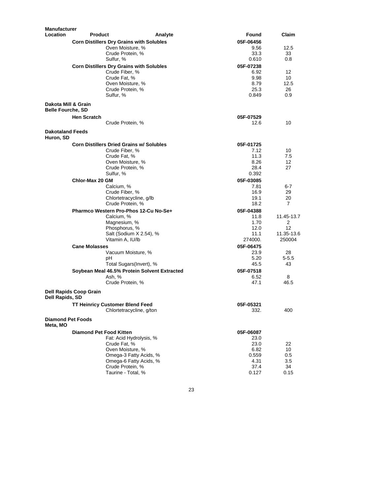| <b>Manufacturer</b>                  |                                |                                                        |         |                   |                 |
|--------------------------------------|--------------------------------|--------------------------------------------------------|---------|-------------------|-----------------|
| Location                             | <b>Product</b>                 |                                                        | Analyte | Found             | Claim           |
|                                      |                                | <b>Corn Distillers Dry Grains with Solubles</b>        |         | 05F-06456         |                 |
|                                      |                                | Oven Moisture, %                                       |         | 9.56              | 12.5            |
|                                      |                                | Crude Protein, %                                       |         | 33.3              | 33              |
|                                      |                                | Sulfur, %                                              |         | 0.610             | 0.8             |
|                                      |                                | <b>Corn Distillers Dry Grains with Solubles</b>        |         | 05F-07238         |                 |
|                                      |                                | Crude Fiber, %                                         |         | 6.92              | 12              |
|                                      |                                | Crude Fat, %                                           |         | 9.98              | 10              |
|                                      |                                | Oven Moisture, %                                       |         | 8.79              | 12.5            |
|                                      |                                | Crude Protein, %<br>Sulfur, %                          |         | 25.3<br>0.849     | 26<br>0.9       |
| Dakota Mill & Grain                  |                                |                                                        |         |                   |                 |
| <b>Belle Fourche, SD</b>             |                                |                                                        |         |                   |                 |
|                                      | <b>Hen Scratch</b>             |                                                        |         | 05F-07529         |                 |
|                                      |                                | Crude Protein, %                                       |         | 12.6              | 10              |
| <b>Dakotaland Feeds</b><br>Huron, SD |                                |                                                        |         |                   |                 |
|                                      |                                | <b>Corn Distillers Dried Grains w/ Solubles</b>        |         | 05F-01725         |                 |
|                                      |                                | Crude Fiber, %                                         |         | 7.12              | 10              |
|                                      |                                | Crude Fat, %                                           |         | 11.3              | 7.5             |
|                                      |                                | Oven Moisture, %<br>Crude Protein, %                   |         | 8.26<br>28.4      | 12<br>27        |
|                                      |                                | Sulfur, %                                              |         | 0.392             |                 |
|                                      | Chlor-Max 20 GM                |                                                        |         | 05F-03085         |                 |
|                                      |                                | Calcium, %                                             |         | 7.81              | $6-7$           |
|                                      |                                | Crude Fiber, %                                         |         | 16.9              | 29              |
|                                      |                                | Chlortetracycline, g/lb                                |         | 19.1              | 20              |
|                                      |                                | Crude Protein, %                                       |         | 18.2              | 7               |
|                                      |                                | Pharmco Western Pro-Phos 12-Cu No-Se+                  |         | 05F-04388         |                 |
|                                      |                                | Calcium, %                                             |         | 11.8              | 11.45-13.7      |
|                                      |                                | Magnesium, %                                           |         | 1.70              | $\overline{2}$  |
|                                      |                                | Phosphorus, %                                          |         | 12.0              | 12              |
|                                      |                                | Salt (Sodium X 2.54), %                                |         | 11.1              | 11.35-13.6      |
|                                      |                                | Vitamin A, IU/lb                                       |         | 274000.           | 250004          |
|                                      | <b>Cane Molasses</b>           |                                                        |         | 05F-06475         |                 |
|                                      |                                | Vacuum Moisture, %                                     |         | 23.9              | 28              |
|                                      |                                | pН<br>Total Sugars(Invert), %                          |         | 5.20<br>45.5      | $5 - 5.5$<br>43 |
|                                      |                                |                                                        |         |                   |                 |
|                                      |                                | Soybean Meal 46.5% Protein Solvent Extracted<br>Ash, % |         | 05F-07518<br>6.52 | 8               |
|                                      |                                | Crude Protein, %                                       |         | 47.1              | 46.5            |
|                                      | <b>Dell Rapids Coop Grain</b>  |                                                        |         |                   |                 |
| Dell Rapids, SD                      |                                |                                                        |         |                   |                 |
|                                      |                                | <b>TT Heinricy Customer Blend Feed</b>                 |         | 05F-05321         |                 |
|                                      |                                | Chlortetracycline, g/ton                               |         | 332.              | 400             |
| <b>Diamond Pet Foods</b><br>Meta, MO |                                |                                                        |         |                   |                 |
|                                      | <b>Diamond Pet Food Kitten</b> |                                                        |         | 05F-06087         |                 |
|                                      |                                | Fat: Acid Hydrolysis, %                                |         | 23.0              |                 |
|                                      |                                | Crude Fat, %                                           |         | 23.0              | 22              |
|                                      |                                | Oven Moisture, %                                       |         | 6.82              | 10              |
|                                      |                                | Omega-3 Fatty Acids, %<br>Omega-6 Fatty Acids, %       |         | 0.559<br>4.31     | 0.5<br>3.5      |
|                                      |                                | Crude Protein, %                                       |         | 37.4              | 34              |
|                                      |                                | Taurine - Total, %                                     |         | 0.127             | 0.15            |
|                                      |                                |                                                        |         |                   |                 |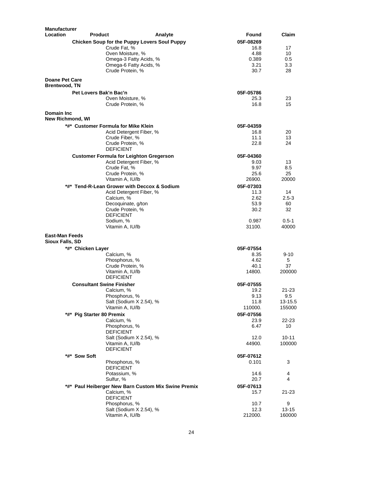| <b>Manufacturer</b>   |                                                     |                   |              |
|-----------------------|-----------------------------------------------------|-------------------|--------------|
| Location              | <b>Product</b><br>Analyte                           | Found             | Claim        |
|                       | Chicken Soup for the Puppy Lovers Soul Puppy        | 05F-08269         |              |
|                       | Crude Fat, %                                        | 16.8              | 17           |
|                       | Oven Moisture, %                                    | 4.88              | 10           |
|                       | Omega-3 Fatty Acids, %                              | 0.389             | 0.5          |
|                       | Omega-6 Fatty Acids, %                              | 3.21              | 3.3          |
|                       | Crude Protein, %                                    | 30.7              | 28           |
| <b>Doane Pet Care</b> |                                                     |                   |              |
| <b>Brentwood, TN</b>  |                                                     |                   |              |
|                       | Pet Lovers Bak'n Bac'n                              | 05F-05786         |              |
|                       | Oven Moisture, %                                    | 25.3              | 23           |
|                       | Crude Protein, %                                    | 16.8              | 15           |
| Domain Inc.           |                                                     |                   |              |
| New Richmond, WI      |                                                     |                   |              |
|                       | *#* Customer Formula for Mike Klein                 | 05F-04359         |              |
|                       | Acid Detergent Fiber, %                             | 16.8              | 20           |
|                       | Crude Fiber, %<br>Crude Protein, %                  | 11.1<br>22.8      | 13<br>24     |
|                       | <b>DEFICIENT</b>                                    |                   |              |
|                       | <b>Customer Formula for Leighton Gregerson</b>      | 05F-04360         |              |
|                       | Acid Detergent Fiber, %                             | 9.03              | 13           |
|                       | Crude Fat, %                                        | 9.97              | 8.5          |
|                       | Crude Protein, %                                    | 25.6              | 25           |
|                       | Vitamin A. IU/lb                                    | 26900.            | 20000        |
|                       | *#* Tend-R-Lean Grower with Deccox & Sodium         | 05F-07303         |              |
|                       | Acid Detergent Fiber, %                             | 11.3              | 14           |
|                       | Calcium, %                                          | 2.62              | $2.5 - 3$    |
|                       | Decoquinate, g/ton                                  | 53.9              | 60           |
|                       | Crude Protein, %                                    | 30.2              | 32           |
|                       | <b>DEFICIENT</b>                                    |                   |              |
|                       | Sodium, %                                           | 0.987             | $0.5 - 1$    |
|                       | Vitamin A, IU/lb                                    | 31100.            | 40000        |
| <b>East-Man Feeds</b> |                                                     |                   |              |
| Sioux Falls, SD       |                                                     |                   |              |
| *#* Chicken Layer     |                                                     | 05F-07554         |              |
|                       | Calcium, %                                          | 8.35              | $9 - 10$     |
|                       | Phosphorus, %                                       | 4.62              | 5            |
|                       | Crude Protein, %                                    | 40.1<br>14800.    | 37<br>200000 |
|                       | Vitamin A, IU/lb<br><b>DEFICIENT</b>                |                   |              |
|                       | <b>Consultant Swine Finisher</b>                    | 05F-07555         |              |
|                       | Calcium, %                                          | 19.2              | 21-23        |
|                       | Phosphorus, %                                       | 9.13              | 9.5          |
|                       | Salt (Sodium X 2.54), %                             | 11.8              | 13-15.5      |
|                       | Vitamin A, IU/lb                                    | 110000.           | 155000       |
|                       | *#* Pig Starter 80 Premix                           | 05F-07556         |              |
|                       | Calcium, %                                          | 23.9              | 22-23        |
|                       | Phosphorus, %                                       | 6.47              | 10           |
|                       | <b>DEFICIENT</b>                                    |                   |              |
|                       | Salt (Sodium X 2.54), %                             | 12.0              | 10-11        |
|                       | Vitamin A, IU/lb                                    | 44900.            | 100000       |
|                       | <b>DEFICIENT</b>                                    |                   |              |
| *#* Sow Soft          |                                                     | 05F-07612         |              |
|                       | Phosphorus, %                                       | 0.101             | 3            |
|                       | <b>DEFICIENT</b>                                    |                   |              |
|                       | Potassium, %<br>Sulfur, %                           | 14.6<br>20.7      | 4<br>4       |
|                       | *#* Paul Heiberger New Barn Custom Mix Swine Premix |                   |              |
|                       | Calcium, %                                          | 05F-07613<br>15.7 | 21-23        |
|                       | <b>DEFICIENT</b>                                    |                   |              |
|                       | Phosphorus, %                                       | 10.7              | 9            |
|                       | Salt (Sodium X 2.54), %                             | 12.3              | 13-15        |
|                       | Vitamin A, IU/lb                                    | 212000.           | 160000       |
|                       |                                                     |                   |              |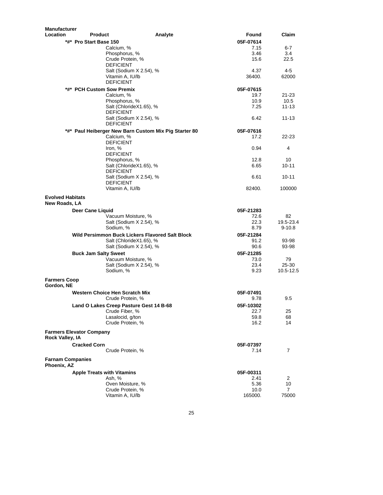| <b>Manufacturer</b><br>Location | <b>Product</b>                                        | Found                | Claim                   |
|---------------------------------|-------------------------------------------------------|----------------------|-------------------------|
|                                 | *#* Pro Start Base 150                                | Analyte<br>05F-07614 |                         |
|                                 |                                                       | 7.15                 | 6-7                     |
|                                 | Calcium, %<br>Phosphorus, %                           | 3.46                 | 3.4                     |
|                                 | Crude Protein, %                                      | 15.6                 | 22.5                    |
|                                 | <b>DEFICIENT</b>                                      |                      |                         |
|                                 | Salt (Sodium X 2.54), %                               | 4.37                 | $4 - 5$                 |
|                                 | Vitamin A, IU/lb                                      | 36400.               | 62000                   |
|                                 | <b>DEFICIENT</b>                                      |                      |                         |
|                                 | *#* PCH Custom Sow Premix                             | 05F-07615            |                         |
|                                 | Calcium, %                                            | 19.7                 | 21-23                   |
|                                 | Phosphorus, %                                         | 10.9                 | 10.5                    |
|                                 | Salt (ChlorideX1.65), %                               | 7.25                 | $11 - 13$               |
|                                 | <b>DEFICIENT</b>                                      |                      |                         |
|                                 | Salt (Sodium X 2.54), %                               | 6.42                 | $11 - 13$               |
|                                 | <b>DEFICIENT</b>                                      |                      |                         |
|                                 | *#* Paul Heiberger New Barn Custom Mix Pig Starter 80 | 05F-07616            |                         |
|                                 | Calcium, %                                            | 17.2                 | $22 - 23$               |
|                                 | <b>DEFICIENT</b>                                      |                      |                         |
|                                 | Iron, %                                               | 0.94                 | 4                       |
|                                 | <b>DEFICIENT</b>                                      |                      |                         |
|                                 | Phosphorus, %                                         | 12.8                 | 10                      |
|                                 | Salt (ChlorideX1.65), %<br><b>DEFICIENT</b>           | 6.65                 | $10 - 11$               |
|                                 | Salt (Sodium X 2.54), %                               | 6.61                 | $10 - 11$               |
|                                 | <b>DEFICIENT</b>                                      |                      |                         |
|                                 | Vitamin A, IU/lb                                      | 82400.               | 100000                  |
|                                 |                                                       |                      |                         |
| <b>Evolved Habitats</b>         |                                                       |                      |                         |
| New Roads, LA                   |                                                       |                      |                         |
|                                 | Deer Cane Liquid                                      | 05F-21283            |                         |
|                                 | Vacuum Moisture, %                                    | 72.6                 | 82                      |
|                                 | Salt (Sodium X 2.54), %<br>Sodium, %                  | 22.3<br>8.79         | 19.5-23.4<br>$9 - 10.8$ |
|                                 |                                                       |                      |                         |
|                                 | Wild Persimmon Buck Lickers Flavored Salt Block       | 05F-21284            |                         |
|                                 | Salt (ChlorideX1.65), %                               | 91.2                 | 93-98                   |
|                                 | Salt (Sodium X 2.54), %                               | 90.6                 | 93-98                   |
|                                 | <b>Buck Jam Salty Sweet</b>                           | 05F-21285            |                         |
|                                 | Vacuum Moisture, %                                    | 73.0                 | 79                      |
|                                 | Salt (Sodium X 2.54), %                               | 23.4                 | 25-30                   |
|                                 | Sodium, %                                             | 9.23                 | 10.5-12.5               |
| <b>Farmers Coop</b>             |                                                       |                      |                         |
| Gordon, NE                      |                                                       |                      |                         |
|                                 | Western Choice Hen Scratch Mix                        | 05F-07491            |                         |
|                                 | Crude Protein, %                                      | 9.78                 | 9.5                     |
|                                 | Land O Lakes Creep Pasture Gest 14 B-68               | 05F-10302            |                         |
|                                 | Crude Fiber, %                                        | 22.7                 | 25                      |
|                                 | Lasalocid, g/ton                                      | 59.8                 | 68                      |
|                                 | Crude Protein, %                                      | 16.2                 | 14                      |
|                                 | <b>Farmers Elevator Company</b>                       |                      |                         |
| Rock Valley, IA                 |                                                       |                      |                         |
|                                 | <b>Cracked Corn</b>                                   | 05F-07397            |                         |
|                                 | Crude Protein, %                                      | 7.14                 | 7                       |
| <b>Farnam Companies</b>         |                                                       |                      |                         |
| Phoenix, AZ                     |                                                       |                      |                         |
|                                 | <b>Apple Treats with Vitamins</b>                     | 05F-00311            |                         |
|                                 | Ash, %                                                | 2.41                 | $\overline{2}$          |
|                                 | Oven Moisture, %                                      | 5.36                 | 10                      |
|                                 |                                                       |                      |                         |
|                                 | Crude Protein, %                                      | 10.0                 | $\overline{7}$          |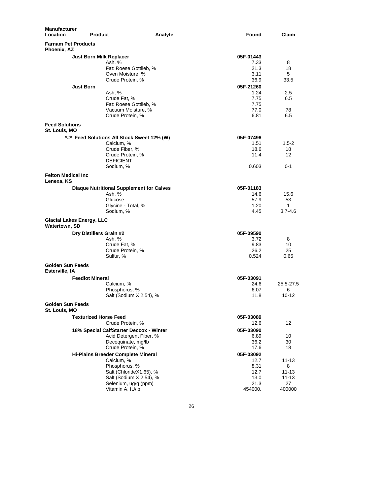| <b>Manufacturer</b><br>Location           | <b>Product</b>                   |                                                 | Analyte | Found        | Claim       |
|-------------------------------------------|----------------------------------|-------------------------------------------------|---------|--------------|-------------|
| Phoenix, AZ                               | <b>Farnam Pet Products</b>       |                                                 |         |              |             |
|                                           | <b>Just Born Milk Replacer</b>   |                                                 |         | 05F-01443    |             |
|                                           |                                  | Ash. %                                          |         | 7.33         | 8           |
|                                           |                                  | Fat: Roese Gottlieb, %                          |         | 21.3         | 18          |
|                                           |                                  | Oven Moisture, %                                |         | 3.11         | 5           |
|                                           |                                  | Crude Protein, %                                |         | 36.9         | 33.5        |
|                                           | <b>Just Born</b>                 |                                                 |         | 05F-21260    |             |
|                                           |                                  | Ash, %                                          |         | 1.24         | 2.5         |
|                                           |                                  | Crude Fat. %                                    |         | 7.75         | 6.5         |
|                                           |                                  | Fat: Roese Gottlieb, %                          |         | 7.75         |             |
|                                           |                                  | Vacuum Moisture, %<br>Crude Protein, %          |         | 77.0<br>6.81 | 78<br>6.5   |
| <b>Feed Solutions</b><br>St. Louis, MO    |                                  |                                                 |         |              |             |
|                                           |                                  | *#* Feed Solutions All Stock Sweet 12% (W)      |         | 05F-07496    |             |
|                                           |                                  | Calcium, %                                      |         | 1.51         | $1.5 - 2$   |
|                                           |                                  | Crude Fiber, %                                  |         | 18.6         | 18          |
|                                           |                                  | Crude Protein, %                                |         | 11.4         | 12          |
|                                           |                                  | DEFICIENT<br>Sodium, %                          |         | 0.603        | $0 - 1$     |
| <b>Felton Medical Inc.</b><br>Lenexa, KS  |                                  |                                                 |         |              |             |
|                                           |                                  | <b>Diaque Nutritional Supplement for Calves</b> |         | 05F-01183    |             |
|                                           |                                  | Ash, %                                          |         | 14.6         | 15.6        |
|                                           |                                  | Glucose                                         |         | 57.9         | 53          |
|                                           |                                  | Glycine - Total, %                              |         | 1.20         | 1           |
|                                           |                                  | Sodium, %                                       |         | 4.45         | $3.7 - 4.6$ |
| Watertown, SD                             | <b>Glacial Lakes Energy, LLC</b> |                                                 |         |              |             |
|                                           | Dry Distillers Grain #2          |                                                 |         | 05F-09590    |             |
|                                           |                                  | Ash, %                                          |         | 3.72         | 8           |
|                                           |                                  | Crude Fat, %                                    |         | 9.83         | 10          |
|                                           |                                  | Crude Protein, %                                |         | 26.2         | 25          |
|                                           |                                  | Sulfur, %                                       |         | 0.524        | 0.65        |
| <b>Golden Sun Feeds</b><br>Esterville, IA |                                  |                                                 |         |              |             |
|                                           | <b>Feedlot Mineral</b>           |                                                 |         | 05F-03091    |             |
|                                           |                                  | Calcium, %                                      |         | 24.6         | 25.5-27.5   |
|                                           |                                  | Phosphorus, %                                   |         | 6.07         | 6           |
| Golden Sun Feeds                          |                                  | Salt (Sodium X 2.54), %                         |         | 11.8         | $10 - 12$   |
| St. Louis, MO                             |                                  |                                                 |         |              |             |
|                                           | <b>Texturized Horse Feed</b>     |                                                 |         | 05F-03089    |             |
|                                           |                                  | Crude Protein, %                                |         | 12.6         | 12          |
|                                           |                                  | 18% Special CalfStarter Deccox - Winter         |         | 05F-03090    |             |
|                                           |                                  | Acid Detergent Fiber, %                         |         | 6.89         | 10          |
|                                           |                                  | Decoquinate, mg/lb                              |         | 36.2         | 30          |
|                                           |                                  | Crude Protein, %                                |         | 17.6         | 18          |
|                                           |                                  | <b>Hi-Plains Breeder Complete Mineral</b>       |         | 05F-03092    |             |
|                                           |                                  | Calcium, %<br>Phosphorus, %                     |         | 12.7<br>8.31 | 11-13       |
|                                           |                                  | Salt (ChlorideX1.65), %                         |         | 12.7         | 8<br>11-13  |
|                                           |                                  | Salt (Sodium X 2.54), %                         |         | 13.0         | 11-13       |
|                                           |                                  | Selenium, ug/g (ppm)                            |         | 21.3         | 27          |
|                                           |                                  | Vitamin A, IU/lb                                |         | 454000.      | 400000      |
|                                           |                                  |                                                 |         |              |             |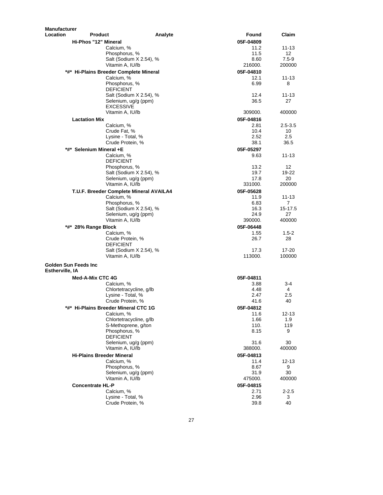| <b>Manufacturer</b>               |                                                      |         |                   |                           |
|-----------------------------------|------------------------------------------------------|---------|-------------------|---------------------------|
| <b>Location</b><br><b>Product</b> |                                                      | Analyte | Found             | Claim                     |
| Hi-Phos "12" Mineral              |                                                      |         | 05F-04809         |                           |
|                                   | Calcium, %                                           |         | 11.2              | 11-13                     |
|                                   | Phosphorus, %                                        |         | 11.5              | 12                        |
|                                   | Salt (Sodium X 2.54), %                              |         | 8.60              | $7.5 - 9$                 |
|                                   | Vitamin A, IU/lb                                     |         | 216000.           | 200000                    |
|                                   | *#* Hi-Plains Breeder Complete Mineral<br>Calcium, % |         | 05F-04810<br>12.1 | 11-13                     |
|                                   | Phosphorus, %                                        |         | 6.99              | 8                         |
|                                   | <b>DEFICIENT</b>                                     |         |                   |                           |
|                                   | Salt (Sodium X 2.54), %                              |         | 12.4              | 11-13                     |
|                                   | Selenium, ug/g (ppm)                                 |         | 36.5              | 27                        |
|                                   | <b>EXCESSIVE</b>                                     |         |                   |                           |
|                                   | Vitamin A, IU/lb                                     |         | 309000.           | 400000                    |
| <b>Lactation Mix</b>              |                                                      |         | 05F-04816         |                           |
|                                   | Calcium, %                                           |         | 2.81              | $2.5 - 3.5$               |
|                                   | Crude Fat, %                                         |         | 10.4<br>2.52      | 10<br>$2.5\,$             |
|                                   | Lysine - Total, %<br>Crude Protein, %                |         | 38.1              | 36.5                      |
| *#* Selenium Mineral +E           |                                                      |         | 05F-05297         |                           |
|                                   | Calcium, %                                           |         | 9.63              | $11 - 13$                 |
|                                   | <b>DEFICIENT</b>                                     |         |                   |                           |
|                                   | Phosphorus, %                                        |         | 13.2              | 12                        |
|                                   | Salt (Sodium X 2.54), %                              |         | 19.7              | 19-22                     |
|                                   | Selenium, ug/g (ppm)                                 |         | 17.8              | 20                        |
|                                   | Vitamin A, IU/lb                                     |         | 331000.           | 200000                    |
|                                   | T.U.F. Breeder Complete Mineral AVAILA4              |         | 05F-05628         |                           |
|                                   | Calcium, %                                           |         | 11.9              | 11-13                     |
|                                   | Phosphorus, %<br>Salt (Sodium X 2.54), %             |         | 6.83<br>16.3      | $\overline{7}$<br>15-17.5 |
|                                   | Selenium, ug/g (ppm)                                 |         | 24.9              | 27                        |
|                                   | Vitamin A, IU/lb                                     |         | 390000.           | 400000                    |
| *#* 28% Range Block               |                                                      |         | 05F-06448         |                           |
|                                   | Calcium, %                                           |         | 1.55              | $1.5 - 2$                 |
|                                   | Crude Protein, %                                     |         | 26.7              | 28                        |
|                                   | <b>DEFICIENT</b>                                     |         |                   |                           |
|                                   | Salt (Sodium X 2.54), %                              |         | 17.3              | 17-20                     |
|                                   | Vitamin A, IU/lb                                     |         | 113000.           | 100000                    |
| <b>Golden Sun Feeds Inc.</b>      |                                                      |         |                   |                           |
| <b>Estherville, IA</b>            |                                                      |         |                   |                           |
| Med-A-Mix CTC 4G                  |                                                      |         | 05F-04811         |                           |
|                                   | Calcium, %                                           |         | 3.88              | $3 - 4$                   |
|                                   | Chlortetracycline, q/lb                              |         | 4.48              | 4                         |
|                                   | Lysine - Total, %<br>Crude Protein, %                |         | 2.47<br>41.6      | 2.5<br>40                 |
|                                   | *#* Hi-Plains Breeder Mineral CTC 1G                 |         | 05F-04812         |                           |
|                                   | Calcium, %                                           |         | 11.6              | $12 - 13$                 |
|                                   | Chlortetracycline, g/lb                              |         | 1.66              | 1.9                       |
|                                   | S-Methoprene, g/ton                                  |         | 110.              | 119                       |
|                                   | Phosphorus, %                                        |         | 8.15              | 9                         |
|                                   | <b>DEFICIENT</b>                                     |         |                   |                           |
|                                   | Selenium, ug/g (ppm)                                 |         | 31.6              | 30                        |
|                                   | Vitamin A, IU/lb                                     |         | 388000.           | 400000                    |
|                                   | <b>Hi-Plains Breeder Mineral</b>                     |         | 05F-04813         |                           |
|                                   | Calcium, %<br>Phosphorus, %                          |         | 11.4<br>8.67      | 12-13<br>9                |
|                                   | Selenium, ug/g (ppm)                                 |         | 31.9              | 30                        |
|                                   | Vitamin A, IU/lb                                     |         | 475000.           | 400000                    |
| <b>Concentrate HL-P</b>           |                                                      |         | 05F-04815         |                           |
|                                   | Calcium, %                                           |         | 2.71              | $2 - 2.5$                 |
|                                   | Lysine - Total, %                                    |         | 2.96              | 3                         |
|                                   | Crude Protein, %                                     |         | 39.8              | 40                        |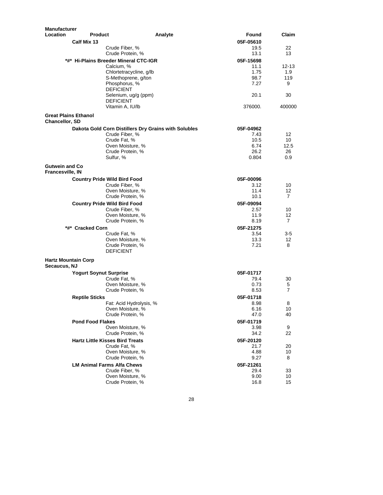| <b>Manufacturer</b>                       |                               |                                                      |         |              |            |
|-------------------------------------------|-------------------------------|------------------------------------------------------|---------|--------------|------------|
| Location                                  | <b>Product</b>                |                                                      | Analyte | Found        | Claim      |
|                                           | Calf Mix 13                   |                                                      |         | 05F-05610    |            |
|                                           |                               | Crude Fiber, %                                       |         | 19.5         | 22         |
|                                           |                               | Crude Protein, %                                     |         | 13.1         | 13         |
|                                           |                               | *#* Hi-Plains Breeder Mineral CTC-IGR                |         | 05F-15698    |            |
|                                           |                               | Calcium, %                                           |         | 11.1         | 12-13      |
|                                           |                               | Chlortetracycline, g/lb<br>S-Methoprene, g/ton       |         | 1.75<br>98.7 | 1.9<br>119 |
|                                           |                               | Phosphorus, %                                        |         | 7.27         | 9          |
|                                           |                               | <b>DEFICIENT</b>                                     |         |              |            |
|                                           |                               | Selenium, ug/g (ppm)                                 |         | 20.1         | 30         |
|                                           |                               | <b>DEFICIENT</b>                                     |         |              |            |
|                                           |                               | Vitamin A, IU/lb                                     |         | 376000.      | 400000     |
| <b>Chancellor, SD</b>                     | <b>Great Plains Ethanol</b>   |                                                      |         |              |            |
|                                           |                               | Dakota Gold Corn Distillers Dry Grains with Solubles |         | 05F-04962    |            |
|                                           |                               | Crude Fiber, %                                       |         | 7.43         | 12         |
|                                           |                               | Crude Fat, %                                         |         | 10.5         | 10         |
|                                           |                               | Oven Moisture, %                                     |         | 6.74         | 12.5       |
|                                           |                               | Crude Protein, %                                     |         | 26.2         | 26         |
|                                           |                               | Sulfur, %                                            |         | 0.804        | 0.9        |
| <b>Gutwein and Co</b><br>Francesville, IN |                               |                                                      |         |              |            |
|                                           |                               | <b>Country Pride Wild Bird Food</b>                  |         | 05F-00096    |            |
|                                           |                               | Crude Fiber, %                                       |         | 3.12         | 10         |
|                                           |                               | Oven Moisture, %                                     |         | 11.4         | 12         |
|                                           |                               | Crude Protein, %                                     |         | 10.1         | 7          |
|                                           |                               | <b>Country Pride Wild Bird Food</b>                  |         | 05F-09094    |            |
|                                           |                               | Crude Fiber, %                                       |         | 2.57         | 10         |
|                                           |                               | Oven Moisture, %                                     |         | 11.9         | 12         |
|                                           |                               | Crude Protein, %                                     |         | 8.19         | 7          |
|                                           | *#* Cracked Corn              |                                                      |         | 05F-21275    |            |
|                                           |                               | Crude Fat, %                                         |         | 3.54         | 3-5        |
|                                           |                               | Oven Moisture, %<br>Crude Protein, %                 |         | 13.3<br>7.21 | 12<br>8    |
|                                           |                               | <b>DEFICIENT</b>                                     |         |              |            |
|                                           | <b>Hartz Mountain Corp</b>    |                                                      |         |              |            |
| Secaucus, NJ                              |                               |                                                      |         |              |            |
|                                           | <b>Yogurt Soynut Surprise</b> |                                                      |         | 05F-01717    |            |
|                                           |                               | Crude Fat, %                                         |         | 79.4         | 30         |
|                                           |                               | Oven Moisture, %                                     |         | 0.73         | 5          |
|                                           |                               | Crude Protein, %                                     |         | 8.53         | 7          |
|                                           | <b>Reptile Sticks</b>         |                                                      |         | 05F-01718    |            |
|                                           |                               | Fat: Acid Hydrolysis, %<br>Oven Moisture, %          |         | 8.98<br>6.16 | 8<br>10    |
|                                           |                               | Crude Protein, %                                     |         | 47.0         | 40         |
|                                           | <b>Pond Food Flakes</b>       |                                                      |         | 05F-01719    |            |
|                                           |                               | Oven Moisture, %                                     |         | 3.98         | 9          |
|                                           |                               | Crude Protein, %                                     |         | 34.2         | 22         |
|                                           |                               | <b>Hartz Little Kisses Bird Treats</b>               |         | 05F-20120    |            |
|                                           |                               | Crude Fat, %                                         |         | 21.7         | 20         |
|                                           |                               | Oven Moisture, %                                     |         | 4.88         | 10         |
|                                           |                               | Crude Protein, %                                     |         | 9.27         | 8          |
|                                           |                               | <b>LM Animal Farms Alfa Chews</b>                    |         | 05F-21261    |            |
|                                           |                               | Crude Fiber, %                                       |         | 29.4         | 33         |
|                                           |                               | Oven Moisture, %                                     |         | 9.00         | 10         |
|                                           |                               | Crude Protein, %                                     |         | 16.8         | 15         |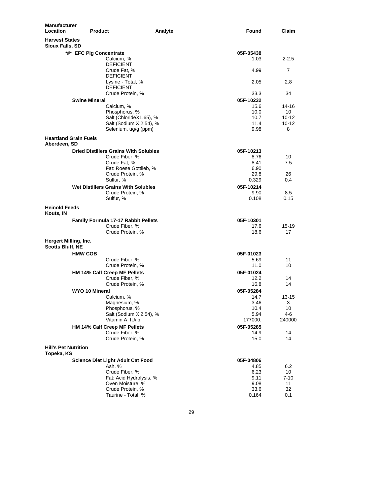| Manufacturer<br>Location                         | <b>Product</b>                               | Analyte                 | Found     | Claim     |
|--------------------------------------------------|----------------------------------------------|-------------------------|-----------|-----------|
| <b>Harvest States</b><br>Sioux Falls, SD         |                                              |                         |           |           |
|                                                  | *#* EFC Pig Concentrate                      |                         | 05F-05438 |           |
|                                                  | Calcium, %                                   |                         | 1.03      | $2 - 2.5$ |
|                                                  | <b>DEFICIENT</b>                             |                         |           |           |
|                                                  | Crude Fat, %                                 |                         | 4.99      | 7         |
|                                                  | <b>DEFICIENT</b>                             |                         |           |           |
|                                                  | Lysine - Total, %                            |                         | 2.05      | 2.8       |
|                                                  | <b>DEFICIENT</b>                             |                         |           |           |
|                                                  | Crude Protein, %                             |                         | 33.3      | 34        |
|                                                  | <b>Swine Mineral</b>                         |                         | 05F-10232 |           |
|                                                  | Calcium, %                                   |                         | 15.6      | 14-16     |
|                                                  | Phosphorus, %                                |                         | 10.0      | 10        |
|                                                  |                                              | Salt (ChlorideX1.65), % | 10.7      | 10-12     |
|                                                  |                                              | Salt (Sodium X 2.54), % | 11.4      | 10-12     |
|                                                  | Selenium, ug/g (ppm)                         |                         | 9.98      | 8         |
| Aberdeen, SD                                     | <b>Heartland Grain Fuels</b>                 |                         |           |           |
|                                                  | <b>Dried Distillers Grains With Solubles</b> |                         | 05F-10213 |           |
|                                                  | Crude Fiber, %                               |                         | 8.76      | 10        |
|                                                  | Crude Fat, %                                 |                         | 8.41      | 7.5       |
|                                                  |                                              | Fat: Roese Gottlieb, %  | 6.90      |           |
|                                                  | Crude Protein, %                             |                         | 29.8      | 26        |
|                                                  | Sulfur, %                                    |                         | 0.329     | 0.4       |
|                                                  | Wet Distillers Grains With Solubles          |                         | 05F-10214 |           |
|                                                  | Crude Protein, %                             |                         | 9.90      | 8.5       |
|                                                  | Sulfur, %                                    |                         | 0.108     | 0.15      |
| <b>Heinold Feeds</b><br>Kouts, IN                |                                              |                         |           |           |
|                                                  | <b>Family Formula 17-17 Rabbit Pellets</b>   |                         | 05F-10301 |           |
|                                                  | Crude Fiber, %                               |                         | 17.6      | 15-19     |
|                                                  | Crude Protein, %                             |                         | 18.6      | 17        |
| Hergert Milling, Inc.<br><b>Scotts Bluff, NE</b> |                                              |                         |           |           |
|                                                  | <b>HMW COB</b>                               |                         | 05F-01023 |           |
|                                                  | Crude Fiber, %                               |                         | 5.69      | 11        |
|                                                  | Crude Protein, %                             |                         | 11.0      | 10        |
|                                                  | HM 14% Calf Creep MF Pellets                 |                         | 05F-01024 |           |
|                                                  | Crude Fiber, %                               |                         | 12.2      | 14        |
|                                                  | Crude Protein, %                             |                         | 16.8      | 14        |
|                                                  | WYO 10 Mineral                               |                         | 05F-05284 |           |
|                                                  | Calcium, %                                   |                         | 14.7      | 13-15     |
|                                                  | Magnesium, %                                 |                         | 3.46      | 3         |
|                                                  | Phosphorus, %                                |                         | 10.4      | 10        |
|                                                  |                                              | Salt (Sodium X 2.54), % | 5.94      | 4-6       |
|                                                  | Vitamin A, IU/lb                             |                         | 177000.   | 240000    |
|                                                  | HM 14% Calf Creep MF Pellets                 |                         | 05F-05285 |           |
|                                                  | Crude Fiber, %                               |                         | 14.9      | 14        |
|                                                  | Crude Protein, %                             |                         | 15.0      | 14        |
| <b>Hill's Pet Nutrition</b><br>Topeka, KS        |                                              |                         |           |           |
|                                                  | <b>Science Diet Light Adult Cat Food</b>     |                         | 05F-04806 |           |
|                                                  | Ash, %                                       |                         | 4.85      | 6.2       |
|                                                  | Crude Fiber, %                               |                         | 6.23      | 10        |
|                                                  |                                              | Fat: Acid Hydrolysis, % | 9.11      | 7-10      |
|                                                  | Oven Moisture, %                             |                         | 9.08      | 11        |
|                                                  | Crude Protein, %                             |                         | 33.6      | 32        |
|                                                  | Taurine - Total, %                           |                         | 0.164     | 0.1       |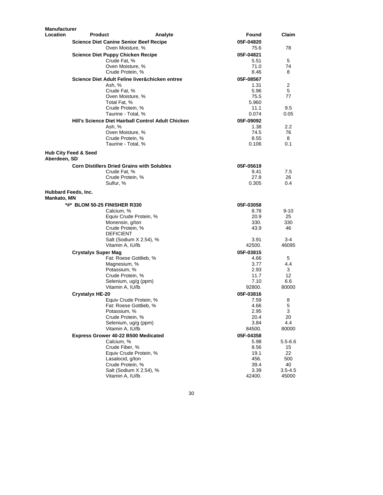| <b>Manufacturer</b>                |                                                          |                                                    |                   |          |
|------------------------------------|----------------------------------------------------------|----------------------------------------------------|-------------------|----------|
| Location                           | <b>Product</b>                                           | Analyte                                            | Found             | Claim    |
|                                    | <b>Science Diet Canine Senior Beef Recipe</b>            |                                                    | 05F-04820         |          |
|                                    | Oven Moisture, %                                         | 75.6                                               | 78                |          |
|                                    | <b>Science Diet Puppy Chicken Recipe</b>                 | 05F-04821                                          |                   |          |
|                                    | Crude Fat. %                                             |                                                    | 5.51              | 5        |
|                                    | Oven Moisture, %<br>Crude Protein, %                     |                                                    | 71.0<br>8.46      | 74<br>8  |
|                                    |                                                          |                                                    |                   |          |
|                                    | Science Diet Adult Feline liver&chicken entree<br>Ash, % |                                                    | 05F-08567<br>1.31 | 2        |
|                                    | Crude Fat, %                                             |                                                    | 5.96              | 5        |
|                                    | Oven Moisture, %                                         |                                                    | 75.5              | 77       |
|                                    | Total Fat, %                                             |                                                    | 5.960             |          |
|                                    | Crude Protein, %                                         |                                                    | 11.1              | 9.5      |
|                                    | Taurine - Total, %                                       |                                                    | 0.074             | 0.05     |
|                                    |                                                          | Hill's Science Diet Hairball Control Adult Chicken | 05F-09092         |          |
|                                    | Ash, %                                                   |                                                    | 1.38              | 2.2      |
|                                    | Oven Moisture, %                                         |                                                    | 74.5              | 76       |
|                                    | Crude Protein, %<br>Taurine - Total, %                   |                                                    | 8.55<br>0.106     | 8<br>0.1 |
|                                    |                                                          |                                                    |                   |          |
| Aberdeen, SD                       | <b>Hub City Feed &amp; Seed</b>                          |                                                    |                   |          |
|                                    | <b>Corn Distillers Dried Grains with Solubles</b>        |                                                    | 05F-05619         |          |
|                                    | Crude Fat. %                                             |                                                    | 9.41              | 7.5      |
|                                    | Crude Protein, %                                         |                                                    | 27.8              | 26       |
|                                    | Sulfur, %                                                |                                                    | 0.305             | 0.4      |
| Hubbard Feeds, Inc.<br>Mankato, MN |                                                          |                                                    |                   |          |
|                                    | *#* BLOM 50-25 FINISHER R330                             |                                                    | 05F-03058         |          |
|                                    | Calcium, %                                               |                                                    | 8.78              | $9 - 10$ |
|                                    |                                                          | Equiv Crude Protein, %                             | 20.9              | 25       |
|                                    | Monensin, g/ton                                          |                                                    | 330.              | 330      |
|                                    | Crude Protein, %                                         |                                                    | 43.9              | 46       |
|                                    | <b>DEFICIENT</b>                                         |                                                    | 3.91              | 3-4      |
|                                    | Vitamin A, IU/lb                                         | Salt (Sodium X 2.54), %                            | 42500.            | 46095    |
|                                    | <b>Crystalyx Super Mag</b>                               |                                                    | 05F-03815         |          |
|                                    |                                                          | Fat: Roese Gottlieb, %                             | 4.66              | 5        |
|                                    | Magnesium, %                                             |                                                    | 3.77              | 4.4      |
|                                    | Potassium, %                                             |                                                    | 2.93              | 3        |
|                                    | Crude Protein, %                                         |                                                    | 11.7              | 12       |
|                                    |                                                          | Selenium, ug/g (ppm)                               | 7.10              | 6.6      |
|                                    | Vitamin A, IU/lb                                         |                                                    | 92800.            | 80000    |
|                                    | <b>Crystalyx HE-20</b>                                   |                                                    | 05F-03816         |          |
|                                    |                                                          | Equiv Crude Protein, %                             | 7.59              | 8        |
|                                    |                                                          | Fat: Roese Gottlieb, %                             | 4.66              | 5        |
|                                    | Potassium, %<br>Crude Protein, %                         |                                                    | 2.95<br>20.4      | 3<br>20  |
|                                    |                                                          | Selenium, ug/g (ppm)                               | 3.84              | 4.4      |
|                                    | Vitamin A, IU/lb                                         |                                                    | 84500.            | 80000    |
|                                    | Express Grower 40-22 B500 Medicated                      |                                                    | 05F-04358         |          |
|                                    | Calcium, %                                               |                                                    | 5.98              | 5.5-6.6  |
|                                    | Crude Fiber, %                                           |                                                    | 8.56              | 15       |
|                                    |                                                          | Equiv Crude Protein, %                             | 19.1              | 22       |
|                                    | Lasalocid, g/ton                                         |                                                    | 456.              | 500      |
|                                    | Crude Protein, %                                         |                                                    | 39.4              | 40       |
|                                    |                                                          | Salt (Sodium X 2.54), %                            | 3.39              | 3.5-4.5  |
|                                    | Vitamin A, IU/lb                                         |                                                    | 42400.            | 45000    |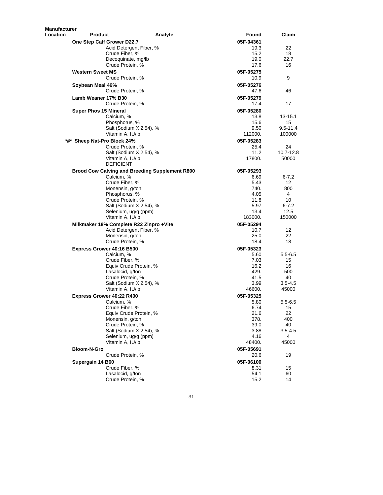| <b>Manufacturer</b> |                                                                    |         |                   |                        |
|---------------------|--------------------------------------------------------------------|---------|-------------------|------------------------|
| Location            | Product                                                            | Analyte | Found             | Claim                  |
|                     | One Step Calf Grower D22.7                                         |         | 05F-04361         |                        |
|                     | Acid Detergent Fiber, %                                            |         | 19.3              | 22                     |
|                     | Crude Fiber, %                                                     |         | 15.2              | 18                     |
|                     | Decoquinate, mg/lb<br>Crude Protein, %                             |         | 19.0<br>17.6      | 22.7<br>16             |
|                     |                                                                    |         |                   |                        |
|                     | <b>Western Sweet MS</b>                                            |         | 05F-05275         |                        |
|                     | Crude Protein, %                                                   |         | 10.9              | 9                      |
|                     | Soybean Meal 46%                                                   |         | 05F-05276         |                        |
|                     | Crude Protein, %                                                   |         | 47.6              | 46                     |
|                     | Lamb Weaner 17% B30                                                |         | 05F-05279         |                        |
|                     | Crude Protein, %                                                   |         | 17.4              | 17                     |
|                     | <b>Super Phos 15 Mineral</b>                                       |         | 05F-05280         |                        |
|                     | Calcium, %                                                         |         | 13.8              | $13 - 15.1$            |
|                     | Phosphorus, %                                                      |         | 15.6              | 15                     |
|                     | Salt (Sodium X 2.54), %                                            |         | 9.50<br>112000.   | $9.5 - 11.4$<br>100000 |
|                     | Vitamin A, IU/lb                                                   |         |                   |                        |
|                     | *#* Sheep Nat-Pro Block 24%                                        |         | 05F-05283<br>25.4 | 24                     |
|                     | Crude Protein, %<br>Salt (Sodium X 2.54), %                        |         | 11.2              | 10.7-12.8              |
|                     | Vitamin A, IU/lb                                                   |         | 17800.            | 50000                  |
|                     | <b>DEFICIENT</b>                                                   |         |                   |                        |
|                     | <b>Brood Cow Calving and Breeding Supplement R800</b>              |         | 05F-05293         |                        |
|                     | Calcium, %                                                         |         | 6.69              | $6 - 7.2$              |
|                     | Crude Fiber, %                                                     |         | 5.43              | 12                     |
|                     | Monensin, g/ton                                                    |         | 740.              | 800                    |
|                     | Phosphorus, %                                                      |         | 4.05              | 4                      |
|                     | Crude Protein, %                                                   |         | 11.8              | 10                     |
|                     | Salt (Sodium X 2.54), %                                            |         | 5.97<br>13.4      | $6 - 7.2$<br>12.5      |
|                     | Selenium, ug/g (ppm)<br>Vitamin A, IU/lb                           |         | 183000.           | 150000                 |
|                     |                                                                    |         |                   |                        |
|                     | Milkmaker 18% Complete R22 Zinpro +Vite<br>Acid Detergent Fiber, % |         | 05F-05294<br>10.7 | 12                     |
|                     | Monensin, g/ton                                                    |         | 25.0              | 22                     |
|                     | Crude Protein, %                                                   |         | 18.4              | 18                     |
|                     | <b>Express Grower 40:16 B500</b>                                   |         | 05F-05323         |                        |
|                     | Calcium, %                                                         |         | 5.60              | $5.5 - 6.5$            |
|                     | Crude Fiber, %                                                     |         | 7.03              | 15                     |
|                     | Equiv Crude Protein, %                                             |         | 16.2              | 16                     |
|                     | Lasalocid, g/ton                                                   |         | 429.              | 500                    |
|                     | Crude Protein, %                                                   |         | 41.5              | 40                     |
|                     | Salt (Sodium X 2.54), %                                            |         | 3.99              | 3.5-4.5                |
|                     | Vitamin A, IU/lb                                                   |         | 46600.            | 45000                  |
|                     | <b>Express Grower 40:22 R400</b>                                   |         | 05F-05325         |                        |
|                     | Calcium, %                                                         |         | 5.80              | $5.5 - 6.5$            |
|                     | Crude Fiber, %                                                     |         | 6.74              | 15                     |
|                     | Equiv Crude Protein, %                                             |         | 21.6              | 22                     |
|                     | Monensin, g/ton<br>Crude Protein, %                                |         | 378.<br>39.0      | 400<br>40              |
|                     | Salt (Sodium X 2.54), %                                            |         | 3.88              | $3.5 - 4.5$            |
|                     | Selenium, ug/g (ppm)                                               |         | 4.16              | 4                      |
|                     | Vitamin A, IU/lb                                                   |         | 48400.            | 45000                  |
|                     | <b>Bloom-N-Gro</b>                                                 |         | 05F-05691         |                        |
|                     | Crude Protein, %                                                   |         | 20.6              | 19                     |
|                     | Supergain 14 B60                                                   |         | 05F-06100         |                        |
|                     | Crude Fiber, %                                                     |         | 8.31              | 15                     |
|                     | Lasalocid, g/ton                                                   |         | 54.1              | 60                     |
|                     | Crude Protein, %                                                   |         | 15.2              | 14                     |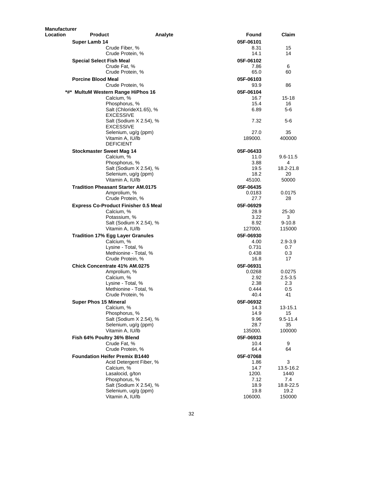| Manufacturer |                              |                                             |         |               |               |
|--------------|------------------------------|---------------------------------------------|---------|---------------|---------------|
| Location     | <b>Product</b>               |                                             | Analyte | Found         | Claim         |
|              | Super Lamb 14                |                                             |         | 05F-06101     |               |
|              |                              | Crude Fiber, %                              |         | 8.31          | 15            |
|              |                              | Crude Protein, %                            |         | 14.1          | 14            |
|              | Special Select Fish Meal     |                                             |         | 05F-06102     |               |
|              |                              | Crude Fat, %                                |         | 7.86          | 6             |
|              |                              | Crude Protein, %                            |         | 65.0          | 60            |
|              | <b>Porcine Blood Meal</b>    |                                             |         | 05F-06103     |               |
|              |                              | Crude Protein, %                            |         | 93.9          | 86            |
|              |                              | *#* MultuM Western Range HiPhos 16          |         | 05F-06104     |               |
|              |                              | Calcium, %                                  |         | 16.7          | $15 - 18$     |
|              |                              | Phosphorus, %                               |         | 15.4          | 16            |
|              |                              | Salt (ChlorideX1.65), %<br><b>EXCESSIVE</b> |         | 6.89          | 5-6           |
|              |                              | Salt (Sodium X 2.54), %                     |         | 7.32          | $5-6$         |
|              |                              | <b>EXCESSIVE</b><br>Selenium, ug/g (ppm)    |         | 27.0          | 35            |
|              |                              | Vitamin A, IU/lb                            |         | 189000.       | 400000        |
|              |                              | <b>DEFICIENT</b>                            |         |               |               |
|              |                              | <b>Stockmaster Sweet Mag 14</b>             |         | 05F-06433     |               |
|              |                              | Calcium, %                                  |         | 11.0          | $9.6 - 11.5$  |
|              |                              | Phosphorus, %                               |         | 3.88          | 4             |
|              |                              | Salt (Sodium X 2.54), %                     |         | 19.5          | 18.2-21.8     |
|              |                              | Selenium, ug/g (ppm)                        |         | 18.2          | 20            |
|              |                              | Vitamin A, IU/lb                            |         | 45100.        | 50000         |
|              |                              | <b>Tradition Pheasant Starter AM.0175</b>   |         | 05F-06435     |               |
|              |                              | Amprolium, %                                |         | 0.0183        | 0.0175        |
|              |                              | Crude Protein, %                            |         | 27.7          | 28            |
|              |                              | <b>Express Co-Product Finisher 0.5 Meal</b> |         | 05F-06929     |               |
|              |                              | Calcium, %                                  |         | 28.9          | 25-30         |
|              |                              | Potassium, %                                |         | 3.22          | 3             |
|              |                              | Salt (Sodium X 2.54), %                     |         | 8.92          | $9 - 10.8$    |
|              |                              | Vitamin A, IU/lb                            |         | 127000.       | 115000        |
|              |                              | <b>Tradition 17% Egg Layer Granules</b>     |         | 05F-06930     |               |
|              |                              | Calcium, %                                  |         | 4.00          | 2.9-3.9       |
|              |                              | Lysine - Total, %                           |         | 0.731         | 0.7           |
|              |                              | Methionine - Total, %                       |         | 0.438         | 0.3           |
|              |                              | Crude Protein, %                            |         | 16.8          | 17            |
|              |                              | Chick Concentrate 41% AM.0275               |         | 05F-06931     |               |
|              |                              | Amprolium, %                                |         | 0.0268        | 0.0275        |
|              |                              | Calcium, %                                  |         | 2.92          | $2.5 - 3.5$   |
|              |                              | Lysine - Total, %<br>Methionine - Total, %  |         | 2.38          | 2.3           |
|              |                              | Crude Protein, %                            |         | 0.444<br>40.4 | 0.5<br>41     |
|              |                              |                                             |         |               |               |
|              | <b>Super Phos 15 Mineral</b> |                                             |         | 05F-06932     |               |
|              |                              | Calcium, %<br>Phosphorus, %                 |         | 14.3<br>14.9  | 13-15.1<br>15 |
|              |                              | Salt (Sodium X 2.54), %                     |         | 9.96          | $9.5 - 11.4$  |
|              |                              | Selenium, ug/g (ppm)                        |         | 28.7          | 35            |
|              |                              | Vitamin A, IU/lb                            |         | 135000.       | 100000        |
|              |                              | Fish 64% Poultry 36% Blend                  |         | 05F-06933     |               |
|              |                              | Crude Fat, %                                |         | 10.4          | 9             |
|              |                              | Crude Protein, %                            |         | 64.4          | 64            |
|              |                              | <b>Foundation Heifer Premix B1440</b>       |         | 05F-07068     |               |
|              |                              | Acid Detergent Fiber, %                     |         | 1.86          | 3             |
|              |                              | Calcium, %                                  |         | 14.7          | 13.5-16.2     |
|              |                              | Lasalocid, g/ton                            |         | 1200.         | 1440          |
|              |                              | Phosphorus, %                               |         | 7.12          | 7.4           |
|              |                              | Salt (Sodium X 2.54), %                     |         | 18.9          | 18.8-22.5     |
|              |                              | Selenium, ug/g (ppm)                        |         | 19.8          | 19.2          |
|              |                              | Vitamin A, IU/lb                            |         | 106000.       | 150000        |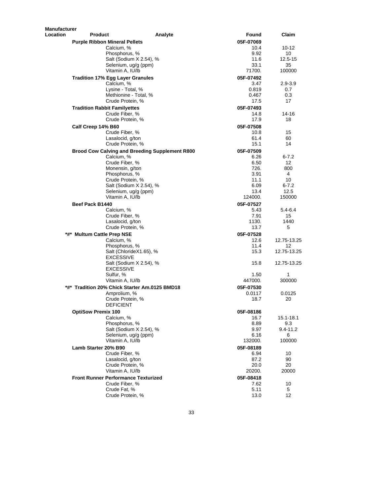| <b>Manufacturer</b> |                                                       |         |           |             |
|---------------------|-------------------------------------------------------|---------|-----------|-------------|
| <b>Location</b>     | <b>Product</b>                                        | Analyte | Found     | Claim       |
|                     | <b>Purple Ribbon Mineral Pellets</b>                  |         | 05F-07069 |             |
|                     | Calcium. %                                            |         | 10.4      | 10-12       |
|                     | Phosphorus, %                                         |         | 9.92      | 10          |
|                     | Salt (Sodium X 2.54), %                               |         | 11.6      | 12.5-15     |
|                     | Selenium, ug/g (ppm)                                  |         | 33.1      | 35          |
|                     | Vitamin A, IU/lb                                      |         | 71700.    | 100000      |
|                     | <b>Tradition 17% Egg Layer Granules</b>               |         | 05F-07492 |             |
|                     | Calcium, %                                            |         | 3.47      | 2.9-3.9     |
|                     | Lysine - Total, %                                     |         | 0.819     | 0.7         |
|                     | Methionine - Total, %                                 |         | 0.467     | 0.3         |
|                     | Crude Protein, %                                      |         | 17.5      | 17          |
|                     | <b>Tradition Rabbit Familyettes</b>                   |         | 05F-07493 |             |
|                     | Crude Fiber, %                                        |         | 14.8      | 14-16       |
|                     | Crude Protein, %                                      |         | 17.9      | 18          |
|                     | Calf Creep 14% B60                                    |         | 05F-07508 |             |
|                     | Crude Fiber, %                                        |         | 10.8      | 15          |
|                     | Lasalocid, g/ton                                      |         | 61.4      | 60          |
|                     | Crude Protein, %                                      |         | 15.1      | 14          |
|                     | <b>Brood Cow Calving and Breeding Supplement R800</b> |         | 05F-07509 |             |
|                     | Calcium, %                                            |         | 6.26      | 6-7.2       |
|                     | Crude Fiber, %                                        |         | 6.50      | 12          |
|                     | Monensin, g/ton                                       |         | 726.      | 800         |
|                     | Phosphorus, %                                         |         | 3.91      | 4           |
|                     | Crude Protein, %                                      |         | 11.1      | 10          |
|                     | Salt (Sodium X 2.54), %                               |         | 6.09      | $6 - 7.2$   |
|                     | Selenium, ug/g (ppm)                                  |         | 13.4      | 12.5        |
|                     | Vitamin A, IU/lb                                      |         | 124000.   | 150000      |
|                     | Beef Pack B1440                                       |         | 05F-07527 |             |
|                     | Calcium, %                                            |         | 5.43      | 5.4-6.4     |
|                     | Crude Fiber, %                                        |         | 7.91      | 15          |
|                     | Lasalocid, g/ton                                      |         | 1130.     | 1440        |
|                     | Crude Protein, %                                      |         | 13.7      | 5           |
|                     | *#* Multum Cattle Prep NSE                            |         | 05F-07528 |             |
|                     | Calcium, %                                            |         | 12.6      | 12.75-13.25 |
|                     | Phosphorus, %                                         |         | 11.4      | 12          |
|                     | Salt (ChlorideX1.65), %<br><b>EXCESSIVE</b>           |         | 15.3      | 12.75-13.25 |
|                     | Salt (Sodium X 2.54), %                               |         | 15.8      | 12.75-13.25 |
|                     | <b>EXCESSIVE</b>                                      |         |           |             |
|                     | Sulfur, %                                             |         | 1.50      | 1           |
|                     | Vitamin A, IU/lb                                      |         | 447000.   | 300000      |
|                     | *#* Tradition 20% Chick Starter Am.0125 BMD18         |         | 05F-07530 |             |
|                     | Amprolium, %                                          |         | 0.0117    | 0.0125      |
|                     | Crude Protein, %                                      |         | 18.7      | 20          |
|                     | <b>DEFICIENT</b>                                      |         |           |             |
|                     | <b>OptiSow Premix 100</b>                             |         | 05F-08186 |             |
|                     | Calcium, %                                            |         | 16.7      | 15.1-18.1   |
|                     | Phosphorus, %                                         |         | 8.89      | 9.3         |
|                     | Salt (Sodium X 2.54), %                               |         | 9.97      | 9.4-11.2    |
|                     | Selenium, ug/g (ppm)                                  |         | 6.16      | 6           |
|                     | Vitamin A, IU/lb                                      |         | 132000.   | 100000      |
|                     | Lamb Starter 20% B90                                  |         | 05F-08189 |             |
|                     | Crude Fiber, %                                        |         | 6.94      | 10          |
|                     | Lasalocid, g/ton                                      |         | 87.2      | 90          |
|                     | Crude Protein, %                                      |         | 20.0      | 20          |
|                     | Vitamin A, IU/lb                                      |         | 20200.    | 20000       |
|                     | <b>Front Runner Performance Texturized</b>            |         | 05F-08418 |             |
|                     | Crude Fiber, %                                        |         | 7.62      | 10          |
|                     | Crude Fat, %                                          |         | 5.11      | 5           |
|                     | Crude Protein, %                                      |         | 13.0      | 12          |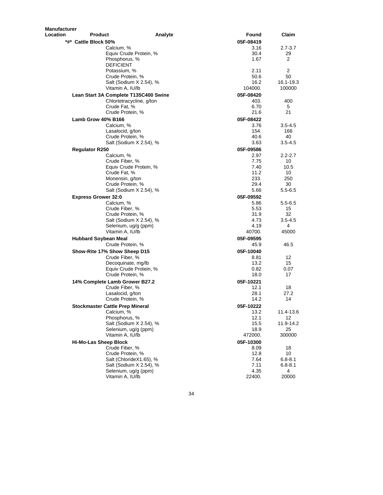| Manufacturer |                              |                                       |         |           |                |
|--------------|------------------------------|---------------------------------------|---------|-----------|----------------|
| Location     | Product                      |                                       | Analyte | Found     | Claim          |
|              | *#* Cattle Block 50%         |                                       |         | 05F-08419 |                |
|              |                              | Calcium, %                            |         | 3.16      | $2.7 - 3.7$    |
|              |                              | Equiv Crude Protein, %                |         | 30.4      | 29             |
|              |                              | Phosphorus, %                         |         | 1.67      | $\overline{2}$ |
|              |                              | <b>DEFICIENT</b>                      |         |           |                |
|              |                              | Potassium, %                          |         | 2.11      | $\overline{2}$ |
|              |                              |                                       |         | 50.6      | 50             |
|              |                              | Crude Protein, %                      |         |           |                |
|              |                              | Salt (Sodium X 2.54), %               |         | 16.2      | 16.1-19.3      |
|              |                              | Vitamin A, IU/lb                      |         | 104000.   | 100000         |
|              |                              | Lean Start 3A Complete T135C400 Swine |         | 05F-08420 |                |
|              |                              | Chlortetracycline, g/ton              |         | 403.      | 400            |
|              |                              | Crude Fat, %                          |         | 6.70      | 5              |
|              |                              | Crude Protein, %                      |         | 21.6      | 21             |
|              | Lamb Grow 40% B166           |                                       |         | 05F-08422 |                |
|              |                              | Calcium, %                            |         | 3.76      | $3.5 - 4.5$    |
|              |                              | Lasalocid, g/ton                      |         | 154.      | 166            |
|              |                              | Crude Protein, %                      |         | 40.6      | 40             |
|              |                              | Salt (Sodium X 2.54), %               |         | 3.63      | $3.5 - 4.5$    |
|              |                              |                                       |         |           |                |
|              | <b>Regulator R250</b>        |                                       |         | 05F-09586 |                |
|              |                              | Calcium, %                            |         | 2.97      | $2.2 - 2.7$    |
|              |                              | Crude Fiber, %                        |         | 7.75      | 10             |
|              |                              | Equiv Crude Protein, %                |         | 7.40      | 10.5           |
|              |                              | Crude Fat, %                          |         | 11.2      | 10             |
|              |                              | Monensin, g/ton                       |         | 233.      | 250            |
|              |                              | Crude Protein, %                      |         | 29.4      | 30             |
|              |                              | Salt (Sodium X 2.54), %               |         | 5.66      | $5.5 - 6.5$    |
|              | <b>Express Grower 32:0</b>   |                                       |         | 05F-09592 |                |
|              |                              | Calcium, %                            |         | 5.86      | $5.5 - 6.5$    |
|              |                              | Crude Fiber, %                        |         | 5.53      | 15             |
|              |                              | Crude Protein, %                      |         | 31.9      | 32             |
|              |                              | Salt (Sodium X 2.54), %               |         | 4.73      | $3.5 - 4.5$    |
|              |                              | Selenium, ug/g (ppm)                  |         | 4.19      | 4              |
|              |                              | Vitamin A, IU/lb                      |         | 40700.    | 45000          |
|              |                              |                                       |         |           |                |
|              | <b>Hubbard Soybean Meal</b>  |                                       |         | 05F-09595 |                |
|              |                              | Crude Protein, %                      |         | 45.9      | 46.5           |
|              |                              | Show-Rite 17% Show Sheep D15          |         | 05F-10040 |                |
|              |                              | Crude Fiber, %                        |         | 8.81      | 12             |
|              |                              | Decoquinate, mg/lb                    |         | 13.2      | 15             |
|              |                              | Equiv Crude Protein, %                |         | 0.82      | 0.07           |
|              |                              | Crude Protein, %                      |         | 18.0      | 17             |
|              |                              |                                       |         |           |                |
|              |                              | 14% Complete Lamb Grower B27.2        |         | 05F-10221 |                |
|              |                              | Crude Fiber, %                        |         | 12.1      | 18             |
|              |                              | Lasalocid, g/ton                      |         | 28.1      | 27.2           |
|              |                              | Crude Protein, %                      |         | 14.2      | 14             |
|              |                              | Stockmaster Cattle Prep Mineral       |         | 05F-10222 |                |
|              |                              | Calcium, %                            |         | 13.2      | 11.4-13.6      |
|              |                              | Phosphorus, %                         |         | 12.1      | 12             |
|              |                              | Salt (Sodium X 2.54), %               |         | 15.5      | 11.9-14.2      |
|              |                              | Selenium, ug/g (ppm)                  |         | 18.9      | 25             |
|              |                              | Vitamin A, IU/lb                      |         | 472000.   | 300000         |
|              | <b>Hi-Mo-Las Sheep Block</b> |                                       |         | 05F-10300 |                |
|              |                              |                                       |         |           |                |
|              |                              | Crude Fiber, %                        |         | 8.09      | 18             |
|              |                              | Crude Protein, %                      |         | 12.8      | 10             |
|              |                              | Salt (ChlorideX1.65), %               |         | 7.64      | $6.8 - 8.1$    |
|              |                              | Salt (Sodium X 2.54), %               |         | 7.11      | $6.8 - 8.1$    |
|              |                              | Selenium, ug/g (ppm)                  |         | 4.35      | 4              |
|              |                              | Vitamin A, IU/lb                      |         | 22400.    | 20000          |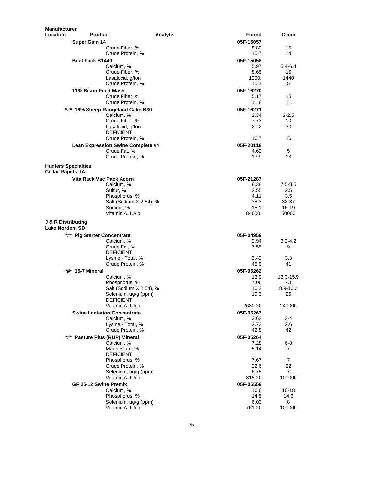| <b>Manufacturer</b>        |                                                  |         |                   |                      |
|----------------------------|--------------------------------------------------|---------|-------------------|----------------------|
| Location                   | <b>Product</b>                                   | Analyte | Found             | Claim                |
|                            | <b>Super Gain 14</b>                             |         | 05F-15057         |                      |
|                            | Crude Fiber, %                                   |         | 8.80              | 15                   |
|                            | Crude Protein, %                                 |         | 15.7              | 14                   |
|                            | Beef Pack B1440                                  |         | 05F-15058         |                      |
|                            | Calcium, %                                       |         | 5.97              | 5.4-6.4              |
|                            | Crude Fiber, %                                   |         | 8.65<br>1200.     | 15<br>1440           |
|                            | Lasalocid, g/ton<br>Crude Protein, %             |         | 15.1              | 5                    |
|                            | 11% Bison Feed Mash                              |         | 05F-16270         |                      |
|                            | Crude Fiber, %                                   |         | 5.17              | 15                   |
|                            | Crude Protein, %                                 |         | 11.8              | 11                   |
|                            | *#* 16% Sheep Rangeland Cake B30                 |         | 05F-16271         |                      |
|                            | Calcium, %                                       |         | 2.34              | $2 - 2.5$            |
|                            | Crude Fiber, %                                   |         | 7.73              | 10                   |
|                            | Lasalocid, g/ton                                 |         | 20.2              | 30                   |
|                            | <b>DEFICIENT</b>                                 |         |                   |                      |
|                            | Crude Protein, %                                 |         | 16.7              | 16                   |
|                            | Lean Expression Swine Complete #4                |         | 05F-20118         |                      |
|                            | Crude Fat, %<br>Crude Protein, %                 |         | 4.62<br>13.9      | 5<br>13              |
|                            |                                                  |         |                   |                      |
| <b>Hunters Specialties</b> |                                                  |         |                   |                      |
| Cedar Rapids, IA           |                                                  |         |                   |                      |
|                            | Vita Rack Vac Pack Acorn<br>Calcium, %           |         | 05F-21287<br>8.38 | $7.5 - 8.5$          |
|                            | Sulfur, %                                        |         | 2.55              | $2.5\,$              |
|                            | Phosphorus, %                                    |         | 4.11              | 3.5                  |
|                            | Salt (Sodium X 2.54), %                          |         | 38.3              | 32-37                |
|                            | Sodium, %                                        |         | 15.1              | 16-19                |
|                            | Vitamin A, IU/lb                                 |         | 84600.            | 50000                |
| J & R Distributing         |                                                  |         |                   |                      |
| Lake Norden, SD            |                                                  |         |                   |                      |
|                            | *#* Pig Starter Concentrate                      |         | 05F-04959         |                      |
|                            | Calcium, %                                       |         | 2.94              | $3.2 - 4.2$          |
|                            | Crude Fat, %<br><b>DEFICIENT</b>                 |         | 7.55              | 9                    |
|                            | Lysine - Total, %                                |         | 3.42              | 3.3                  |
|                            | Crude Protein, %                                 |         | 45.0              | 41                   |
|                            | *#* 15-7 Mineral                                 |         | 05F-05262         |                      |
|                            | Calcium, %                                       |         | 13.9              | 13.3-15.9            |
|                            | Phosphorus, %                                    |         | 7.06              | 7.1                  |
|                            | Salt (Sodium X 2.54), %                          |         | 10.3              | $8.9 - 10.2$         |
|                            | Selenium, ug/g (ppm)                             |         | 19.3              | 26                   |
|                            | <b>DEFICIENT</b><br>Vitamin A, IU/lb             |         | 263000.           | 240000               |
|                            |                                                  |         |                   |                      |
|                            | <b>Swine Lactation Concentrate</b><br>Calcium, % |         | 05F-05263<br>3.63 | 3-4                  |
|                            | Lysine - Total, %                                |         | 2.73              | 2.6                  |
|                            | Crude Protein, %                                 |         | 42.8              | 42                   |
|                            | *#* Pasture Plus (RUP) Mineral                   |         | 05F-05264         |                      |
|                            | Calcium, %                                       |         | 7.28              | 6-8                  |
|                            | Magnesium, %                                     |         | 5.14              | 7                    |
|                            | <b>DEFICIENT</b>                                 |         |                   |                      |
|                            | Phosphorus, %                                    |         | 7.67              | 7                    |
|                            | Crude Protein, %<br>Selenium, ug/g (ppm)         |         | 22.6<br>6.75      | 22<br>$\overline{7}$ |
|                            | Vitamin A, IU/lb                                 |         | 81500.            | 100000               |
|                            | GF 25-12 Swine Premix                            |         | 05F-05559         |                      |
|                            | Calcium, %                                       |         | 16.6              | 16-18                |
|                            | Phosphorus, %                                    |         | 14.5              | 14.6                 |
|                            | Selenium, ug/g (ppm)                             |         | 6.03              | 8                    |
|                            | Vitamin A, IU/lb                                 |         | 76100.            | 100000               |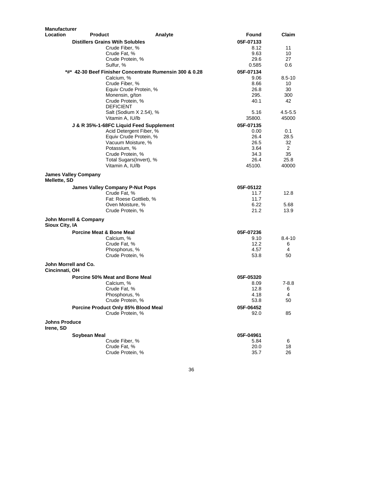| <b>Manufacturer</b>               |                                     |                                             |                                                         |                |                |
|-----------------------------------|-------------------------------------|---------------------------------------------|---------------------------------------------------------|----------------|----------------|
| <b>Location</b>                   | <b>Product</b>                      |                                             | Analyte                                                 | Found          | Claim          |
|                                   |                                     | <b>Distillers Grains Wtih Solubles</b>      |                                                         | 05F-07133      |                |
|                                   |                                     | Crude Fiber, %                              |                                                         | 8.12           | 11             |
|                                   |                                     | Crude Fat, %                                |                                                         | 9.63           | 10             |
|                                   |                                     | Crude Protein, %                            |                                                         | 29.6           | 27             |
|                                   |                                     | Sulfur. %                                   |                                                         | 0.585          | 0.6            |
|                                   |                                     |                                             | *#* 42-30 Beef Finisher Concentrate Rumensin 300 & 0.28 | 05F-07134      |                |
|                                   |                                     | Calcium, %                                  |                                                         | 9.06           | $8.5 - 10$     |
|                                   |                                     | Crude Fiber, %<br>Equiv Crude Protein, %    |                                                         | 8.66<br>26.8   | 10<br>30       |
|                                   |                                     | Monensin, g/ton                             |                                                         | 295.           | 300            |
|                                   |                                     | Crude Protein, %                            |                                                         | 40.1           | 42             |
|                                   |                                     | <b>DEFICIENT</b>                            |                                                         |                |                |
|                                   |                                     | Salt (Sodium X 2.54), %                     |                                                         | 5.16           | $4.5 - 5.5$    |
|                                   |                                     | Vitamin A, IU/lb                            |                                                         | 35800.         | 45000          |
|                                   |                                     | J & R 35%-1-68FC Liquid Feed Supplement     |                                                         | 05F-07135      |                |
|                                   |                                     | Acid Detergent Fiber, %                     |                                                         | 0.00           | 0.1            |
|                                   |                                     | Equiv Crude Protein, %                      |                                                         | 26.4           | 28.5           |
|                                   |                                     | Vacuum Moisture, %                          |                                                         | 26.5           | 32             |
|                                   |                                     | Potassium, %                                |                                                         | 3.64           | $\overline{2}$ |
|                                   |                                     | Crude Protein, %                            |                                                         | 34.3           | 35             |
|                                   |                                     | Total Sugars(Invert), %<br>Vitamin A, IU/lb |                                                         | 26.4<br>45100. | 25.8<br>40000  |
|                                   |                                     |                                             |                                                         |                |                |
| Mellette, SD                      | <b>James Valley Company</b>         |                                             |                                                         |                |                |
|                                   |                                     | <b>James Valley Company P-Nut Pops</b>      |                                                         | 05F-05122      |                |
|                                   |                                     | Crude Fat, %                                |                                                         | 11.7           | 12.8           |
|                                   |                                     | Fat: Roese Gottlieb, %                      |                                                         | 11.7           |                |
|                                   |                                     | Oven Moisture, %                            |                                                         | 6.22           | 5.68           |
|                                   |                                     | Crude Protein, %                            |                                                         | 21.2           | 13.9           |
| Sioux City, IA                    | John Morrell & Company              |                                             |                                                         |                |                |
|                                   | <b>Porcine Meat &amp; Bone Meal</b> |                                             |                                                         | 05F-07236      |                |
|                                   |                                     | Calcium, %                                  |                                                         | 9.10           | $8.4 - 10$     |
|                                   |                                     | Crude Fat, %                                |                                                         | 12.2           | 6              |
|                                   |                                     | Phosphorus, %                               |                                                         | 4.57           | 4              |
|                                   |                                     | Crude Protein, %                            |                                                         | 53.8           | 50             |
| Cincinnati, OH                    | John Morrell and Co.                |                                             |                                                         |                |                |
|                                   |                                     | Porcine 50% Meat and Bone Meal              |                                                         | 05F-05320      |                |
|                                   |                                     | Calcium, %                                  |                                                         | 8.09           | $7 - 8.8$      |
|                                   |                                     | Crude Fat, %                                |                                                         | 12.8           | 6              |
|                                   |                                     | Phosphorus, %                               |                                                         | 4.18           | 4              |
|                                   |                                     | Crude Protein, %                            |                                                         | 53.8           | 50             |
|                                   |                                     | Porcine Product Only 85% Blood Meal         |                                                         | 05F-06452      |                |
|                                   |                                     | Crude Protein, %                            |                                                         | 92.0           | 85             |
| <b>Johns Produce</b><br>Irene, SD |                                     |                                             |                                                         |                |                |
|                                   | Soybean Meal                        |                                             |                                                         | 05F-04961      |                |
|                                   |                                     | Crude Fiber, %                              |                                                         | 5.84           | 6              |
|                                   |                                     | Crude Fat, %                                |                                                         | 20.0           | 18             |
|                                   |                                     | Crude Protein, %                            |                                                         | 35.7           | 26             |
|                                   |                                     |                                             |                                                         |                |                |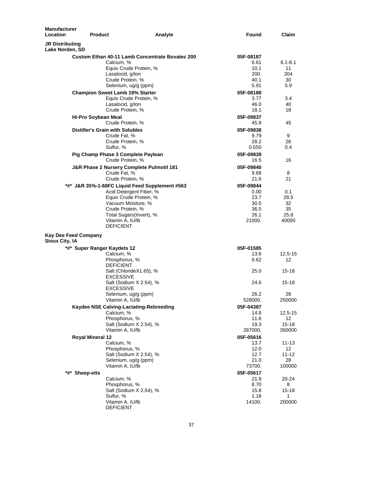| <b>Manufacturer</b><br>Location<br><b>Product</b> |                                                        | Analyte | Found        | Claim            |
|---------------------------------------------------|--------------------------------------------------------|---------|--------------|------------------|
| <b>JR Distributing</b><br>Lake Norden, SD         |                                                        |         |              |                  |
|                                                   | <b>Custom Ethan 40-11 Lamb Concentrate Bovatec 200</b> |         | 05F-08187    |                  |
|                                                   | Calcium, %                                             |         | 6.61         | $6.1 - 8.1$      |
|                                                   | Equiv Crude Protein, %                                 |         | 10.1         | 11               |
|                                                   | Lasalocid, g/ton                                       |         | 200.         | 204              |
|                                                   | Crude Protein, %                                       |         | 40.1         | 30               |
|                                                   | Selenium, ug/g (ppm)                                   |         | 5.91         | 5.9              |
|                                                   | <b>Champion Sweet Lamb 18% Starter</b>                 |         | 05F-08188    |                  |
|                                                   | Equiv Crude Protein, %                                 |         | 3.77         | 3.4              |
|                                                   | Lasalocid, g/ton                                       |         | 46.0         | 40               |
|                                                   | Crude Protein, %                                       |         | 18.1         | 18               |
| Hi-Pro Soybean Meal                               |                                                        |         | 05F-09837    |                  |
|                                                   | Crude Protein, %                                       |         | 45.8         | 45               |
|                                                   | <b>Distiller's Grain with Solubles</b>                 |         | 05F-09838    |                  |
|                                                   | Crude Fat, %                                           |         | 9.79         | 9                |
|                                                   | Crude Protein, %                                       |         | 28.2         | 26               |
|                                                   | Sulfur, %                                              |         | 0.550        | 0.4              |
|                                                   | Pig Champ Phase 3 Complete Paylean                     |         | 05F-09839    |                  |
|                                                   | Crude Protein, %                                       |         | 16.5         | 16               |
|                                                   | J&R Phase 2 Nursery Complete Pulmotil 181              |         | 05F-09840    |                  |
|                                                   | Crude Fat, %                                           |         | 9.68         | 8                |
|                                                   | Crude Protein, %                                       |         | 21.6         | 21               |
|                                                   | *#* J&R 35%-1-68FC Liquid Feed Supplement #563         |         | 05F-09844    |                  |
|                                                   | Acid Detergent Fiber, %                                |         | 0.00         | 0.1              |
|                                                   | Equiv Crude Protein, %                                 |         | 23.7         | 28.5             |
|                                                   | Vacuum Moisture, %                                     |         | 30.5         | 32               |
|                                                   | Crude Protein, %                                       |         | 36.5         | 35               |
|                                                   | Total Sugars(Invert), %                                |         | 26.1         | 25.8             |
|                                                   | Vitamin A, IU/lb                                       |         | 21000.       | 40000            |
|                                                   | <b>DEFICIENT</b>                                       |         |              |                  |
| Kay Dee Feed Company<br>Sioux City, IA            |                                                        |         |              |                  |
|                                                   | *#* Super Ranger Kaydets 12                            |         | 05F-01585    |                  |
|                                                   | Calcium, %                                             |         | 13.6         | $12.5 - 15$      |
|                                                   | Phosphorus, %                                          |         | 9.62         | 12               |
|                                                   | <b>DEFICIENT</b>                                       |         |              |                  |
|                                                   | Salt (ChlorideX1.65), %                                |         | 25.0         | $15 - 18$        |
|                                                   | <b>EXCESSIVE</b>                                       |         |              |                  |
|                                                   | Salt (Sodium X 2.54), %                                |         | 24.6         | $15 - 18$        |
|                                                   | <b>EXCESSIVE</b>                                       |         |              |                  |
|                                                   | Selenium, ug/g (ppm)                                   |         | 26.2         | 28               |
|                                                   | Vitamin A, IU/lb                                       |         | 528000.      | 250000           |
|                                                   | Kaydee NSE Calving-Lactating-Rebreeding                |         | 05F-04387    |                  |
|                                                   | Calcium, %                                             |         | 14.8         | 12.5-15          |
|                                                   | Phosphorus, %                                          |         | 11.6         | 12 <sup>12</sup> |
|                                                   | Salt (Sodium X 2.54), %                                |         | 19.3         | $15 - 18$        |
|                                                   | Vitamin A, IU/lb                                       |         | 287000.      | 350000           |
| Royal Mineral 12                                  |                                                        |         | 05F-05616    |                  |
|                                                   | Calcium, %                                             |         | 13.7         | 11-13            |
|                                                   | Phosphorus, %                                          |         | 12.0         | 12               |
|                                                   | Salt (Sodium X 2.54), %                                |         | 12.7         | 11-12            |
|                                                   | Selenium, ug/g (ppm)                                   |         | 21.0         | 28               |
|                                                   | Vitamin A, IU/lb                                       |         | 73700.       | 100000           |
| *#*<br><b>Sheep-etts</b>                          |                                                        |         | 05F-05617    |                  |
|                                                   | Calcium, %                                             |         | 21.9         | 20-24            |
|                                                   | Phosphorus, %                                          |         | 8.70<br>15.8 | 8<br>15-18       |
|                                                   | Salt (Sodium X 2.54), %<br>Sulfur, %                   |         | 1.18         | 1                |
|                                                   | Vitamin A, IU/lb                                       |         | 14100.       | 200000           |
|                                                   | <b>DEFICIENT</b>                                       |         |              |                  |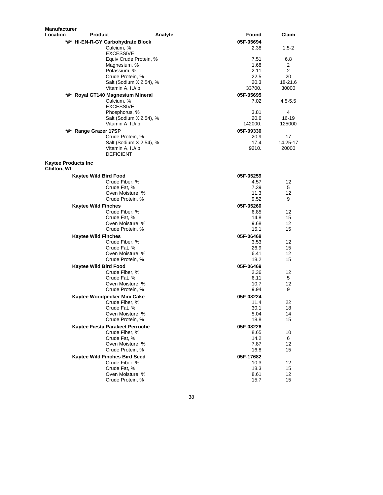| <b>Manufacturer</b>                       |                                             |         |                   |                 |
|-------------------------------------------|---------------------------------------------|---------|-------------------|-----------------|
| Location                                  | <b>Product</b>                              | Analyte | Found             | Claim           |
|                                           | *#* HI-EN-R-GY Carbohydrate Block           |         | 05F-05694         |                 |
|                                           | Calcium, %                                  |         | 2.38              | $1.5 - 2$       |
|                                           | <b>EXCESSIVE</b>                            |         | 7.51              |                 |
|                                           | Equiv Crude Protein, %<br>Magnesium, %      |         | 1.68              | 6.8<br>2        |
|                                           | Potassium, %                                |         | 2.11              | $\overline{2}$  |
|                                           | Crude Protein, %                            |         | 22.5              | 20              |
|                                           | Salt (Sodium X 2.54), %                     |         | 20.3              | 18-21.6         |
|                                           | Vitamin A, IU/lb                            |         | 33700.            | 30000           |
|                                           | *#* Royal GT140 Magnesium Mineral           |         | 05F-05695         |                 |
|                                           | Calcium, %                                  |         | 7.02              | 4.5-5.5         |
|                                           | <b>EXCESSIVE</b>                            |         |                   |                 |
|                                           | Phosphorus, %                               |         | 3.81              | 4               |
|                                           | Salt (Sodium X 2.54), %<br>Vitamin A, IU/lb |         | 20.6<br>142000.   | 16-19<br>125000 |
|                                           |                                             |         |                   |                 |
| *#*                                       | <b>Range Grazer 17SP</b>                    |         | 05F-09330<br>20.9 | 17              |
|                                           | Crude Protein, %<br>Salt (Sodium X 2.54), % |         | 17.4              | 14.25-17        |
|                                           | Vitamin A, IU/lb                            |         | 9210.             | 20000           |
|                                           | <b>DEFICIENT</b>                            |         |                   |                 |
| <b>Kaytee Products Inc</b><br>Chilton, WI |                                             |         |                   |                 |
|                                           | Kaytee Wild Bird Food                       |         | 05F-05259         |                 |
|                                           | Crude Fiber, %                              |         | 4.57              | 12              |
|                                           | Crude Fat, %                                |         | 7.39              | 5               |
|                                           | Oven Moisture, %                            |         | 11.3              | 12              |
|                                           | Crude Protein, %                            |         | 9.52              | 9               |
|                                           | <b>Kaytee Wild Finches</b>                  |         | 05F-05260         |                 |
|                                           | Crude Fiber, %                              |         | 6.85              | 12              |
|                                           | Crude Fat, %                                |         | 14.8<br>9.68      | 15<br>12        |
|                                           | Oven Moisture, %<br>Crude Protein, %        |         | 15.1              | 15              |
|                                           | <b>Kaytee Wild Finches</b>                  |         | 05F-06468         |                 |
|                                           | Crude Fiber, %                              |         | 3.53              | 12              |
|                                           | Crude Fat, %                                |         | 26.9              | 15              |
|                                           | Oven Moisture, %                            |         | 6.41              | 12              |
|                                           | Crude Protein, %                            |         | 18.2              | 15              |
|                                           | Kaytee Wild Bird Food                       |         | 05F-06469         |                 |
|                                           | Crude Fiber, %                              |         | 2.36              | 12              |
|                                           | Crude Fat, %                                |         | 6.11              | 5               |
|                                           | Oven Moisture, %                            |         | 10.7              | 12              |
|                                           | Crude Protein, %                            |         | 9.94              | 9               |
|                                           | Kaytee Woodpecker Mini Cake                 |         | 05F-08224         |                 |
|                                           | Crude Fiber, %<br>Crude Fat, %              |         | 11.4<br>30.1      | 22<br>18        |
|                                           | Oven Moisture, %                            |         | 5.04              | 14              |
|                                           | Crude Protein, %                            |         | 18.8              | 15              |
|                                           | Kaytee Fiesta Parakeet Perruche             |         | 05F-08226         |                 |
|                                           | Crude Fiber, %                              |         | 8.65              | 10              |
|                                           | Crude Fat, %                                |         | 14.2              | 6               |
|                                           | Oven Moisture, %                            |         | 7.87              | 12              |
|                                           | Crude Protein, %                            |         | 16.8              | 15              |
|                                           | Kaytee Wild Finches Bird Seed               |         | 05F-17682         |                 |
|                                           | Crude Fiber, %<br>Crude Fat, %              |         | 10.3<br>18.3      | 12<br>15        |
|                                           | Oven Moisture, %                            |         | 8.61              | 12              |
|                                           | Crude Protein, %                            |         | 15.7              | 15              |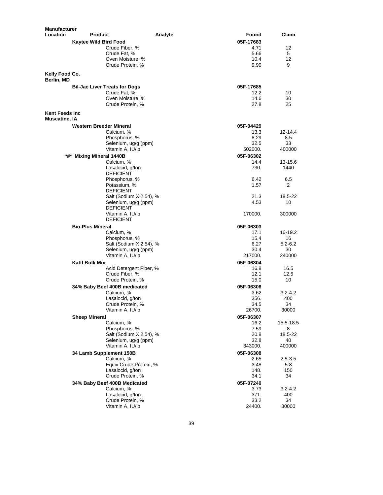| <b>Manufacturer</b>                            |                                      |                         |                   |                    |
|------------------------------------------------|--------------------------------------|-------------------------|-------------------|--------------------|
| Location                                       | Product                              | Analyte                 | Found             | Claim              |
|                                                | <b>Kaytee Wild Bird Food</b>         |                         | 05F-17683         |                    |
|                                                | Crude Fiber, %                       |                         | 4.71              | 12                 |
|                                                | Crude Fat, %                         |                         | 5.66              | 5                  |
|                                                | Oven Moisture, %<br>Crude Protein, % |                         | 10.4<br>9.90      | 12<br>9            |
|                                                |                                      |                         |                   |                    |
| Kelly Food Co.<br>Berlin, MD                   |                                      |                         |                   |                    |
|                                                | <b>Bil-Jac Liver Treats for Dogs</b> |                         | 05F-17685         |                    |
|                                                | Crude Fat. %                         |                         | 12.2              | 10                 |
|                                                | Oven Moisture, %                     |                         | 14.6              | 30                 |
|                                                | Crude Protein, %                     |                         | 27.8              | 25                 |
| <b>Kent Feeds Inc.</b><br><b>Muscatine, IA</b> |                                      |                         |                   |                    |
|                                                | Western Breeder Mineral              |                         | 05F-04429         |                    |
|                                                | Calcium, %                           |                         | 13.3              | 12-14.4            |
|                                                | Phosphorus, %                        |                         | 8.29              | 8.5                |
|                                                |                                      | Selenium, ug/g (ppm)    | 32.5              | 33                 |
|                                                | Vitamin A, IU/lb                     |                         | 502000.           | 400000             |
| $*$ #*                                         | <b>Mixing Mineral 1440B</b>          |                         | 05F-06302         |                    |
|                                                | Calcium, %<br>Lasalocid, g/ton       |                         | 14.4<br>730.      | 13-15.6<br>1440    |
|                                                | <b>DEFICIENT</b>                     |                         |                   |                    |
|                                                | Phosphorus, %                        |                         | 6.42              | 6.5                |
|                                                | Potassium, %                         |                         | 1.57              | 2                  |
|                                                | <b>DEFICIENT</b>                     |                         |                   |                    |
|                                                |                                      | Salt (Sodium X 2.54), % | 21.3              | 18.5-22            |
|                                                |                                      | Selenium, ug/g (ppm)    | 4.53              | 10                 |
|                                                | <b>DEFICIENT</b>                     |                         |                   |                    |
|                                                | Vitamin A, IU/lb<br><b>DEFICIENT</b> |                         | 170000.           | 300000             |
|                                                | <b>Bio-Plus Mineral</b>              |                         |                   |                    |
|                                                | Calcium, %                           |                         | 05F-06303<br>17.1 | 16-19.2            |
|                                                | Phosphorus, %                        |                         | 15.4              | 16                 |
|                                                |                                      | Salt (Sodium X 2.54), % | 6.27              | $5.2 - 6.2$        |
|                                                |                                      | Selenium, ug/g (ppm)    | 30.4              | 30                 |
|                                                | Vitamin A, IU/lb                     |                         | 217000.           | 240000             |
|                                                | <b>Kattl Bulk Mix</b>                |                         | 05F-06304         |                    |
|                                                |                                      | Acid Detergent Fiber, % | 16.8              | 16.5               |
|                                                | Crude Fiber, %                       |                         | 12.1              | 12.5               |
|                                                | Crude Protein, %                     |                         | 15.0              | 10                 |
|                                                | 34% Baby Beef 400B medicated         |                         | 05F-06306         |                    |
|                                                | Calcium, %                           |                         | 3.62<br>356.      | $3.2 - 4.2$<br>400 |
|                                                | Lasalocid, g/ton<br>Crude Protein, % |                         | 34.5              | 34                 |
|                                                | Vitamin A, IU/lb                     |                         | 26700.            | 30000              |
|                                                | <b>Sheep Mineral</b>                 |                         | 05F-06307         |                    |
|                                                | Calcium, %                           |                         | 16.2              | 15.5-18.5          |
|                                                | Phosphorus, %                        |                         | 7.59              | 8                  |
|                                                |                                      | Salt (Sodium X 2.54), % | 20.8              | 18.5-22            |
|                                                |                                      | Selenium, ug/g (ppm)    | 32.8              | 40                 |
|                                                | Vitamin A, IU/lb                     |                         | 343000.           | 400000             |
|                                                | 34 Lamb Supplement 150B              |                         | 05F-06308         |                    |
|                                                | Calcium, %                           |                         | 2.65              | 2.5-3.5            |
|                                                |                                      | Equiv Crude Protein, %  | 3.48              | 5.8                |
|                                                | Lasalocid, g/ton<br>Crude Protein, % |                         | 148.<br>34.1      | 150<br>34          |
|                                                | 34% Baby Beef 400B Medicated         |                         | 05F-07240         |                    |
|                                                | Calcium, %                           |                         | 3.73              | 3.2-4.2            |
|                                                | Lasalocid, g/ton                     |                         | 371.              | 400                |
|                                                | Crude Protein, %                     |                         | 33.2              | 34                 |
|                                                | Vitamin A, IU/lb                     |                         | 24400.            | 30000              |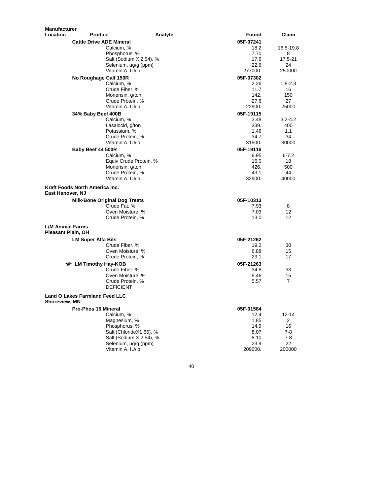| <b>Manufacturer</b>                           |                                                 |         |              |               |
|-----------------------------------------------|-------------------------------------------------|---------|--------------|---------------|
| Location                                      | <b>Product</b>                                  | Analyte | Found        | Claim         |
|                                               | <b>Cattle Drive ADE Mineral</b>                 |         | 05F-07241    |               |
|                                               | Calcium, %                                      |         | 18.2         | 16.5-19.8     |
|                                               | Phosphorus, %                                   |         | 7.70         | 8             |
|                                               | Salt (Sodium X 2.54), %                         |         | 17.6         | 17.5-21       |
|                                               | Selenium, ug/g (ppm)                            |         | 22.6         | 24            |
|                                               | Vitamin A, IU/lb                                |         | 277000.      | 250000        |
|                                               | No Roughage Calf 150R                           |         | 05F-07302    |               |
|                                               | Calcium, %                                      |         | 2.26         | $1.8 - 2.3$   |
|                                               | Crude Fiber, %                                  |         | 11.7         | 16            |
|                                               | Monensin, g/ton                                 |         | 142.         | 150           |
|                                               | Crude Protein, %                                |         | 27.6         | 27            |
|                                               | Vitamin A, IU/lb                                |         | 22900.       | 25000         |
|                                               | 34% Baby Beef 400B                              |         | 05F-19115    |               |
|                                               | Calcium, %                                      |         | 3.48         | 3.2-4.2       |
|                                               | Lasalocid, g/ton<br>Potassium, %                |         | 339.         | 400<br>1.1    |
|                                               | Crude Protein, %                                |         | 1.46<br>34.7 | 34            |
|                                               | Vitamin A, IU/lb                                |         | 31500.       | 30000         |
|                                               |                                                 |         | 05F-19116    |               |
|                                               | Baby Beef 44 500R<br>Calcium, %                 |         | 6.95         | $6 - 7.2$     |
|                                               | Equiv Crude Protein, %                          |         | 16.0         | 18            |
|                                               | Monensin, g/ton                                 |         | 426.         | 500           |
|                                               | Crude Protein, %                                |         | 43.1         | 44            |
|                                               | Vitamin A, IU/lb                                |         | 32900.       | 40000         |
|                                               |                                                 |         |              |               |
| <b>East Hanover, NJ</b>                       | Kraft Foods North America Inc.                  |         |              |               |
|                                               | <b>Milk-Bone Original Dog Treats</b>            |         | 05F-10313    |               |
|                                               | Crude Fat. %                                    |         | 7.93         | 8             |
|                                               | Oven Moisture, %                                |         | 7.03         | 12            |
|                                               | Crude Protein, %                                |         | 13.0         | 12            |
| <b>L/M Animal Farms</b><br>Pleasant Plain, OH |                                                 |         |              |               |
|                                               | <b>LM Super Alfa Bits</b>                       |         | 05F-21262    |               |
|                                               | Crude Fiber, %                                  |         | 19.2         | 30            |
|                                               | Oven Moisture, %                                |         | 6.88         | 15            |
|                                               | Crude Protein, %                                |         | 23.1         | 17            |
|                                               | *#* LM Timothy Hay-KOB                          |         | 05F-21263    |               |
|                                               | Crude Fiber, %                                  |         | 34.8         | 33            |
|                                               | Oven Moisture, %                                |         | 5.46         | 15            |
|                                               | Crude Protein, %                                |         | 5.57         | 7             |
|                                               | <b>DEFICIENT</b>                                |         |              |               |
|                                               | <b>Land O Lakes Farmland Feed LLC</b>           |         |              |               |
| Shoreview, MN                                 |                                                 |         |              |               |
|                                               | <b>Pro-Phos 16 Mineral</b>                      |         | 05F-01584    |               |
|                                               | Calcium, %                                      |         | 12.4         | 12-14         |
|                                               | Magnesium, %                                    |         | 1.85         | 2             |
|                                               | Phosphorus, %                                   |         | 14.9         | 16            |
|                                               | Salt (ChlorideX1.65), %                         |         | 8.07         | 7-8           |
|                                               | Salt (Sodium X 2.54), %<br>Selenium, ug/g (ppm) |         | 8.10<br>23.9 | $7 - 8$<br>22 |
|                                               | Vitamin A, IU/lb                                |         | 209000.      | 200000        |
|                                               |                                                 |         |              |               |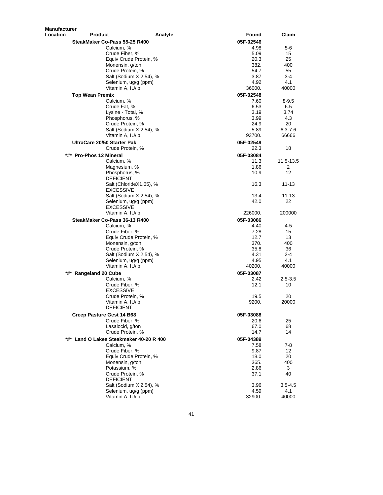| <b>Manufacturer</b> |                                             |         |              |             |
|---------------------|---------------------------------------------|---------|--------------|-------------|
| Location            | <b>Product</b>                              | Analyte | Found        | Claim       |
|                     | SteakMaker Co-Pass 55-25 R400               |         | 05F-02546    |             |
|                     | Calcium, %                                  |         | 4.98         | 5-6         |
|                     | Crude Fiber, %                              |         | 5.09         | 15          |
|                     | Equiv Crude Protein, %                      |         | 20.3         | 25          |
|                     | Monensin, g/ton                             |         | 382.         | 400         |
|                     | Crude Protein, %                            |         | 54.7         | 55          |
|                     | Salt (Sodium X 2.54), %                     |         | 3.87         | $3-4$       |
|                     | Selenium, ug/g (ppm)                        |         | 4.92         | 4.1         |
|                     | Vitamin A, IU/lb                            |         | 36000.       | 40000       |
|                     | Top Wean Premix                             |         | 05F-02548    |             |
|                     | Calcium, %                                  |         | 7.60         | 8-9.5       |
|                     | Crude Fat, %                                |         | 6.53         | 6.5         |
|                     | Lysine - Total, %                           |         | 3.19<br>3.99 | 3.74        |
|                     | Phosphorus, %<br>Crude Protein, %           |         | 24.9         | 4.3<br>20   |
|                     | Salt (Sodium X 2.54), %                     |         | 5.89         | $6.3 - 7.6$ |
|                     | Vitamin A, IU/lb                            |         | 93700.       | 66666       |
|                     | UltraCare 20/50 Starter Pak                 |         | 05F-02549    |             |
|                     | Crude Protein, %                            |         | 22.3         | 18          |
|                     |                                             |         |              |             |
|                     | *#* Pro-Phos 12 Mineral                     |         | 05F-03084    |             |
|                     | Calcium, %                                  |         | 11.3         | 11.5-13.5   |
|                     | Magnesium, %                                |         | 1.86         | 2<br>12     |
|                     | Phosphorus, %<br><b>DEFICIENT</b>           |         | 10.9         |             |
|                     | Salt (ChlorideX1.65), %                     |         | 16.3         | 11-13       |
|                     | <b>EXCESSIVE</b><br>Salt (Sodium X 2.54), % |         | 13.4         | 11-13       |
|                     | Selenium, ug/g (ppm)                        |         | 42.0         | 22          |
|                     | <b>EXCESSIVE</b>                            |         |              |             |
|                     | Vitamin A, IU/lb                            |         | 226000.      | 200000      |
|                     | SteakMaker Co-Pass 36-13 R400               |         | 05F-03086    |             |
|                     | Calcium, %                                  |         | 4.40         | 4-5         |
|                     | Crude Fiber, %                              |         | 7.28<br>12.7 | 15          |
|                     | Equiv Crude Protein, %                      |         | 370.         | 13<br>400   |
|                     | Monensin, g/ton<br>Crude Protein, %         |         | 35.8         | 36          |
|                     | Salt (Sodium X 2.54), %                     |         | 4.31         | 3-4         |
|                     | Selenium, ug/g (ppm)                        |         | 4.95         | 4.1         |
|                     | Vitamin A, IU/lb                            |         | 40200.       | 40000       |
| *#*                 | <b>Rangeland 20 Cube</b>                    |         | 05F-03087    |             |
|                     | Calcium, %                                  |         | 2.42         | $2.5 - 3.5$ |
|                     | Crude Fiber, %                              |         | 12.1         | 10          |
|                     | <b>EXCESSIVE</b>                            |         |              |             |
|                     | Crude Protein, %                            |         | 19.5         | 20          |
|                     | Vitamin A, IU/lb                            |         | 9200.        | 20000       |
|                     | <b>DEFICIENT</b>                            |         |              |             |
|                     | Creep Pasture Gest 14 B68                   |         | 05F-03088    |             |
|                     | Crude Fiber, %                              |         | 20.6         | 25          |
|                     | Lasalocid, g/ton                            |         | 67.0         | 68          |
|                     | Crude Protein, %                            |         | 14.7         | 14          |
|                     | *#* Land O Lakes Steakmaker 40-20 R 400     |         | 05F-04389    |             |
|                     | Calcium, %                                  |         | 7.58         | $7-8$       |
|                     | Crude Fiber, %                              |         | 9.87         | 12          |
|                     | Equiv Crude Protein, %                      |         | 18.0         | 20          |
|                     | Monensin, g/ton                             |         | 365.         | 400         |
|                     | Potassium, %                                |         | 2.86         | 3           |
|                     | Crude Protein, %                            |         | 37.1         | 40          |
|                     | <b>DEFICIENT</b>                            |         |              |             |
|                     | Salt (Sodium X 2.54), %                     |         | 3.96         | $3.5 - 4.5$ |
|                     | Selenium, ug/g (ppm)                        |         | 4.59         | 4.1         |
|                     | Vitamin A, IU/lb                            |         | 32900.       | 40000       |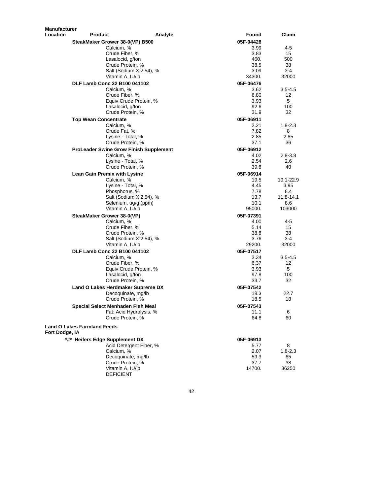| Manufacturer    |                                               |                  |               |
|-----------------|-----------------------------------------------|------------------|---------------|
| <b>Location</b> | <b>Product</b>                                | Analyte<br>Found | Claim         |
|                 | SteakMaker Grower 38-0(VP) B500               | 05F-04428        |               |
|                 | Calcium, %                                    | 3.99             | 4-5           |
|                 | Crude Fiber, %                                | 3.83             | 15            |
|                 | Lasalocid, g/ton                              | 460.             | 500           |
|                 | Crude Protein, %                              | 38.5             | 38            |
|                 | Salt (Sodium X 2.54), %                       | 3.09             | 3-4           |
|                 | Vitamin A, IU/lb                              | 34300.           | 32000         |
|                 | DLF Lamb Conc 32 B100 041102                  | 05F-06476        |               |
|                 | Calcium, %                                    | 3.62             | $3.5 - 4.5$   |
|                 | Crude Fiber, %                                | 6.80             | 12            |
|                 | Equiv Crude Protein, %                        | 3.93             | 5             |
|                 | Lasalocid, g/ton                              | 92.6             | 100           |
|                 | Crude Protein, %                              | 31.9             | 32            |
|                 |                                               |                  |               |
|                 | <b>Top Wean Concentrate</b>                   | 05F-06911        |               |
|                 | Calcium, %                                    | 2.21             | $1.8 - 2.3$   |
|                 | Crude Fat, %                                  | 7.82             | 8             |
|                 | Lysine - Total, %                             | 2.85             | 2.85          |
|                 | Crude Protein, %                              | 37.1             | 36            |
|                 | <b>ProLeader Swine Grow Finish Supplement</b> | 05F-06912        |               |
|                 | Calcium, %                                    | 4.02             | $2.8 - 3.8$   |
|                 | Lysine - Total, %                             | 2.54             | 2.6           |
|                 | Crude Protein, %                              | 39.8             | 40            |
|                 | Lean Gain Premix with Lysine                  | 05F-06914        |               |
|                 | Calcium, %                                    | 19.5             | 19.1-22.9     |
|                 | Lysine - Total, %                             | 4.45             | 3.95          |
|                 | Phosphorus, %                                 | 7.78             | 8.4           |
|                 | Salt (Sodium X 2.54), %                       | 13.7             | $11.8 - 14.1$ |
|                 | Selenium, ug/g (ppm)                          | 10.1             | 8.6           |
|                 | Vitamin A, IU/lb                              | 95000.           | 103000        |
|                 | SteakMaker Grower 38-0(VP)                    | 05F-07391        |               |
|                 | Calcium, %                                    | 4.00             | 4-5           |
|                 | Crude Fiber, %                                | 5.14             | 15            |
|                 | Crude Protein, %                              | 38.8             | 38            |
|                 | Salt (Sodium X 2.54), %                       | 3.76             | 3-4           |
|                 | Vitamin A, IU/lb                              | 29200.           | 32000         |
|                 |                                               | 05F-07517        |               |
|                 | DLF Lamb Conc 32 B100 041102                  |                  |               |
|                 | Calcium, %                                    | 3.34             | $3.5 - 4.5$   |
|                 | Crude Fiber, %                                | 6.37             | 12            |
|                 | Equiv Crude Protein, %                        | 3.93             | 5             |
|                 | Lasalocid, g/ton                              | 97.8             | 100           |
|                 | Crude Protein, %                              | 33.7             | 32            |
|                 | Land O Lakes Herdmaker Supreme DX             | 05F-07542        |               |
|                 | Decoquinate, mg/lb                            | 18.3             | 22.7          |
|                 | Crude Protein, %                              | 18.5             | 18            |
|                 | Special Select Menhaden Fish Meal             | 05F-07543        |               |
|                 | Fat: Acid Hydrolysis, %                       | 11.1             | 6             |
|                 | Crude Protein, %                              | 64.8             | 60            |
|                 | <b>Land O Lakes Farmland Feeds</b>            |                  |               |
| Fort Dodge, IA  |                                               |                  |               |
|                 | *#* Heifers Edge Supplement DX                | 05F-06913        |               |
|                 | Acid Detergent Fiber, %                       | 5.77             | 8             |
|                 | Calcium, %                                    | 2.07             | $1.8 - 2.3$   |
|                 | Decoquinate, mg/lb                            | 59.3             | 65            |
|                 | Crude Protein, %                              | 37.7             | 38            |
|                 | Vitamin A, IU/lb<br><b>DEFICIENT</b>          | 14700.           | 36250         |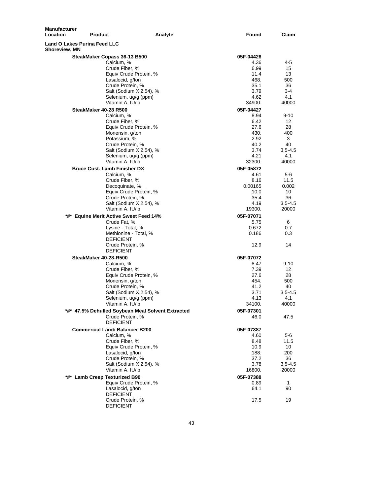| <b>Manufacturer</b><br>Location                             | <b>Product</b>                                    | Analyte | Found     | Claim       |
|-------------------------------------------------------------|---------------------------------------------------|---------|-----------|-------------|
| <b>Land O Lakes Purina Feed LLC</b><br><b>Shoreview, MN</b> |                                                   |         |           |             |
|                                                             | SteakMaker Copass 36-13 B500                      |         | 05F-04426 |             |
|                                                             | Calcium, %                                        |         | 4.36      | 4-5         |
|                                                             | Crude Fiber, %                                    |         | 6.99      | 15          |
|                                                             | Equiv Crude Protein, %                            |         | 11.4      | 13          |
|                                                             | Lasalocid, g/ton                                  |         | 468.      | 500         |
|                                                             | Crude Protein, %                                  |         | 35.1      | 36          |
|                                                             | Salt (Sodium X 2.54), %                           |         | 3.79      | 3-4         |
|                                                             | Selenium, ug/g (ppm)                              |         | 4.62      | 4.1         |
|                                                             | Vitamin A, IU/lb                                  |         | 34900.    | 40000       |
|                                                             | SteakMaker 40-28 R500                             |         | 05F-04427 |             |
|                                                             | Calcium, %                                        |         | 8.94      | $9 - 10$    |
|                                                             | Crude Fiber, %                                    |         | 6.42      | 12          |
|                                                             | Equiv Crude Protein, %                            |         | 27.6      | 28          |
|                                                             | Monensin, g/ton                                   |         | 430.      | 400         |
|                                                             | Potassium, %                                      |         | 2.92      | 3           |
|                                                             | Crude Protein, %                                  |         | 40.2      | 40          |
|                                                             | Salt (Sodium X 2.54), %                           |         | 3.74      | 3.5-4.5     |
|                                                             | Selenium, ug/g (ppm)                              |         | 4.21      | 4.1         |
|                                                             | Vitamin A, IU/lb                                  |         | 32300.    | 40000       |
|                                                             | <b>Bruce Cust. Lamb Finisher DX</b>               |         | 05F-05872 |             |
|                                                             | Calcium, %                                        |         | 4.61      | 5-6         |
|                                                             | Crude Fiber, %                                    |         | 8.16      | 11.5        |
|                                                             | Decoquinate, %                                    |         | 0.00165   | 0.002       |
|                                                             | Equiv Crude Protein, %                            |         | 10.0      | 10          |
|                                                             | Crude Protein, %                                  |         | 35.4      | 36          |
|                                                             | Salt (Sodium X 2.54), %                           |         | 4.19      | $3.5 - 4.5$ |
|                                                             | Vitamin A, IU/lb                                  |         | 19300.    | 20000       |
|                                                             | *#* Equine Merit Active Sweet Feed 14%            |         | 05F-07071 |             |
|                                                             | Crude Fat, %                                      |         | 5.75      | 6           |
|                                                             | Lysine - Total, %                                 |         | 0.672     | 0.7         |
|                                                             | Methionine - Total, %                             |         | 0.186     | 0.3         |
|                                                             | <b>DEFICIENT</b>                                  |         |           |             |
|                                                             | Crude Protein, %                                  |         | 12.9      | 14          |
|                                                             | <b>DEFICIENT</b>                                  |         |           |             |
|                                                             | SteakMaker 40-28-R500                             |         | 05F-07072 |             |
|                                                             | Calcium, %                                        |         | 8.47      | $9 - 10$    |
|                                                             | Crude Fiber, %                                    |         | 7.39      | 12          |
|                                                             | Equiv Crude Protein, %                            |         | 27.6      | 28          |
|                                                             | Monensin, g/ton                                   |         | 454.      | 500         |
|                                                             | Crude Protein, %                                  |         | 41.2      | 40          |
|                                                             | Salt (Sodium X 2.54), %                           |         | 3.71      | $3.5 - 4.5$ |
|                                                             | Selenium, ug/g (ppm)                              |         | 4.13      | 4.1         |
|                                                             | Vitamin A, IU/lb                                  |         | 34100.    | 40000       |
|                                                             | *#* 47.5% Dehulled Soybean Meal Solvent Extracted |         | 05F-07301 |             |
|                                                             | Crude Protein, %                                  |         | 46.0      | 47.5        |
|                                                             | <b>DEFICIENT</b>                                  |         |           |             |
|                                                             | <b>Commercial Lamb Balancer B200</b>              |         | 05F-07387 |             |
|                                                             | Calcium, %                                        |         | 4.60      | 5-6         |
|                                                             | Crude Fiber, %                                    |         | 8.48      | 11.5        |
|                                                             | Equiv Crude Protein, %                            |         | 10.9      | 10          |
|                                                             | Lasalocid, g/ton                                  |         | 188.      | 200         |
|                                                             | Crude Protein, %                                  |         | 37.2      | 36          |
|                                                             | Salt (Sodium X 2.54), %                           |         | 3.78      | 3.5-4.5     |
|                                                             | Vitamin A, IU/lb                                  |         | 16800.    | 20000       |
|                                                             | *#* Lamb Creep Texturized B90                     |         | 05F-07388 |             |
|                                                             | Equiv Crude Protein, %                            |         | 0.89      | 1           |
|                                                             | Lasalocid, g/ton                                  |         | 64.1      | 90          |
|                                                             | <b>DEFICIENT</b>                                  |         |           |             |
|                                                             | Crude Protein, %                                  |         | 17.5      | 19          |
|                                                             | <b>DEFICIENT</b>                                  |         |           |             |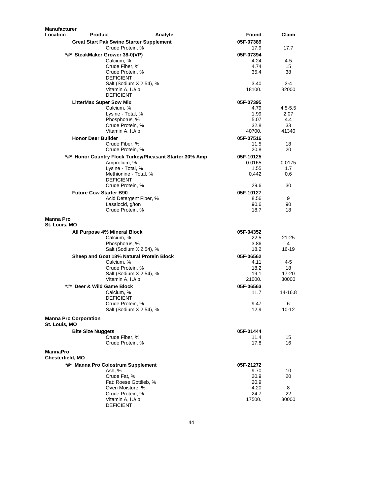| Manufacturer                                  |                                                 |                                                         |                   |            |
|-----------------------------------------------|-------------------------------------------------|---------------------------------------------------------|-------------------|------------|
| <b>Location</b><br><b>Product</b>             |                                                 | Analyte                                                 | Found             | Claim      |
|                                               | <b>Great Start Pak Swine Starter Supplement</b> |                                                         | 05F-07389         |            |
|                                               | Crude Protein, %                                |                                                         | 17.9              | 17.7       |
|                                               | *#* SteakMaker Grower 38-0(VP)                  |                                                         | 05F-07394         |            |
|                                               | Calcium, %<br>Crude Fiber, %                    |                                                         | 4.24<br>4.74      | $4 - 5$    |
|                                               | Crude Protein, %                                |                                                         | 35.4              | 15<br>38   |
|                                               | <b>DEFICIENT</b>                                |                                                         |                   |            |
|                                               | Salt (Sodium X 2.54), %                         |                                                         | 3.40              | 3-4        |
|                                               | Vitamin A, IU/lb                                |                                                         | 18100.            | 32000      |
|                                               | <b>DEFICIENT</b>                                |                                                         |                   |            |
|                                               | <b>LitterMax Super Sow Mix</b>                  |                                                         | 05F-07395         |            |
|                                               | Calcium, %                                      |                                                         | 4.79              | 4.5-5.5    |
|                                               | Lysine - Total, %                               |                                                         | 1.99              | 2.07       |
|                                               | Phosphorus, %                                   |                                                         | 5.07              | 4.4        |
|                                               | Crude Protein, %                                |                                                         | 32.8              | 33         |
|                                               | Vitamin A, IU/lb                                |                                                         | 40700.            | 41340      |
| <b>Honor Deer Builder</b>                     |                                                 |                                                         | 05F-07516         |            |
|                                               | Crude Fiber, %                                  |                                                         | 11.5              | 18         |
|                                               | Crude Protein, %                                |                                                         | 20.8              | 20         |
|                                               |                                                 | *#* Honor Country Flock Turkey/Pheasant Starter 30% Amp | 05F-10125         |            |
|                                               | Amprolium, %                                    |                                                         | 0.0165            | 0.0175     |
|                                               | Lysine - Total, %                               |                                                         | 1.55              | 1.7        |
|                                               | Methionine - Total, %                           |                                                         | 0.442             | 0.6        |
|                                               | <b>DEFICIENT</b>                                |                                                         |                   |            |
|                                               | Crude Protein, %                                |                                                         | 29.6              | 30         |
| <b>Future Cow Starter B90</b>                 |                                                 |                                                         | 05F-10127         |            |
|                                               | Acid Detergent Fiber, %<br>Lasalocid, g/ton     |                                                         | 8.56<br>90.6      | 9<br>90    |
|                                               | Crude Protein, %                                |                                                         | 18.7              | 18         |
|                                               |                                                 |                                                         |                   |            |
| <b>Manna Pro</b>                              |                                                 |                                                         |                   |            |
| St. Louis, MO                                 |                                                 |                                                         |                   |            |
|                                               | All Purpose 4% Mineral Block                    |                                                         | 05F-04352         |            |
|                                               | Calcium, %                                      |                                                         | 22.5              | 21-25      |
|                                               | Phosphorus, %                                   |                                                         | 3.86<br>18.2      | 4<br>16-19 |
|                                               | Salt (Sodium X 2.54), %                         |                                                         |                   |            |
|                                               | Sheep and Goat 18% Natural Protein Block        |                                                         | 05F-06562         |            |
|                                               | Calcium, %<br>Crude Protein, %                  |                                                         | 4.11<br>18.2      | 4-5<br>18  |
|                                               | Salt (Sodium X 2.54), %                         |                                                         | 19.1              | $17 - 20$  |
|                                               | Vitamin A, IU/lb                                |                                                         | 21000.            | 30000      |
| *#* Deer & Wild Game Block                    |                                                 |                                                         | 05F-06563         |            |
|                                               | Calcium, %                                      |                                                         | 11.7              | 14-16.8    |
|                                               | <b>DEFICIENT</b>                                |                                                         |                   |            |
|                                               | Crude Protein, %                                |                                                         | 9.47              | 6          |
|                                               | Salt (Sodium X 2.54), %                         |                                                         | 12.9              | $10 - 12$  |
| <b>Manna Pro Corporation</b><br>St. Louis, MO |                                                 |                                                         |                   |            |
| <b>Bite Size Nuggets</b>                      |                                                 |                                                         | 05F-01444         |            |
|                                               | Crude Fiber, %                                  |                                                         | 11.4              | 15         |
|                                               | Crude Protein, %                                |                                                         | 17.8              | 16         |
| MannaPro<br>Chesterfield, MO                  |                                                 |                                                         |                   |            |
|                                               | *#* Manna Pro Colostrum Supplement              |                                                         |                   |            |
|                                               | Ash, %                                          |                                                         | 05F-21272<br>9.70 | 10         |
|                                               | Crude Fat, %                                    |                                                         | 20.9              | 20         |
|                                               | Fat: Roese Gottlieb, %                          |                                                         | 20.9              |            |
|                                               | Oven Moisture, %                                |                                                         | 4.20              | 8          |
|                                               | Crude Protein, %                                |                                                         | 24.7              | 22         |
|                                               | Vitamin A, IU/lb                                |                                                         | 17500.            | 30000      |
|                                               | <b>DEFICIENT</b>                                |                                                         |                   |            |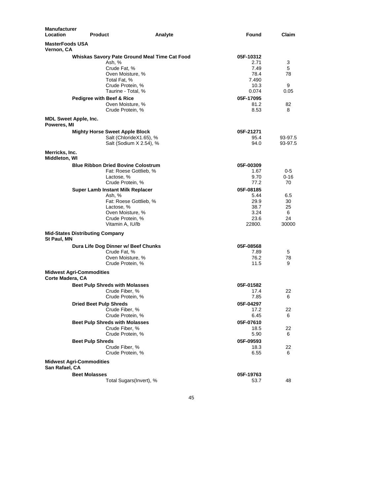| <b>Manufacturer</b><br><b>Location</b> | <b>Product</b>                                                                                                              | Analyte                                            | Found                                                       | Claim                               |
|----------------------------------------|-----------------------------------------------------------------------------------------------------------------------------|----------------------------------------------------|-------------------------------------------------------------|-------------------------------------|
| <b>MasterFoods USA</b><br>Vernon, CA   |                                                                                                                             |                                                    |                                                             |                                     |
|                                        | Ash. %<br>Crude Fat, %<br>Oven Moisture, %<br>Total Fat, %<br>Crude Protein, %<br>Taurine - Total, %                        | Whiskas Savory Pate Ground Meal Time Cat Food      | 05F-10312<br>2.71<br>7.49<br>78.4<br>7.490<br>10.3<br>0.074 | 3<br>5<br>78<br>9<br>0.05           |
|                                        | Pedigree with Beef & Rice<br>Oven Moisture, %<br>Crude Protein, %                                                           |                                                    | 05F-17095<br>81.2<br>8.53                                   | 82<br>8                             |
| Poweres, MI                            | <b>MDL Sweet Apple, Inc.</b>                                                                                                |                                                    |                                                             |                                     |
|                                        | <b>Mighty Horse Sweet Apple Block</b>                                                                                       | Salt (ChlorideX1.65), %<br>Salt (Sodium X 2.54), % | 05F-21271<br>95.4<br>94.0                                   | 93-97.5<br>93-97.5                  |
| Merricks, Inc.<br>Middleton, WI        |                                                                                                                             |                                                    |                                                             |                                     |
|                                        | <b>Blue Ribbon Dried Bovine Colostrum</b><br>Lactose, %<br>Crude Protein, %                                                 | Fat: Roese Gottlieb, %                             | 05F-00309<br>1.67<br>9.70<br>77.2                           | 0-5<br>$0 - 16$<br>70               |
|                                        | <b>Super Lamb Instant Milk Replacer</b><br>Ash, %<br>Lactose, %<br>Oven Moisture, %<br>Crude Protein, %<br>Vitamin A, IU/lb | Fat: Roese Gottlieb, %                             | 05F-08185<br>5.44<br>29.9<br>38.7<br>3.24<br>23.6<br>22800. | 6.5<br>30<br>25<br>6<br>24<br>30000 |
| St Paul, MN                            | <b>Mid-States Distributing Company</b>                                                                                      |                                                    |                                                             |                                     |
|                                        | Dura Life Dog Dinner w/ Beef Chunks<br>Crude Fat, %<br>Oven Moisture, %<br>Crude Protein, %                                 |                                                    | 05F-08568<br>7.89<br>76.2<br>11.5                           | 5<br>78<br>9                        |
| Corte Madera, CA                       | <b>Midwest Agri-Commodities</b>                                                                                             |                                                    |                                                             |                                     |
|                                        | <b>Beet Pulp Shreds with Molasses</b><br>Crude Fiber, %<br>Crude Protein, %                                                 |                                                    | 05F-01582<br>17.4<br>7.85                                   | 22<br>6                             |
|                                        | <b>Dried Beet Pulp Shreds</b><br>Crude Fiber, %<br>Crude Protein, %                                                         |                                                    | 05F-04297<br>17.2<br>6.45                                   | 22<br>6                             |
|                                        | <b>Beet Pulp Shreds with Molasses</b><br>Crude Fiber, %<br>Crude Protein, %                                                 |                                                    | 05F-07610<br>18.5<br>5.90                                   | 22<br>6                             |
|                                        | <b>Beet Pulp Shreds</b><br>Crude Fiber, %<br>Crude Protein, %                                                               |                                                    | 05F-09593<br>18.3<br>6.55                                   | 22<br>6                             |
| San Rafael, CA                         | <b>Midwest Agri-Commodities</b>                                                                                             |                                                    |                                                             |                                     |
|                                        | <b>Beet Molasses</b>                                                                                                        | Total Sugars(Invert), %                            | 05F-19763<br>53.7                                           | 48                                  |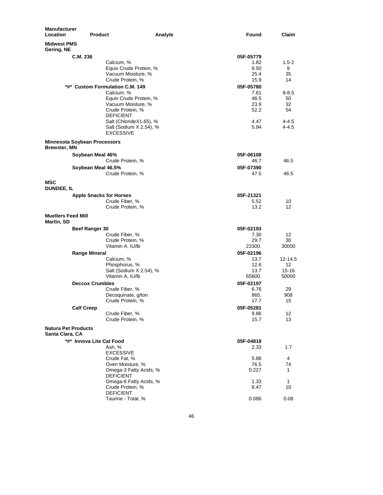| Manufacturer<br>Location                      | <b>Product</b>                      |                                 | Analyte | Found     | Claim     |
|-----------------------------------------------|-------------------------------------|---------------------------------|---------|-----------|-----------|
| <b>Midwest PMS</b><br>Gering, NE              |                                     |                                 |         |           |           |
|                                               | C.M. 236                            |                                 |         | 05F-05779 |           |
|                                               |                                     | Calcium, %                      |         | 1.82      | $1.5 - 2$ |
|                                               |                                     | Equiv Crude Protein, %          |         | 9.50      | 9         |
|                                               |                                     | Vacuum Moisture, %              |         | 25.4      | 35        |
|                                               |                                     | Crude Protein, %                |         | 15.9      | 14        |
|                                               |                                     | *#* Custom Formulation C.M. 149 |         | 05F-05780 |           |
|                                               |                                     | Calcium, %                      |         | 7.61      | $8 - 8.5$ |
|                                               |                                     | Equiv Crude Protein, %          |         | 46.5      | 50        |
|                                               |                                     | Vacuum Moisture, %              |         | 23.9      | 32        |
|                                               |                                     | Crude Protein, %                |         | 52.2      | 54        |
|                                               |                                     | <b>DEFICIENT</b>                |         |           |           |
|                                               |                                     | Salt (ChlorideX1.65), %         |         | 4.47      | 4-4.5     |
|                                               |                                     | Salt (Sodium X 2.54), %         |         | 5.94      | $4 - 4.5$ |
|                                               | <b>Minnesota Soybean Processors</b> | <b>EXCESSIVE</b>                |         |           |           |
| <b>Brewster, MN</b>                           |                                     |                                 |         |           |           |
|                                               | Soybean Meal 46%                    |                                 |         | 05F-06108 |           |
|                                               |                                     | Crude Protein, %                |         | 46.7      | 46.5      |
|                                               | Soybean Meal 46.5%                  |                                 |         | 05F-07390 |           |
|                                               |                                     | Crude Protein, %                |         | 47.5      | 46.5      |
| MSC<br><b>DUNDEE, IL</b>                      |                                     |                                 |         |           |           |
|                                               | <b>Apple Snacks for Horses</b>      |                                 |         | 05F-21321 |           |
|                                               |                                     | Crude Fiber, %                  |         | 5.52      | 10        |
|                                               |                                     | Crude Protein, %                |         | 13.2      | 12        |
| <b>Muellers Feed Mill</b><br>Martin, SD       |                                     |                                 |         |           |           |
|                                               | Beef Ranger 30                      |                                 |         | 05F-02193 |           |
|                                               |                                     | Crude Fiber, %                  |         | 7.30      | 12        |
|                                               |                                     | Crude Protein, %                |         | 29.7      | 30        |
|                                               |                                     | Vitamin A, IU/lb                |         | 23300.    | 30000     |
|                                               | <b>Range Mineral</b>                |                                 |         | 05F-02196 |           |
|                                               |                                     | Calcium, %                      |         | 13.7      | 12-14.5   |
|                                               |                                     | Phosphorus, %                   |         | 12.6      | 12        |
|                                               |                                     | Salt (Sodium X 2.54), %         |         | 13.7      | $15 - 16$ |
|                                               |                                     | Vitamin A, IU/lb                |         | 65600.    | 50000     |
|                                               | <b>Deccox Crumbles</b>              |                                 |         | 05F-02197 |           |
|                                               |                                     | Crude Fiber, %                  |         | 6.76      | 29        |
|                                               |                                     | Decoquinate, g/ton              |         | 865.      | 908       |
|                                               |                                     | Crude Protein, %                |         | 17.7      | 15        |
|                                               | <b>Calf Creep</b>                   |                                 |         | 05F-05281 |           |
|                                               |                                     | Crude Fiber, %                  |         | 9.86      | 12        |
|                                               |                                     | Crude Protein, %                |         | 15.7      | 13        |
| <b>Natura Pet Products</b><br>Santa Clara, CA |                                     |                                 |         |           |           |
|                                               | *#* Innova Lite Cat Food            |                                 |         | 05F-04818 |           |
|                                               |                                     | Ash, %                          |         | 2.33      | 1.7       |
|                                               |                                     | <b>EXCESSIVE</b>                |         |           |           |
|                                               |                                     | Crude Fat, %                    |         | 5.88      | 4         |
|                                               |                                     | Oven Moisture, %                |         | 76.5      | 74        |
|                                               |                                     | Omega-3 Fatty Acids, %          |         | 0.227     | 1         |
|                                               |                                     | <b>DEFICIENT</b>                |         |           |           |
|                                               |                                     | Omega-6 Fatty Acids, %          |         | 1.33      | 1         |
|                                               |                                     | Crude Protein, %                |         | 8.47      | 10        |
|                                               |                                     | <b>DEFICIENT</b>                |         |           |           |
|                                               |                                     | Taurine - Total, %              |         | 0.086     | 0.08      |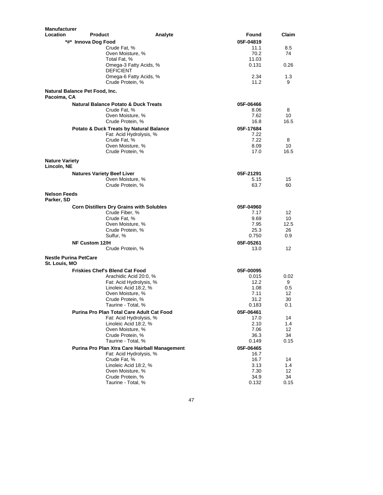| Manufacturer<br>Location<br><b>Product</b>         | Analyte                 | Found        | Claim           |
|----------------------------------------------------|-------------------------|--------------|-----------------|
| *#* Innova Dog Food                                |                         | 05F-04819    |                 |
| Crude Fat, %                                       |                         | 11.1         | 8.5             |
| Oven Moisture, %                                   |                         | 70.2         | 74              |
| Total Fat, %                                       |                         | 11.03        |                 |
| <b>DEFICIENT</b>                                   | Omega-3 Fatty Acids, %  | 0.131        | 0.26            |
| Crude Protein, %                                   | Omega-6 Fatty Acids, %  | 2.34<br>11.2 | 1.3<br>9        |
| Natural Balance Pet Food, Inc.<br>Pacoima, CA      |                         |              |                 |
| <b>Natural Balance Potato &amp; Duck Treats</b>    |                         | 05F-06466    |                 |
| Crude Fat. %                                       |                         | 8.06         | 8               |
| Oven Moisture, %                                   |                         | 7.62         | 10              |
| Crude Protein, %                                   |                         | 16.8         | 16.5            |
| <b>Potato &amp; Duck Treats by Natural Balance</b> |                         | 05F-17684    |                 |
|                                                    | Fat: Acid Hydrolysis, % | 7.22         |                 |
| Crude Fat, %                                       |                         | 7.22         | 8               |
| Oven Moisture, %                                   |                         | 8.09         | 10              |
| Crude Protein, %                                   |                         | 17.0         | 16.5            |
| <b>Nature Variety</b><br>Lincoln, NE               |                         |              |                 |
| <b>Natures Variety Beef Liver</b>                  |                         | 05F-21291    |                 |
| Oven Moisture, %                                   |                         | 5.15         | 15              |
| Crude Protein, %                                   |                         | 63.7         | 60              |
| <b>Nelson Feeds</b><br>Parker, SD                  |                         |              |                 |
| <b>Corn Distillers Dry Grains with Solubles</b>    |                         | 05F-04960    |                 |
| Crude Fiber, %                                     |                         | 7.17         | 12 <sup>2</sup> |
| Crude Fat, %                                       |                         | 9.69         | 10              |
| Oven Moisture, %                                   |                         | 7.95         | 12.5            |
| Crude Protein, %                                   |                         | 25.3         | 26              |
| Sulfur, %                                          |                         | 0.750        | 0.9             |
| <b>NF Custom 12/H</b>                              |                         | 05F-05261    |                 |
| Crude Protein, %                                   |                         | 13.0         | 12              |
| <b>Nestle Purina PetCare</b><br>St. Louis, MO      |                         |              |                 |
| <b>Friskies Chef's Blend Cat Food</b>              |                         | 05F-00095    |                 |
|                                                    | Arachidic Acid 20:0, %  | 0.015        | 0.02            |
|                                                    | Fat: Acid Hydrolysis, % | 12.2         | 9               |
| Linoleic Acid 18:2, %                              |                         | 1.08         | 0.5             |
| Oven Moisture, %                                   |                         | 7.11         | 12              |
| Crude Protein, %                                   |                         | 31.2         | 30              |
| Taurine - Total, %                                 |                         | 0.183        | 0.1             |
| Purina Pro Plan Total Care Adult Cat Food          |                         | 05F-06461    |                 |
|                                                    | Fat: Acid Hydrolysis, % | 17.0         | 14              |
| Linoleic Acid 18:2, %                              |                         | 2.10         | 1.4             |
| Oven Moisture, %<br>Crude Protein, %               |                         | 7.06<br>36.3 | 12<br>34        |
| Taurine - Total, %                                 |                         | 0.149        | 0.15            |
| Purina Pro Plan Xtra Care Hairball Management      |                         | 05F-06465    |                 |
|                                                    | Fat: Acid Hydrolysis, % | 16.7         |                 |
| Crude Fat. %                                       |                         | 16.7         | 14              |
| Linoleic Acid 18:2, %                              |                         | 3.13         | 1.4             |
| Oven Moisture, %                                   |                         | 7.30         | 12              |
| Crude Protein, %                                   |                         | 34.9         | 34              |
| Taurine - Total, %                                 |                         | 0.132        | 0.15            |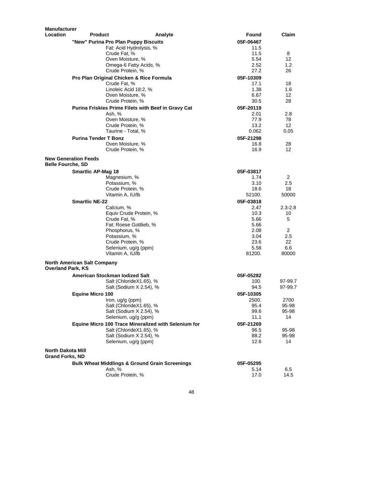| <b>Manufacturer</b>      |                                    |                                                                     |         |                   |                   |
|--------------------------|------------------------------------|---------------------------------------------------------------------|---------|-------------------|-------------------|
| Location                 | <b>Product</b>                     |                                                                     | Analyte | Found             | Claim             |
|                          |                                    | "New" Purina Pro Plan Puppy Biscuits                                |         | 05F-06467         |                   |
|                          |                                    | Fat: Acid Hydrolysis, %                                             |         | 11.5              |                   |
|                          |                                    | Crude Fat, %                                                        |         | 11.5              | 8                 |
|                          |                                    | Oven Moisture, %                                                    |         | 5.54              | 12                |
|                          |                                    | Omega-6 Fatty Acids, %<br>Crude Protein, %                          |         | 2.52<br>27.2      | 1.2<br>26         |
|                          |                                    |                                                                     |         |                   |                   |
|                          |                                    | Pro Plan Original Chicken & Rice Formula<br>Crude Fat, %            |         | 05F-10309<br>17.1 | 18                |
|                          |                                    | Linoleic Acid 18:2, %                                               |         | 1.38              | 1.6               |
|                          |                                    | Oven Moisture, %                                                    |         | 6.67              | 12                |
|                          |                                    | Crude Protein, %                                                    |         | 30.5              | 28                |
|                          |                                    | Purina Friskies Prime Filets with Beef in Gravy Cat                 |         | 05F-20119         |                   |
|                          |                                    | Ash, %                                                              |         | 2.01              | 2.8               |
|                          |                                    | Oven Moisture, %                                                    |         | 77.9              | 78                |
|                          |                                    | Crude Protein, %                                                    |         | 13.2              | 12                |
|                          |                                    | Taurine - Total, %                                                  |         | 0.062             | 0.05              |
|                          | <b>Purina Tender T Bonz</b>        |                                                                     |         | 05F-21298         |                   |
|                          |                                    | Oven Moisture, %                                                    |         | 16.8              | 28                |
|                          |                                    | Crude Protein, %                                                    |         | 16.9              | 12                |
| <b>Belle Fourche, SD</b> | <b>New Generation Feeds</b>        |                                                                     |         |                   |                   |
|                          | <b>Smartlic AP-Mag 18</b>          |                                                                     |         | 05F-03817         |                   |
|                          |                                    | Magnesium, %                                                        |         | 1.74              | 2                 |
|                          |                                    | Potassium, %                                                        |         | 3.10              | 2.5               |
|                          |                                    | Crude Protein, %                                                    |         | 18.6              | 18                |
|                          |                                    | Vitamin A, IU/lb                                                    |         | 52100.            | 50000             |
|                          | <b>Smartlic NE-22</b>              |                                                                     |         | 05F-03818         |                   |
|                          |                                    | Calcium, %                                                          |         | 2.47<br>10.3      | $2.3 - 2.8$<br>10 |
|                          |                                    | Equiv Crude Protein, %<br>Crude Fat, %                              |         | 5.66              | 5                 |
|                          |                                    | Fat: Roese Gottlieb, %                                              |         | 5.66              |                   |
|                          |                                    | Phosphorus, %                                                       |         | 2.08              | $\overline{2}$    |
|                          |                                    | Potassium, %                                                        |         | 3.04              | 2.5               |
|                          |                                    | Crude Protein, %                                                    |         | 23.6              | 22                |
|                          |                                    | Selenium, ug/g (ppm)                                                |         | 5.58              | 6.6               |
|                          | <b>North American Salt Company</b> | Vitamin A, IU/lb                                                    |         | 81200.            | 80000             |
| <b>Overland Park, KS</b> |                                    |                                                                     |         |                   |                   |
|                          |                                    | American Stockman lodized Salt                                      |         | 05F-05282         |                   |
|                          |                                    | Salt (ChlorideX1.65), %                                             |         | 100.              | 97-99.7           |
|                          |                                    | Salt (Sodium X 2.54), %                                             |         | 94.5              | 97-99.7           |
|                          | <b>Equine Micro 100</b>            |                                                                     |         | 05F-10305         |                   |
|                          |                                    | Iron, ug/g (ppm)<br>Salt (ChlorideX1.65), %                         |         | 2500.             | 2700              |
|                          |                                    | Salt (Sodium X 2.54), %                                             |         | 95.4<br>99.6      | 95-98<br>95-98    |
|                          |                                    | Selenium, ug/g (ppm)                                                |         | 11.1              | 14                |
|                          |                                    | Equine Micro 100 Trace Mineralized with Selenium for                |         | 05F-21269         |                   |
|                          |                                    | Salt (ChlorideX1.65), %                                             |         | 96.5              | 95-98             |
|                          |                                    | Salt (Sodium X 2.54), %                                             |         | 88.2              | 95-98             |
|                          |                                    | Selenium, ug/g (ppm)                                                |         | 12.6              | 14                |
| <b>North Dakota Mill</b> |                                    |                                                                     |         |                   |                   |
| <b>Grand Forks, ND</b>   |                                    |                                                                     |         |                   |                   |
|                          |                                    | <b>Bulk Wheat Middlings &amp; Ground Grain Screenings</b><br>Ash, % |         | 05F-05295<br>5.14 | 6.5               |
|                          |                                    | Crude Protein, %                                                    |         | 17.0              | 14.5              |
|                          |                                    |                                                                     |         |                   |                   |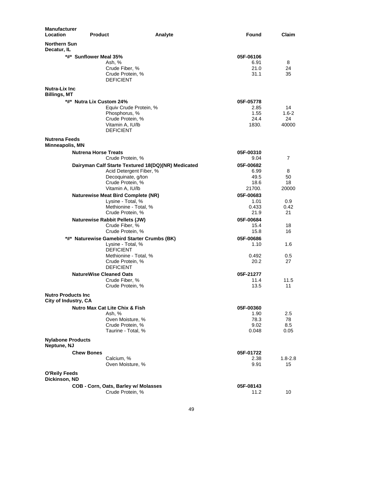| Manufacturer<br>Location                     | <b>Product</b>                 |                                                    | Analyte | Found             | Claim          |
|----------------------------------------------|--------------------------------|----------------------------------------------------|---------|-------------------|----------------|
| <b>Northern Sun</b><br>Decatur, IL           |                                |                                                    |         |                   |                |
|                                              | *#* Sunflower Meal 35%         |                                                    |         | 05F-06106         |                |
|                                              |                                | Ash, %                                             |         | 6.91              | 8              |
|                                              |                                | Crude Fiber, %                                     |         | 21.0              | 24             |
|                                              |                                | Crude Protein, %                                   |         | 31.1              | 35             |
|                                              |                                | <b>DEFICIENT</b>                                   |         |                   |                |
| <b>Nutra-Lix Inc.</b><br><b>Billings, MT</b> |                                |                                                    |         |                   |                |
|                                              | *#* Nutra Lix Custom 24%       |                                                    |         | 05F-05778         |                |
|                                              |                                | Equiv Crude Protein, %                             |         | 2.85              | 14             |
|                                              |                                | Phosphorus, %                                      |         | 1.55              | $1.6 - 2$      |
|                                              |                                | Crude Protein, %                                   |         | 24.4              | 24             |
|                                              |                                | Vitamin A, IU/lb                                   |         | 1830.             | 40000          |
|                                              |                                | <b>DEFICIENT</b>                                   |         |                   |                |
| <b>Nutrena Feeds</b><br>Minneapolis, MN      |                                |                                                    |         |                   |                |
|                                              | <b>Nutrena Horse Treats</b>    |                                                    |         | 05F-00310         |                |
|                                              |                                | Crude Protein, %                                   |         | 9.04              | $\overline{7}$ |
|                                              |                                | Dairyman Calf Starte Textured 18(DQ)(NR) Medicated |         | 05F-00682         |                |
|                                              |                                | Acid Detergent Fiber, %                            |         | 6.99              | 8              |
|                                              |                                | Decoquinate, g/ton                                 |         | 49.5              | 50             |
|                                              |                                | Crude Protein, %                                   |         | 18.6              | 18             |
|                                              |                                | Vitamin A, IU/lb                                   |         | 21700.            | 20000          |
|                                              |                                | <b>Naturewise Meat Bird Complete (NR)</b>          |         | 05F-00683         |                |
|                                              |                                | Lysine - Total, %                                  |         | 1.01              | 0.9            |
|                                              |                                | Methionine - Total, %                              |         | 0.433             | 0.42           |
|                                              |                                | Crude Protein, %                                   |         | 21.9              | 21             |
|                                              |                                | <b>Naturewise Rabbit Pellets (JW)</b>              |         | 05F-00684         |                |
|                                              |                                | Crude Fiber, %                                     |         | 15.4              | 18             |
|                                              |                                | Crude Protein, %                                   |         | 15.8              | 16             |
|                                              |                                | *#* Naturewise Gamebird Starter Crumbs (BK)        |         | 05F-00686         |                |
|                                              |                                | Lysine - Total, %                                  |         | 1.10              | 1.6            |
|                                              |                                | <b>DEFICIENT</b>                                   |         |                   |                |
|                                              |                                | Methionine - Total, %                              |         | 0.492<br>20.2     | 0.5<br>27      |
|                                              |                                | Crude Protein, %<br><b>DEFICIENT</b>               |         |                   |                |
|                                              |                                |                                                    |         |                   |                |
|                                              | <b>NatureWise Cleaned Oats</b> | Crude Fiber, %                                     |         | 05F-21277<br>11.4 | 11.5           |
|                                              |                                | Crude Protein, %                                   |         | 13.5              | 11             |
| <b>Nutro Products Inc.</b>                   |                                |                                                    |         |                   |                |
| City of Industry, CA                         |                                |                                                    |         |                   |                |
|                                              |                                | <b>Nutro Max Cat Lite Chix &amp; Fish</b>          |         | 05F-00360         |                |
|                                              |                                | Ash, %                                             |         | 1.90              | 2.5            |
|                                              |                                | Oven Moisture, %                                   |         | 78.3              | 78             |
|                                              |                                | Crude Protein, %<br>Taurine - Total, %             |         | 9.02<br>0.048     | 8.5<br>0.05    |
|                                              |                                |                                                    |         |                   |                |
| <b>Nylabone Products</b><br>Neptune, NJ      |                                |                                                    |         |                   |                |
|                                              | <b>Chew Bones</b>              |                                                    |         | 05F-01722         |                |
|                                              |                                | Calcium, %                                         |         | 2.38              | $1.8 - 2.8$    |
|                                              |                                | Oven Moisture, %                                   |         | 9.91              | 15             |
| O'Reily Feeds<br>Dickinson, ND               |                                |                                                    |         |                   |                |
|                                              |                                | COB - Corn, Oats, Barley w/ Molasses               |         | 05F-08143         |                |
|                                              |                                | Crude Protein, %                                   |         | 11.2              | 10             |
|                                              |                                |                                                    |         |                   |                |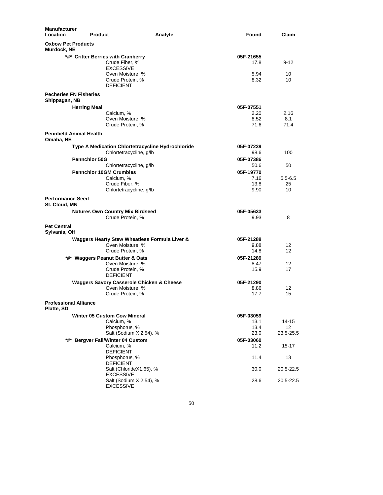| <b>Manufacturer</b><br>Location          | <b>Product</b>                                                               | Analyte                                           | Found             | Claim             |
|------------------------------------------|------------------------------------------------------------------------------|---------------------------------------------------|-------------------|-------------------|
| <b>Oxbow Pet Products</b><br>Murdock, NE |                                                                              |                                                   |                   |                   |
|                                          | *#* Critter Berries with Cranberry<br>Crude Fiber, %                         |                                                   | 05F-21655<br>17.8 | $9 - 12$          |
|                                          | <b>EXCESSIVE</b><br>Oven Moisture, %<br>Crude Protein, %<br><b>DEFICIENT</b> |                                                   | 5.94<br>8.32      | 10<br>10          |
| Shippagan, NB                            | <b>Pecheries FN Fisheries</b>                                                |                                                   |                   |                   |
|                                          | <b>Herring Meal</b>                                                          |                                                   | 05F-07551         |                   |
|                                          | Calcium, %                                                                   |                                                   | 2.20              | 2.16              |
|                                          | Oven Moisture, %                                                             |                                                   | 8.52              | 8.1               |
|                                          | Crude Protein, %<br><b>Pennfield Animal Health</b>                           |                                                   | 71.6              | 71.4              |
| Omaha, NE                                |                                                                              |                                                   |                   |                   |
|                                          |                                                                              | Type A Medication Chlortetracycline Hydrochloride | 05F-07239         |                   |
|                                          |                                                                              | Chlortetracycline, g/lb                           | 98.6              | 100               |
|                                          | <b>Pennchlor 50G</b>                                                         |                                                   | 05F-07386         |                   |
|                                          |                                                                              | Chlortetracycline, g/lb                           | 50.6              | 50                |
|                                          | <b>Pennchlor 10GM Crumbles</b><br>Calcium, %                                 |                                                   | 05F-19770<br>7.16 |                   |
|                                          | Crude Fiber, %                                                               |                                                   | 13.8              | $5.5 - 6.5$<br>25 |
|                                          |                                                                              | Chlortetracycline, g/lb                           | 9.90              | 10                |
| <b>Performance Seed</b><br>St. Cloud, MN |                                                                              |                                                   |                   |                   |
|                                          | <b>Natures Own Country Mix Birdseed</b><br>Crude Protein, %                  |                                                   | 05F-05633<br>9.93 | 8                 |
| <b>Pet Central</b><br>Sylvania, OH       |                                                                              |                                                   |                   |                   |
|                                          |                                                                              | Waggers Hearty Stew Wheatless Formula Liver &     | 05F-21288         |                   |
|                                          | Oven Moisture, %                                                             |                                                   | 9.88              | 12                |
|                                          | Crude Protein, %                                                             |                                                   | 14.8              | 12                |
|                                          | *#* Waggers Peanut Butter & Oats                                             |                                                   | 05F-21289         |                   |
|                                          | Oven Moisture, %                                                             |                                                   | 8.47              | 12                |
|                                          | Crude Protein, %<br><b>DEFICIENT</b>                                         |                                                   | 15.9              | 17                |
|                                          | <b>Waggers Savory Casserole Chicken &amp; Cheese</b>                         |                                                   | 05F-21290         |                   |
|                                          | Oven Moisture, %                                                             |                                                   | 8.86              | 12                |
|                                          | Crude Protein, %                                                             |                                                   | 17.7              | 15                |
| Platte, SD                               | <b>Professional Alliance</b>                                                 |                                                   |                   |                   |
|                                          | <b>Winter 05 Custom Cow Mineral</b>                                          |                                                   | 05F-03059         |                   |
|                                          | Calcium, %                                                                   |                                                   | 13.1              | 14-15             |
|                                          | Phosphorus, %                                                                |                                                   | 13.4              | 12                |
|                                          |                                                                              | Salt (Sodium X 2.54), %                           | 23.0              | 23.5-25.5         |
| *#*                                      | <b>Bergver Fall/Winter 04 Custom</b>                                         |                                                   | 05F-03060         |                   |
|                                          | Calcium, %                                                                   |                                                   | 11.2              | 15-17             |
|                                          | <b>DEFICIENT</b><br>Phosphorus, %                                            |                                                   | 11.4              | 13                |
|                                          | <b>DEFICIENT</b>                                                             |                                                   |                   |                   |
|                                          |                                                                              | Salt (ChlorideX1.65), %                           | 30.0              | 20.5-22.5         |
|                                          | <b>EXCESSIVE</b>                                                             |                                                   |                   |                   |
|                                          | <b>EXCESSIVE</b>                                                             | Salt (Sodium X 2.54), %                           | 28.6              | 20.5-22.5         |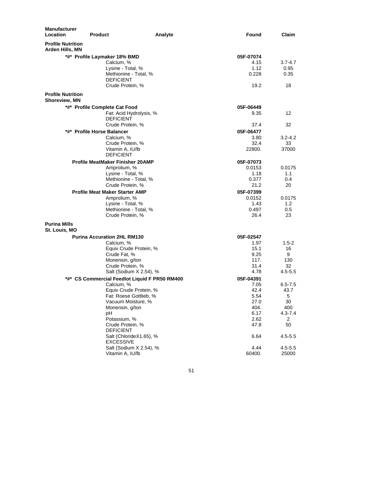| <b>Manufacturer</b><br>Location                  | <b>Product</b>                                | Found<br>Analyte | Claim            |
|--------------------------------------------------|-----------------------------------------------|------------------|------------------|
| <b>Profile Nutrition</b><br>Arden Hills, MN      |                                               |                  |                  |
|                                                  | *#* Profile Laymaker 18% BMD                  | 05F-07074        |                  |
|                                                  | Calcium, %                                    | 4.15             | $3.7 - 4.7$      |
|                                                  | Lysine - Total, %                             | 1.12             | 0.95             |
|                                                  | Methionine - Total, %                         | 0.228            | 0.35             |
|                                                  | <b>DEFICIENT</b>                              |                  |                  |
|                                                  | Crude Protein, %                              | 19.2             | 18               |
| <b>Profile Nutrition</b><br><b>Shoreview, MN</b> |                                               |                  |                  |
|                                                  | *#* Profile Complete Cat Food                 | 05F-06449        |                  |
|                                                  | Fat: Acid Hydrolysis, %<br><b>DEFICIENT</b>   | 9.35             | 12               |
|                                                  | Crude Protein, %                              | 37.4             | 32               |
|                                                  | *#* Profile Horse Balancer                    | 05F-06477        |                  |
|                                                  | Calcium, %                                    | 3.80             | $3.2 - 4.2$      |
|                                                  | Crude Protein, %                              | 32.4             | 33               |
|                                                  | Vitamin A, IU/lb<br><b>DEFICIENT</b>          | 22800.           | 37000            |
|                                                  | <b>Profile MeatMaker Finisher 20AMP</b>       | 05F-07073        |                  |
|                                                  | Amprolium, %                                  | 0.0153           | 0.0175           |
|                                                  | Lysine - Total, %                             | 1.18             | 1.1              |
|                                                  | Methionine - Total, %                         | 0.377            | 0.4              |
|                                                  | Crude Protein, %                              | 21.2             | 20               |
|                                                  | <b>Profile Meat Maker Starter AMP</b>         | 05F-07399        |                  |
|                                                  | Amprolium, %                                  | 0.0152           | 0.0175           |
|                                                  | Lysine - Total, %                             | 1.43             | 1.2              |
|                                                  | Methionine - Total, %                         | 0.497            | 0.5              |
|                                                  | Crude Protein, %                              | 26.4             | 23               |
| <b>Purina Mills</b><br>St. Louis, MO             |                                               |                  |                  |
|                                                  | <b>Purina Accuration 2HL RM130</b>            | 05F-02547        |                  |
|                                                  | Calcium, %                                    | 1.97             | $1.5 - 2$        |
|                                                  | Equiv Crude Protein, %                        | 15.1             | 16               |
|                                                  | Crude Fat, %                                  | 9.25             | 9                |
|                                                  | Monensin, g/ton<br>Crude Protein, %           | 117.<br>31.4     | 130<br>32        |
|                                                  | Salt (Sodium X 2.54), %                       | 4.78             | $4.5 - 5.5$      |
|                                                  | *#* CS Commercial Feedlot Liquid F PR50 RM400 | 05F-04391        |                  |
|                                                  | Calcium, %                                    | 7.05             | $6.5 - 7.5$      |
|                                                  | Equiv Crude Protein, %                        | 42.4             | 43.7             |
|                                                  | Fat: Roese Gottlieb, %                        | 5.54             | 5                |
|                                                  | Vacuum Moisture, %                            | 27.0             | 30               |
|                                                  | Monensin, g/ton                               | 404.             | 400              |
|                                                  | рH<br>Potassium, %                            | 6.17<br>2.62     | $4.3 - 7.4$<br>2 |
|                                                  | Crude Protein, %                              | 47.8             | 50               |
|                                                  | <b>DEFICIENT</b>                              |                  |                  |
|                                                  | Salt (ChlorideX1.65), %                       | 6.64             | 4.5-5.5          |
|                                                  | <b>EXCESSIVE</b>                              |                  |                  |
|                                                  | Salt (Sodium X 2.54), %                       | 4.44             | $4.5 - 5.5$      |
|                                                  | Vitamin A, IU/lb                              | 60400.           | 25000            |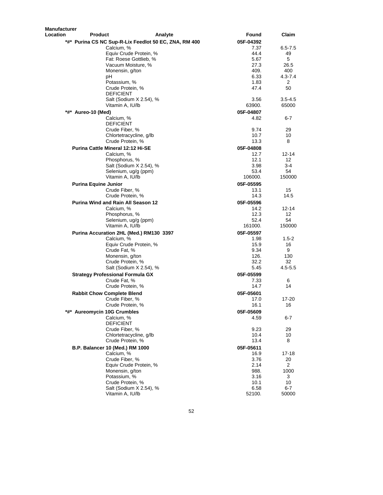| Manufacturer |                                                       |                   |                      |
|--------------|-------------------------------------------------------|-------------------|----------------------|
| Location     | Analyte<br>Product                                    | Found             | Claim                |
|              | *#* Purina CS NC Sup-R-Lix Feedlot 50 EC, ZNA, RM 400 | 05F-04392         |                      |
|              | Calcium, %                                            | 7.37              | $6.5 - 7.5$          |
|              | Equiv Crude Protein, %                                | 44.4              | 49                   |
|              | Fat: Roese Gottlieb, %                                | 5.67              | 5                    |
|              | Vacuum Moisture, %                                    | 27.3              | 26.5                 |
|              | Monensin, g/ton                                       | 409.              | 400                  |
|              | рH                                                    | 6.33              | 4.3-7.4              |
|              | Potassium, %                                          | 1.83              | 2                    |
|              | Crude Protein, %                                      | 47.4              | 50                   |
|              | <b>DEFICIENT</b>                                      |                   |                      |
|              | Salt (Sodium X 2.54), %<br>Vitamin A, IU/lb           | 3.56<br>63900.    | $3.5 - 4.5$<br>65000 |
|              |                                                       |                   |                      |
|              | *#* Aureo-10 (Med)                                    | 05F-04807         |                      |
|              | Calcium, %                                            | 4.82              | $6-7$                |
|              | <b>DEFICIENT</b>                                      | 9.74              | 29                   |
|              | Crude Fiber, %<br>Chlortetracycline, g/lb             | 10.7              | 10                   |
|              | Crude Protein, %                                      | 13.3              | 8                    |
|              |                                                       |                   |                      |
|              | <b>Purina Cattle Mineral 12:12 Hi-SE</b>              | 05F-04808<br>12.7 |                      |
|              | Calcium, %<br>Phosphorus, %                           | 12.1              | 12-14<br>12          |
|              | Salt (Sodium X 2.54), %                               | 3.98              | $3-4$                |
|              | Selenium, ug/g (ppm)                                  | 53.4              | 54                   |
|              | Vitamin A, IU/lb                                      | 106000.           | 150000               |
|              | <b>Purina Equine Junior</b>                           | 05F-05595         |                      |
|              | Crude Fiber, %                                        | 13.1              | 15                   |
|              | Crude Protein, %                                      | 14.3              | 14.5                 |
|              | Purina Wind and Rain All Season 12                    | 05F-05596         |                      |
|              | Calcium, %                                            | 14.2              | 12-14                |
|              | Phosphorus, %                                         | 12.3              | 12                   |
|              | Selenium, ug/g (ppm)                                  | 52.4              | 54                   |
|              | Vitamin A, IU/lb                                      | 161000.           | 150000               |
|              | Purina Accuration 2HL (Med.) RM130 3397               | 05F-05597         |                      |
|              | Calcium, %                                            | 1.98              | $1.5 - 2$            |
|              | Equiv Crude Protein, %                                | 15.9              | 16                   |
|              | Crude Fat, %                                          | 9.34              | 9                    |
|              | Monensin, g/ton                                       | 126.              | 130                  |
|              | Crude Protein, %                                      | 32.2              | 32                   |
|              | Salt (Sodium X 2.54), %                               | 5.45              | $4.5 - 5.5$          |
|              | <b>Strategy Professional Formula GX</b>               | 05F-05599         |                      |
|              | Crude Fat, %                                          | 7.33              | 6                    |
|              | Crude Protein, %                                      | 14.7              | 14                   |
|              | <b>Rabbit Chow Complete Blend</b>                     | 05F-05601         |                      |
|              | Crude Fiber, %                                        | 17.0              | 17-20                |
|              | Crude Protein, %                                      | 16.1              | 16                   |
| *#*          | <b>Aureomycin 10G Crumbles</b>                        | 05F-05609         |                      |
|              | Calcium, %                                            | 4.59              | 6-7                  |
|              | <b>DEFICIENT</b>                                      |                   |                      |
|              | Crude Fiber, %                                        | 9.23              | 29                   |
|              | Chlortetracycline, g/lb                               | 10.4              | 10                   |
|              | Crude Protein, %                                      | 13.4              | 8                    |
|              | B.P. Balancer 10 (Med.) RM 1000                       | 05F-05611         |                      |
|              | Calcium, %                                            | 16.9              | 17-18                |
|              | Crude Fiber, %                                        | 3.76              | 20                   |
|              | Equiv Crude Protein, %                                | 2.14              | $\overline{2}$       |
|              | Monensin, g/ton                                       | 988.              | 1000                 |
|              | Potassium, %                                          | 3.16              | 3                    |
|              | Crude Protein, %                                      | 10.1              | 10                   |
|              | Salt (Sodium X 2.54), %                               | 6.58              | 6-7                  |
|              | Vitamin A, IU/lb                                      | 52100.            | 50000                |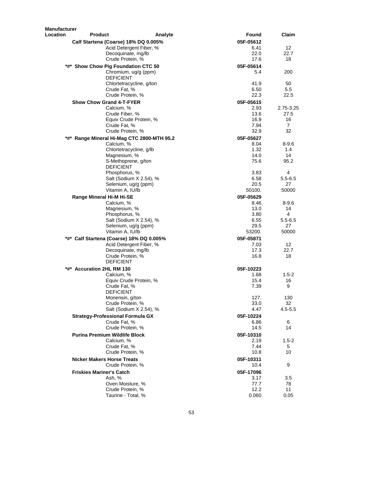| <b>Product</b><br>Found<br>Analyte<br>05F-05612<br>Calf Startena (Coarse) 18% DQ 0.005%<br>12 <sup>°</sup><br>Acid Detergent Fiber, %<br>6.41<br>Decoquinate, mg/lb<br>22.0<br>22.7<br>Crude Protein, %<br>17.6<br>18<br>*#* Show Chow Pig Foundation CTC 50<br>05F-05614<br>200<br>Chromium, ug/g (ppm)<br>5.4<br><b>DEFICIENT</b><br>41.9<br>50<br>Chlortetracycline, g/ton<br>6.50<br>Crude Fat, %<br>$5.5\,$<br>Crude Protein, %<br>22.3<br>22.5<br><b>Show Chow Grand 4-T-FYER</b><br>05F-05615<br>Calcium, %<br>2.93<br>2.75-3.25<br>Crude Fiber, %<br>13.6<br>27.5<br>16.9<br>Equiv Crude Protein, %<br>16<br>7.94<br>$\overline{7}$<br>Crude Fat, %<br>Crude Protein, %<br>32.9<br>32<br>*#* Range Mineral Hi-Mag CTC 2800-MTH 95.2<br>05F-05627<br>Calcium, %<br>8.04<br>$8 - 9.6$<br>1.32<br>Chlortetracycline, g/lb<br>1.4<br>14.0<br>14<br>Magnesium, %<br>75.6<br>95.2<br>S-Methoprene, g/ton<br><b>DEFICIENT</b><br>3.83<br>4<br>Phosphorus, %<br>Salt (Sodium X 2.54), %<br>6.58<br>$5.5 - 6.5$<br>Selenium, ug/g (ppm)<br>20.5<br>27<br>Vitamin A, IU/lb<br>50100.<br>50000<br>Range Mineral Hi-M Hi-SE<br>05F-05629<br>Calcium, %<br>8.46<br>$8 - 9.6$<br>Magnesium, %<br>13.0<br>14<br>4<br>Phosphorus, %<br>3.80<br>6.55<br>Salt (Sodium X 2.54), %<br>$5.5 - 6.5$<br>Selenium, ug/g (ppm)<br>29.5<br>27<br>Vitamin A, IU/lb<br>50000<br>53200.<br>*#* Calf Startena (Coarse) 18% DQ 0.005%<br>05F-05871<br>Acid Detergent Fiber, %<br>7.03<br>12<br>17.3<br>22.7<br>Decoquinate, mg/lb<br>Crude Protein, %<br>16.8<br>18<br>DEFICIENT<br>*#* Accuration 2HL RM 130<br>05F-10223<br>Calcium, %<br>1.68<br>$1.5 - 2$<br>Equiv Crude Protein, %<br>15.4<br>16<br>Crude Fat, %<br>7.39<br>9<br>DEFICIENT<br>Monensin, g/ton<br>127.<br>130<br>Crude Protein, %<br>33.0<br>32<br>Salt (Sodium X 2.54), %<br>4.47<br>$4.5 - 5.5$<br><b>Strategy-Professional Formula GX</b><br>05F-10224<br>Crude Fat, %<br>6.86<br>6<br>Crude Protein, %<br>14.5<br>14<br>Purina Premium Wildlife Block<br>05F-10310<br>Calcium, %<br>2.19<br>1.5-2<br>Crude Fat. %<br>5<br>7.44<br>Crude Protein, %<br>10<br>10.8<br><b>Nicker Makers Horse Treats</b><br>05F-10311<br>9<br>Crude Protein, %<br>10.4<br><b>Friskies Mariner's Catch</b><br>05F-17096<br>Ash, %<br>3.17<br>3.5<br>Oven Moisture, %<br>77.7<br>78<br>Crude Protein, %<br>12.2<br>11<br>Taurine - Total, %<br>0.060<br>0.05 | <b>Manufacturer</b> |  |       |
|------------------------------------------------------------------------------------------------------------------------------------------------------------------------------------------------------------------------------------------------------------------------------------------------------------------------------------------------------------------------------------------------------------------------------------------------------------------------------------------------------------------------------------------------------------------------------------------------------------------------------------------------------------------------------------------------------------------------------------------------------------------------------------------------------------------------------------------------------------------------------------------------------------------------------------------------------------------------------------------------------------------------------------------------------------------------------------------------------------------------------------------------------------------------------------------------------------------------------------------------------------------------------------------------------------------------------------------------------------------------------------------------------------------------------------------------------------------------------------------------------------------------------------------------------------------------------------------------------------------------------------------------------------------------------------------------------------------------------------------------------------------------------------------------------------------------------------------------------------------------------------------------------------------------------------------------------------------------------------------------------------------------------------------------------------------------------------------------------------------------------------------------------------------------------------------------------------------------------------------------------------------------------------------------------------------------------------------------------------------------------------------|---------------------|--|-------|
|                                                                                                                                                                                                                                                                                                                                                                                                                                                                                                                                                                                                                                                                                                                                                                                                                                                                                                                                                                                                                                                                                                                                                                                                                                                                                                                                                                                                                                                                                                                                                                                                                                                                                                                                                                                                                                                                                                                                                                                                                                                                                                                                                                                                                                                                                                                                                                                          | <b>Location</b>     |  | Claim |
|                                                                                                                                                                                                                                                                                                                                                                                                                                                                                                                                                                                                                                                                                                                                                                                                                                                                                                                                                                                                                                                                                                                                                                                                                                                                                                                                                                                                                                                                                                                                                                                                                                                                                                                                                                                                                                                                                                                                                                                                                                                                                                                                                                                                                                                                                                                                                                                          |                     |  |       |
|                                                                                                                                                                                                                                                                                                                                                                                                                                                                                                                                                                                                                                                                                                                                                                                                                                                                                                                                                                                                                                                                                                                                                                                                                                                                                                                                                                                                                                                                                                                                                                                                                                                                                                                                                                                                                                                                                                                                                                                                                                                                                                                                                                                                                                                                                                                                                                                          |                     |  |       |
|                                                                                                                                                                                                                                                                                                                                                                                                                                                                                                                                                                                                                                                                                                                                                                                                                                                                                                                                                                                                                                                                                                                                                                                                                                                                                                                                                                                                                                                                                                                                                                                                                                                                                                                                                                                                                                                                                                                                                                                                                                                                                                                                                                                                                                                                                                                                                                                          |                     |  |       |
|                                                                                                                                                                                                                                                                                                                                                                                                                                                                                                                                                                                                                                                                                                                                                                                                                                                                                                                                                                                                                                                                                                                                                                                                                                                                                                                                                                                                                                                                                                                                                                                                                                                                                                                                                                                                                                                                                                                                                                                                                                                                                                                                                                                                                                                                                                                                                                                          |                     |  |       |
|                                                                                                                                                                                                                                                                                                                                                                                                                                                                                                                                                                                                                                                                                                                                                                                                                                                                                                                                                                                                                                                                                                                                                                                                                                                                                                                                                                                                                                                                                                                                                                                                                                                                                                                                                                                                                                                                                                                                                                                                                                                                                                                                                                                                                                                                                                                                                                                          |                     |  |       |
|                                                                                                                                                                                                                                                                                                                                                                                                                                                                                                                                                                                                                                                                                                                                                                                                                                                                                                                                                                                                                                                                                                                                                                                                                                                                                                                                                                                                                                                                                                                                                                                                                                                                                                                                                                                                                                                                                                                                                                                                                                                                                                                                                                                                                                                                                                                                                                                          |                     |  |       |
|                                                                                                                                                                                                                                                                                                                                                                                                                                                                                                                                                                                                                                                                                                                                                                                                                                                                                                                                                                                                                                                                                                                                                                                                                                                                                                                                                                                                                                                                                                                                                                                                                                                                                                                                                                                                                                                                                                                                                                                                                                                                                                                                                                                                                                                                                                                                                                                          |                     |  |       |
|                                                                                                                                                                                                                                                                                                                                                                                                                                                                                                                                                                                                                                                                                                                                                                                                                                                                                                                                                                                                                                                                                                                                                                                                                                                                                                                                                                                                                                                                                                                                                                                                                                                                                                                                                                                                                                                                                                                                                                                                                                                                                                                                                                                                                                                                                                                                                                                          |                     |  |       |
|                                                                                                                                                                                                                                                                                                                                                                                                                                                                                                                                                                                                                                                                                                                                                                                                                                                                                                                                                                                                                                                                                                                                                                                                                                                                                                                                                                                                                                                                                                                                                                                                                                                                                                                                                                                                                                                                                                                                                                                                                                                                                                                                                                                                                                                                                                                                                                                          |                     |  |       |
|                                                                                                                                                                                                                                                                                                                                                                                                                                                                                                                                                                                                                                                                                                                                                                                                                                                                                                                                                                                                                                                                                                                                                                                                                                                                                                                                                                                                                                                                                                                                                                                                                                                                                                                                                                                                                                                                                                                                                                                                                                                                                                                                                                                                                                                                                                                                                                                          |                     |  |       |
|                                                                                                                                                                                                                                                                                                                                                                                                                                                                                                                                                                                                                                                                                                                                                                                                                                                                                                                                                                                                                                                                                                                                                                                                                                                                                                                                                                                                                                                                                                                                                                                                                                                                                                                                                                                                                                                                                                                                                                                                                                                                                                                                                                                                                                                                                                                                                                                          |                     |  |       |
|                                                                                                                                                                                                                                                                                                                                                                                                                                                                                                                                                                                                                                                                                                                                                                                                                                                                                                                                                                                                                                                                                                                                                                                                                                                                                                                                                                                                                                                                                                                                                                                                                                                                                                                                                                                                                                                                                                                                                                                                                                                                                                                                                                                                                                                                                                                                                                                          |                     |  |       |
|                                                                                                                                                                                                                                                                                                                                                                                                                                                                                                                                                                                                                                                                                                                                                                                                                                                                                                                                                                                                                                                                                                                                                                                                                                                                                                                                                                                                                                                                                                                                                                                                                                                                                                                                                                                                                                                                                                                                                                                                                                                                                                                                                                                                                                                                                                                                                                                          |                     |  |       |
|                                                                                                                                                                                                                                                                                                                                                                                                                                                                                                                                                                                                                                                                                                                                                                                                                                                                                                                                                                                                                                                                                                                                                                                                                                                                                                                                                                                                                                                                                                                                                                                                                                                                                                                                                                                                                                                                                                                                                                                                                                                                                                                                                                                                                                                                                                                                                                                          |                     |  |       |
|                                                                                                                                                                                                                                                                                                                                                                                                                                                                                                                                                                                                                                                                                                                                                                                                                                                                                                                                                                                                                                                                                                                                                                                                                                                                                                                                                                                                                                                                                                                                                                                                                                                                                                                                                                                                                                                                                                                                                                                                                                                                                                                                                                                                                                                                                                                                                                                          |                     |  |       |
|                                                                                                                                                                                                                                                                                                                                                                                                                                                                                                                                                                                                                                                                                                                                                                                                                                                                                                                                                                                                                                                                                                                                                                                                                                                                                                                                                                                                                                                                                                                                                                                                                                                                                                                                                                                                                                                                                                                                                                                                                                                                                                                                                                                                                                                                                                                                                                                          |                     |  |       |
|                                                                                                                                                                                                                                                                                                                                                                                                                                                                                                                                                                                                                                                                                                                                                                                                                                                                                                                                                                                                                                                                                                                                                                                                                                                                                                                                                                                                                                                                                                                                                                                                                                                                                                                                                                                                                                                                                                                                                                                                                                                                                                                                                                                                                                                                                                                                                                                          |                     |  |       |
|                                                                                                                                                                                                                                                                                                                                                                                                                                                                                                                                                                                                                                                                                                                                                                                                                                                                                                                                                                                                                                                                                                                                                                                                                                                                                                                                                                                                                                                                                                                                                                                                                                                                                                                                                                                                                                                                                                                                                                                                                                                                                                                                                                                                                                                                                                                                                                                          |                     |  |       |
|                                                                                                                                                                                                                                                                                                                                                                                                                                                                                                                                                                                                                                                                                                                                                                                                                                                                                                                                                                                                                                                                                                                                                                                                                                                                                                                                                                                                                                                                                                                                                                                                                                                                                                                                                                                                                                                                                                                                                                                                                                                                                                                                                                                                                                                                                                                                                                                          |                     |  |       |
|                                                                                                                                                                                                                                                                                                                                                                                                                                                                                                                                                                                                                                                                                                                                                                                                                                                                                                                                                                                                                                                                                                                                                                                                                                                                                                                                                                                                                                                                                                                                                                                                                                                                                                                                                                                                                                                                                                                                                                                                                                                                                                                                                                                                                                                                                                                                                                                          |                     |  |       |
|                                                                                                                                                                                                                                                                                                                                                                                                                                                                                                                                                                                                                                                                                                                                                                                                                                                                                                                                                                                                                                                                                                                                                                                                                                                                                                                                                                                                                                                                                                                                                                                                                                                                                                                                                                                                                                                                                                                                                                                                                                                                                                                                                                                                                                                                                                                                                                                          |                     |  |       |
|                                                                                                                                                                                                                                                                                                                                                                                                                                                                                                                                                                                                                                                                                                                                                                                                                                                                                                                                                                                                                                                                                                                                                                                                                                                                                                                                                                                                                                                                                                                                                                                                                                                                                                                                                                                                                                                                                                                                                                                                                                                                                                                                                                                                                                                                                                                                                                                          |                     |  |       |
|                                                                                                                                                                                                                                                                                                                                                                                                                                                                                                                                                                                                                                                                                                                                                                                                                                                                                                                                                                                                                                                                                                                                                                                                                                                                                                                                                                                                                                                                                                                                                                                                                                                                                                                                                                                                                                                                                                                                                                                                                                                                                                                                                                                                                                                                                                                                                                                          |                     |  |       |
|                                                                                                                                                                                                                                                                                                                                                                                                                                                                                                                                                                                                                                                                                                                                                                                                                                                                                                                                                                                                                                                                                                                                                                                                                                                                                                                                                                                                                                                                                                                                                                                                                                                                                                                                                                                                                                                                                                                                                                                                                                                                                                                                                                                                                                                                                                                                                                                          |                     |  |       |
|                                                                                                                                                                                                                                                                                                                                                                                                                                                                                                                                                                                                                                                                                                                                                                                                                                                                                                                                                                                                                                                                                                                                                                                                                                                                                                                                                                                                                                                                                                                                                                                                                                                                                                                                                                                                                                                                                                                                                                                                                                                                                                                                                                                                                                                                                                                                                                                          |                     |  |       |
|                                                                                                                                                                                                                                                                                                                                                                                                                                                                                                                                                                                                                                                                                                                                                                                                                                                                                                                                                                                                                                                                                                                                                                                                                                                                                                                                                                                                                                                                                                                                                                                                                                                                                                                                                                                                                                                                                                                                                                                                                                                                                                                                                                                                                                                                                                                                                                                          |                     |  |       |
|                                                                                                                                                                                                                                                                                                                                                                                                                                                                                                                                                                                                                                                                                                                                                                                                                                                                                                                                                                                                                                                                                                                                                                                                                                                                                                                                                                                                                                                                                                                                                                                                                                                                                                                                                                                                                                                                                                                                                                                                                                                                                                                                                                                                                                                                                                                                                                                          |                     |  |       |
|                                                                                                                                                                                                                                                                                                                                                                                                                                                                                                                                                                                                                                                                                                                                                                                                                                                                                                                                                                                                                                                                                                                                                                                                                                                                                                                                                                                                                                                                                                                                                                                                                                                                                                                                                                                                                                                                                                                                                                                                                                                                                                                                                                                                                                                                                                                                                                                          |                     |  |       |
|                                                                                                                                                                                                                                                                                                                                                                                                                                                                                                                                                                                                                                                                                                                                                                                                                                                                                                                                                                                                                                                                                                                                                                                                                                                                                                                                                                                                                                                                                                                                                                                                                                                                                                                                                                                                                                                                                                                                                                                                                                                                                                                                                                                                                                                                                                                                                                                          |                     |  |       |
|                                                                                                                                                                                                                                                                                                                                                                                                                                                                                                                                                                                                                                                                                                                                                                                                                                                                                                                                                                                                                                                                                                                                                                                                                                                                                                                                                                                                                                                                                                                                                                                                                                                                                                                                                                                                                                                                                                                                                                                                                                                                                                                                                                                                                                                                                                                                                                                          |                     |  |       |
|                                                                                                                                                                                                                                                                                                                                                                                                                                                                                                                                                                                                                                                                                                                                                                                                                                                                                                                                                                                                                                                                                                                                                                                                                                                                                                                                                                                                                                                                                                                                                                                                                                                                                                                                                                                                                                                                                                                                                                                                                                                                                                                                                                                                                                                                                                                                                                                          |                     |  |       |
|                                                                                                                                                                                                                                                                                                                                                                                                                                                                                                                                                                                                                                                                                                                                                                                                                                                                                                                                                                                                                                                                                                                                                                                                                                                                                                                                                                                                                                                                                                                                                                                                                                                                                                                                                                                                                                                                                                                                                                                                                                                                                                                                                                                                                                                                                                                                                                                          |                     |  |       |
|                                                                                                                                                                                                                                                                                                                                                                                                                                                                                                                                                                                                                                                                                                                                                                                                                                                                                                                                                                                                                                                                                                                                                                                                                                                                                                                                                                                                                                                                                                                                                                                                                                                                                                                                                                                                                                                                                                                                                                                                                                                                                                                                                                                                                                                                                                                                                                                          |                     |  |       |
|                                                                                                                                                                                                                                                                                                                                                                                                                                                                                                                                                                                                                                                                                                                                                                                                                                                                                                                                                                                                                                                                                                                                                                                                                                                                                                                                                                                                                                                                                                                                                                                                                                                                                                                                                                                                                                                                                                                                                                                                                                                                                                                                                                                                                                                                                                                                                                                          |                     |  |       |
|                                                                                                                                                                                                                                                                                                                                                                                                                                                                                                                                                                                                                                                                                                                                                                                                                                                                                                                                                                                                                                                                                                                                                                                                                                                                                                                                                                                                                                                                                                                                                                                                                                                                                                                                                                                                                                                                                                                                                                                                                                                                                                                                                                                                                                                                                                                                                                                          |                     |  |       |
|                                                                                                                                                                                                                                                                                                                                                                                                                                                                                                                                                                                                                                                                                                                                                                                                                                                                                                                                                                                                                                                                                                                                                                                                                                                                                                                                                                                                                                                                                                                                                                                                                                                                                                                                                                                                                                                                                                                                                                                                                                                                                                                                                                                                                                                                                                                                                                                          |                     |  |       |
|                                                                                                                                                                                                                                                                                                                                                                                                                                                                                                                                                                                                                                                                                                                                                                                                                                                                                                                                                                                                                                                                                                                                                                                                                                                                                                                                                                                                                                                                                                                                                                                                                                                                                                                                                                                                                                                                                                                                                                                                                                                                                                                                                                                                                                                                                                                                                                                          |                     |  |       |
|                                                                                                                                                                                                                                                                                                                                                                                                                                                                                                                                                                                                                                                                                                                                                                                                                                                                                                                                                                                                                                                                                                                                                                                                                                                                                                                                                                                                                                                                                                                                                                                                                                                                                                                                                                                                                                                                                                                                                                                                                                                                                                                                                                                                                                                                                                                                                                                          |                     |  |       |
|                                                                                                                                                                                                                                                                                                                                                                                                                                                                                                                                                                                                                                                                                                                                                                                                                                                                                                                                                                                                                                                                                                                                                                                                                                                                                                                                                                                                                                                                                                                                                                                                                                                                                                                                                                                                                                                                                                                                                                                                                                                                                                                                                                                                                                                                                                                                                                                          |                     |  |       |
|                                                                                                                                                                                                                                                                                                                                                                                                                                                                                                                                                                                                                                                                                                                                                                                                                                                                                                                                                                                                                                                                                                                                                                                                                                                                                                                                                                                                                                                                                                                                                                                                                                                                                                                                                                                                                                                                                                                                                                                                                                                                                                                                                                                                                                                                                                                                                                                          |                     |  |       |
|                                                                                                                                                                                                                                                                                                                                                                                                                                                                                                                                                                                                                                                                                                                                                                                                                                                                                                                                                                                                                                                                                                                                                                                                                                                                                                                                                                                                                                                                                                                                                                                                                                                                                                                                                                                                                                                                                                                                                                                                                                                                                                                                                                                                                                                                                                                                                                                          |                     |  |       |
|                                                                                                                                                                                                                                                                                                                                                                                                                                                                                                                                                                                                                                                                                                                                                                                                                                                                                                                                                                                                                                                                                                                                                                                                                                                                                                                                                                                                                                                                                                                                                                                                                                                                                                                                                                                                                                                                                                                                                                                                                                                                                                                                                                                                                                                                                                                                                                                          |                     |  |       |
|                                                                                                                                                                                                                                                                                                                                                                                                                                                                                                                                                                                                                                                                                                                                                                                                                                                                                                                                                                                                                                                                                                                                                                                                                                                                                                                                                                                                                                                                                                                                                                                                                                                                                                                                                                                                                                                                                                                                                                                                                                                                                                                                                                                                                                                                                                                                                                                          |                     |  |       |
|                                                                                                                                                                                                                                                                                                                                                                                                                                                                                                                                                                                                                                                                                                                                                                                                                                                                                                                                                                                                                                                                                                                                                                                                                                                                                                                                                                                                                                                                                                                                                                                                                                                                                                                                                                                                                                                                                                                                                                                                                                                                                                                                                                                                                                                                                                                                                                                          |                     |  |       |
|                                                                                                                                                                                                                                                                                                                                                                                                                                                                                                                                                                                                                                                                                                                                                                                                                                                                                                                                                                                                                                                                                                                                                                                                                                                                                                                                                                                                                                                                                                                                                                                                                                                                                                                                                                                                                                                                                                                                                                                                                                                                                                                                                                                                                                                                                                                                                                                          |                     |  |       |
|                                                                                                                                                                                                                                                                                                                                                                                                                                                                                                                                                                                                                                                                                                                                                                                                                                                                                                                                                                                                                                                                                                                                                                                                                                                                                                                                                                                                                                                                                                                                                                                                                                                                                                                                                                                                                                                                                                                                                                                                                                                                                                                                                                                                                                                                                                                                                                                          |                     |  |       |
|                                                                                                                                                                                                                                                                                                                                                                                                                                                                                                                                                                                                                                                                                                                                                                                                                                                                                                                                                                                                                                                                                                                                                                                                                                                                                                                                                                                                                                                                                                                                                                                                                                                                                                                                                                                                                                                                                                                                                                                                                                                                                                                                                                                                                                                                                                                                                                                          |                     |  |       |
|                                                                                                                                                                                                                                                                                                                                                                                                                                                                                                                                                                                                                                                                                                                                                                                                                                                                                                                                                                                                                                                                                                                                                                                                                                                                                                                                                                                                                                                                                                                                                                                                                                                                                                                                                                                                                                                                                                                                                                                                                                                                                                                                                                                                                                                                                                                                                                                          |                     |  |       |
|                                                                                                                                                                                                                                                                                                                                                                                                                                                                                                                                                                                                                                                                                                                                                                                                                                                                                                                                                                                                                                                                                                                                                                                                                                                                                                                                                                                                                                                                                                                                                                                                                                                                                                                                                                                                                                                                                                                                                                                                                                                                                                                                                                                                                                                                                                                                                                                          |                     |  |       |
|                                                                                                                                                                                                                                                                                                                                                                                                                                                                                                                                                                                                                                                                                                                                                                                                                                                                                                                                                                                                                                                                                                                                                                                                                                                                                                                                                                                                                                                                                                                                                                                                                                                                                                                                                                                                                                                                                                                                                                                                                                                                                                                                                                                                                                                                                                                                                                                          |                     |  |       |
|                                                                                                                                                                                                                                                                                                                                                                                                                                                                                                                                                                                                                                                                                                                                                                                                                                                                                                                                                                                                                                                                                                                                                                                                                                                                                                                                                                                                                                                                                                                                                                                                                                                                                                                                                                                                                                                                                                                                                                                                                                                                                                                                                                                                                                                                                                                                                                                          |                     |  |       |
|                                                                                                                                                                                                                                                                                                                                                                                                                                                                                                                                                                                                                                                                                                                                                                                                                                                                                                                                                                                                                                                                                                                                                                                                                                                                                                                                                                                                                                                                                                                                                                                                                                                                                                                                                                                                                                                                                                                                                                                                                                                                                                                                                                                                                                                                                                                                                                                          |                     |  |       |
|                                                                                                                                                                                                                                                                                                                                                                                                                                                                                                                                                                                                                                                                                                                                                                                                                                                                                                                                                                                                                                                                                                                                                                                                                                                                                                                                                                                                                                                                                                                                                                                                                                                                                                                                                                                                                                                                                                                                                                                                                                                                                                                                                                                                                                                                                                                                                                                          |                     |  |       |
|                                                                                                                                                                                                                                                                                                                                                                                                                                                                                                                                                                                                                                                                                                                                                                                                                                                                                                                                                                                                                                                                                                                                                                                                                                                                                                                                                                                                                                                                                                                                                                                                                                                                                                                                                                                                                                                                                                                                                                                                                                                                                                                                                                                                                                                                                                                                                                                          |                     |  |       |
|                                                                                                                                                                                                                                                                                                                                                                                                                                                                                                                                                                                                                                                                                                                                                                                                                                                                                                                                                                                                                                                                                                                                                                                                                                                                                                                                                                                                                                                                                                                                                                                                                                                                                                                                                                                                                                                                                                                                                                                                                                                                                                                                                                                                                                                                                                                                                                                          |                     |  |       |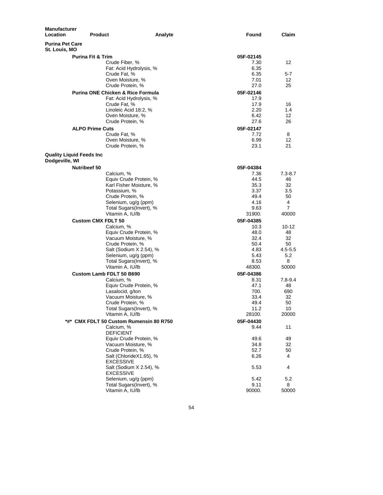| <b>Manufacturer</b><br>Location         | <b>Product</b>                               | Analyte                 | Found        | Claim       |
|-----------------------------------------|----------------------------------------------|-------------------------|--------------|-------------|
| <b>Purina Pet Care</b><br>St. Louis, MO |                                              |                         |              |             |
|                                         | <b>Purina Fit &amp; Trim</b>                 |                         | 05F-02145    |             |
|                                         | Crude Fiber, %                               |                         | 7.30         | 12          |
|                                         |                                              | Fat: Acid Hydrolysis, % | 6.35         |             |
|                                         | Crude Fat, %                                 |                         | 6.35         | 5-7         |
|                                         | Oven Moisture, %                             |                         | 7.01         | 12          |
|                                         | Crude Protein, %                             |                         | 27.0         | 25          |
|                                         | <b>Purina ONE Chicken &amp; Rice Formula</b> |                         | 05F-02146    |             |
|                                         | Crude Fat, %                                 | Fat: Acid Hydrolysis, % | 17.9<br>17.9 | 16          |
|                                         | Linoleic Acid 18:2, %                        |                         | 2.20         | 1.4         |
|                                         | Oven Moisture, %                             |                         | 6.42         | 12          |
|                                         | Crude Protein, %                             |                         | 27.6         | 26          |
|                                         | <b>ALPO Prime Cuts</b>                       |                         | 05F-02147    |             |
|                                         | Crude Fat, %                                 |                         | 7.72         | 8           |
|                                         | Oven Moisture, %                             |                         | 6.99         | 12          |
|                                         | Crude Protein, %                             |                         | 23.1         | 21          |
| Dodgeville, WI                          | <b>Quality Liquid Feeds Inc</b>              |                         |              |             |
|                                         | Nutribeef 50                                 |                         | 05F-04384    |             |
|                                         | Calcium, %                                   |                         | 7.36         | $7.3 - 8.7$ |
|                                         |                                              | Equiv Crude Protein, %  | 44.5         | 46          |
|                                         |                                              | Karl Fisher Moisture, % | 35.3         | 32          |
|                                         | Potassium, %                                 |                         | 3.37         | 3.5         |
|                                         | Crude Protein, %                             |                         | 49.4         | 50          |
|                                         | Selenium, ug/g (ppm)                         |                         | 4.16<br>9.63 | 4<br>7      |
|                                         | Vitamin A, IU/lb                             | Total Sugars(Invert), % | 31900.       | 40000       |
|                                         | <b>Custom CMX FDLT 50</b>                    |                         | 05F-04385    |             |
|                                         | Calcium, %                                   |                         | 10.3         | 10-12       |
|                                         |                                              | Equiv Crude Protein, %  | 48.0         | 48          |
|                                         | Vacuum Moisture, %                           |                         | 32.4         | 32          |
|                                         | Crude Protein, %                             |                         | 50.4         | 50          |
|                                         |                                              | Salt (Sodium X 2.54), % | 4.83         | $4.5 - 5.5$ |
|                                         | Selenium, ug/g (ppm)                         |                         | 5.43         | 5.2         |
|                                         |                                              | Total Sugars(Invert), % | 8.53         | 8           |
|                                         | Vitamin A, IU/lb                             |                         | 48300.       | 50000       |
|                                         | <b>Custom Lamb FDLT 50 B690</b>              |                         | 05F-04386    |             |
|                                         | Calcium, %                                   |                         | 8.31         | 7.8-9.4     |
|                                         |                                              | Equiv Crude Protein, %  | 47.1<br>700. | 48<br>690   |
|                                         | Lasalocid, g/ton<br>Vacuum Moisture, %       |                         | 33.4         | 32          |
|                                         | Crude Protein, %                             |                         | 49.4         | 50          |
|                                         |                                              | Total Sugars(Invert), % | 11.2         | 10          |
|                                         | Vitamin A, IU/lb                             |                         | 28100.       | 20000       |
|                                         | *#* CMX FDLT 50 Custom Rumensin 80 R750      |                         | 05F-04430    |             |
|                                         | Calcium, %<br><b>DEFICIENT</b>               |                         | 9.44         | 11          |
|                                         |                                              | Equiv Crude Protein, %  | 49.6         | 49          |
|                                         | Vacuum Moisture, %                           |                         | 34.8         | 32          |
|                                         | Crude Protein, %                             |                         | 52.7         | 50          |
|                                         | <b>EXCESSIVE</b>                             | Salt (ChlorideX1.65), % | 6.26         | 4           |
|                                         | <b>EXCESSIVE</b>                             | Salt (Sodium X 2.54), % | 5.53         | 4           |
|                                         | Selenium, ug/g (ppm)                         |                         | 5.42         | 5.2         |
|                                         |                                              | Total Sugars(Invert), % | 9.11         | 8           |
|                                         | Vitamin A, IU/lb                             |                         | 90000.       | 50000       |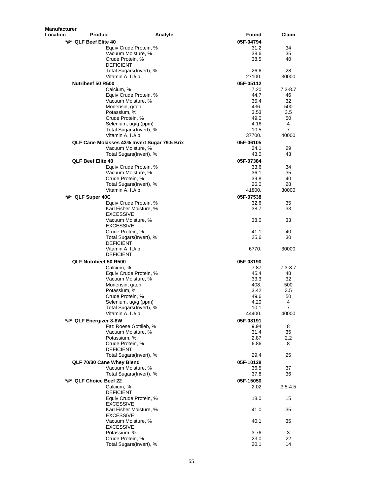| <b>Manufacturer</b>                              |         |                   |                |
|--------------------------------------------------|---------|-------------------|----------------|
| <b>Location</b><br><b>Product</b>                | Analyte | Found             | Claim          |
| *#* QLF Beef Elite 40                            |         | 05F-04794         |                |
| Equiv Crude Protein, %<br>Vacuum Moisture, %     |         | 31.2<br>38.6      | 34<br>35       |
| Crude Protein, %                                 |         | 38.5              | 40             |
| <b>DEFICIENT</b>                                 |         |                   |                |
| Total Sugars(Invert), %                          |         | 26.6              | 28             |
| Vitamin A, IU/lb                                 |         | 27100.            | 30000          |
| Nutribeef 50 R500<br>Calcium, %                  |         | 05F-05112<br>7.20 | $7.3 - 8.7$    |
| Equiv Crude Protein, %                           |         | 44.7              | 46             |
| Vacuum Moisture, %                               |         | 35.4              | 32             |
| Monensin, g/ton                                  |         | 436.              | 500            |
| Potassium, %<br>Crude Protein, %                 |         | 3.53<br>49.0      | 3.5<br>50      |
| Selenium, ug/g (ppm)                             |         | 4.16              | 4              |
| Total Sugars(Invert), %                          |         | 10.5              | $\overline{7}$ |
| Vitamin A, IU/lb                                 |         | 37700.            | 40000          |
| QLF Cane Molasses 43% Invert Sugar 79.5 Brix     |         | 05F-06105         |                |
| Vacuum Moisture, %<br>Total Sugars(Invert), %    |         | 24.1<br>43.0      | 29<br>43       |
| <b>QLF Beef Elite 40</b>                         |         | 05F-07384         |                |
| Equiv Crude Protein, %                           |         | 33.6              | 34             |
| Vacuum Moisture, %                               |         | 36.1              | 35             |
| Crude Protein, %                                 |         | 39.8              | 40             |
| Total Sugars(Invert), %<br>Vitamin A, IU/lb      |         | 26.0<br>41800.    | 28<br>30000    |
| *#* QLF Super 40C                                |         | 05F-07538         |                |
| Equiv Crude Protein, %                           |         | 32.6              | 35             |
| Karl Fisher Moisture, %                          |         | 38.7              | 33             |
| <b>EXCESSIVE</b>                                 |         |                   |                |
| Vacuum Moisture, %<br><b>EXCESSIVE</b>           |         | 38.0              | 33             |
| Crude Protein, %                                 |         | 41.1              | 40             |
| Total Sugars(Invert), %                          |         | 25.6              | 30             |
| <b>DEFICIENT</b>                                 |         |                   |                |
| Vitamin A, IU/lb                                 |         | 6770.             | 30000          |
| <b>DEFICIENT</b>                                 |         |                   |                |
| QLF Nutribeef 50 R500<br>Calcium, %              |         | 05F-08190<br>7.87 | $7.3 - 8.7$    |
| Equiv Crude Protein, %                           |         | 45.4              | 48             |
| Vacuum Moisture, %                               |         | 33.3              | 32             |
| Monensin, g/ton<br>Potassium, %                  |         | 408.              | 500            |
| Crude Protein, %                                 |         | 3.42<br>49.6      | 3.5<br>50      |
| Selenium, ug/g (ppm)                             |         | 4.20              | 4              |
| Total Sugars(Invert), %                          |         | 10.1              | $\overline{7}$ |
| Vitamin A, IU/lb                                 |         | 44400.            | 40000          |
| *#* QLF Energizer 8-8W<br>Fat: Roese Gottlieb, % |         | 05F-08191<br>9.94 | 8              |
| Vacuum Moisture, %                               |         | 31.4              | 35             |
| Potassium, %                                     |         | 2.87              | 2.2            |
| Crude Protein, %                                 |         | 6.86              | 8              |
| <b>DEFICIENT</b><br>Total Sugars(Invert), %      |         | 29.4              | 25             |
| QLF 70/30 Cane Whey Blend                        |         | 05F-10128         |                |
| Vacuum Moisture, %                               |         | 36.5              | 37             |
| Total Sugars(Invert), %                          |         | 37.8              | 36             |
| *#* QLF Choice Beef 22                           |         | 05F-15050         |                |
| Calcium, %                                       |         | 2.02              | 3.5-4.5        |
| <b>DEFICIENT</b>                                 |         |                   |                |
| Equiv Crude Protein, %<br><b>EXCESSIVE</b>       |         | 18.0              | 15             |
| Karl Fisher Moisture, %                          |         | 41.0              | 35             |
| <b>EXCESSIVE</b>                                 |         |                   |                |
| Vacuum Moisture, %<br><b>EXCESSIVE</b>           |         | 40.1              | 35             |
| Potassium, %                                     |         | 3.76              | 3              |
| Crude Protein, %                                 |         | 23.0              | 22             |
| Total Sugars(Invert), %                          |         | 20.1              | 14             |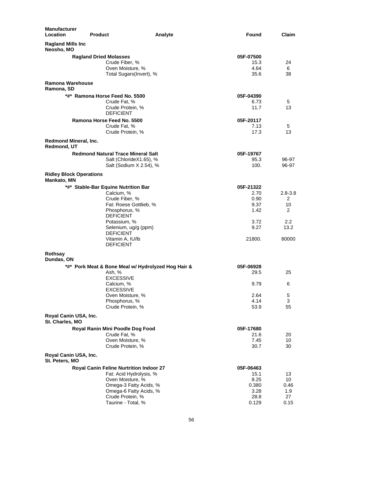| <b>Manufacturer</b><br>Location         | <b>Product</b>                                                       | Found<br>Analyte  | Claim       |
|-----------------------------------------|----------------------------------------------------------------------|-------------------|-------------|
| <b>Ragland Mills Inc.</b><br>Neosho, MO |                                                                      |                   |             |
|                                         | <b>Ragland Dried Molasses</b>                                        | 05F-07500         |             |
|                                         | Crude Fiber, %                                                       | 15.3              | 24          |
|                                         | Oven Moisture, %                                                     | 4.64              | 6           |
|                                         | Total Sugars(Invert), %                                              | 35.6              | 38          |
| Ramona Warehouse<br>Ramona, SD          |                                                                      |                   |             |
|                                         | *#* Ramona Horse Feed No. 5500                                       | 05F-04390         |             |
|                                         | Crude Fat, %                                                         | 6.73              | 5           |
|                                         | Crude Protein, %                                                     | 11.7              | 13          |
|                                         | <b>DEFICIENT</b>                                                     |                   |             |
|                                         | Ramona Horse Feed No. 5500<br>Crude Fat, %                           | 05F-20117<br>7.13 | 5           |
|                                         | Crude Protein, %                                                     | 17.3              | 13          |
| Redmond Mineral, Inc.                   |                                                                      |                   |             |
| Redmond, UT                             |                                                                      |                   |             |
|                                         | <b>Redmond Natural Trace Mineral Salt</b><br>Salt (ChlorideX1.65), % | 05F-19767<br>95.3 | 96-97       |
|                                         | Salt (Sodium X 2.54), %                                              | 100.              | 96-97       |
| <b>Ridley Block Operations</b>          |                                                                      |                   |             |
| Mankato, MN                             |                                                                      |                   |             |
|                                         | *#* Stable-Bar Equine Nutrition Bar<br>Calcium, %                    | 05F-21322<br>2.70 | $2.8 - 3.8$ |
|                                         | Crude Fiber, %                                                       | 0.90              | 2           |
|                                         | Fat: Roese Gottlieb, %                                               | 9.37              | 10          |
|                                         | Phosphorus, %                                                        | 1.42              | 2           |
|                                         | <b>DEFICIENT</b>                                                     |                   |             |
|                                         | Potassium, %                                                         | 3.72              | 2.2         |
|                                         | Selenium, ug/g (ppm)                                                 | 9.27              | 13.2        |
|                                         | <b>DEFICIENT</b><br>Vitamin A, IU/lb                                 | 21800.            | 80000       |
|                                         | <b>DEFICIENT</b>                                                     |                   |             |
| Rothsay<br>Dundas, ON                   |                                                                      |                   |             |
|                                         | *#* Pork Meat & Bone Meal w/ Hydrolyzed Hog Hair &                   | 05F-06928         |             |
|                                         | Ash, %                                                               | 29.5              | 25          |
|                                         | <b>EXCESSIVE</b>                                                     |                   |             |
|                                         | Calcium, %                                                           | 9.79              | 6           |
|                                         | <b>EXCESSIVE</b>                                                     |                   |             |
|                                         | Oven Moisture, %                                                     | 2.64              | 5           |
|                                         | Phosphorus, %                                                        | 4.14              | 3<br>55     |
| Royal Canin USA, Inc.                   | Crude Protein, %                                                     | 53.9              |             |
| St. Charles, MO                         |                                                                      |                   |             |
|                                         | Royal Ranin Mini Poodle Dog Food                                     | 05F-17680         |             |
|                                         | Crude Fat, %<br>Oven Moisture, %                                     | 21.6<br>7.45      | 20<br>10    |
|                                         | Crude Protein, %                                                     | 30.7              | 30          |
| Royal Canin USA, Inc.<br>St. Peters, MO |                                                                      |                   |             |
|                                         | Royal Canin Feline Nurtrition Indoor 27                              | 05F-06463         |             |
|                                         | Fat: Acid Hydrolysis, %                                              | 15.1              | 13          |
|                                         | Oven Moisture, %                                                     | 8.25              | 10          |
|                                         | Omega-3 Fatty Acids, %                                               | 0.380             | 0.46        |
|                                         | Omega-6 Fatty Acids, %                                               | 3.28              | 1.9         |
|                                         | Crude Protein, %                                                     | 28.8              | 27          |
|                                         | Taurine - Total, %                                                   | 0.129             | 0.15        |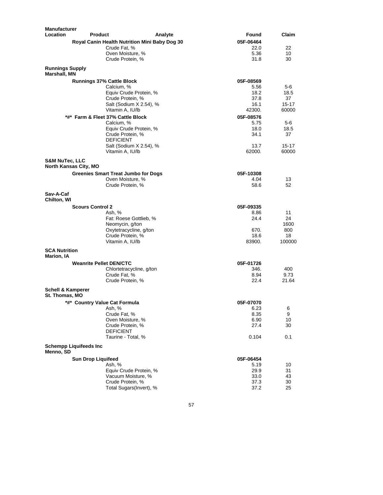| Manufacturer                           |                                                                |                                               |              |               |
|----------------------------------------|----------------------------------------------------------------|-----------------------------------------------|--------------|---------------|
| <b>Location</b>                        | <b>Product</b>                                                 | Analyte                                       | Found        | Claim         |
|                                        |                                                                | Royal Canin Health Nutrition Mini Baby Dog 30 | 05F-06464    |               |
|                                        | Crude Fat. %                                                   |                                               | 22.0         | 22            |
|                                        | Oven Moisture, %<br>Crude Protein, %                           |                                               | 5.36<br>31.8 | 10<br>30      |
| <b>Runnings Supply</b><br>Marshall, MN |                                                                |                                               |              |               |
|                                        | <b>Runnings 37% Cattle Block</b>                               |                                               | 05F-08569    |               |
|                                        | Calcium, %                                                     |                                               | 5.56         | 5-6           |
|                                        |                                                                | Equiv Crude Protein, %                        | 18.2         | 18.5          |
|                                        | Crude Protein, %                                               |                                               | 37.8         | 37            |
|                                        |                                                                | Salt (Sodium X 2.54), %                       | 16.1         | 15-17         |
|                                        | Vitamin A, IU/lb                                               |                                               | 42300.       | 60000         |
|                                        | *#* Farm & Fleet 37% Cattle Block                              |                                               | 05F-08576    |               |
|                                        | Calcium, %                                                     |                                               | 5.75         | $5-6$         |
|                                        |                                                                | Equiv Crude Protein, %                        | 18.0         | 18.5          |
|                                        | Crude Protein, %<br><b>DEFICIENT</b>                           |                                               | 34.1         | 37            |
|                                        |                                                                | Salt (Sodium X 2.54), %                       | 13.7         | $15 - 17$     |
|                                        | Vitamin A, IU/lb                                               |                                               | 62000.       | 60000         |
| S&M NuTec, LLC                         |                                                                |                                               |              |               |
|                                        | North Kansas City, MO                                          |                                               | 05F-10308    |               |
|                                        | <b>Greenies Smart Treat Jumbo for Dogs</b><br>Oven Moisture, % |                                               | 4.04         | 13            |
|                                        | Crude Protein, %                                               |                                               | 58.6         | 52            |
| Sav-A-Caf<br>Chilton, WI               |                                                                |                                               |              |               |
|                                        | <b>Scours Control 2</b>                                        |                                               | 05F-09335    |               |
|                                        | Ash, %                                                         |                                               | 8.86         | 11            |
|                                        |                                                                | Fat: Roese Gottlieb, %                        | 24.4         | 24            |
|                                        | Neomycin, g/ton                                                |                                               |              | 1600          |
|                                        | Crude Protein, %                                               | Oxytetracycline, g/ton                        | 670.<br>18.6 | 800<br>18     |
|                                        | Vitamin A, IU/lb                                               |                                               | 83900.       | 100000        |
| <b>SCA Nutrition</b>                   |                                                                |                                               |              |               |
| Marion, IA                             |                                                                |                                               |              |               |
|                                        | <b>Weanrite Pellet DEN/CTC</b>                                 |                                               | 05F-01726    |               |
|                                        | Crude Fat. %                                                   | Chlortetracycline, g/ton                      | 346.         | 400           |
|                                        | Crude Protein, %                                               |                                               | 8.94<br>22.4 | 9.73<br>21.64 |
| <b>Schell &amp; Kamperer</b>           |                                                                |                                               |              |               |
| St. Thomas, MO                         |                                                                |                                               |              |               |
|                                        | *#* Country Value Cat Formula                                  |                                               | 05F-07070    |               |
|                                        | Ash, %                                                         |                                               | 6.23<br>8.35 | 6             |
|                                        | Crude Fat, %<br>Oven Moisture, %                               |                                               | 6.90         | 9<br>10       |
|                                        | Crude Protein, %                                               |                                               | 27.4         | 30            |
|                                        | <b>DEFICIENT</b>                                               |                                               |              |               |
|                                        | Taurine - Total, %                                             |                                               | 0.104        | 0.1           |
| Menno, SD                              | <b>Schempp Liquifeeds Inc</b>                                  |                                               |              |               |
|                                        | <b>Sun Drop Liquifeed</b>                                      |                                               | 05F-06454    |               |
|                                        | Ash, %                                                         |                                               | 5.19         | 10            |
|                                        |                                                                | Equiv Crude Protein, %                        | 29.9         | 31            |
|                                        |                                                                | Vacuum Moisture, %                            | 33.0         | 43            |
|                                        | Crude Protein, %                                               | Total Sugars(Invert), %                       | 37.3         | 30<br>25      |
|                                        |                                                                |                                               | 37.2         |               |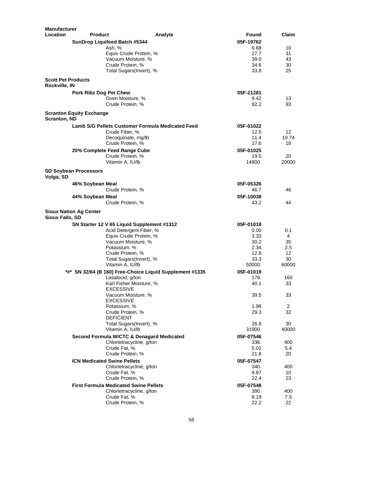| <b>Manufacturer</b>       |                                                  |                                                          |              |              |
|---------------------------|--------------------------------------------------|----------------------------------------------------------|--------------|--------------|
| <b>Location</b>           | <b>Product</b>                                   | Analyte                                                  | Found        | Claim        |
|                           | SunDrop Liquifeed Batch #5344                    |                                                          | 05F-19762    |              |
|                           | Ash. %                                           |                                                          | 6.68         | 10           |
|                           | Equiv Crude Protein, %                           |                                                          | 27.7         | 31           |
|                           | Vacuum Moisture, %                               |                                                          | 39.0         | 43           |
|                           | Crude Protein, %                                 |                                                          | 34.6         | 30           |
|                           | Total Sugars(Invert), %                          |                                                          | 33.8         | 25           |
| <b>Scott Pet Products</b> |                                                  |                                                          |              |              |
| Rockville, IN             |                                                  |                                                          |              |              |
|                           | Pork Ribz Dog Pet Chew                           |                                                          | 05F-21281    |              |
|                           | Oven Moisture, %                                 |                                                          | 9.42         | 13           |
|                           | Crude Protein, %                                 |                                                          | 92.2         | 93           |
| Scranton, ND              | <b>Scranton Equity Exchange</b>                  |                                                          |              |              |
|                           | Lamb S/G Pellets Customer Formula Medicated Feed |                                                          | 05F-01022    |              |
|                           | Crude Fiber, %                                   |                                                          | 12.5         | 12           |
|                           | Decoquinate, mg/lb                               |                                                          | 11.4         | 10.74        |
|                           | Crude Protein, %                                 |                                                          | 17.6         | 18           |
|                           |                                                  |                                                          |              |              |
|                           | 20% Complete Feed Range Cube                     |                                                          | 05F-01025    |              |
|                           | Crude Protein, %                                 |                                                          | 19.5         | 20           |
|                           | Vitamin A, IU/lb                                 |                                                          | 14800.       | 20000        |
| Volga, SD                 | <b>SD Soybean Processors</b>                     |                                                          |              |              |
|                           |                                                  |                                                          | 05F-05326    |              |
|                           | 46% Soybean Meal                                 |                                                          | 46.7         | 46           |
|                           | Crude Protein, %                                 |                                                          |              |              |
|                           | 44% Soybean Meal                                 |                                                          | 05F-10038    |              |
|                           | Crude Protein, %                                 |                                                          | 43.2         | 44           |
| Sioux Falls, SD           | <b>Sioux Nation Ag Center</b>                    |                                                          |              |              |
|                           | SN Starter 12 V 65 Liquid Supplement #1312       |                                                          | 05F-01018    |              |
|                           | Acid Detergent Fiber, %                          |                                                          | 0.00         | 0.1          |
|                           | Equiv Crude Protein, %                           |                                                          | 3.33         | 4            |
|                           | Vacuum Moisture, %                               |                                                          | 30.2         | 35           |
|                           | Potassium, %                                     |                                                          | 2.34         | 2.5          |
|                           | Crude Protein, %                                 |                                                          | 12.8         | 12           |
|                           | Total Sugars(Invert), %                          |                                                          | 33.3         | 30           |
|                           | Vitamin A, IU/lb                                 |                                                          | 50000.       | 60000        |
|                           |                                                  |                                                          |              |              |
|                           |                                                  | *#* SN 32/64 (B 160) Free-Choice Liquid Supplement #1335 | 05F-01019    |              |
|                           | Lasalocid, g/ton                                 |                                                          | 178.         | 160          |
|                           | Karl Fisher Moisture, %<br><b>EXCESSIVE</b>      |                                                          | 40.1         | 33           |
|                           | Vacuum Moisture, %                               |                                                          | 39.5         | 33           |
|                           | <b>EXCESSIVE</b>                                 |                                                          |              |              |
|                           | Potassium, %                                     |                                                          | 1.99         | $\mathbf{z}$ |
|                           | Crude Protein, %                                 |                                                          | 29.3         | 32           |
|                           | <b>DEFICIENT</b>                                 |                                                          |              |              |
|                           | Total Sugars(Invert), %                          |                                                          | 26.8         | 30           |
|                           | Vitamin A, IU/lb                                 |                                                          | 31900.       | 40000        |
|                           | Second Formula W/CTC & Denagard Medicated        |                                                          | 05F-07546    |              |
|                           | Chlortetracycline, g/ton                         |                                                          | 336.         | 400          |
|                           | Crude Fat, %                                     |                                                          | 5.01         | 5.4          |
|                           | Crude Protein, %                                 |                                                          | 21.8         | 20           |
|                           | <b>ICN Medicated Swine Pellets</b>               |                                                          | 05F-07547    |              |
|                           | Chlortetracycline, g/ton                         |                                                          | 340.         | 400          |
|                           | Crude Fat, %                                     |                                                          | 9.87         | 10           |
|                           | Crude Protein, %                                 |                                                          | 22.4         | 23           |
|                           | <b>First Formula Medicated Swine Pellets</b>     |                                                          |              |              |
|                           | Chlortetracycline, g/ton                         |                                                          | 05F-07548    |              |
|                           |                                                  |                                                          | 390.         | 400          |
|                           | Crude Fat, %<br>Crude Protein, %                 |                                                          | 8.19<br>22.2 | 7.5<br>22    |
|                           |                                                  |                                                          |              |              |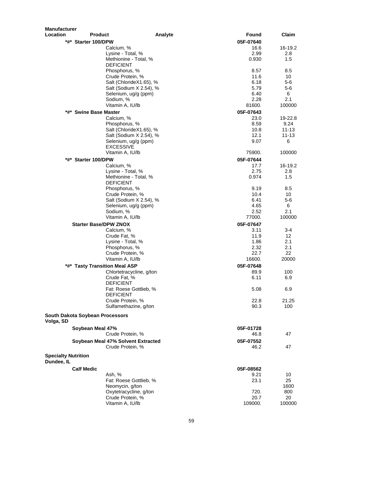| <b>Manufacturer</b>                          |                                                 |                   |                |
|----------------------------------------------|-------------------------------------------------|-------------------|----------------|
| <b>Location</b><br><b>Product</b>            | Analyte                                         | Found             | Claim          |
| *#* Starter 100/DPW                          |                                                 | 05F-07640         |                |
|                                              | Calcium, %                                      | 16.6              | 16-19.2        |
|                                              | Lysine - Total, %                               | 2.99              | 2.8            |
|                                              | Methionine - Total, %                           | 0.930             | 1.5            |
|                                              | <b>DEFICIENT</b>                                |                   |                |
|                                              | Phosphorus, %                                   | 8.57              | 8.5            |
|                                              | Crude Protein, %                                | 11.6              | 10             |
|                                              | Salt (ChlorideX1.65), %                         | 6.18              | 5-6            |
|                                              | Salt (Sodium X 2.54), %                         | 5.79              | 5-6            |
|                                              | Selenium, ug/g (ppm)                            | 6.40              | 6              |
|                                              | Sodium, %                                       | 2.28              | 2.1            |
|                                              | Vitamin A, IU/lb                                | 81600.            | 100000         |
| *#* Swine Base Master                        |                                                 | 05F-07643         |                |
|                                              | Calcium, %                                      | 23.0              | 19-22.8        |
|                                              | Phosphorus, %                                   | 8.59              | 9.24           |
|                                              | Salt (ChlorideX1.65), %                         | 10.8<br>12.1      | 11-13<br>11-13 |
|                                              | Salt (Sodium X 2.54), %<br>Selenium, ug/g (ppm) | 9.07              | 6              |
|                                              | <b>EXCESSIVE</b>                                |                   |                |
|                                              | Vitamin A, IU/lb                                | 75900.            | 100000         |
| *#*<br><b>Starter 100/DPW</b>                |                                                 | 05F-07644         |                |
|                                              | Calcium, %                                      | 17.7              | 16-19.2        |
|                                              | Lysine - Total, %                               | 2.75              | 2.8            |
|                                              | Methionine - Total, %                           | 0.974             | 1.5            |
|                                              | <b>DEFICIENT</b>                                |                   |                |
|                                              | Phosphorus, %                                   | 9.19              | 8.5            |
|                                              | Crude Protein, %                                | 10.4              | 10             |
|                                              | Salt (Sodium X 2.54), %                         | 6.41              | 5-6            |
|                                              | Selenium, ug/g (ppm)                            | 4.65              | 6              |
|                                              | Sodium, %                                       | 2.52              | 2.1            |
|                                              | Vitamin A, IU/lb                                | 77000.            | 100000         |
| <b>Starter Base/DPW ZNOX</b>                 |                                                 | 05F-07647         |                |
|                                              | Calcium, %                                      | 3.11              | 3-4            |
|                                              | Crude Fat, %                                    | 11.9              | 12             |
|                                              | Lysine - Total, %                               | 1.86              | 2.1            |
|                                              | Phosphorus, %                                   | 2.32              | 2.1            |
|                                              | Crude Protein, %                                | 22.7              | 22             |
|                                              | Vitamin A, IU/lb                                | 16600.            | 20000          |
| *#* Tasty Transition Meal ASP                |                                                 | 05F-07648         |                |
|                                              | Chlortetracycline, g/ton                        | 89.9              | 100            |
|                                              | Crude Fat. %                                    | 6.11              | 6.9            |
|                                              | <b>DEFICIENT</b>                                |                   |                |
|                                              | Fat: Roese Gottlieb, %                          | 5.08              | 6.9            |
|                                              | <b>DEFICIENT</b><br>Crude Protein, %            | 22.8              | 21.25          |
|                                              | Sulfamethazine, g/ton                           | 90.3              | 100            |
|                                              |                                                 |                   |                |
| South Dakota Soybean Processors<br>Volga, SD |                                                 |                   |                |
| Soybean Meal 47%                             |                                                 | 05F-01728         |                |
|                                              | Crude Protein, %                                | 46.8              | 47             |
|                                              | Soybean Meal 47% Solvent Extracted              | 05F-07552         |                |
|                                              | Crude Protein, %                                | 46.2              | 47             |
| <b>Specialty Nutrition</b><br>Dundee, IL     |                                                 |                   |                |
| <b>Calf Medic</b>                            |                                                 |                   |                |
|                                              |                                                 | 05F-08562<br>9.21 | 10             |
| Ash, %                                       | Fat: Roese Gottlieb, %                          | 23.1              | 25             |
|                                              | Neomycin, g/ton                                 |                   | 1600           |
|                                              | Oxytetracycline, g/ton                          | 720.              | 800            |
|                                              | Crude Protein, %                                | 20.7              | 20             |
|                                              | Vitamin A, IU/lb                                | 109000.           | 100000         |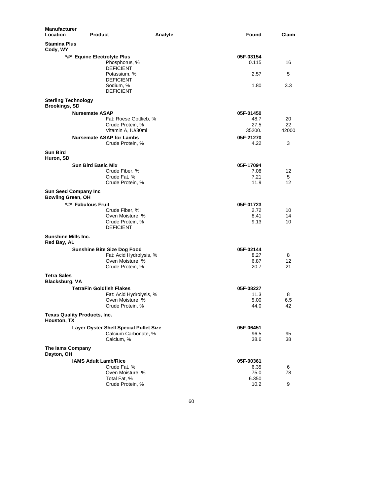| <b>Manufacturer</b><br>Location                    | <b>Product</b>               |                                        | Analyte | Found              | Claim |
|----------------------------------------------------|------------------------------|----------------------------------------|---------|--------------------|-------|
| <b>Stamina Plus</b><br>Cody, WY                    |                              |                                        |         |                    |       |
|                                                    | *#* Equine Electrolyte Plus  | Phosphorus, %<br><b>DEFICIENT</b>      |         | 05F-03154<br>0.115 | 16    |
|                                                    |                              | Potassium, %<br><b>DEFICIENT</b>       |         | 2.57               | 5     |
|                                                    |                              | Sodium, %<br><b>DEFICIENT</b>          |         | 1.80               | 3.3   |
| <b>Sterling Technology</b><br><b>Brookings, SD</b> |                              |                                        |         |                    |       |
|                                                    | <b>Nursemate ASAP</b>        |                                        |         | 05F-01450          |       |
|                                                    |                              | Fat: Roese Gottlieb, %                 |         | 48.7               | 20    |
|                                                    |                              | Crude Protein, %                       |         | 27.5               | 22    |
|                                                    |                              | Vitamin A, IU/30ml                     |         | 35200.             | 42000 |
|                                                    |                              | <b>Nursemate ASAP for Lambs</b>        |         | 05F-21270          |       |
|                                                    |                              | Crude Protein, %                       |         | 4.22               | 3     |
| <b>Sun Bird</b><br>Huron, SD                       |                              |                                        |         |                    |       |
|                                                    | Sun Bird Basic Mix           |                                        |         | 05F-17094          |       |
|                                                    |                              | Crude Fiber, %                         |         | 7.08               | 12    |
|                                                    |                              | Crude Fat, %                           |         | 7.21               | 5     |
|                                                    |                              | Crude Protein, %                       |         | 11.9               | 12    |
| Bowling Green, OH                                  | <b>Sun Seed Company Inc</b>  |                                        |         |                    |       |
|                                                    | *#* Fabulous Fruit           |                                        |         | 05F-01723          |       |
|                                                    |                              | Crude Fiber, %                         |         | 2.72               | 10    |
|                                                    |                              | Oven Moisture, %                       |         | 8.41               | 14    |
|                                                    |                              | Crude Protein, %<br><b>DEFICIENT</b>   |         | 9.13               | 10    |
| <b>Sunshine Mills Inc.</b><br>Red Bay, AL          |                              |                                        |         |                    |       |
|                                                    |                              | <b>Sunshine Bite Size Dog Food</b>     |         | 05F-02144          |       |
|                                                    |                              | Fat: Acid Hydrolysis, %                |         | 8.27               | 8     |
|                                                    |                              | Oven Moisture, %                       |         | 6.87               | 12    |
|                                                    |                              | Crude Protein, %                       |         | 20.7               | 21    |
| <b>Tetra Sales</b><br>Blacksburg, VA               |                              |                                        |         |                    |       |
|                                                    | TetraFin Goldfish Flakes     |                                        |         | 05F-08227          |       |
|                                                    |                              | Fat: Acid Hydrolysis, %                |         | 11.3               | 8     |
|                                                    |                              | Oven Moisture, %                       |         | 5.00               | 6.5   |
|                                                    |                              | Crude Protein, %                       |         | 44.0               | 42    |
| Houston, TX                                        | Texas Quality Products, Inc. |                                        |         |                    |       |
|                                                    |                              | Layer Oyster Shell Special Pullet Size |         | 05F-06451          |       |
|                                                    |                              | Calcium Carbonate, %                   |         | 96.5               | 95    |
|                                                    |                              | Calcium, %                             |         | 38.6               | 38    |
| The lams Company<br>Dayton, OH                     |                              |                                        |         |                    |       |
|                                                    | <b>IAMS Adult Lamb/Rice</b>  |                                        |         | 05F-00361          |       |
|                                                    |                              | Crude Fat, %                           |         | 6.35               | 6     |
|                                                    |                              | Oven Moisture, %                       |         | 75.0               | 78    |
|                                                    |                              | Total Fat, %                           |         | 6.350              |       |
|                                                    |                              | Crude Protein, %                       |         | 10.2               | 9     |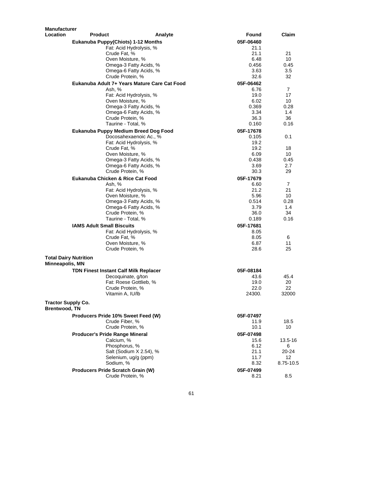| Manufacturer                               |                                              |              |                 |
|--------------------------------------------|----------------------------------------------|--------------|-----------------|
| Location                                   | <b>Product</b><br>Analyte                    | Found        | Claim           |
|                                            | <b>Eukanuba Puppy(Chiots) 1-12 Months</b>    | 05F-06460    |                 |
|                                            | Fat: Acid Hydrolysis, %                      | 21.1         |                 |
|                                            | Crude Fat, %                                 | 21.1         | 21              |
|                                            | Oven Moisture, %                             | 6.48         | 10              |
|                                            | Omega-3 Fatty Acids, %                       | 0.456        | 0.45            |
|                                            | Omega-6 Fatty Acids, %                       | 3.63         | 3.5             |
|                                            | Crude Protein, %                             | 32.6         | 32              |
|                                            | Eukanuba Adult 7+ Years Mature Care Cat Food | 05F-06462    |                 |
|                                            | Ash, %                                       | 6.76         | $\overline{7}$  |
|                                            | Fat: Acid Hydrolysis, %                      | 19.0         | 17              |
|                                            | Oven Moisture, %                             | 6.02         | 10              |
|                                            | Omega-3 Fatty Acids, %                       | 0.369        | 0.28            |
|                                            | Omega-6 Fatty Acids, %                       | 3.34         | 1.4             |
|                                            | Crude Protein, %                             | 36.3         | 36              |
|                                            | Taurine - Total, %                           | 0.160        | 0.16            |
|                                            | Eukanuba Puppy Medium Breed Dog Food         | 05F-17678    |                 |
|                                            | Docosahexaenoic Ac., %                       | 0.105        | 0.1             |
|                                            | Fat: Acid Hydrolysis, %                      | 19.2         |                 |
|                                            | Crude Fat, %                                 | 19.2         | 18              |
|                                            | Oven Moisture, %                             | 6.09         | 10              |
|                                            | Omega-3 Fatty Acids, %                       | 0.438        | 0.45            |
|                                            | Omega-6 Fatty Acids, %                       | 3.69         | 2.7             |
|                                            | Crude Protein, %                             | 30.3         | 29              |
|                                            | Eukanuba Chicken & Rice Cat Food             | 05F-17679    |                 |
|                                            | Ash, %                                       | 6.60         | $\overline{7}$  |
|                                            | Fat: Acid Hydrolysis, %                      | 21.2         | 21              |
|                                            | Oven Moisture, %                             | 5.96         | 10              |
|                                            | Omega-3 Fatty Acids, %                       | 0.514        | 0.28            |
|                                            | Omega-6 Fatty Acids, %                       | 3.79         | 1.4             |
|                                            | Crude Protein, %                             | 36.0         | 34              |
|                                            | Taurine - Total, %                           | 0.189        | 0.16            |
|                                            | <b>IAMS Adult Small Biscuits</b>             | 05F-17681    |                 |
|                                            | Fat: Acid Hydrolysis, %                      | 8.05         |                 |
|                                            | Crude Fat, %                                 | 8.05         | 6               |
|                                            | Oven Moisture, %                             | 6.87         | 11              |
|                                            | Crude Protein, %                             | 28.6         | 25              |
|                                            | <b>Total Dairy Nutrition</b>                 |              |                 |
| Minneapolis, MN                            |                                              |              |                 |
|                                            | <b>TDN Finest Instant Calf Milk Replacer</b> | 05F-08184    |                 |
|                                            | Decoquinate, g/ton                           | 43.6         | 45.4            |
|                                            | Fat: Roese Gottlieb, %                       | 19.0         | 20              |
|                                            | Crude Protein, %                             | 22.0         | 22              |
|                                            | Vitamin A, IU/lb                             | 24300.       | 32000           |
|                                            |                                              |              |                 |
| <b>Tractor Supply Co.</b><br>Brentwood, TN |                                              |              |                 |
|                                            | Producers Pride 10% Sweet Feed (W)           | 05F-07497    |                 |
|                                            | Crude Fiber, %                               | 11.9         | 18.5            |
|                                            | Crude Protein, %                             | 10.1         | 10              |
|                                            |                                              |              |                 |
|                                            | <b>Producer's Pride Range Mineral</b>        | 05F-07498    |                 |
|                                            | Calcium, %<br>Phosphorus, %                  | 15.6         | 13.5-16         |
|                                            | Salt (Sodium X 2.54), %                      | 6.12         | 6<br>20-24      |
|                                            | Selenium, ug/g (ppm)                         | 21.1<br>11.7 | 12 <sup>°</sup> |
|                                            | Sodium, %                                    | 8.32         | 8.75-10.5       |
|                                            |                                              |              |                 |
|                                            | Producers Pride Scratch Grain (W)            | 05F-07499    |                 |
|                                            | Crude Protein, %                             | 8.21         | 8.5             |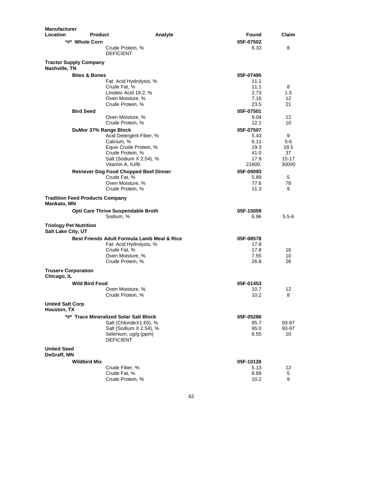| Manufacturer                                          |                                                        |                  |                   |
|-------------------------------------------------------|--------------------------------------------------------|------------------|-------------------|
| Location<br><b>Product</b>                            |                                                        | Analyte<br>Found | Claim             |
| *#* Whole Corn                                        |                                                        | 05F-07502        |                   |
|                                                       | Crude Protein, %<br><b>DEFICIENT</b>                   | 6.33             | 8                 |
| <b>Tractor Supply Company</b><br>Nashville, TN        |                                                        |                  |                   |
| <b>Bites &amp; Bones</b>                              |                                                        | 05F-07495        |                   |
|                                                       | Fat: Acid Hydrolysis, %                                |                  | 11.1              |
|                                                       | Crude Fat, %                                           | 11.1             | 8                 |
|                                                       | Linoleic Acid 18:2, %                                  | 2.73             | 1.5               |
|                                                       | Oven Moisture, %<br>Crude Protein, %                   | 23.5             | 7.16<br>12<br>21  |
|                                                       |                                                        |                  |                   |
| <b>Bird Seed</b>                                      | Oven Moisture, %                                       | 05F-07501        | 9.04<br>12        |
|                                                       | Crude Protein, %                                       | 12.1             | 10                |
| DuMor 37% Range Block                                 |                                                        | 05F-07507        |                   |
|                                                       | Acid Detergent Fiber, %                                |                  | 9<br>5.43         |
|                                                       | Calcium, %                                             | 6.11             | 5-6               |
|                                                       | Equiv Crude Protein, %                                 |                  | 19.3<br>18.5      |
|                                                       | Crude Protein, %                                       |                  | 41.0<br>37        |
|                                                       | Salt (Sodium X 2.54), %                                |                  | 17.9<br>15-17     |
|                                                       | Vitamin A, IU/lb                                       | 21600.           | 30000             |
|                                                       | Retriever Dog Food Chopped Beef Dinner                 | 05F-09093        |                   |
|                                                       | Crude Fat, %<br>Oven Moisture, %                       |                  | 5.89<br>5         |
|                                                       | Crude Protein, %                                       | 77.6             | 78<br>11.3<br>9   |
|                                                       |                                                        |                  |                   |
| <b>Tradition Feed Products Company</b><br>Mankato, MN |                                                        |                  |                   |
|                                                       | Opti Care Thrive Suspendable Broth<br>Sodium, %        | 05F-15059        | 6.96<br>$5.5 - 6$ |
| <b>Triology Pet Nutrition</b><br>Salt Lake City, UT   |                                                        |                  |                   |
|                                                       | <b>Best Friends Adult Formula Lamb Meal &amp; Rice</b> | 05F-08578        |                   |
|                                                       | Fat: Acid Hydrolysis, %                                |                  | 17.8              |
|                                                       | Crude Fat, %                                           |                  | 17.8<br>16        |
|                                                       | Oven Moisture, %                                       |                  | 7.55<br>10        |
|                                                       | Crude Protein, %                                       |                  | 26.8<br>26        |
| <b>Truserv Corporation</b><br>Chicago, IL             |                                                        |                  |                   |
| <b>Wild Bird Food</b>                                 |                                                        | 05F-01453        |                   |
|                                                       | Oven Moisture, %                                       |                  | 10.7<br>12        |
|                                                       | Crude Protein, %                                       |                  | 10.2<br>8         |
| <b>United Salt Corp</b><br>Houston, TX                |                                                        |                  |                   |
|                                                       | *#* Trace Mineralized Solar Salt Block                 | 05F-05286        |                   |
|                                                       | Salt (ChlorideX1.65), %                                |                  | 95.7<br>93-97     |
|                                                       | Salt (Sodium X 2.54), %                                |                  | 95.0<br>93-97     |
|                                                       | Selenium, ug/g (ppm)<br><b>DEFICIENT</b>               |                  | 6.55<br>10        |
| <b>United Seed</b>                                    |                                                        |                  |                   |
| DeGraff, MN                                           |                                                        |                  |                   |
| <b>Wildbird Mix</b>                                   |                                                        | 05F-10126        |                   |
|                                                       | Crude Fiber, %                                         |                  | 5.13<br>12        |
|                                                       | Crude Fat, %                                           | 8.69             | 5                 |
|                                                       | Crude Protein, %                                       |                  | 9<br>10.2         |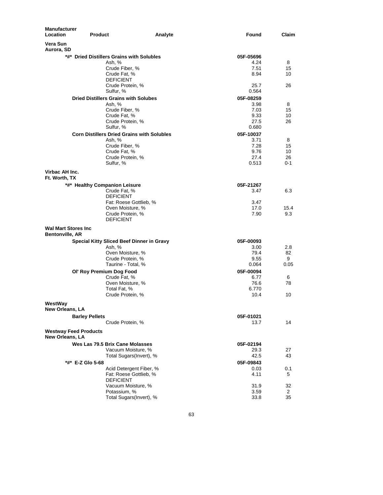| <b>Manufacturer</b><br>Location                       | <b>Product</b>                                        | Analyte | Found        | Claim   |
|-------------------------------------------------------|-------------------------------------------------------|---------|--------------|---------|
| Vera Sun<br>Aurora, SD                                |                                                       |         |              |         |
|                                                       | *#* Dried Distillers Grains with Solubles             |         | 05F-05696    |         |
|                                                       | Ash, %                                                |         | 4.24         | 8       |
|                                                       | Crude Fiber, %                                        |         | 7.51         | 15      |
|                                                       | Crude Fat, %                                          |         | 8.94         | 10      |
|                                                       | <b>DEFICIENT</b>                                      |         |              |         |
|                                                       | Crude Protein, %                                      |         | 25.7         | 26      |
|                                                       | Sulfur, %                                             |         | 0.564        |         |
|                                                       | <b>Dried Distillers Grains with Solubes</b><br>Ash, % |         | 05F-08259    |         |
|                                                       | Crude Fiber, %                                        |         | 3.98<br>7.03 | 8<br>15 |
|                                                       | Crude Fat, %                                          |         | 9.33         | 10      |
|                                                       | Crude Protein, %                                      |         | 27.5         | 26      |
|                                                       | Sulfur, %                                             |         | 0.680        |         |
|                                                       | <b>Corn Distillers Dried Grains with Solubles</b>     |         | 05F-10037    |         |
|                                                       | Ash, %                                                |         | 3.71         | 8       |
|                                                       | Crude Fiber, %                                        |         | 7.28         | 15      |
|                                                       | Crude Fat, %                                          |         | 9.76         | 10      |
|                                                       | Crude Protein, %                                      |         | 27.4         | 26      |
|                                                       | Sulfur, %                                             |         | 0.513        | $0 - 1$ |
| Virbac AH Inc.<br>Ft. Worth, TX                       |                                                       |         |              |         |
|                                                       | *#* Healthy Companion Leisure                         |         | 05F-21267    |         |
|                                                       | Crude Fat, %                                          |         | 3.47         | 6.3     |
|                                                       | <b>DEFICIENT</b>                                      |         |              |         |
|                                                       | Fat: Roese Gottlieb, %                                |         | 3.47         |         |
|                                                       | Oven Moisture, %                                      |         | 17.0         | 15.4    |
|                                                       | Crude Protein, %<br><b>DEFICIENT</b>                  |         | 7.90         | 9.3     |
| <b>Wal Mart Stores Inc.</b><br><b>Bentonville, AR</b> |                                                       |         |              |         |
|                                                       | Special Kitty Sliced Beef Dinner in Gravy             |         | 05F-00093    |         |
|                                                       | Ash, %                                                |         | 3.00         | 2.8     |
|                                                       | Oven Moisture, %                                      |         | 79.4         | 82      |
|                                                       | Crude Protein, %                                      |         | 9.55         | 9       |
|                                                       | Taurine - Total, %                                    |         | 0.064        | 0.05    |
|                                                       | Ol' Roy Premium Dog Food                              |         | 05F-00094    |         |
|                                                       | Crude Fat. %                                          |         | 6.77         | 6       |
|                                                       | Oven Moisture, %                                      |         | 76.6         | 78      |
|                                                       | Total Fat, %                                          |         | 6.770        |         |
|                                                       | Crude Protein, %                                      |         | 10.4         | 10      |
| WestWay                                               |                                                       |         |              |         |
| New Orleans, LA                                       |                                                       |         |              |         |
|                                                       | <b>Barley Pellets</b>                                 |         | 05F-01021    |         |
|                                                       | Crude Protein, %                                      |         | 13.7         | 14      |
| <b>Westway Feed Products</b><br>New Orleans, LA       |                                                       |         |              |         |
|                                                       | Wes Las 79.5 Brix Cane Molasses                       |         | 05F-02194    |         |
|                                                       | Vacuum Moisture, %                                    |         | 29.3         | 27      |
|                                                       | Total Sugars(Invert), %                               |         | 42.5         | 43      |
|                                                       | *#*  E-Z Glo 5-68                                     |         | 05F-09843    |         |
|                                                       | Acid Detergent Fiber, %                               |         | 0.03         | 0.1     |
|                                                       | Fat: Roese Gottlieb, %<br><b>DEFICIENT</b>            |         | 4.11         | 5       |
|                                                       | Vacuum Moisture, %                                    |         | 31.9         | 32      |
|                                                       | Potassium, %                                          |         | 3.59         | 2       |
|                                                       | Total Sugars(Invert), %                               |         | 33.8         | 35      |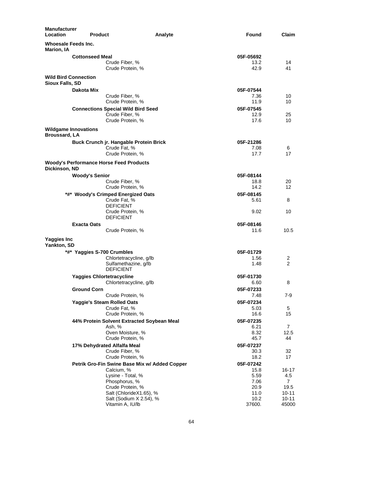| <b>Manufacturer</b><br><b>Location</b>              | <b>Product</b><br>Analyte                                   | Found             | Claim          |
|-----------------------------------------------------|-------------------------------------------------------------|-------------------|----------------|
| Whoesale Feeds Inc.<br><b>Marion, IA</b>            |                                                             |                   |                |
|                                                     | <b>Cottonseed Meal</b>                                      | 05F-05692         |                |
|                                                     | Crude Fiber, %                                              | 13.2              | 14             |
|                                                     | Crude Protein, %                                            | 42.9              | 41             |
| <b>Wild Bird Connection</b><br>Sioux Falls, SD      |                                                             |                   |                |
|                                                     | Dakota Mix                                                  | 05F-07544         |                |
|                                                     | Crude Fiber, %                                              | 7.36              | 10             |
|                                                     | Crude Protein, %                                            | 11.9              | 10             |
|                                                     | <b>Connections Special Wild Bird Seed</b>                   | 05F-07545         |                |
|                                                     | Crude Fiber, %                                              | 12.9              | 25             |
|                                                     | Crude Protein, %                                            | 17.6              | 10             |
| <b>Wildgame Innovations</b><br><b>Broussard, LA</b> |                                                             |                   |                |
|                                                     | Buck Crunch jr. Hangable Protein Brick                      | 05F-21286         |                |
|                                                     | Crude Fat, %                                                | 7.08              | 6              |
|                                                     | Crude Protein, %                                            | 17.7              | 17             |
|                                                     | <b>Woody's Performance Horse Feed Products</b>              |                   |                |
| Dickinson, ND                                       |                                                             |                   |                |
|                                                     | <b>Woody's Senior</b>                                       | 05F-08144         |                |
|                                                     | Crude Fiber, %                                              | 18.8              | 20             |
|                                                     | Crude Protein, %                                            | 14.2              | 12             |
|                                                     | *#* Woody's Crimped Energized Oats                          | 05F-08145         |                |
|                                                     | Crude Fat, %                                                | 5.61              | 8              |
|                                                     | <b>DEFICIENT</b>                                            |                   |                |
|                                                     | Crude Protein, %<br><b>DEFICIENT</b>                        | 9.02              | 10             |
|                                                     |                                                             |                   |                |
|                                                     | <b>Exacta Oats</b><br>Crude Protein, %                      | 05F-08146<br>11.6 | 10.5           |
|                                                     |                                                             |                   |                |
| Yaggies Inc<br>Yankton, SD                          |                                                             |                   |                |
|                                                     | *#* Yaggies S-700 Crumbles                                  | 05F-01729         |                |
|                                                     | Chlortetracycline, g/lb                                     | 1.56              | 2              |
|                                                     | Sulfamethazine, g/lb<br><b>DEFICIENT</b>                    | 1.48              | 2              |
|                                                     |                                                             |                   |                |
|                                                     | <b>Yaggies Chlortetracycline</b>                            | 05F-01730         |                |
|                                                     | Chlortetracycline, g/lb                                     | 6.60              | 8              |
|                                                     | <b>Ground Corn</b>                                          | 05F-07233         |                |
|                                                     | Crude Protein, %                                            | 7.48              | $7-9$          |
|                                                     | Yaggie's Steam Rolled Oats                                  | 05F-07234         |                |
|                                                     | Crude Fat, %                                                | 5.03              | 5              |
|                                                     | Crude Protein, %                                            | 16.6              | 15             |
|                                                     | 44% Protein Solvent Extracted Soybean Meal                  | 05F-07235         |                |
|                                                     | Ash, %                                                      | 6.21              | $\overline{7}$ |
|                                                     | Oven Moisture, %<br>Crude Protein, %                        | 8.32<br>45.7      | 12.5<br>44     |
|                                                     |                                                             |                   |                |
|                                                     | 17% Dehydrated Alfalfa Meal                                 | 05F-07237         |                |
|                                                     | Crude Fiber, %<br>Crude Protein, %                          | 30.3<br>18.2      | 32<br>17       |
|                                                     |                                                             |                   |                |
|                                                     | Petrik Gro-Fin Swine Base Mix w/ Added Copper<br>Calcium, % | 05F-07242<br>15.8 | 16-17          |
|                                                     | Lysine - Total, %                                           | 5.59              | 4.5            |
|                                                     | Phosphorus, %                                               | 7.06              | $\overline{7}$ |
|                                                     | Crude Protein, %                                            | 20.9              | 19.5           |
|                                                     | Salt (ChlorideX1.65), %                                     | 11.0              | 10-11          |
|                                                     | Salt (Sodium X 2.54), %                                     | 10.2              | $10 - 11$      |
|                                                     | Vitamin A, IU/lb                                            | 37600.            | 45000          |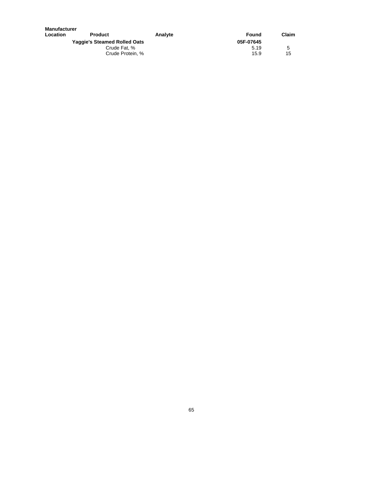| <b>Manufacturer</b>                 |                  |         |           |       |
|-------------------------------------|------------------|---------|-----------|-------|
| Location                            | <b>Product</b>   | Analyte | Found     | Claim |
| <b>Yaggie's Steamed Rolled Oats</b> |                  |         | 05F-07645 |       |
|                                     | Crude Fat. %     |         | 5.19      | 5     |
|                                     | Crude Protein, % |         | 15.9      | 15    |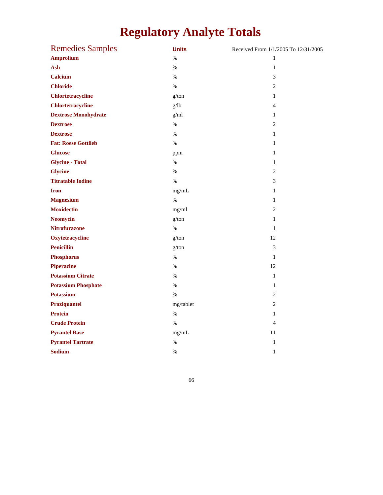## **Regulatory Analyte Totals**

| <b>Remedies Samples</b>     | <b>Units</b> | Received From 1/1/2005 To 12/31/2005 |
|-----------------------------|--------------|--------------------------------------|
| <b>Amprolium</b>            | $\%$         | 1                                    |
| Ash                         | $\%$         | $\mathbf{1}$                         |
| <b>Calcium</b>              | $\%$         | $\mathfrak{Z}$                       |
| <b>Chloride</b>             | $\%$         | $\overline{c}$                       |
| <b>Chlortetracycline</b>    | g/ton        | 1                                    |
| <b>Chlortetracycline</b>    | g/lb         | $\overline{4}$                       |
| <b>Dextrose Monohydrate</b> | g/ml         | 1                                    |
| <b>Dextrose</b>             | $\%$         | $\overline{c}$                       |
| <b>Dextrose</b>             | $\%$         | $\mathbf{1}$                         |
| <b>Fat: Roese Gottlieb</b>  | $\%$         | 1                                    |
| <b>Glucose</b>              | ppm          | $\mathbf{1}$                         |
| <b>Glycine - Total</b>      | $\%$         | $\mathbf{1}$                         |
| <b>Glycine</b>              | $\%$         | $\overline{2}$                       |
| <b>Titratable Iodine</b>    | $\%$         | 3                                    |
| <b>Iron</b>                 | mg/mL        | $\mathbf{1}$                         |
| <b>Magnesium</b>            | $\%$         | $\mathbf{1}$                         |
| <b>Moxidectin</b>           | mg/ml        | $\overline{2}$                       |
| <b>Neomycin</b>             | g/ton        | $\mathbf{1}$                         |
| <b>Nitrofurazone</b>        | $\%$         | 1                                    |
| Oxytetracycline             | g/ton        | 12                                   |
| <b>Penicillin</b>           | g/ton        | 3                                    |
| <b>Phosphorus</b>           | $\%$         | $\mathbf{1}$                         |
| <b>Piperazine</b>           | $\%$         | 12                                   |
| <b>Potassium Citrate</b>    | $\%$         | $\mathbf{1}$                         |
| <b>Potassium Phosphate</b>  | $\%$         | $\mathbf{1}$                         |
| <b>Potassium</b>            | $\%$         | $\overline{2}$                       |
| Praziquantel                | mg/tablet    | $\overline{2}$                       |
| <b>Protein</b>              | $\%$         | $\mathbf{1}$                         |
| <b>Crude Protein</b>        | $\%$         | $\overline{4}$                       |
| <b>Pyrantel Base</b>        | mg/mL        | 11                                   |
| <b>Pyrantel Tartrate</b>    | $\%$         | $\mathbf{1}$                         |
| <b>Sodium</b>               | $\%$         | $\mathbf{1}$                         |
|                             |              |                                      |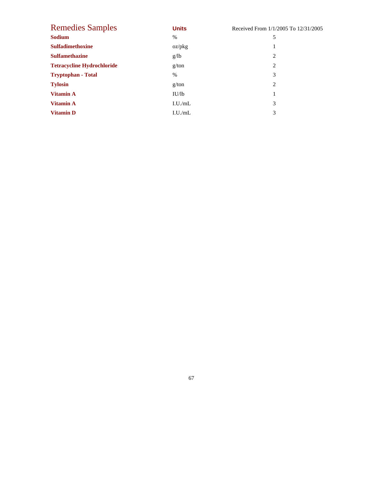| <b>Remedies Samples</b>           | <b>Units</b> | Received From 1/1/2005 To 12/31/2005 |
|-----------------------------------|--------------|--------------------------------------|
| <b>Sodium</b>                     | $\%$         | 5                                    |
| <b>Sulfadimethoxine</b>           | oz/pkg       | 1                                    |
| <b>Sulfamethazine</b>             | g/lb         | 2                                    |
| <b>Tetracycline Hydrochloride</b> | g/ton        | $\overline{2}$                       |
| <b>Tryptophan - Total</b>         | $\%$         | 3                                    |
| <b>Tylosin</b>                    | g/ton        | 2                                    |
| <b>Vitamin A</b>                  | IU/lb        | 1                                    |
| <b>Vitamin A</b>                  | I.U./mL      | 3                                    |
| <b>Vitamin D</b>                  | I.U./mL      | 3                                    |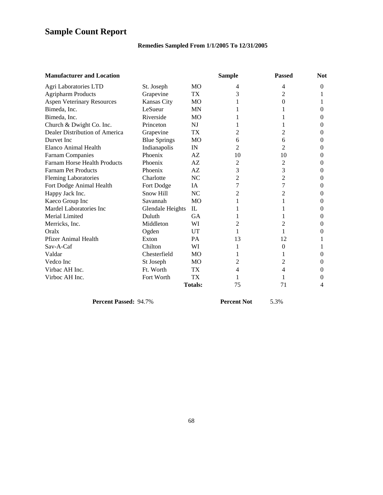## **Sample Count Report**

## **Remedies Sampled From 1/1/2005 To 12/31/2005**

| <b>Manufacturer and Location</b>    |                     |                 | <b>Sample</b> | <b>Passed</b> | <b>Not</b> |
|-------------------------------------|---------------------|-----------------|---------------|---------------|------------|
| Agri Laboratories LTD               | St. Joseph          | MO              | 4             | 4             | $\Omega$   |
| <b>Agripharm Products</b>           | Grapevine           | TX              | 3             | 2             |            |
| <b>Aspen Veterinary Resources</b>   | <b>Kansas City</b>  | <b>MO</b>       |               | 0             |            |
| Bimeda, Inc.                        | LeSueur             | <b>MN</b>       |               |               | $\Omega$   |
| Bimeda, Inc.                        | Riverside           | <b>MO</b>       |               |               | 0          |
| Church & Dwight Co. Inc.            | Princeton           | NJ              |               |               | $\Omega$   |
| Dealer Distribution of America      | Grapevine           | TX.             | 2             | 2             | 0          |
| Durvet Inc                          | <b>Blue Springs</b> | MO              | 6             | 6             | $\Omega$   |
| <b>Elanco Animal Health</b>         | Indianapolis        | IN              | 2             | 2             | 0          |
| <b>Farnam Companies</b>             | Phoenix             | AZ              | 10            | 10            | $\Omega$   |
| <b>Farnam Horse Health Products</b> | Phoenix             | AZ              | 2             | 2             | 0          |
| <b>Farnam Pet Products</b>          | Phoenix             | AZ              | 3             | 3             | $\Omega$   |
| <b>Fleming Laboratories</b>         | Charlotte           | <b>NC</b>       | 2             | 2             | $\Omega$   |
| Fort Dodge Animal Health            | Fort Dodge          | IA.             | 7             | 7             | $\Omega$   |
| Happy Jack Inc.                     | Snow Hill           | NC              | 2             | 2             | $\Omega$   |
| Kaeco Group Inc                     | Savannah            | <b>MO</b>       |               |               | 0          |
| Mardel Laboratories Inc             | Glendale Heights    | $\mathbf{L}$    |               |               | 0          |
| Merial Limited                      | Duluth              | GA              |               |               | 0          |
| Merricks, Inc.                      | Middleton           | WI              | 2             | 2             | $\Omega$   |
| Oralx                               | Ogden               | UT              | 1             | 1             | $\Omega$   |
| Pfizer Animal Health                | Exton               | <b>PA</b>       | 13            | 12            |            |
| Sav-A-Caf                           | Chilton             | WI              |               | 0             |            |
| Valdar                              | Chesterfield        | <b>MO</b>       | I.            | 1             | $\Omega$   |
| Vedco Inc                           | St Joseph           | <b>MO</b>       | 2             | 2             | $\theta$   |
| Virbac AH Inc.                      | Ft. Worth           | TX <sup>1</sup> | 4             | 4             | $\theta$   |
| Virboc AH Inc.                      | Fort Worth          | TX              |               |               | 0          |
|                                     |                     | <b>Totals:</b>  | 75            | 71            | 4          |

**Percent Passed:** 94.7% **Percent Not** 5.3%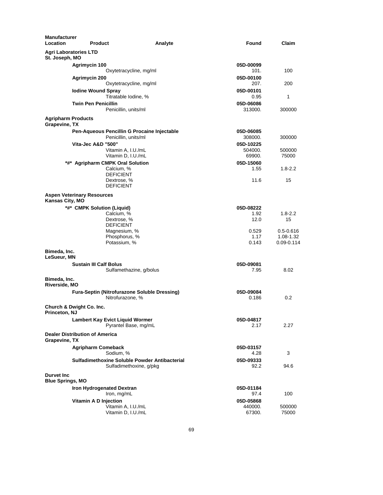| <b>Manufacturer</b><br>Location                   | <b>Product</b>                        |                                                                          | Found<br>Analyte     | Claim           |
|---------------------------------------------------|---------------------------------------|--------------------------------------------------------------------------|----------------------|-----------------|
| St. Joseph, MO                                    | <b>Agri Laboratories LTD</b>          |                                                                          |                      |                 |
|                                                   | Agrimycin 100                         |                                                                          | 05D-00099            |                 |
|                                                   |                                       | Oxytetracycline, mg/ml                                                   | 101.                 | 100             |
|                                                   | Agrimycin 200                         |                                                                          | 05D-00100            |                 |
|                                                   |                                       | Oxytetracycline, mg/ml                                                   | 207.                 | 200             |
|                                                   | <b>Iodine Wound Spray</b>             |                                                                          | 05D-00101            |                 |
|                                                   |                                       | Titratable Iodine, %                                                     | 0.95                 | 1               |
|                                                   | <b>Twin Pen Penicillin</b>            | Penicillin, units/ml                                                     | 05D-06086<br>313000. | 300000          |
| <b>Agripharm Products</b><br><b>Grapevine, TX</b> |                                       |                                                                          |                      |                 |
|                                                   |                                       | Pen-Aqueous Pencillin G Procaine Injectable                              | 05D-06085            |                 |
|                                                   |                                       | Penicillin, units/ml                                                     | 308000.              | 300000          |
|                                                   | Vita-Jec A&D "500"                    |                                                                          | 05D-10225            |                 |
|                                                   |                                       | Vitamin A, I.U./mL<br>Vitamin D, I.U./mL                                 | 504000.<br>69900.    | 500000<br>75000 |
|                                                   |                                       | <b>Agripharm CMPK Oral Solution</b>                                      | 05D-15060            |                 |
|                                                   |                                       | Calcium, %                                                               | 1.55                 | $1.8 - 2.2$     |
|                                                   |                                       | <b>DEFICIENT</b>                                                         |                      |                 |
|                                                   |                                       | Dextrose, %<br><b>DEFICIENT</b>                                          | 11.6                 | 15              |
| Kansas City, MO                                   | <b>Aspen Veterinary Resources</b>     |                                                                          |                      |                 |
|                                                   | *#* CMPK Solution (Liquid)            |                                                                          | 05D-08222            |                 |
|                                                   |                                       | Calcium, %                                                               | 1.92                 | $1.8 - 2.2$     |
|                                                   |                                       | Dextrose, %<br><b>DEFICIENT</b>                                          | 12.0                 | 15              |
|                                                   |                                       | Magnesium, %                                                             | 0.529                | $0.5 - 0.616$   |
|                                                   |                                       | Phosphorus, %                                                            | 1.17                 | 1.08-1.32       |
|                                                   |                                       | Potassium, %                                                             | 0.143                | 0.09-0.114      |
| Bimeda, Inc.<br>LeSueur, MN                       |                                       |                                                                          |                      |                 |
|                                                   | <b>Sustain III Calf Bolus</b>         |                                                                          | 05D-09081            |                 |
|                                                   |                                       | Sulfamethazine, g/bolus                                                  | 7.95                 | 8.02            |
| Bimeda, Inc.<br>Riverside, MO                     |                                       |                                                                          |                      |                 |
|                                                   |                                       | <b>Fura-Septin (Nitrofurazone Soluble Dressing)</b><br>Nitrofurazone, %  | 05D-09084<br>0.186   | 0.2             |
| Princeton, NJ                                     | <b>Church &amp; Dwight Co. Inc.</b>   |                                                                          |                      |                 |
|                                                   |                                       | <b>Lambert Kay Evict Liquid Wormer</b><br>Pyrantel Base, mg/mL           | 05D-04817<br>2.17    | 2.27            |
| Grapevine, TX                                     | <b>Dealer Distribution of America</b> |                                                                          |                      |                 |
|                                                   | <b>Agripharm Comeback</b>             |                                                                          | 05D-03157            |                 |
|                                                   |                                       | Sodium, %                                                                | 4.28                 | 3               |
|                                                   |                                       | Sulfadimethoxine Soluble Powder Antibacterial<br>Sulfadimethoxine, g/pkg | 05D-09333<br>92.2    | 94.6            |
| <b>Durvet Inc.</b><br><b>Blue Springs, MO</b>     |                                       |                                                                          |                      |                 |
|                                                   | Iron Hydrogenated Dextran             |                                                                          | 05D-01184            |                 |
|                                                   |                                       | Iron, mg/mL                                                              | 97.4                 | 100             |
|                                                   | Vitamin A D Injection                 |                                                                          | 05D-05868            |                 |
|                                                   |                                       | Vitamin A, I.U./mL                                                       | 440000.              | 500000          |
|                                                   |                                       | Vitamin D, I.U./mL                                                       | 67300.               | 75000           |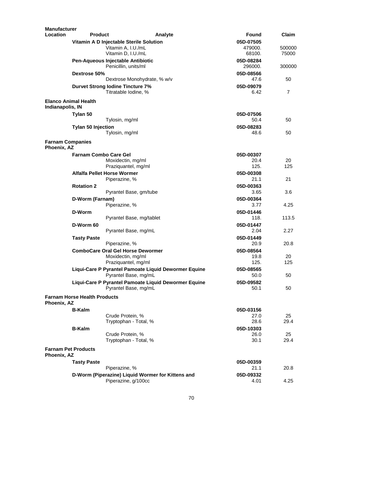| <b>Manufacturer</b>                    |                                         |                        |                                                   |                                                      |                   |        |
|----------------------------------------|-----------------------------------------|------------------------|---------------------------------------------------|------------------------------------------------------|-------------------|--------|
| Location                               | <b>Product</b>                          |                        | Analyte                                           |                                                      | Found             | Claim  |
|                                        |                                         |                        | Vitamin A D Injectable Sterile Solution           |                                                      | 05D-07505         |        |
|                                        |                                         | Vitamin A, I.U./mL     |                                                   |                                                      | 479000.           | 500000 |
|                                        |                                         | Vitamin D, I.U./mL     |                                                   |                                                      | 68100.            | 75000  |
|                                        | Pen-Aqueous Injectable Antibiotic       |                        |                                                   |                                                      | 05D-08284         |        |
|                                        |                                         | Penicillin, units/ml   |                                                   |                                                      | 296000.           | 300000 |
|                                        | Dextrose 50%                            |                        |                                                   |                                                      | 05D-08566         |        |
|                                        |                                         |                        | Dextrose Monohydrate, % w/v                       |                                                      | 47.6              | 50     |
|                                        | <b>Durvet Strong lodine Tincture 7%</b> | Titratable Iodine, %   |                                                   |                                                      | 05D-09079<br>6.42 | 7      |
| Indianapolis, IN                       | <b>Elanco Animal Health</b>             |                        |                                                   |                                                      |                   |        |
|                                        | Tylan 50                                |                        |                                                   |                                                      | 05D-07506         |        |
|                                        |                                         | Tylosin, mg/ml         |                                                   |                                                      | 50.4              | 50     |
|                                        | <b>Tylan 50 Injection</b>               |                        |                                                   |                                                      | 05D-08283         |        |
|                                        |                                         | Tylosin, mg/ml         |                                                   |                                                      | 48.6              | 50     |
| <b>Farnam Companies</b><br>Phoenix, AZ |                                         |                        |                                                   |                                                      |                   |        |
|                                        | <b>Farnam Combo Care Gel</b>            |                        |                                                   |                                                      | 05D-00307         |        |
|                                        |                                         | Moxidectin, mg/ml      |                                                   |                                                      | 20.4              | 20     |
|                                        |                                         | Praziquantel, mg/ml    |                                                   |                                                      | 125.              | 125    |
|                                        | <b>Alfalfa Pellet Horse Wormer</b>      |                        |                                                   |                                                      | 05D-00308         |        |
|                                        |                                         | Piperazine, %          |                                                   |                                                      | 21.1              | 21     |
|                                        | <b>Rotation 2</b>                       |                        |                                                   |                                                      | 05D-00363         |        |
|                                        |                                         | Pyrantel Base, gm/tube |                                                   |                                                      | 3.65              | 3.6    |
|                                        | D-Worm (Farnam)                         |                        |                                                   |                                                      | 05D-00364         |        |
|                                        |                                         | Piperazine, %          |                                                   |                                                      | 3.77              | 4.25   |
|                                        | D-Worm                                  |                        |                                                   |                                                      | 05D-01446         |        |
|                                        |                                         |                        | Pyrantel Base, mg/tablet                          |                                                      | 118.              | 113.5  |
|                                        | D-Worm 60                               |                        |                                                   |                                                      | 05D-01447         |        |
|                                        |                                         | Pyrantel Base, mg/mL   |                                                   |                                                      | 2.04              | 2.27   |
|                                        | <b>Tasty Paste</b>                      |                        |                                                   |                                                      | 05D-01449         |        |
|                                        |                                         | Piperazine, %          |                                                   |                                                      | 20.9              | 20.8   |
|                                        |                                         |                        | <b>ComboCare Oral Gel Horse Dewormer</b>          |                                                      | 05D-08564         |        |
|                                        |                                         | Moxidectin, mg/ml      |                                                   |                                                      | 19.8              | 20     |
|                                        |                                         | Praziquantel, mg/ml    |                                                   |                                                      | 125.              | 125    |
|                                        |                                         |                        |                                                   | Liqui-Care P Pyrantel Pamoate Liquid Dewormer Equine | 05D-08565         |        |
|                                        |                                         | Pyrantel Base, mg/mL   |                                                   |                                                      | 50.0              | 50     |
|                                        |                                         |                        |                                                   | Liqui-Care P Pyrantel Pamoate Liquid Dewormer Equine | 05D-09582         |        |
|                                        |                                         | Pyrantel Base, mg/mL   |                                                   |                                                      | 50.1              | 50     |
| Phoenix. AZ                            | <b>Farnam Horse Health Products</b>     |                        |                                                   |                                                      |                   |        |
|                                        | <b>B-Kalm</b>                           |                        |                                                   |                                                      | 05D-03156         |        |
|                                        |                                         | Crude Protein, %       |                                                   |                                                      | 27.0              | 25     |
|                                        |                                         | Tryptophan - Total, %  |                                                   |                                                      | 28.6              | 29.4   |
|                                        | <b>B-Kalm</b>                           |                        |                                                   |                                                      | 05D-10303         |        |
|                                        |                                         | Crude Protein, %       |                                                   |                                                      | 26.0              | 25     |
|                                        |                                         | Tryptophan - Total, %  |                                                   |                                                      | 30.1              | 29.4   |
| Phoenix, AZ                            | <b>Farnam Pet Products</b>              |                        |                                                   |                                                      |                   |        |
|                                        | <b>Tasty Paste</b>                      |                        |                                                   |                                                      | 05D-00359         |        |
|                                        |                                         | Piperazine, %          |                                                   |                                                      | 21.1              | 20.8   |
|                                        |                                         |                        | D-Worm (Piperazine) Liquid Wormer for Kittens and |                                                      | 05D-09332         |        |
|                                        |                                         | Piperazine, g/100cc    |                                                   |                                                      | 4.01              | 4.25   |
|                                        |                                         |                        |                                                   |                                                      |                   |        |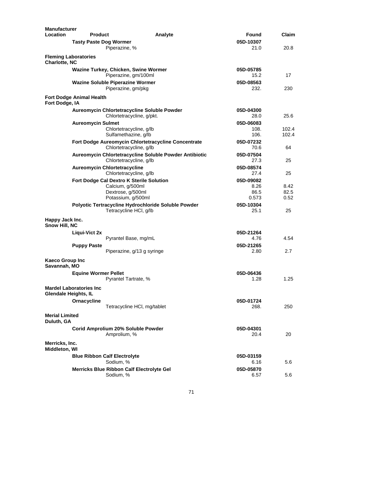| <b>Manufacturer</b><br><b>Location</b> | <b>Product</b>                                         |                                                  | Analyte                                                | Found     | Claim |
|----------------------------------------|--------------------------------------------------------|--------------------------------------------------|--------------------------------------------------------|-----------|-------|
|                                        | <b>Tasty Paste Dog Wormer</b>                          |                                                  |                                                        | 05D-10307 |       |
|                                        |                                                        | Piperazine, %                                    |                                                        | 21.0      | 20.8  |
| <b>Charlotte, NC</b>                   | <b>Fleming Laboratories</b>                            |                                                  |                                                        |           |       |
|                                        |                                                        | Wazine Turkey, Chicken, Swine Wormer             |                                                        | 05D-05785 |       |
|                                        |                                                        | Piperazine, gm/100ml                             |                                                        | 15.2      | 17    |
|                                        |                                                        | <b>Wazine Soluble Piperazine Wormer</b>          |                                                        | 05D-08563 |       |
|                                        |                                                        | Piperazine, gm/pkg                               |                                                        | 232.      | 230   |
| Fort Dodge, IA                         | <b>Fort Dodge Animal Health</b>                        |                                                  |                                                        |           |       |
|                                        |                                                        | Aureomycin Chlortetracycline Soluble Powder      |                                                        | 05D-04300 |       |
|                                        |                                                        | Chlortetracycline, g/pkt.                        |                                                        | 28.0      | 25.6  |
|                                        | <b>Aureomycin Sulmet</b>                               |                                                  |                                                        | 05D-06083 |       |
|                                        |                                                        | Chlortetracycline, g/lb                          |                                                        | 108.      | 102.4 |
|                                        |                                                        | Sulfamethazine, g/lb                             |                                                        | 106.      | 102.4 |
|                                        |                                                        |                                                  | Fort Dodge Aureomycin Chlortetracycline Concentrate    | 05D-07232 |       |
|                                        |                                                        | Chlortetracycline, g/lb                          |                                                        | 70.6      | 64    |
|                                        |                                                        |                                                  | Aureomycin Chlortetracycline Soluble Powder Antibiotic | 05D-07504 |       |
|                                        |                                                        | Chlortetracycline, g/lb                          |                                                        | 27.3      | 25    |
|                                        |                                                        | <b>Aureomycin Chlortetracycline</b>              |                                                        | 05D-08574 |       |
|                                        |                                                        | Chlortetracycline, g/lb                          |                                                        | 27.4      | 25    |
|                                        |                                                        | Fort Dodge Cal Dextro K Sterile Solution         |                                                        | 05D-09082 |       |
|                                        |                                                        | Calcium, g/500ml                                 |                                                        | 8.26      | 8.42  |
|                                        |                                                        | Dextrose, g/500ml                                |                                                        | 86.5      | 82.5  |
|                                        |                                                        | Potassium, g/500ml                               |                                                        | 0.573     | 0.52  |
|                                        |                                                        |                                                  | Polyotic Tertracycline Hydrochloride Soluble Powder    | 05D-10304 |       |
|                                        |                                                        | Tetracycline HCI, g/lb                           |                                                        | 25.1      | 25    |
| Happy Jack Inc.<br>Snow Hill, NC       |                                                        |                                                  |                                                        |           |       |
|                                        | Liqui-Vict 2x                                          |                                                  |                                                        | 05D-21264 |       |
|                                        |                                                        | Pyrantel Base, mg/mL                             |                                                        | 4.76      | 4.54  |
|                                        | <b>Puppy Paste</b>                                     |                                                  |                                                        | 05D-21265 |       |
|                                        |                                                        | Piperazine, g/13 g syringe                       |                                                        | 2.80      | 2.7   |
| Kaeco Group Inc<br>Savannah, MO        |                                                        |                                                  |                                                        |           |       |
|                                        |                                                        |                                                  |                                                        | 05D-06436 |       |
|                                        | <b>Equine Wormer Pellet</b>                            | Pyrantel Tartrate, %                             |                                                        | 1.28      | 1.25  |
|                                        |                                                        |                                                  |                                                        |           |       |
|                                        | <b>Mardel Laboratories Inc</b><br>Glendale Heights, IL |                                                  |                                                        |           |       |
|                                        | Ornacycline                                            |                                                  |                                                        | 05D-01724 |       |
|                                        |                                                        | Tetracycline HCI, mg/tablet                      |                                                        | 268.      | 250   |
| <b>Merial Limited</b>                  |                                                        |                                                  |                                                        |           |       |
| Duluth, GA                             |                                                        |                                                  |                                                        |           |       |
|                                        |                                                        | Corid Amprolium 20% Soluble Powder               |                                                        | 05D-04301 |       |
|                                        |                                                        | Amprolium, %                                     |                                                        | 20.4      | 20    |
|                                        |                                                        |                                                  |                                                        |           |       |
| Merricks, Inc.<br>Middleton, WI        |                                                        |                                                  |                                                        |           |       |
|                                        |                                                        | <b>Blue Ribbon Calf Electrolyte</b>              |                                                        | 05D-03159 |       |
|                                        |                                                        | Sodium, %                                        |                                                        | 6.16      | 5.6   |
|                                        |                                                        | <b>Merricks Blue Ribbon Calf Electrolyte Gel</b> |                                                        | 05D-05870 |       |
|                                        |                                                        | Sodium, %                                        |                                                        | 6.57      | 5.6   |
|                                        |                                                        |                                                  |                                                        |           |       |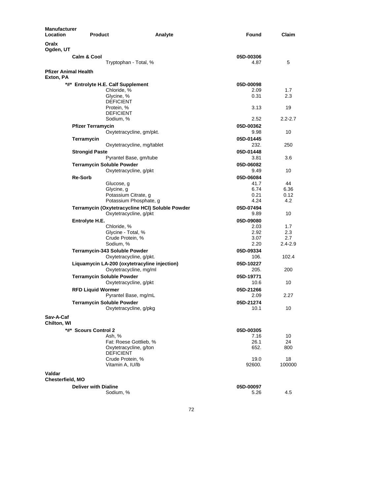| Manufacturer<br><b>Location</b>          | <b>Product</b>                                                            | Found<br>Analyte  | Claim       |
|------------------------------------------|---------------------------------------------------------------------------|-------------------|-------------|
| Oralx<br>Ogden, UT                       |                                                                           |                   |             |
|                                          | <b>Calm &amp; Cool</b>                                                    | 05D-00306         |             |
|                                          | Tryptophan - Total, %                                                     | 4.87              | 5           |
| <b>Pfizer Animal Health</b><br>Exton, PA |                                                                           |                   |             |
|                                          | *#* Entrolyte H.E. Calf Supplement                                        | 05D-00098         |             |
|                                          | Chloride, %                                                               | 2.09              | 1.7         |
|                                          | Glycine, %<br><b>DEFICIENT</b>                                            | 0.31              | 2.3         |
|                                          | Protein, %                                                                | 3.13              | 19          |
|                                          | <b>DEFICIENT</b>                                                          |                   |             |
|                                          | Sodium, %                                                                 | 2.52              | $2.2 - 2.7$ |
|                                          | <b>Pfizer Terramycin</b>                                                  | 05D-00362         |             |
|                                          | Oxytetracycline, gm/pkt.                                                  | 9.98              | 10          |
|                                          | Terramycin                                                                | 05D-01445         |             |
|                                          | Oxytetracycline, mg/tablet                                                | 232.              | 250         |
|                                          | <b>Strongid Paste</b><br>Pyrantel Base, gm/tube                           | 05D-01448<br>3.81 | 3.6         |
|                                          | <b>Terramycin Soluble Powder</b>                                          | 05D-06082         |             |
|                                          | Oxytetracycline, g/pkt                                                    | 9.49              | 10          |
|                                          | <b>Re-Sorb</b>                                                            | 05D-06084         |             |
|                                          | Glucose, g                                                                | 41.7              | 44          |
|                                          | Glycine, g                                                                | 6.74              | 6.36        |
|                                          | Potassium Citrate, g                                                      | 0.21              | 0.12        |
|                                          | Potassium Phosphate, g                                                    | 4.24              | 4.2         |
|                                          | Terramycin (Oxytetracycline HCI) Soluble Powder<br>Oxytetracycline, g/pkt | 05D-07494<br>9.89 | 10          |
|                                          | Entrolyte H.E.                                                            | 05D-09080         |             |
|                                          | Chloride, %                                                               | 2.03              | 1.7         |
|                                          | Glycine - Total, %                                                        | 2.92              | 2.3         |
|                                          | Crude Protein, %                                                          | 3.07              | 2.7         |
|                                          | Sodium, %                                                                 | 2.20              | $2.4 - 2.9$ |
|                                          | Terramycin-343 Soluble Powder<br>Oxytetracycline, g/pkt.                  | 05D-09334<br>106. | 102.4       |
|                                          | Liquamycin LA-200 (oxytetracyline injection)                              | 05D-10227         |             |
|                                          | Oxytetracycline, mg/ml                                                    | 205.              | 200         |
|                                          | <b>Terramycin Soluble Powder</b>                                          | 05D-19771         |             |
|                                          | Oxytetracycline, g/pkt                                                    | 10.6              | 10          |
|                                          | <b>RFD Liquid Wormer</b>                                                  | 05D-21266         |             |
|                                          | Pyrantel Base, mg/mL                                                      | 2.09              | 2.27        |
|                                          | Terramycin Soluble Powder                                                 | 05D-21274         |             |
|                                          | Oxytetracycline, g/pkg                                                    | 10.1              | 10          |
| Sav-A-Caf<br>Chilton, WI                 |                                                                           |                   |             |
|                                          | *#* Scours Control 2                                                      | 05D-00305         |             |
|                                          | Ash, %                                                                    | 7.16              | 10          |
|                                          | Fat: Roese Gottlieb, %                                                    | 26.1              | 24          |
|                                          | Oxytetracycline, g/ton<br><b>DEFICIENT</b>                                | 652.              | 800         |
|                                          | Crude Protein, %                                                          | 19.0              | 18          |
|                                          | Vitamin A, IU/lb                                                          | 92600.            | 100000      |
| Valdar                                   |                                                                           |                   |             |
| Chesterfield, MO                         | <b>Deliver with Dialine</b>                                               | 05D-00097         |             |
|                                          | Sodium, %                                                                 | 5.26              | 4.5         |
|                                          |                                                                           |                   |             |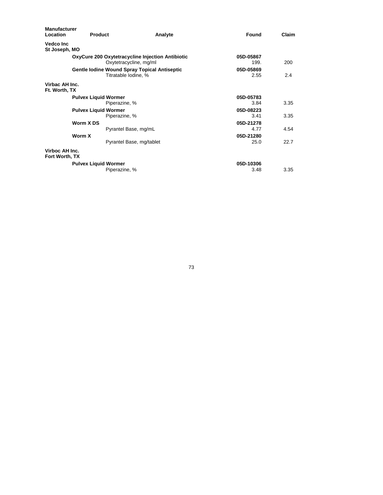| <b>Manufacturer</b><br>Location  | <b>Product</b>                                                             | Analyte | Found             | Claim |
|----------------------------------|----------------------------------------------------------------------------|---------|-------------------|-------|
| Vedco Inc<br>St Joseph, MO       |                                                                            |         |                   |       |
|                                  | OxyCure 200 Oxytetracycline Injection Antibiotic<br>Oxytetracycline, mg/ml |         | 05D-05867<br>199. | 200   |
|                                  | Gentle Iodine Wound Spray Topical Antiseptic<br>Titratable Iodine, %       |         | 05D-05869<br>2.55 | 2.4   |
| Virbac AH Inc.<br>Ft. Worth, TX  |                                                                            |         |                   |       |
|                                  | <b>Pulvex Liquid Wormer</b>                                                |         | 05D-05783         |       |
|                                  | Piperazine, %                                                              |         | 3.84              | 3.35  |
|                                  | <b>Pulvex Liquid Wormer</b>                                                |         | 05D-08223         |       |
|                                  | Piperazine, %                                                              |         | 3.41              | 3.35  |
|                                  | Worm X DS                                                                  |         | 05D-21278         |       |
|                                  | Pyrantel Base, mg/mL                                                       |         | 4.77              | 4.54  |
|                                  | Worm X                                                                     |         | 05D-21280         |       |
|                                  | Pyrantel Base, mg/tablet                                                   |         | 25.0              | 22.7  |
| Virboc AH Inc.<br>Fort Worth, TX |                                                                            |         |                   |       |
|                                  | <b>Pulvex Liquid Wormer</b>                                                |         | 05D-10306         |       |
|                                  | Piperazine, %                                                              |         | 3.48              | 3.35  |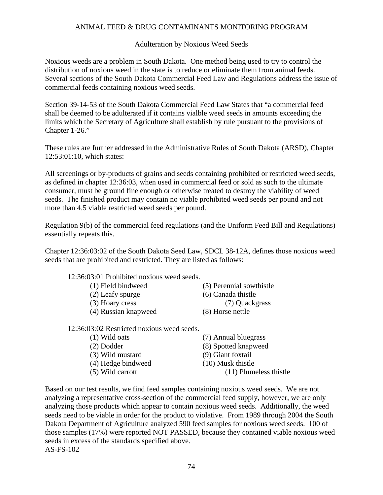## ANIMAL FEED & DRUG CONTAMINANTS MONITORING PROGRAM

#### Adulteration by Noxious Weed Seeds

Noxious weeds are a problem in South Dakota. One method being used to try to control the distribution of noxious weed in the state is to reduce or eliminate them from animal feeds. Several sections of the South Dakota Commercial Feed Law and Regulations address the issue of commercial feeds containing noxious weed seeds.

Section 39-14-53 of the South Dakota Commercial Feed Law States that "a commercial feed shall be deemed to be adulterated if it contains vialble weed seeds in amounts exceeding the limits which the Secretary of Agriculture shall establish by rule pursuant to the provisions of Chapter 1-26."

These rules are further addressed in the Administrative Rules of South Dakota (ARSD), Chapter 12:53:01:10, which states:

All screenings or by-products of grains and seeds containing prohibited or restricted weed seeds, as defined in chapter 12:36:03, when used in commercial feed or sold as such to the ultimate consumer, must be ground fine enough or otherwise treated to destroy the viability of weed seeds. The finished product may contain no viable prohibited weed seeds per pound and not more than 4.5 viable restricted weed seeds per pound.

Regulation 9(b) of the commercial feed regulations (and the Uniform Feed Bill and Regulations) essentially repeats this.

Chapter 12:36:03:02 of the South Dakota Seed Law, SDCL 38-12A, defines those noxious weed seeds that are prohibited and restricted. They are listed as follows:

| 12:36:03:01 Prohibited noxious weed seeds. |                    |                          |
|--------------------------------------------|--------------------|--------------------------|
| (1) Field bindweed                         |                    | (5) Perennial sowthistle |
| (2) Leafy spurge                           | (6) Canada thistle |                          |
| (3) Hoary cress                            |                    | (7) Quackgrass           |
| (4) Russian knapweed                       | (8) Horse nettle   |                          |
|                                            |                    |                          |

12:36:03:02 Restricted noxious weed seeds.

| $(1)$ Wild oats    | (7) Annual bluegrass     |
|--------------------|--------------------------|
| $(2)$ Dodder       | (8) Spotted knapweed     |
| (3) Wild mustard   | (9) Giant foxtail        |
| (4) Hedge bindweed | $(10)$ Musk thistle      |
| $(5)$ Wild carrott | $(11)$ Plumeless thistle |
|                    |                          |

Based on our test results, we find feed samples containing noxious weed seeds. We are not analyzing a representative cross-section of the commercial feed supply, however, we are only analyzing those products which appear to contain noxious weed seeds. Additionally, the weed seeds need to be viable in order for the product to violative. From 1989 through 2004 the South Dakota Department of Agriculture analyzed 590 feed samples for noxious weed seeds. 100 of those samples (17%) were reported NOT PASSED, because they contained viable noxious weed seeds in excess of the standards specified above. AS-FS-102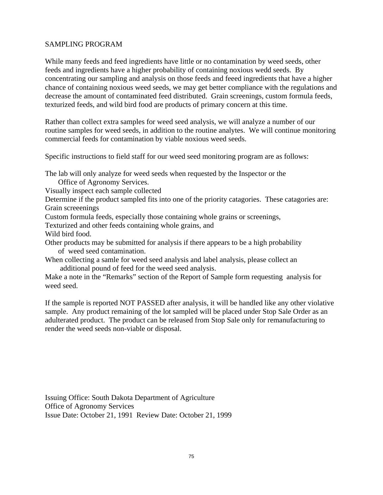#### SAMPLING PROGRAM

While many feeds and feed ingredients have little or no contamination by weed seeds, other feeds and ingredients have a higher probability of containing noxious wedd seeds. By concentrating our sampling and analysis on those feeds and feeed ingredients that have a higher chance of containing noxious weed seeds, we may get better compliance with the regulations and decrease the amount of contaminated feed distributed. Grain screenings, custom formula feeds, texturized feeds, and wild bird food are products of primary concern at this time.

Rather than collect extra samples for weed seed analysis, we will analyze a number of our routine samples for weed seeds, in addition to the routine analytes. We will continue monitoring commercial feeds for contamination by viable noxious weed seeds.

Specific instructions to field staff for our weed seed monitoring program are as follows:

The lab will only analyze for weed seeds when requested by the Inspector or the

Office of Agronomy Services.

Visually inspect each sample collected

Determine if the product sampled fits into one of the priority catagories. These catagories are: Grain screeenings

Custom formula feeds, especially those containing whole grains or screenings,

Texturized and other feeds containing whole grains, and

Wild bird food.

Other products may be submitted for analysis if there appears to be a high probability of weed seed contamination.

When collecting a samle for weed seed analysis and label analysis, please collect an additional pound of feed for the weed seed analysis.

Make a note in the "Remarks" section of the Report of Sample form requesting analysis for weed seed.

If the sample is reported NOT PASSED after analysis, it will be handled like any other violative sample. Any product remaining of the lot sampled will be placed under Stop Sale Order as an adulterated product. The product can be released from Stop Sale only for remanufacturing to render the weed seeds non-viable or disposal.

Issuing Office: South Dakota Department of Agriculture Office of Agronomy Services Issue Date: October 21, 1991 Review Date: October 21, 1999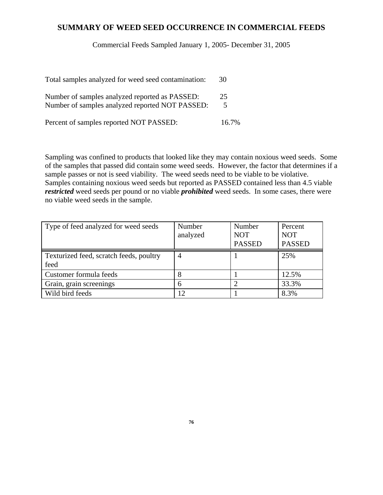## **SUMMARY OF WEED SEED OCCURRENCE IN COMMERCIAL FEEDS**

Commercial Feeds Sampled January 1, 2005- December 31, 2005

| Total samples analyzed for weed seed contamination:                                               | 30      |
|---------------------------------------------------------------------------------------------------|---------|
| Number of samples analyzed reported as PASSED:<br>Number of samples analyzed reported NOT PASSED: | 25<br>5 |
| Percent of samples reported NOT PASSED:                                                           | 16.7%   |

Sampling was confined to products that looked like they may contain noxious weed seeds. Some of the samples that passed did contain some weed seeds. However, the factor that determines if a sample passes or not is seed viability. The weed seeds need to be viable to be violative. Samples containing noxious weed seeds but reported as PASSED contained less than 4.5 viable *restricted* weed seeds per pound or no viable *prohibited* weed seeds. In some cases, there were no viable weed seeds in the sample.

| Type of feed analyzed for weed seeds            | Number<br>analyzed | Number<br><b>NOT</b><br><b>PASSED</b> | Percent<br><b>NOT</b><br><b>PASSED</b> |
|-------------------------------------------------|--------------------|---------------------------------------|----------------------------------------|
| Texturized feed, scratch feeds, poultry<br>feed | 4                  |                                       | 25%                                    |
| Customer formula feeds                          |                    |                                       | 12.5%                                  |
| Grain, grain screenings                         | 6                  |                                       | 33.3%                                  |
| Wild bird feeds                                 |                    |                                       | 8.3%                                   |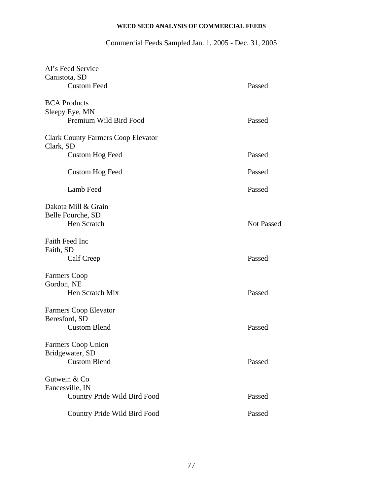# **WEED SEED ANALYSIS OF COMMERCIAL FEEDS**

# Commercial Feeds Sampled Jan. 1, 2005 - Dec. 31, 2005

| Al's Feed Service                         |                   |
|-------------------------------------------|-------------------|
| Canistota, SD                             |                   |
| <b>Custom Feed</b>                        | Passed            |
| <b>BCA</b> Products                       |                   |
| Sleepy Eye, MN                            |                   |
| Premium Wild Bird Food                    | Passed            |
| <b>Clark County Farmers Coop Elevator</b> |                   |
| Clark, SD                                 |                   |
| <b>Custom Hog Feed</b>                    | Passed            |
| Custom Hog Feed                           | Passed            |
| Lamb Feed                                 | Passed            |
| Dakota Mill & Grain                       |                   |
| Belle Fourche, SD                         |                   |
| Hen Scratch                               | <b>Not Passed</b> |
| Faith Feed Inc                            |                   |
| Faith, SD                                 |                   |
| Calf Creep                                | Passed            |
| <b>Farmers Coop</b>                       |                   |
| Gordon, NE                                |                   |
| Hen Scratch Mix                           | Passed            |
| <b>Farmers Coop Elevator</b>              |                   |
| Beresford, SD                             |                   |
| <b>Custom Blend</b>                       | Passed            |
| Farmers Coop Union                        |                   |
| Bridgewater, SD                           |                   |
| <b>Custom Blend</b>                       | Passed            |
| Gutwein & Co                              |                   |
| Fancesville, IN                           |                   |
| Country Pride Wild Bird Food              | Passed            |
| Country Pride Wild Bird Food              | Passed            |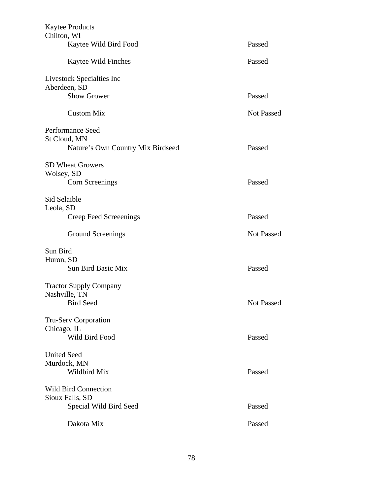| <b>Kaytee Products</b><br>Chilton, WI |                   |
|---------------------------------------|-------------------|
| Kaytee Wild Bird Food                 | Passed            |
| Kaytee Wild Finches                   | Passed            |
| Livestock Specialties Inc             |                   |
| Aberdeen, SD                          |                   |
| <b>Show Grower</b>                    | Passed            |
| <b>Custom Mix</b>                     | <b>Not Passed</b> |
| Performance Seed                      |                   |
| St Cloud, MN                          |                   |
| Nature's Own Country Mix Birdseed     | Passed            |
| <b>SD Wheat Growers</b>               |                   |
| Wolsey, SD                            |                   |
| Corn Screenings                       | Passed            |
| Sid Selaible                          |                   |
| Leola, SD                             |                   |
| Creep Feed Screeenings                | Passed            |
| <b>Ground Screenings</b>              | <b>Not Passed</b> |
| Sun Bird                              |                   |
| Huron, SD                             |                   |
| <b>Sun Bird Basic Mix</b>             | Passed            |
| <b>Tractor Supply Company</b>         |                   |
| Nashville, TN                         |                   |
| <b>Bird Seed</b>                      | <b>Not Passed</b> |
| <b>Tru-Serv Corporation</b>           |                   |
| Chicago, IL                           |                   |
| Wild Bird Food                        | Passed            |
| <b>United Seed</b>                    |                   |
| Murdock, MN                           |                   |
| Wildbird Mix                          | Passed            |
| <b>Wild Bird Connection</b>           |                   |
| Sioux Falls, SD                       |                   |
| Special Wild Bird Seed                | Passed            |
| Dakota Mix                            | Passed            |